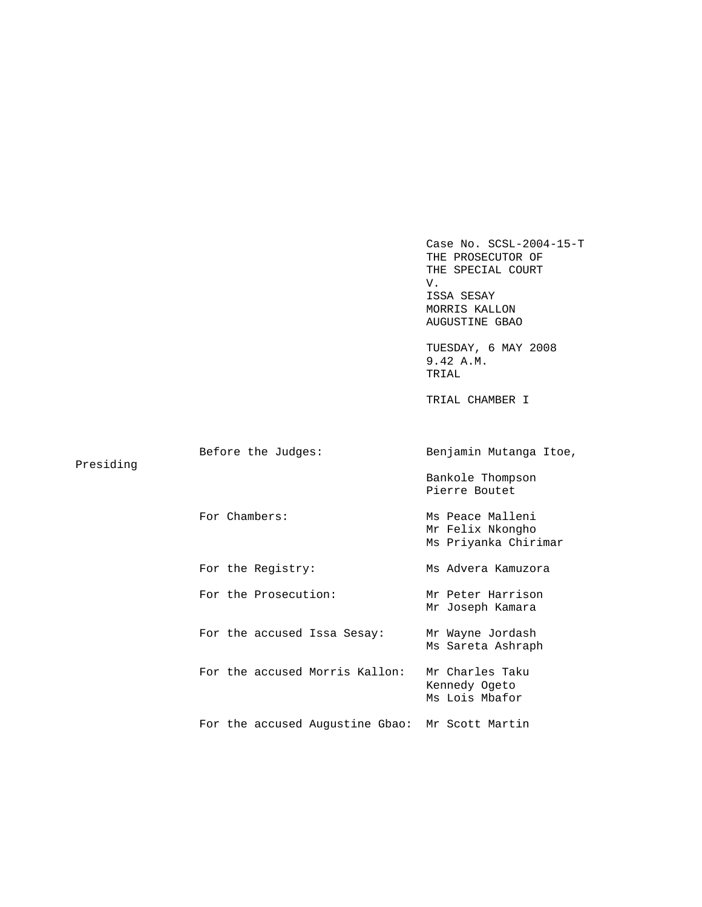Case No. SCSL-2004-15-T THE PROSECUTOR OF THE SPECIAL COURT<br>V. V. ISSA SESAY MORRIS KALLON AUGUSTINE GBAO

 TUESDAY, 6 MAY 2008 9.42 A.M. TRIAL

TRIAL CHAMBER I

| Presiding | Before the Judges:                              | Benjamin Mutanga Itoe,                                       |
|-----------|-------------------------------------------------|--------------------------------------------------------------|
|           |                                                 | Bankole Thompson<br>Pierre Boutet                            |
|           | For Chambers:                                   | Ms Peace Malleni<br>Mr Felix Nkongho<br>Ms Priyanka Chirimar |
|           | For the Registry:                               | Ms Advera Kamuzora                                           |
|           | For the Prosecution:                            | Mr Peter Harrison<br>Mr Joseph Kamara                        |
|           | For the accused Issa Sesay:                     | Mr Wayne Jordash<br>Ms Sareta Ashraph                        |
|           | For the accused Morris Kallon:                  | Mr Charles Taku<br>Kennedy Ogeto<br>Ms Lois Mbafor           |
|           | For the accused Augustine Gbao: Mr Scott Martin |                                                              |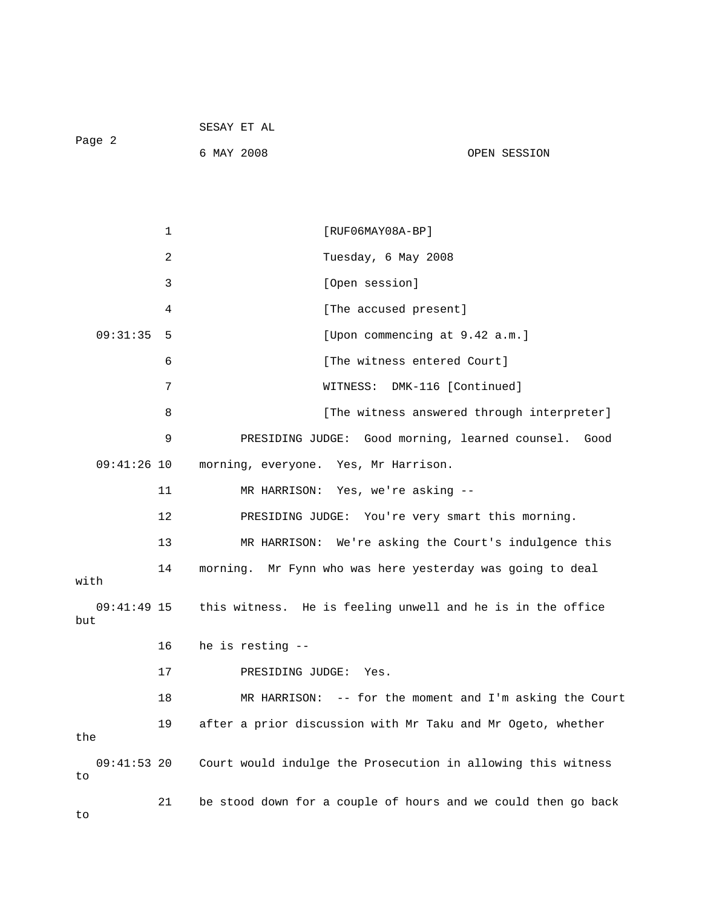| Page 2              |    | 6 MAY 2008          | OPEN SESSION                                                           |
|---------------------|----|---------------------|------------------------------------------------------------------------|
|                     |    |                     |                                                                        |
|                     | 1  |                     | $[RUF06MAY08A-BP]$                                                     |
|                     | 2  |                     | Tuesday, 6 May 2008                                                    |
|                     | 3  |                     | [Open session]                                                         |
|                     | 4  |                     | [The accused present]                                                  |
| 09:31:35            | 5  |                     | [Upon commencing at 9.42 a.m.]                                         |
|                     | 6  |                     | [The witness entered Court]                                            |
|                     | 7  |                     | WITNESS: DMK-116 [Continued]                                           |
|                     | 8  |                     | [The witness answered through interpreter]                             |
|                     | 9  |                     | PRESIDING JUDGE: Good morning, learned counsel. Good                   |
| $09:41:26$ 10       |    |                     | morning, everyone. Yes, Mr Harrison.                                   |
|                     | 11 |                     | MR HARRISON: Yes, we're asking --                                      |
|                     | 12 |                     | PRESIDING JUDGE: You're very smart this morning.                       |
|                     | 13 |                     | MR HARRISON: We're asking the Court's indulgence this                  |
| with                | 14 |                     | morning. Mr Fynn who was here yesterday was going to deal              |
| but                 |    |                     | 09:41:49 15 this witness. He is feeling unwell and he is in the office |
|                     |    | 16 he is resting -- |                                                                        |
|                     | 17 | PRESIDING JUDGE:    | Yes.                                                                   |
|                     | 18 | MR HARRISON:        | -- for the moment and I'm asking the Court                             |
| the                 | 19 |                     | after a prior discussion with Mr Taku and Mr Ogeto, whether            |
| $09:41:53$ 20<br>to |    |                     | Court would indulge the Prosecution in allowing this witness           |
| to                  | 21 |                     | be stood down for a couple of hours and we could then go back          |

SESAY ET AL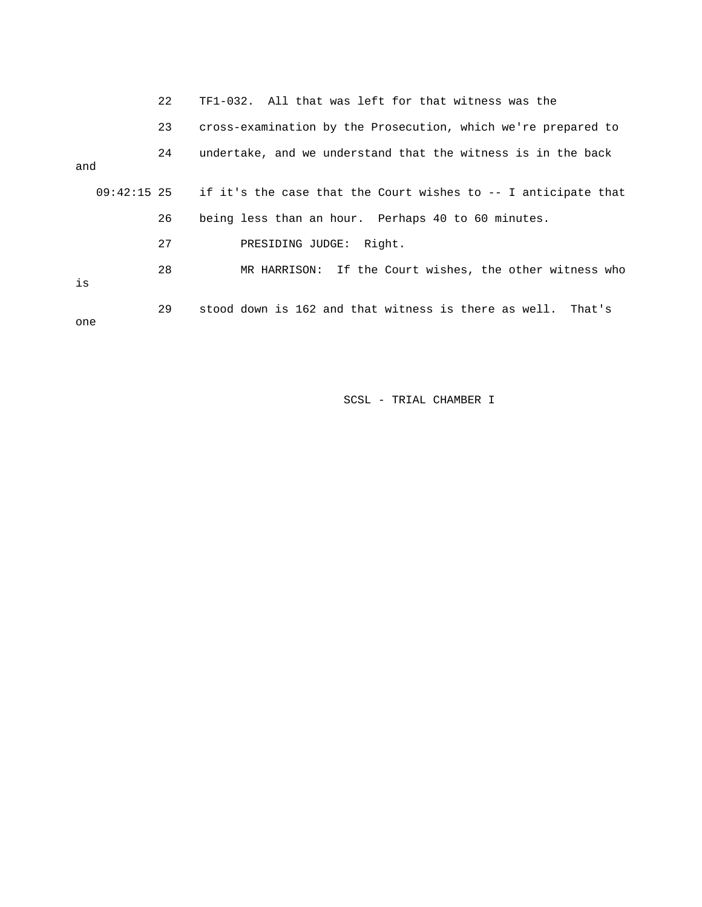|     |               | 22 | TF1-032. All that was left for that witness was the            |
|-----|---------------|----|----------------------------------------------------------------|
|     |               | 23 | cross-examination by the Prosecution, which we're prepared to  |
| and |               | 24 | undertake, and we understand that the witness is in the back   |
|     | $09:42:15$ 25 |    | if it's the case that the Court wishes to -- I anticipate that |
|     |               | 26 | being less than an hour. Perhaps 40 to 60 minutes.             |
|     |               | 27 | PRESIDING JUDGE: Right.                                        |
| is  |               | 28 | MR HARRISON: If the Court wishes, the other witness who        |
| one |               | 29 | stood down is 162 and that witness is there as well. That's    |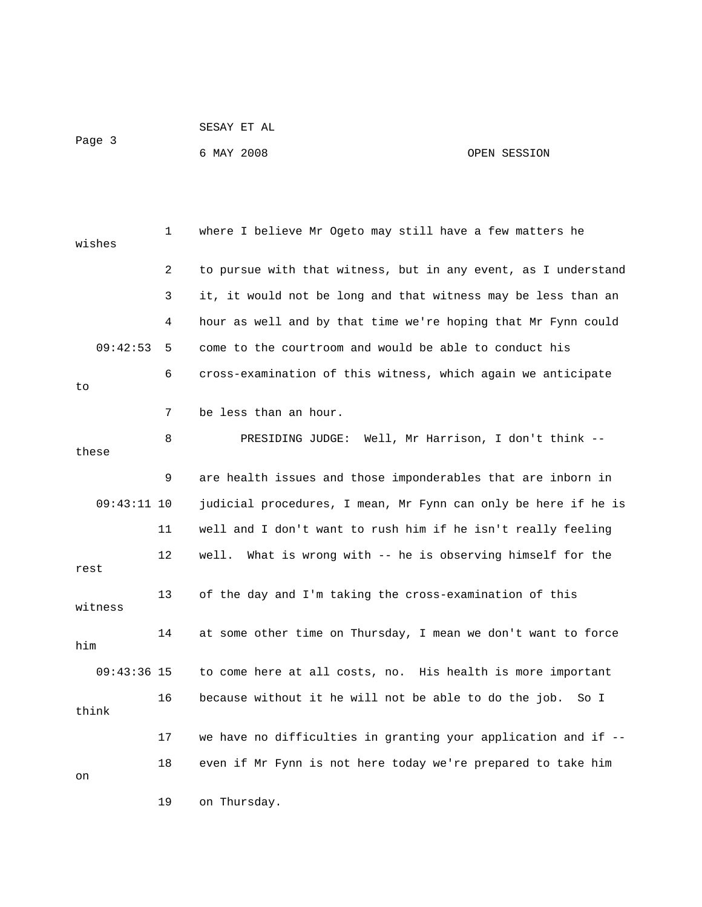|        | SESAY ET AL |              |
|--------|-------------|--------------|
| Page 3 |             |              |
|        | 6 MAY 2008  | OPEN SESSION |

| wishes  |               | 1              | where I believe Mr Ogeto may still have a few matters he       |
|---------|---------------|----------------|----------------------------------------------------------------|
|         |               | $\overline{2}$ | to pursue with that witness, but in any event, as I understand |
|         |               | 3              | it, it would not be long and that witness may be less than an  |
|         |               | 4              | hour as well and by that time we're hoping that Mr Fynn could  |
|         | 09:42:53      | 5              | come to the courtroom and would be able to conduct his         |
| to      |               | 6              | cross-examination of this witness, which again we anticipate   |
|         |               | 7              | be less than an hour.                                          |
| these   |               | 8              | PRESIDING JUDGE: Well, Mr Harrison, I don't think --           |
|         |               | 9              | are health issues and those imponderables that are inborn in   |
|         | $09:43:11$ 10 |                | judicial procedures, I mean, Mr Fynn can only be here if he is |
|         |               | 11             | well and I don't want to rush him if he isn't really feeling   |
| rest    |               | 12             | What is wrong with -- he is observing himself for the<br>well. |
| witness |               | 13             | of the day and I'm taking the cross-examination of this        |
| him     |               | 14             | at some other time on Thursday, I mean we don't want to force  |
|         | $09:43:36$ 15 |                | to come here at all costs, no. His health is more important    |
| think   |               | 16             | because without it he will not be able to do the job.<br>So I  |
|         |               | 17             | we have no difficulties in granting your application and if -- |
| on      |               | 18             | even if Mr Fynn is not here today we're prepared to take him   |
|         |               | 19             | on Thursday.                                                   |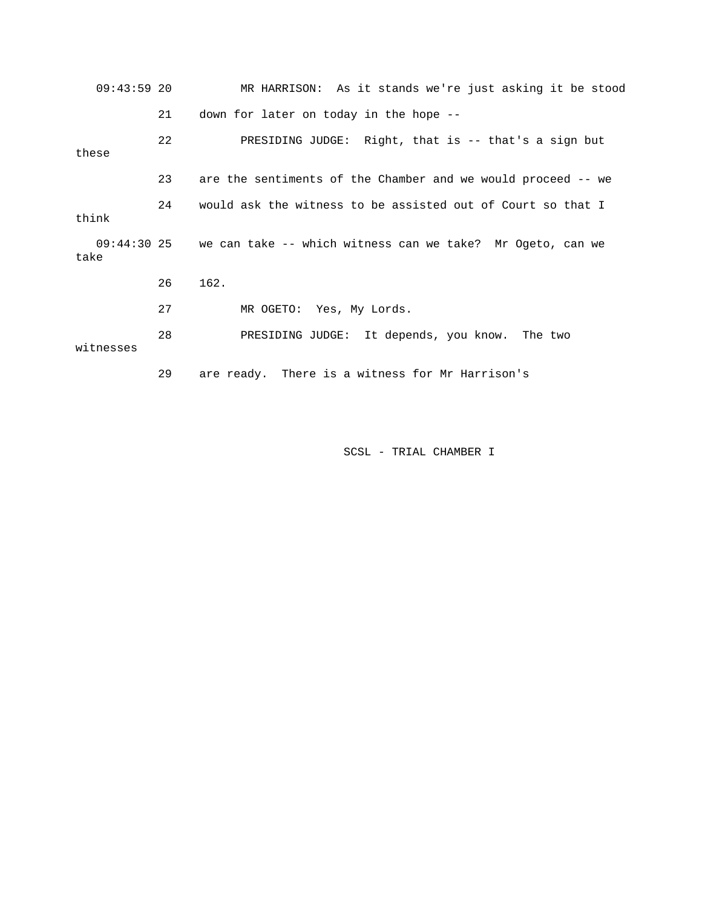| $09:43:59$ 20 |    | MR HARRISON: As it stands we're just asking it be stood                |
|---------------|----|------------------------------------------------------------------------|
|               | 21 | down for later on today in the hope --                                 |
| these         | 22 | PRESIDING JUDGE: Right, that is -- that's a sign but                   |
|               | 23 | are the sentiments of the Chamber and we would proceed -- we           |
| think         | 24 | would ask the witness to be assisted out of Court so that I            |
| take          |    | 09:44:30 25 we can take -- which witness can we take? Mr Ogeto, can we |
|               | 26 | 162.                                                                   |
|               | 27 | MR OGETO: Yes, My Lords.                                               |
| witnesses     | 28 | PRESIDING JUDGE: It depends, you know. The two                         |
|               | 29 | are ready. There is a witness for Mr Harrison's                        |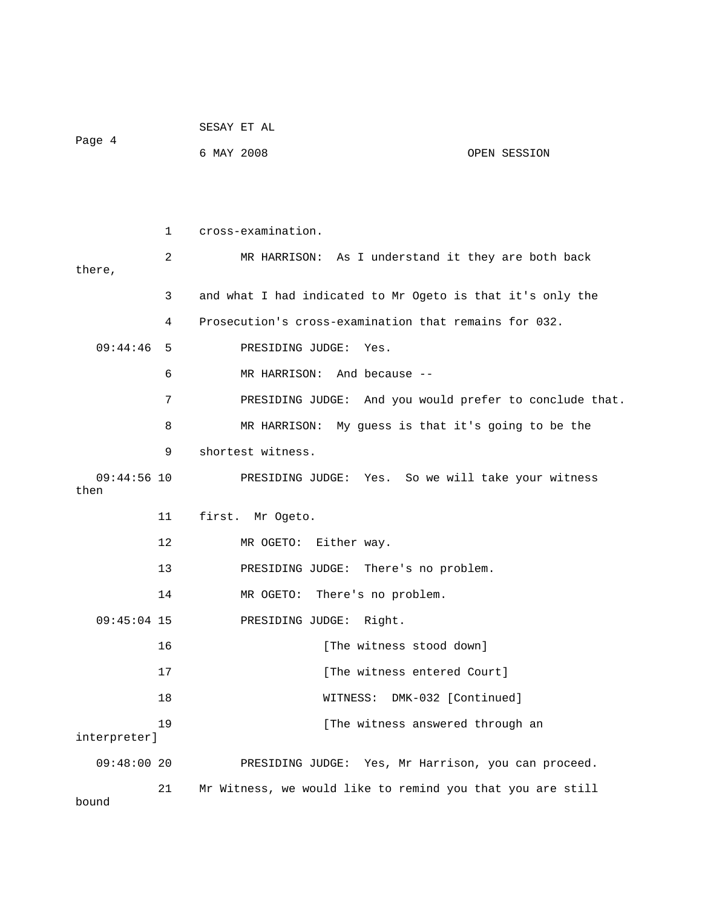|                       |    | SESAY ET AL                                                |
|-----------------------|----|------------------------------------------------------------|
| Page 4                |    | 6 MAY 2008<br>OPEN SESSION                                 |
|                       |    |                                                            |
|                       |    |                                                            |
|                       | 1  | cross-examination.                                         |
| there,                | 2  | MR HARRISON: As I understand it they are both back         |
|                       | 3  | and what I had indicated to Mr Ogeto is that it's only the |
|                       | 4  | Prosecution's cross-examination that remains for 032.      |
| 09:44:46              | 5  | PRESIDING JUDGE:<br>Yes.                                   |
|                       | 6  | MR HARRISON: And because --                                |
|                       | 7  | PRESIDING JUDGE: And you would prefer to conclude that.    |
|                       | 8  | MR HARRISON: My guess is that it's going to be the         |
|                       | 9  | shortest witness.                                          |
| $09:44:56$ 10<br>then |    | PRESIDING JUDGE: Yes. So we will take your witness         |
|                       | 11 | first. Mr Ogeto.                                           |
|                       | 12 | MR OGETO: Either way.                                      |
|                       | 13 | PRESIDING JUDGE: There's no problem.                       |
|                       | 14 | There's no problem.<br>MR OGETO:                           |
| $09:45:04$ 15         |    | PRESIDING JUDGE:<br>Right.                                 |
|                       | 16 | [The witness stood down]                                   |
|                       | 17 | [The witness entered Court]                                |
|                       | 18 | DMK-032 [Continued]<br>WITNESS:                            |
| interpreter]          | 19 | [The witness answered through an                           |
| 09:48:0020            |    | PRESIDING JUDGE: Yes, Mr Harrison, you can proceed.        |
| bound                 | 21 | Mr Witness, we would like to remind you that you are still |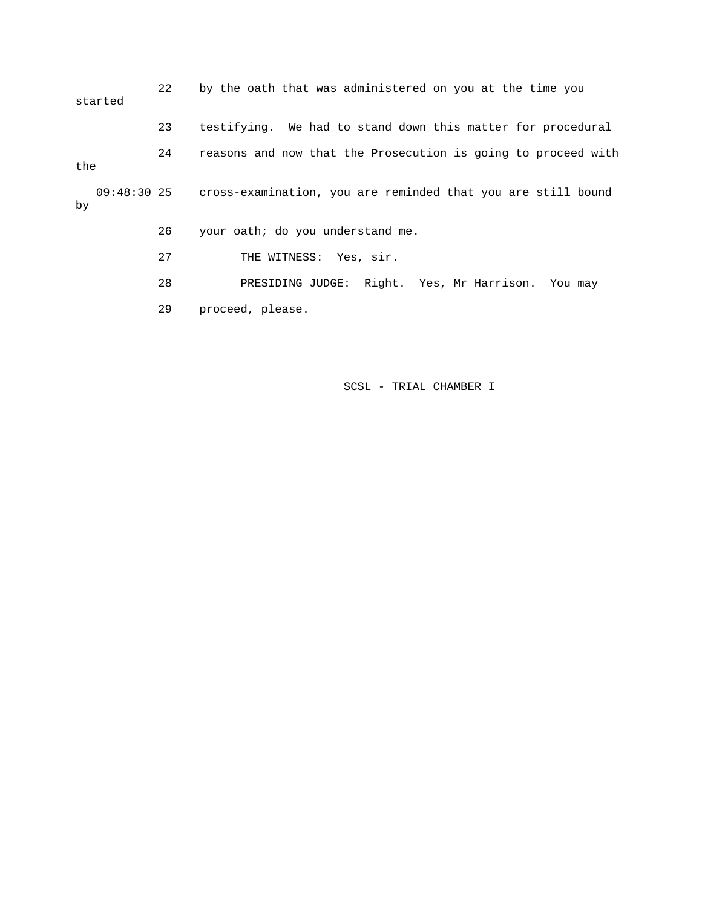22 by the oath that was administered on you at the time you started 23 testifying. We had to stand down this matter for procedural 24 reasons and now that the Prosecution is going to proceed with the 09:48:30 25 cross-examination, you are reminded that you are still bound by 26 your oath; do you understand me. 27 THE WITNESS: Yes, sir. 28 PRESIDING JUDGE: Right. Yes, Mr Harrison. You may 29 proceed, please.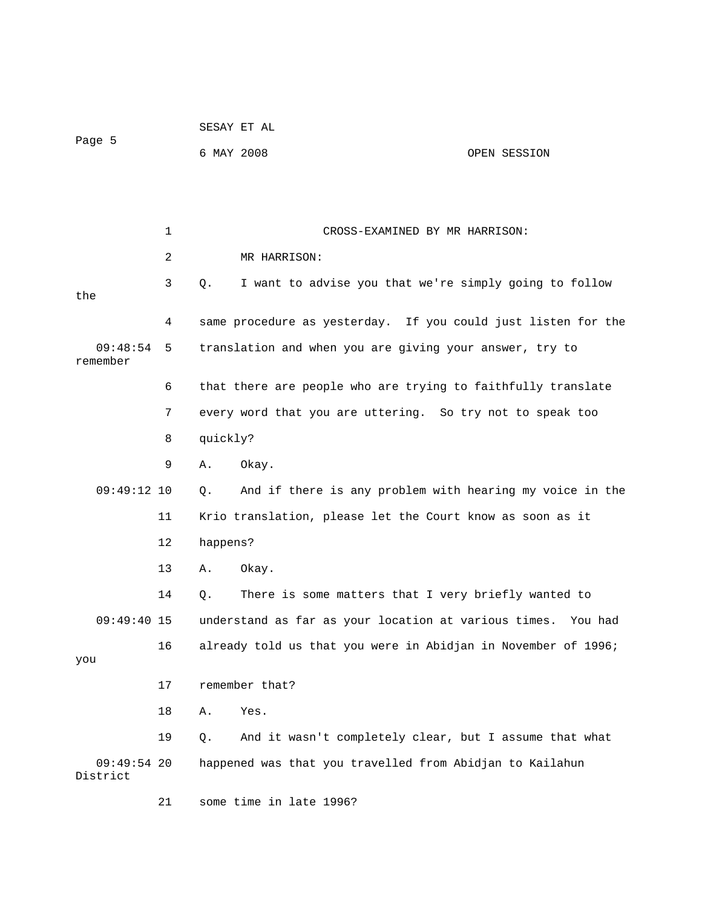|                      |    | SESAY ET AL                                                       |              |
|----------------------|----|-------------------------------------------------------------------|--------------|
| Page 5               |    | 6 MAY 2008                                                        | OPEN SESSION |
|                      |    |                                                                   |              |
|                      |    |                                                                   |              |
|                      | 1  | CROSS-EXAMINED BY MR HARRISON:                                    |              |
|                      | 2  | MR HARRISON:                                                      |              |
| the                  | 3  | I want to advise you that we're simply going to follow<br>Q.      |              |
|                      | 4  | same procedure as yesterday. If you could just listen for the     |              |
| 09:48:54<br>remember | 5  | translation and when you are giving your answer, try to           |              |
|                      | 6  | that there are people who are trying to faithfully translate      |              |
|                      | 7  | every word that you are uttering. So try not to speak too         |              |
|                      | 8  | quickly?                                                          |              |
|                      | 9  | Okay.<br>Α.                                                       |              |
| $09:49:12$ 10        |    | And if there is any problem with hearing my voice in the<br>$Q$ . |              |
|                      | 11 | Krio translation, please let the Court know as soon as it         |              |
|                      | 12 | happens?                                                          |              |
|                      | 13 | Okay.<br>Α.                                                       |              |
|                      | 14 | There is some matters that I very briefly wanted to<br>Q.         |              |
| $09:49:40$ 15        |    | understand as far as your location at various times. You had      |              |
| you                  | 16 | already told us that you were in Abidjan in November of 1996;     |              |
|                      | 17 | remember that?                                                    |              |
|                      | 18 | Yes.<br>Α.                                                        |              |
|                      | 19 | And it wasn't completely clear, but I assume that what<br>Q.      |              |
| $09:49:54$ 20        |    | happened was that you travelled from Abidjan to Kailahun          |              |
| District             |    |                                                                   |              |
|                      | 21 | some time in late 1996?                                           |              |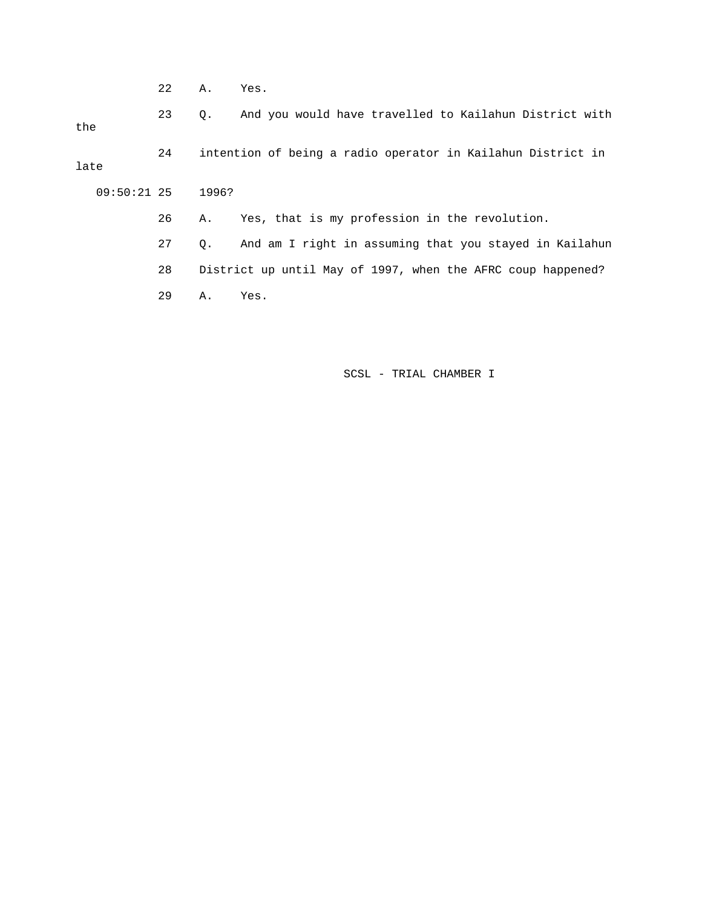22 A. Yes.

 23 Q. And you would have travelled to Kailahun District with the 24 intention of being a radio operator in Kailahun District in late 09:50:21 25 1996? 26 A. Yes, that is my profession in the revolution. 27 Q. And am I right in assuming that you stayed in Kailahun 28 District up until May of 1997, when the AFRC coup happened? 29 A. Yes.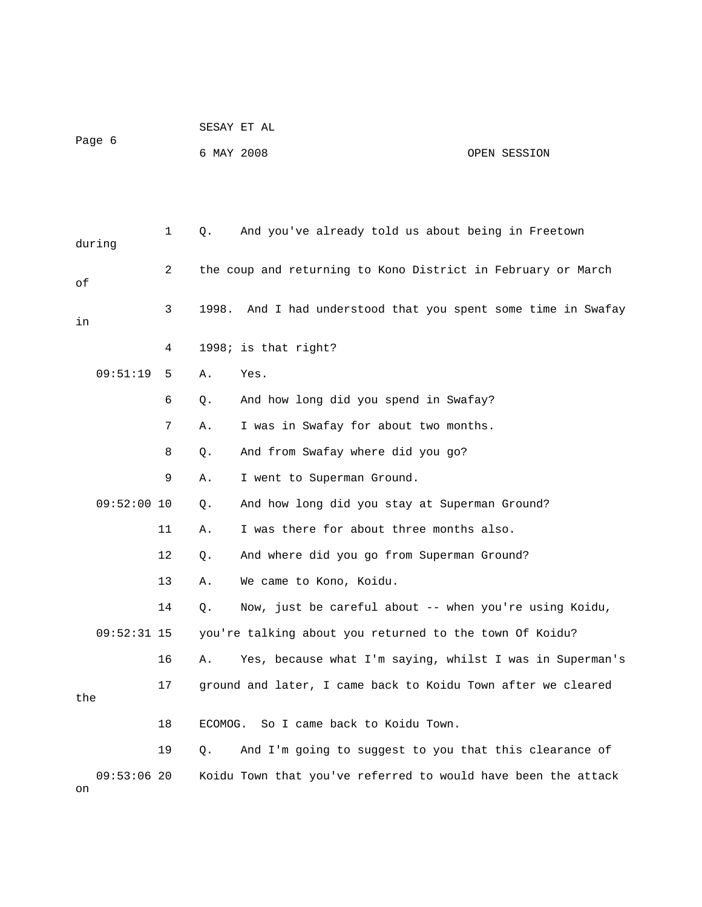| Page 6              |                | 6 MAY 2008 |                                                               | OPEN SESSION |
|---------------------|----------------|------------|---------------------------------------------------------------|--------------|
|                     |                |            |                                                               |              |
| during              | $\mathbf{1}$   | Q.         | And you've already told us about being in Freetown            |              |
| оf                  | $\overline{2}$ |            | the coup and returning to Kono District in February or March  |              |
| in                  | 3              | 1998.      | And I had understood that you spent some time in Swafay       |              |
|                     | 4              |            | 1998; is that right?                                          |              |
| 09:51:19            | 5              | Α.         | Yes.                                                          |              |
|                     | 6              | Q.         | And how long did you spend in Swafay?                         |              |
|                     | 7              | Α.         | I was in Swafay for about two months.                         |              |
|                     | 8              | Q.         | And from Swafay where did you go?                             |              |
|                     | 9              | Α.         | I went to Superman Ground.                                    |              |
| 09:52:00 10         |                | $Q$ .      | And how long did you stay at Superman Ground?                 |              |
|                     | 11             | Α.         | I was there for about three months also.                      |              |
|                     | 12             | Q.         | And where did you go from Superman Ground?                    |              |
|                     | 13             | Α.         | We came to Kono, Koidu.                                       |              |
|                     | 14             | $Q$ .      | Now, just be careful about -- when you're using Koidu,        |              |
| $09:52:31$ 15       |                |            | you're talking about you returned to the town Of Koidu?       |              |
|                     | 16             | Α.         | Yes, because what I'm saying, whilst I was in Superman's      |              |
| the                 | 17             |            | ground and later, I came back to Koidu Town after we cleared  |              |
|                     | 18             | ECOMOG.    | So I came back to Koidu Town.                                 |              |
|                     | 19             | Q.         | And I'm going to suggest to you that this clearance of        |              |
| $09:53:06$ 20<br>on |                |            | Koidu Town that you've referred to would have been the attack |              |

SESAY ET AL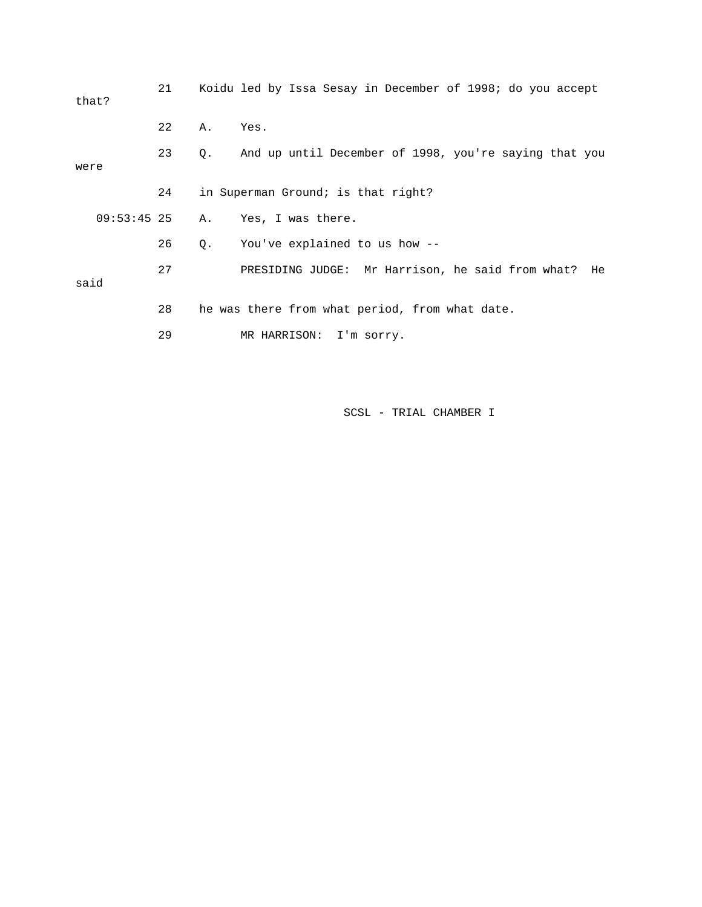| that?         | 21 |       | Koidu led by Issa Sesay in December of 1998; do you accept |
|---------------|----|-------|------------------------------------------------------------|
|               | 22 | Α.    | Yes.                                                       |
| were          | 23 | 0.    | And up until December of 1998, you're saying that you      |
|               | 24 |       | in Superman Ground; is that right?                         |
| $09:53:45$ 25 |    | Α.    | Yes, I was there.                                          |
|               | 26 | $Q$ . | You've explained to us how --                              |
| said          | 27 |       | PRESIDING JUDGE: Mr Harrison, he said from what?<br>He     |
|               | 28 |       | he was there from what period, from what date.             |
|               | 29 |       | MR HARRISON:<br>I'm sorry.                                 |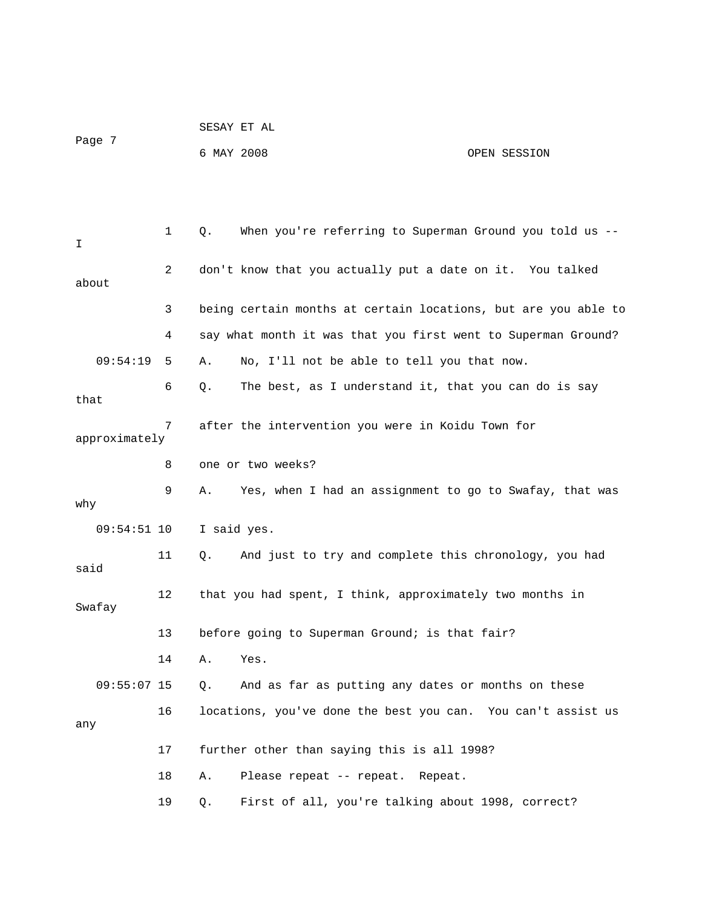|        | SESAY ET AL |              |
|--------|-------------|--------------|
| Page 7 |             |              |
|        | 6 MAY 2008  | OPEN SESSION |

| I             | $\mathbf{1}$ | When you're referring to Superman Ground you told us --<br>Q.   |
|---------------|--------------|-----------------------------------------------------------------|
| about         | 2            | don't know that you actually put a date on it. You talked       |
|               | 3            | being certain months at certain locations, but are you able to  |
|               | 4            | say what month it was that you first went to Superman Ground?   |
| 09:54:19      | 5            | No, I'll not be able to tell you that now.<br>Α.                |
| that          | 6            | The best, as I understand it, that you can do is say<br>Q.      |
| approximately | 7            | after the intervention you were in Koidu Town for               |
|               | 8            | one or two weeks?                                               |
| why           | 9            | Yes, when I had an assignment to go to Swafay, that was<br>Α.   |
|               |              |                                                                 |
| $09:54:51$ 10 |              | I said yes.                                                     |
| said          | 11           | And just to try and complete this chronology, you had<br>Q.     |
| Swafay        | 12           | that you had spent, I think, approximately two months in        |
|               | 13           | before going to Superman Ground; is that fair?                  |
|               | 14           | Yes.<br>Α.                                                      |
| $09:55:07$ 15 |              | And as far as putting any dates or months on these<br>Q.        |
| any           | 16           | locations, you've done the best you can.<br>You can't assist us |
|               | 17           | further other than saying this is all 1998?                     |
|               | 18           | Α.<br>Please repeat -- repeat. Repeat.                          |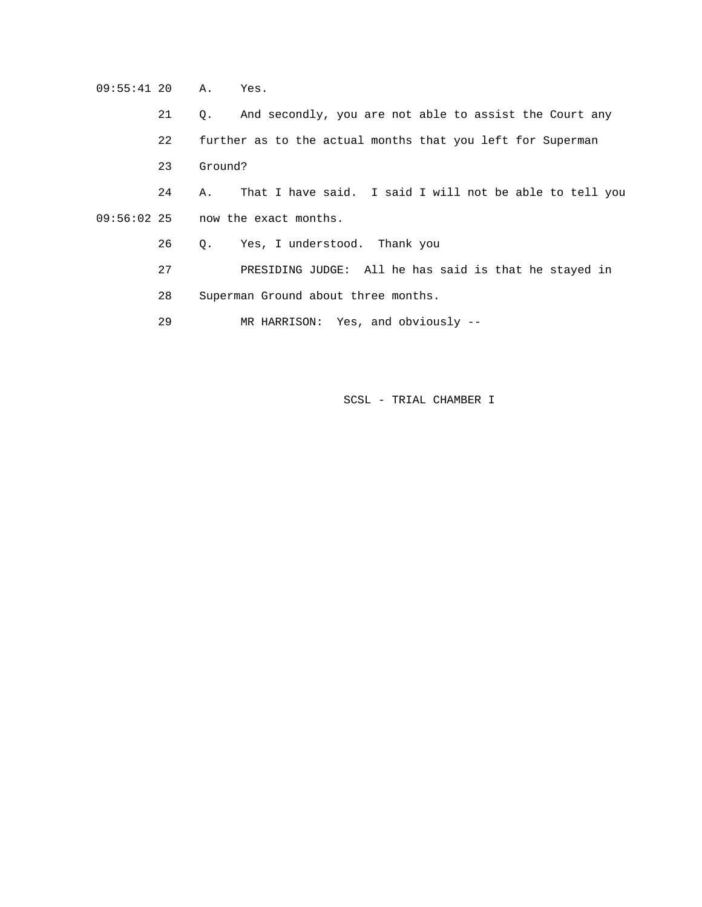09:55:41 20 A. Yes.

 21 Q. And secondly, you are not able to assist the Court any 22 further as to the actual months that you left for Superman 23 Ground? 24 A. That I have said. I said I will not be able to tell you 09:56:02 25 now the exact months. 26 Q. Yes, I understood. Thank you 27 PRESIDING JUDGE: All he has said is that he stayed in 28 Superman Ground about three months.

29 MR HARRISON: Yes, and obviously --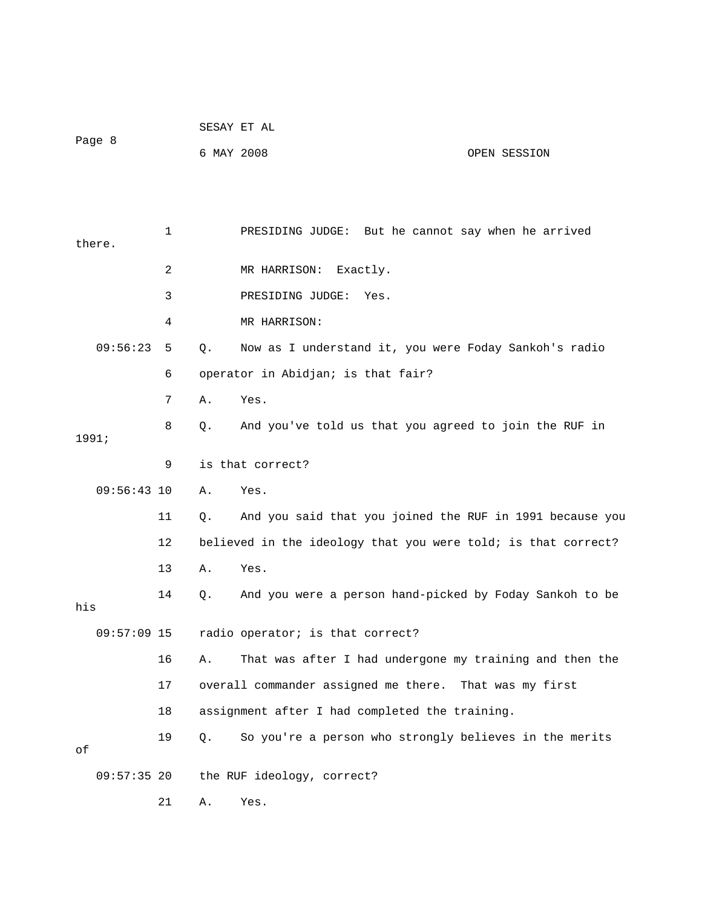| Page 8    |               |            |       | SESAY ET AL                                                   |                   |
|-----------|---------------|------------|-------|---------------------------------------------------------------|-------------------|
|           |               | 6 MAY 2008 |       | OPEN SESSION                                                  |                   |
|           |               |            |       |                                                               |                   |
|           |               |            |       |                                                               |                   |
| there.    |               | 1          |       | PRESIDING JUDGE: But he cannot say when he arrived            |                   |
|           |               | 2          |       | MR HARRISON: Exactly.                                         |                   |
|           |               | 3          |       | PRESIDING JUDGE:<br>Yes.                                      |                   |
|           |               | 4          |       | MR HARRISON:                                                  |                   |
|           | 09:56:23      | 5          | Q.    | Now as I understand it, you were Foday Sankoh's radio         |                   |
|           |               | 6          |       | operator in Abidjan; is that fair?                            |                   |
|           |               | 7          | Α.    | Yes.                                                          |                   |
|           |               | 8          | Q.    | And you've told us that you agreed to join the RUF in         |                   |
| 1991;     |               |            |       |                                                               |                   |
|           |               | 9          |       | is that correct?                                              |                   |
|           | $09:56:43$ 10 |            | Α.    | Yes.                                                          |                   |
|           |               | 11         | Q.    | And you said that you joined the RUF in 1991 because you      |                   |
|           |               | 12         |       | believed in the ideology that you were told; is that correct? |                   |
|           |               | 13         | Α.    | Yes.                                                          |                   |
| his       |               | 14         | Q.    | And you were a person hand-picked by Foday Sankoh to be       |                   |
|           | 09:57:09 15   |            |       | radio operator; is that correct?                              |                   |
|           |               | 16         | Α.    | That was after I had undergone my training and then the       |                   |
|           |               | 17         |       | overall commander assigned me there.                          | That was my first |
|           |               | 18         |       | assignment after I had completed the training.                |                   |
| $\circ f$ |               | 19         | $Q$ . | So you're a person who strongly believes in the merits        |                   |
|           | $09:57:35$ 20 |            |       | the RUF ideology, correct?                                    |                   |
|           |               | 21         | Α.    | Yes.                                                          |                   |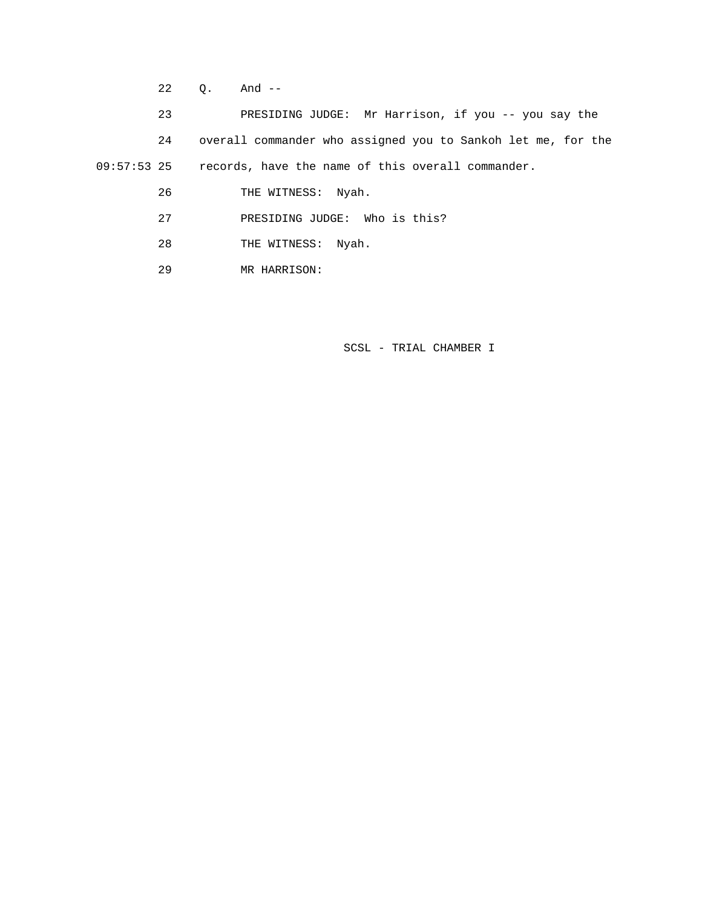22 Q. And --

 23 PRESIDING JUDGE: Mr Harrison, if you -- you say the 24 overall commander who assigned you to Sankoh let me, for the 09:57:53 25 records, have the name of this overall commander.

26 THE WITNESS: Nyah.

27 PRESIDING JUDGE: Who is this?

- 28 THE WITNESS: Nyah.
- 29 MR HARRISON: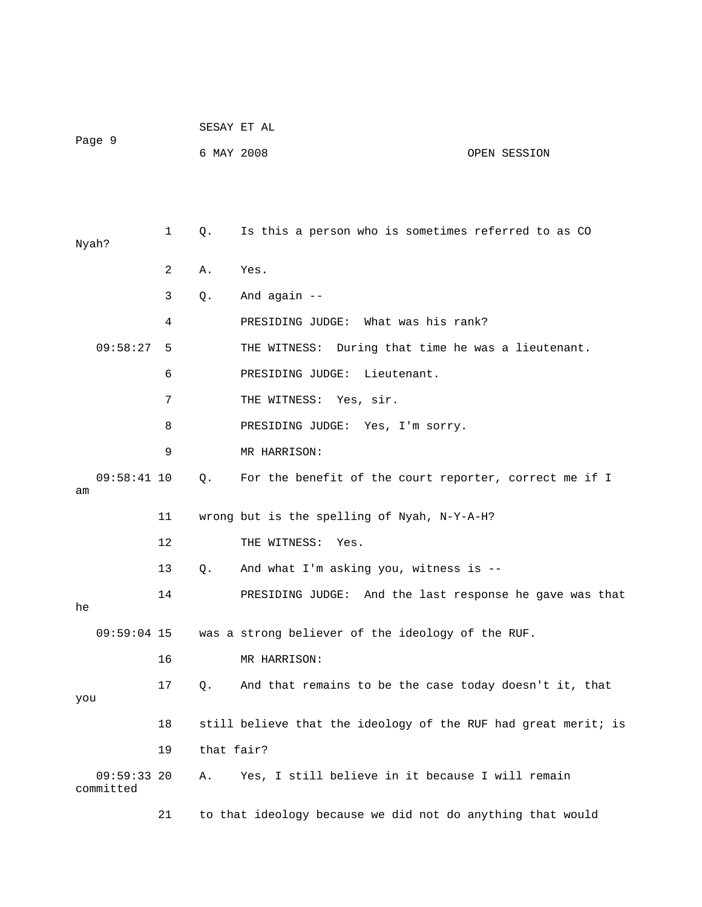|                         |    | SESAY ET AL |                                                                |
|-------------------------|----|-------------|----------------------------------------------------------------|
| Page 9                  |    | 6 MAY 2008  | OPEN SESSION                                                   |
|                         |    |             |                                                                |
|                         |    |             |                                                                |
| Nyah?                   | 1  | Q.          | Is this a person who is sometimes referred to as CO            |
|                         | 2  | Α.          | Yes.                                                           |
|                         | 3  | Q.          | And again --                                                   |
|                         | 4  |             | PRESIDING JUDGE: What was his rank?                            |
| 09:58:27                | 5  |             | THE WITNESS: During that time he was a lieutenant.             |
|                         | 6  |             | PRESIDING JUDGE:<br>Lieutenant.                                |
|                         | 7  |             | THE WITNESS: Yes, sir.                                         |
|                         | 8  |             | PRESIDING JUDGE: Yes, I'm sorry.                               |
|                         | 9  |             | MR HARRISON:                                                   |
| $09:58:41$ 10<br>am     |    | Q.          | For the benefit of the court reporter, correct me if I         |
|                         | 11 |             | wrong but is the spelling of Nyah, N-Y-A-H?                    |
|                         | 12 |             | THE WITNESS:<br>Yes.                                           |
|                         | 13 | Q.          | And what I'm asking you, witness is --                         |
| he                      | 14 |             | PRESIDING JUDGE: And the last response he gave was that        |
| $09:59:04$ 15           |    |             | was a strong believer of the ideology of the RUF.              |
|                         | 16 |             | MR HARRISON:                                                   |
|                         | 17 | Q.          | And that remains to be the case today doesn't it, that         |
| you                     |    |             |                                                                |
|                         | 18 |             | still believe that the ideology of the RUF had great merit; is |
|                         | 19 | that fair?  |                                                                |
| 09:59:3320<br>committed |    | Α.          | Yes, I still believe in it because I will remain               |
|                         | 21 |             | to that ideology because we did not do anything that would     |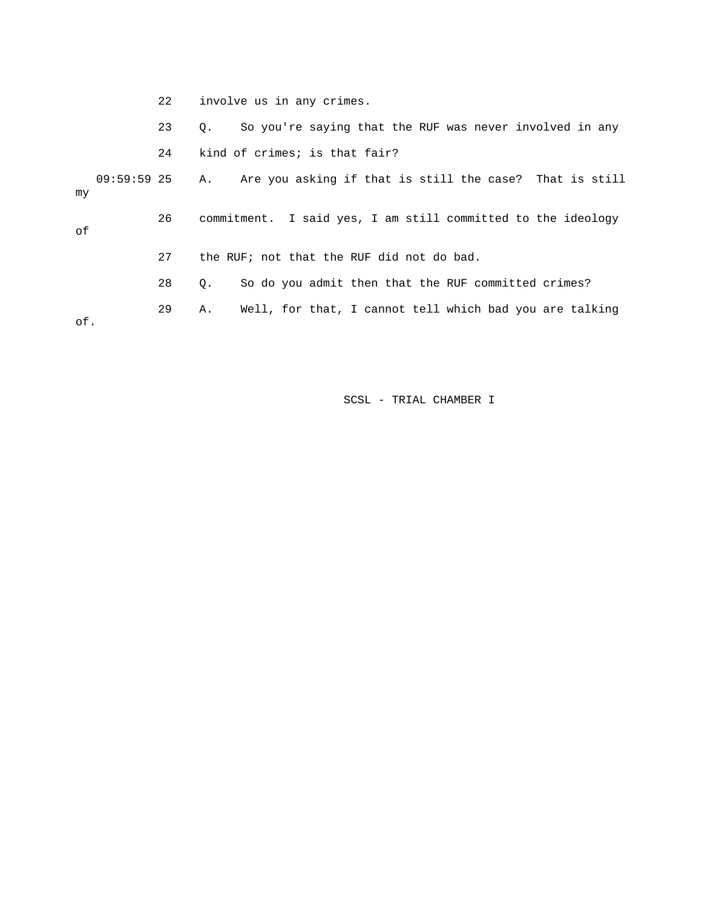|     | 22 | involve us in any crimes.                                              |
|-----|----|------------------------------------------------------------------------|
|     | 23 | So you're saying that the RUF was never involved in any<br>$\circ$ .   |
|     | 24 | kind of crimes; is that fair?                                          |
| mv  |    | 09:59:59 25 A. Are you asking if that is still the case? That is still |
| оf  | 26 | commitment. I said yes, I am still committed to the ideology           |
|     | 27 | the RUF; not that the RUF did not do bad.                              |
|     | 28 | So do you admit then that the RUF committed crimes?<br>О.              |
| of. | 29 | Well, for that, I cannot tell which bad you are talking<br>Α.          |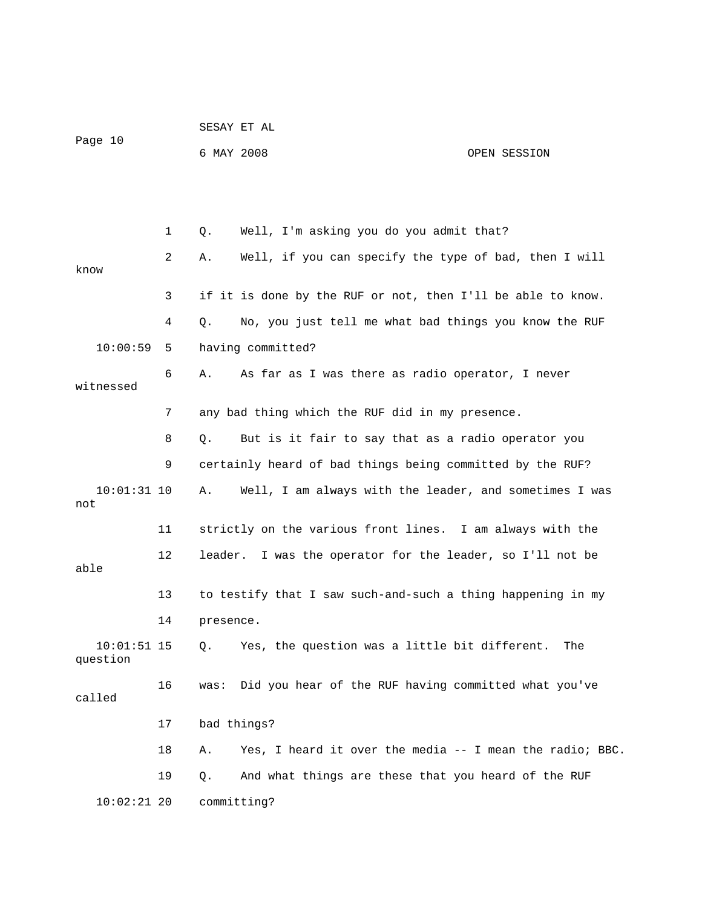|                           |    | SESAY ET AL                                                    |              |  |
|---------------------------|----|----------------------------------------------------------------|--------------|--|
| Page 10                   |    | 6 MAY 2008                                                     | OPEN SESSION |  |
|                           |    |                                                                |              |  |
|                           |    |                                                                |              |  |
|                           | 1  | Well, I'm asking you do you admit that?<br>Q.                  |              |  |
| know                      | 2  | Well, if you can specify the type of bad, then I will<br>Α.    |              |  |
|                           | 3  | if it is done by the RUF or not, then I'll be able to know.    |              |  |
|                           | 4  | No, you just tell me what bad things you know the RUF<br>Q.    |              |  |
| 10:00:59                  | 5  | having committed?                                              |              |  |
| witnessed                 | 6  | As far as I was there as radio operator, I never<br>Α.         |              |  |
|                           | 7  | any bad thing which the RUF did in my presence.                |              |  |
|                           | 8  | But is it fair to say that as a radio operator you<br>Q.       |              |  |
|                           | 9  | certainly heard of bad things being committed by the RUF?      |              |  |
| $10:01:31$ 10<br>not      |    | Well, I am always with the leader, and sometimes I was<br>Α.   |              |  |
|                           | 11 | strictly on the various front lines. I am always with the      |              |  |
| able                      | 12 | leader. I was the operator for the leader, so I'll not be      |              |  |
|                           | 13 | to testify that I saw such-and-such a thing happening in my    |              |  |
|                           | 14 | presence.                                                      |              |  |
| $10:01:51$ 15<br>question |    | Yes, the question was a little bit different.<br>Q.            | The          |  |
| called                    | 16 | Did you hear of the RUF having committed what you've<br>was:   |              |  |
|                           | 17 | bad things?                                                    |              |  |
|                           | 18 | Yes, I heard it over the media -- I mean the radio; BBC.<br>Α. |              |  |
|                           | 19 | And what things are these that you heard of the RUF<br>Q.      |              |  |
| $10:02:21$ 20             |    | committing?                                                    |              |  |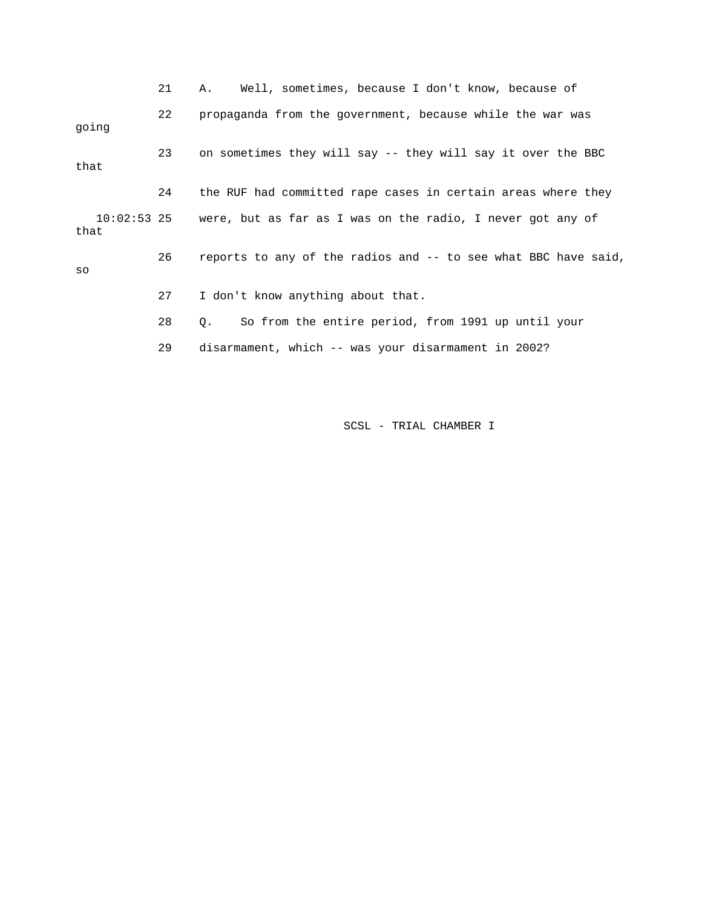|       | 21 | Well, sometimes, because I don't know, because of<br>Α.                |
|-------|----|------------------------------------------------------------------------|
| qoinq | 22 | propaganda from the government, because while the war was              |
| that  | 23 | on sometimes they will say -- they will say it over the BBC            |
|       | 24 | the RUF had committed rape cases in certain areas where they           |
| that  |    | 10:02:53 25 were, but as far as I was on the radio, I never got any of |
| SO    | 26 | reports to any of the radios and -- to see what BBC have said,         |
|       | 27 | I don't know anything about that.                                      |
|       | 28 | So from the entire period, from 1991 up until your<br>Q.               |
|       | 29 | disarmament, which -- was your disarmament in 2002?                    |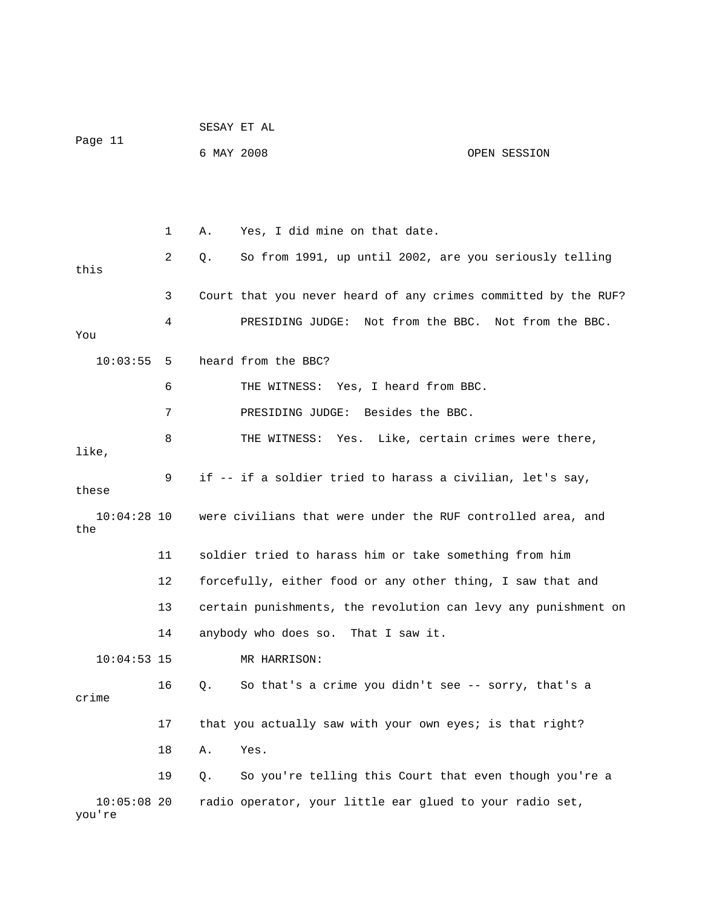|                         |    | SESAY ET AL |                                                                |              |
|-------------------------|----|-------------|----------------------------------------------------------------|--------------|
| Page 11                 |    | 6 MAY 2008  |                                                                | OPEN SESSION |
|                         |    |             |                                                                |              |
|                         |    |             |                                                                |              |
|                         | 1  | Α.          | Yes, I did mine on that date.                                  |              |
| this                    | 2  | Q.          | So from 1991, up until 2002, are you seriously telling         |              |
|                         | 3  |             | Court that you never heard of any crimes committed by the RUF? |              |
| You                     | 4  |             | PRESIDING JUDGE: Not from the BBC. Not from the BBC.           |              |
| 10:03:55                | 5  |             | heard from the BBC?                                            |              |
|                         | 6  |             | THE WITNESS: Yes, I heard from BBC.                            |              |
|                         | 7  |             | PRESIDING JUDGE: Besides the BBC.                              |              |
| like,                   | 8  |             | THE WITNESS: Yes. Like, certain crimes were there,             |              |
| these                   | 9  |             | if -- if a soldier tried to harass a civilian, let's say,      |              |
| $10:04:28$ 10<br>the    |    |             | were civilians that were under the RUF controlled area, and    |              |
|                         | 11 |             | soldier tried to harass him or take something from him         |              |
|                         | 12 |             | forcefully, either food or any other thing, I saw that and     |              |
|                         | 13 |             | certain punishments, the revolution can levy any punishment on |              |
|                         | 14 |             | anybody who does so. That I saw it.                            |              |
| $10:04:53$ 15           |    |             | MR HARRISON:                                                   |              |
| crime                   | 16 | Q.          | So that's a crime you didn't see -- sorry, that's a            |              |
|                         | 17 |             | that you actually saw with your own eyes; is that right?       |              |
|                         | 18 | Α.          | Yes.                                                           |              |
|                         | 19 | Q.          | So you're telling this Court that even though you're a         |              |
| $10:05:08$ 20<br>you're |    |             | radio operator, your little ear glued to your radio set,       |              |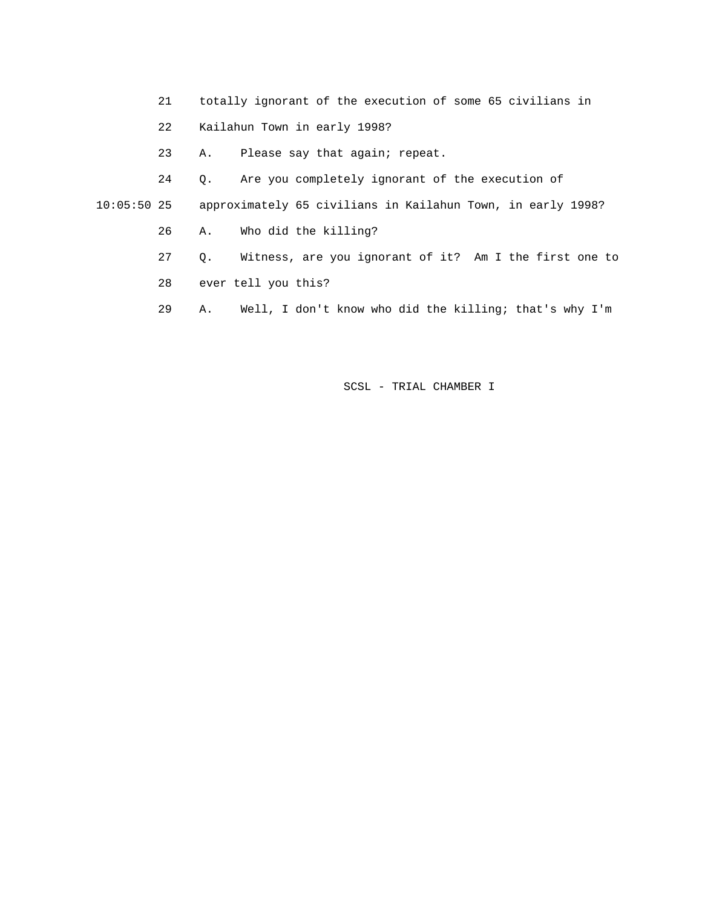- 21 totally ignorant of the execution of some 65 civilians in
- 22 Kailahun Town in early 1998?
- 23 A. Please say that again; repeat.

 24 Q. Are you completely ignorant of the execution of 10:05:50 25 approximately 65 civilians in Kailahun Town, in early 1998?

- 26 A. Who did the killing?
- 27 Q. Witness, are you ignorant of it? Am I the first one to
- 28 ever tell you this?
- 29 A. Well, I don't know who did the killing; that's why I'm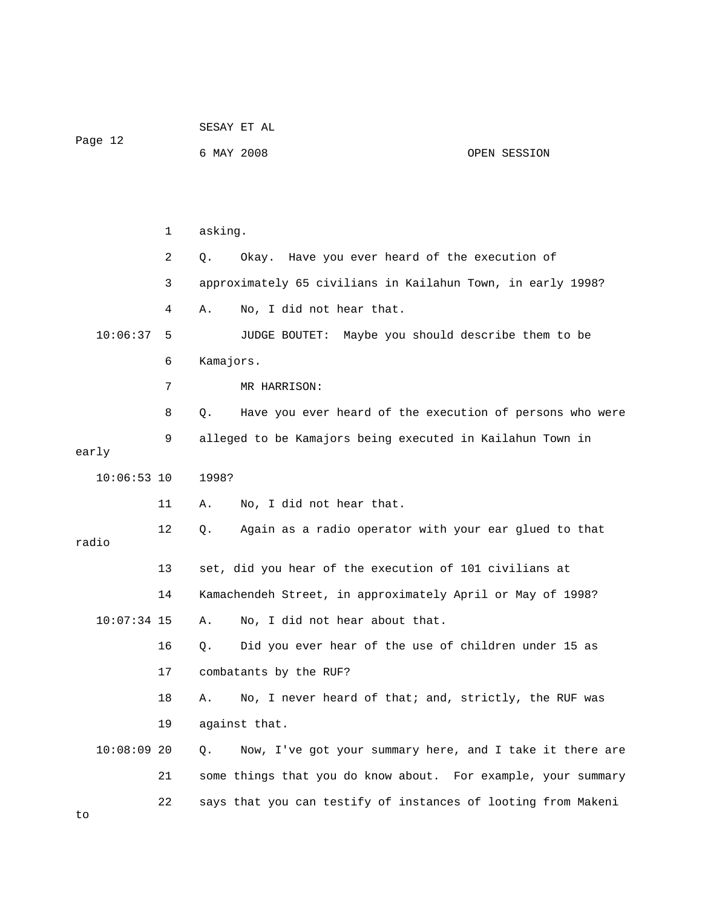| Page 12       |    | 6 MAY 2008 |                                                               | OPEN SESSION                         |
|---------------|----|------------|---------------------------------------------------------------|--------------------------------------|
|               |    |            |                                                               |                                      |
|               | 1  | asking.    |                                                               |                                      |
|               | 2  | Q.         | Okay. Have you ever heard of the execution of                 |                                      |
|               | 3  |            | approximately 65 civilians in Kailahun Town, in early 1998?   |                                      |
|               | 4  | Α.         | No, I did not hear that.                                      |                                      |
| 10:06:37      | 5  |            | JUDGE BOUTET:                                                 | Maybe you should describe them to be |
|               | 6  | Kamajors.  |                                                               |                                      |
|               | 7  |            | MR HARRISON:                                                  |                                      |
|               | 8  | Q.         | Have you ever heard of the execution of persons who were      |                                      |
| early         | 9  |            | alleged to be Kamajors being executed in Kailahun Town in     |                                      |
| $10:06:53$ 10 |    | 1998?      |                                                               |                                      |
|               | 11 | Α.         | No, I did not hear that.                                      |                                      |
| radio         | 12 | Q.         | Again as a radio operator with your ear glued to that         |                                      |
|               | 13 |            | set, did you hear of the execution of 101 civilians at        |                                      |
|               | 14 |            | Kamachendeh Street, in approximately April or May of 1998?    |                                      |
| $10:07:34$ 15 |    | Α.         | No, I did not hear about that.                                |                                      |
|               | 16 | Q.         | Did you ever hear of the use of children under 15 as          |                                      |
|               | 17 |            | combatants by the RUF?                                        |                                      |
|               | 18 | Α.         | No, I never heard of that; and, strictly, the RUF was         |                                      |
|               | 19 |            | against that.                                                 |                                      |
| $10:08:09$ 20 |    | Q.         | Now, I've got your summary here, and I take it there are      |                                      |
|               | 21 |            | some things that you do know about. For example, your summary |                                      |
| to            | 22 |            | says that you can testify of instances of looting from Makeni |                                      |

SESAY ET AL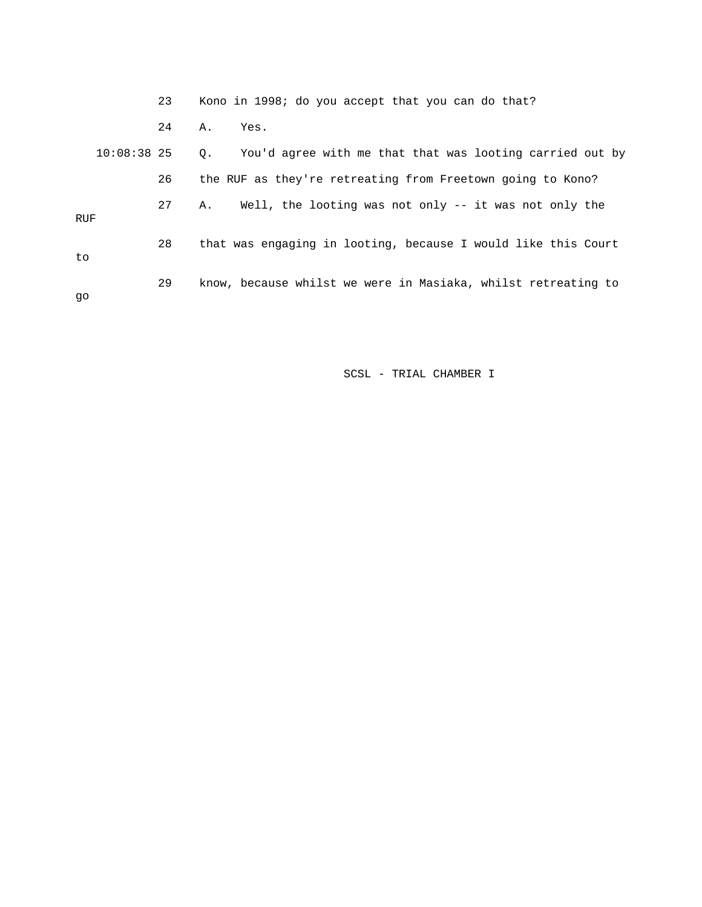|               | 23 | Kono in 1998; do you accept that you can do that?                     |
|---------------|----|-----------------------------------------------------------------------|
|               | 24 | Α.<br>Yes.                                                            |
| $10:08:38$ 25 |    | You'd agree with me that that was looting carried out by<br>$\circ$ . |
|               | 26 | the RUF as they're retreating from Freetown going to Kono?            |
| RUF           | 27 | Well, the looting was not only -- it was not only the<br>Α.           |
| to            | 28 | that was engaging in looting, because I would like this Court         |
| qo            | 29 | know, because whilst we were in Masiaka, whilst retreating to         |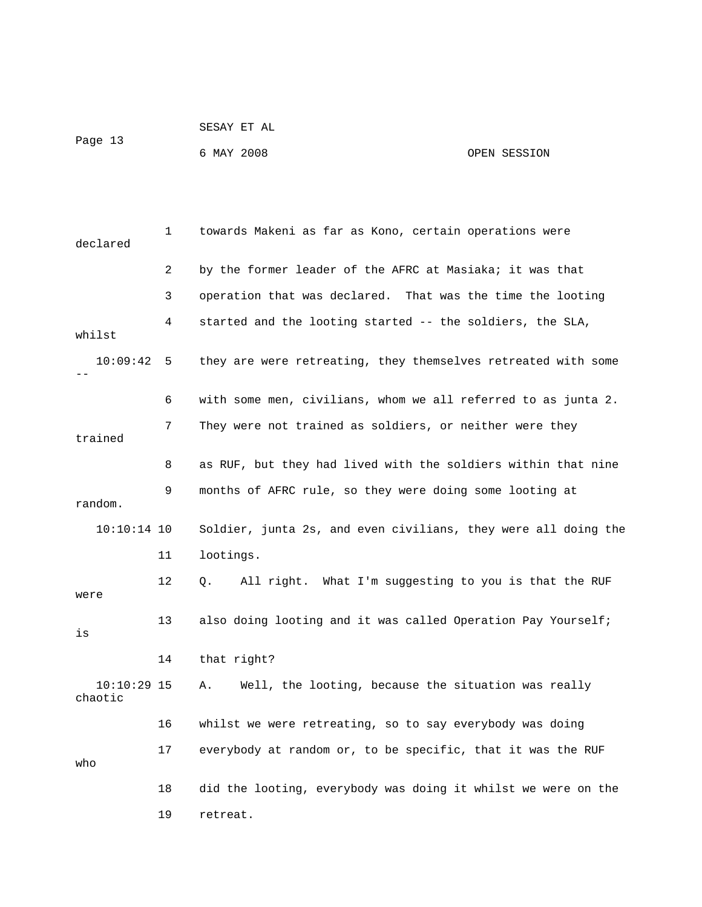|         | SESAY ET AL |              |  |
|---------|-------------|--------------|--|
| Page 13 |             |              |  |
|         | 6 MAY 2008  | OPEN SESSION |  |

| declared                 | 1  | towards Makeni as far as Kono, certain operations were         |
|--------------------------|----|----------------------------------------------------------------|
|                          | 2  | by the former leader of the AFRC at Masiaka; it was that       |
|                          | 3  | operation that was declared. That was the time the looting     |
| whilst                   | 4  | started and the looting started -- the soldiers, the SLA,      |
| 10:09:42                 | 5  | they are were retreating, they themselves retreated with some  |
|                          | 6  | with some men, civilians, whom we all referred to as junta 2.  |
| trained                  | 7  | They were not trained as soldiers, or neither were they        |
|                          | 8  | as RUF, but they had lived with the soldiers within that nine  |
| random.                  | 9  | months of AFRC rule, so they were doing some looting at        |
| $10:10:14$ 10            |    | Soldier, junta 2s, and even civilians, they were all doing the |
|                          | 11 | lootings.                                                      |
| were                     | 12 | All right. What I'm suggesting to you is that the RUF<br>О.    |
| is                       | 13 | also doing looting and it was called Operation Pay Yourself;   |
|                          | 14 | that right?                                                    |
| $10:10:29$ 15<br>chaotic |    | Well, the looting, because the situation was really<br>Α.      |
|                          | 16 | whilst we were retreating, so to say everybody was doing       |
| who                      | 17 | everybody at random or, to be specific, that it was the RUF    |
|                          | 18 | did the looting, everybody was doing it whilst we were on the  |
|                          | 19 | retreat.                                                       |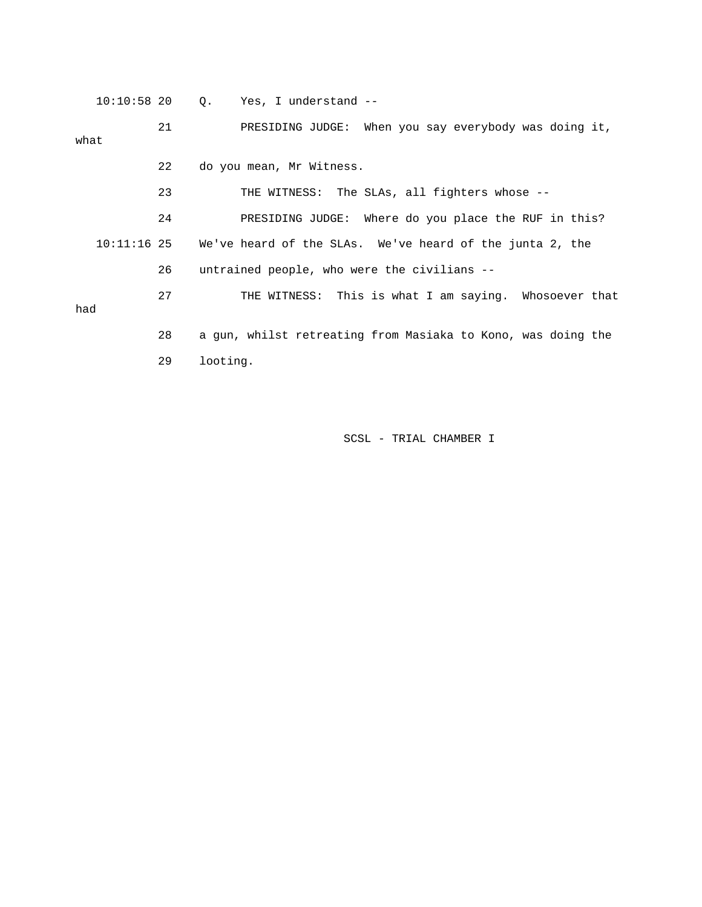10:10:58 20 Q. Yes, I understand --

 21 PRESIDING JUDGE: When you say everybody was doing it, what 22 do you mean, Mr Witness. 23 THE WITNESS: The SLAs, all fighters whose -- 24 PRESIDING JUDGE: Where do you place the RUF in this? 10:11:16 25 We've heard of the SLAs. We've heard of the junta 2, the

26 untrained people, who were the civilians --

 27 THE WITNESS: This is what I am saying. Whosoever that had 28 a gun, whilst retreating from Masiaka to Kono, was doing the 29 looting.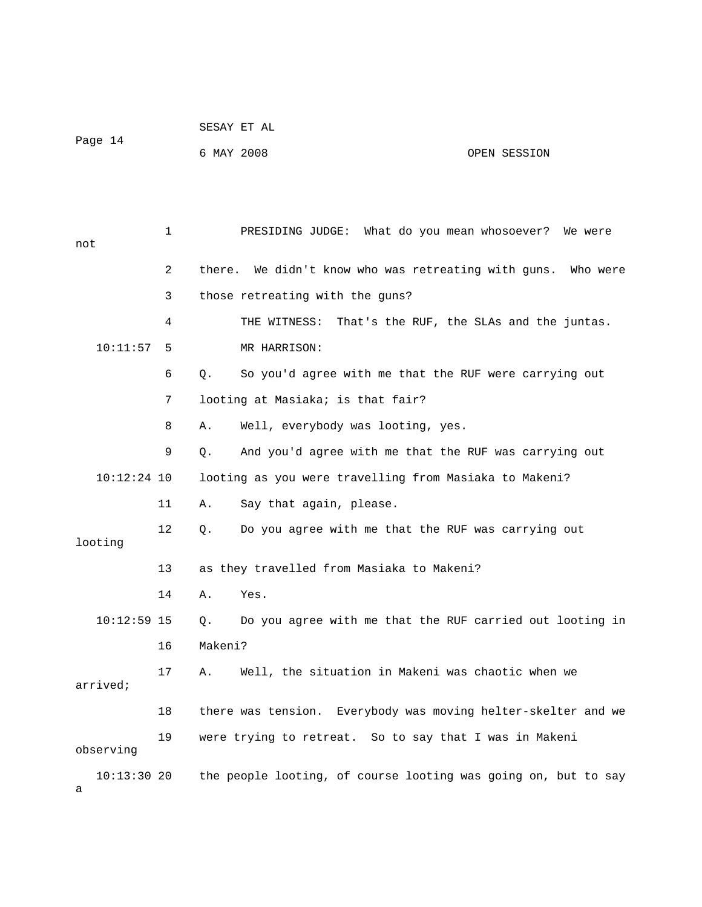|                 |              |         | SESAY ET AL                                                    |                                          |
|-----------------|--------------|---------|----------------------------------------------------------------|------------------------------------------|
| Page 14         |              |         | 6 MAY 2008                                                     | OPEN SESSION                             |
|                 |              |         |                                                                |                                          |
|                 |              |         |                                                                |                                          |
| not             | $\mathbf{1}$ |         | PRESIDING JUDGE: What do you mean whosoever? We were           |                                          |
|                 | 2            |         | there. We didn't know who was retreating with guns. Who were   |                                          |
|                 | 3            |         | those retreating with the guns?                                |                                          |
|                 | 4            |         | THE WITNESS:                                                   | That's the RUF, the SLAs and the juntas. |
| 10:11:57        | 5            |         | MR HARRISON:                                                   |                                          |
|                 | 6            | Q.      | So you'd agree with me that the RUF were carrying out          |                                          |
|                 | 7            |         | looting at Masiaka; is that fair?                              |                                          |
|                 | 8            | Α.      | Well, everybody was looting, yes.                              |                                          |
|                 | 9            | Q.      | And you'd agree with me that the RUF was carrying out          |                                          |
| $10:12:24$ 10   |              |         | looting as you were travelling from Masiaka to Makeni?         |                                          |
|                 | 11           | Α.      | Say that again, please.                                        |                                          |
|                 | 12           | Q.      | Do you agree with me that the RUF was carrying out             |                                          |
| looting         |              |         |                                                                |                                          |
|                 | 13           |         | as they travelled from Masiaka to Makeni?                      |                                          |
|                 | 14           | Α.      | Yes.                                                           |                                          |
| $10:12:59$ 15   |              | Q.      | Do you agree with me that the RUF carried out looting in       |                                          |
|                 | 16           | Makeni? |                                                                |                                          |
| arrived;        | 17           | Α.      | Well, the situation in Makeni was chaotic when we              |                                          |
|                 | 18           |         | there was tension. Everybody was moving helter-skelter and we  |                                          |
|                 |              |         |                                                                |                                          |
| observing       | 19           |         | were trying to retreat. So to say that I was in Makeni         |                                          |
| 10:13:3020<br>а |              |         | the people looting, of course looting was going on, but to say |                                          |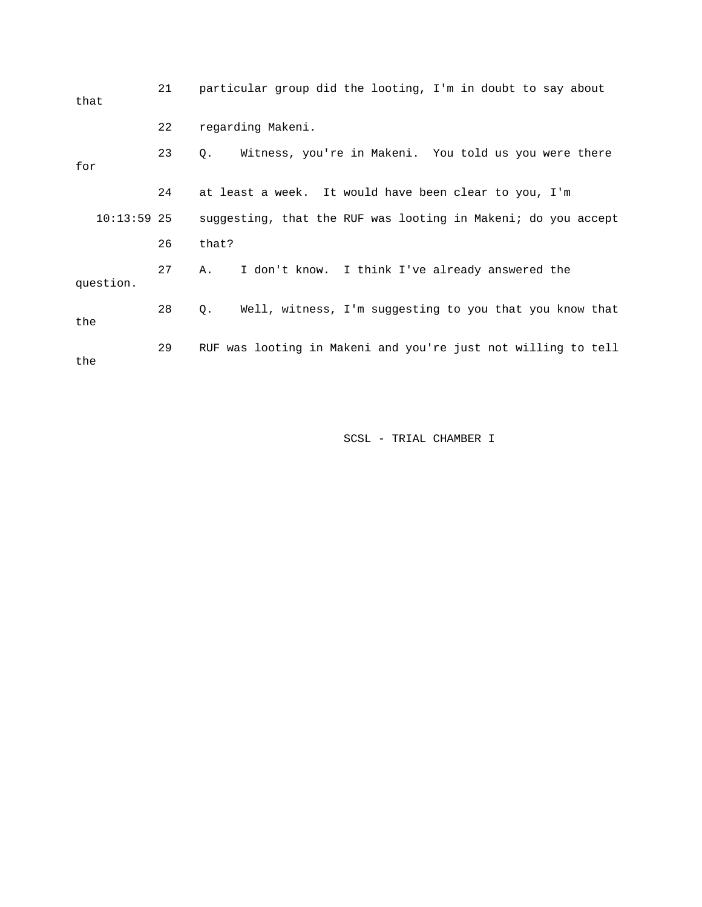| that          | 21 | particular group did the looting, I'm in doubt to say about      |
|---------------|----|------------------------------------------------------------------|
|               | 22 | regarding Makeni.                                                |
| for           | 23 | Witness, you're in Makeni. You told us you were there<br>Q.      |
|               | 24 | at least a week. It would have been clear to you, I'm            |
| $10:13:59$ 25 |    | suggesting, that the RUF was looting in Makeni; do you accept    |
|               | 26 | that?                                                            |
| question.     | 27 | I don't know. I think I've already answered the<br>Α.            |
| the           | 28 | Well, witness, I'm suggesting to you that you know that<br>$Q$ . |
| the           | 29 | RUF was looting in Makeni and you're just not willing to tell    |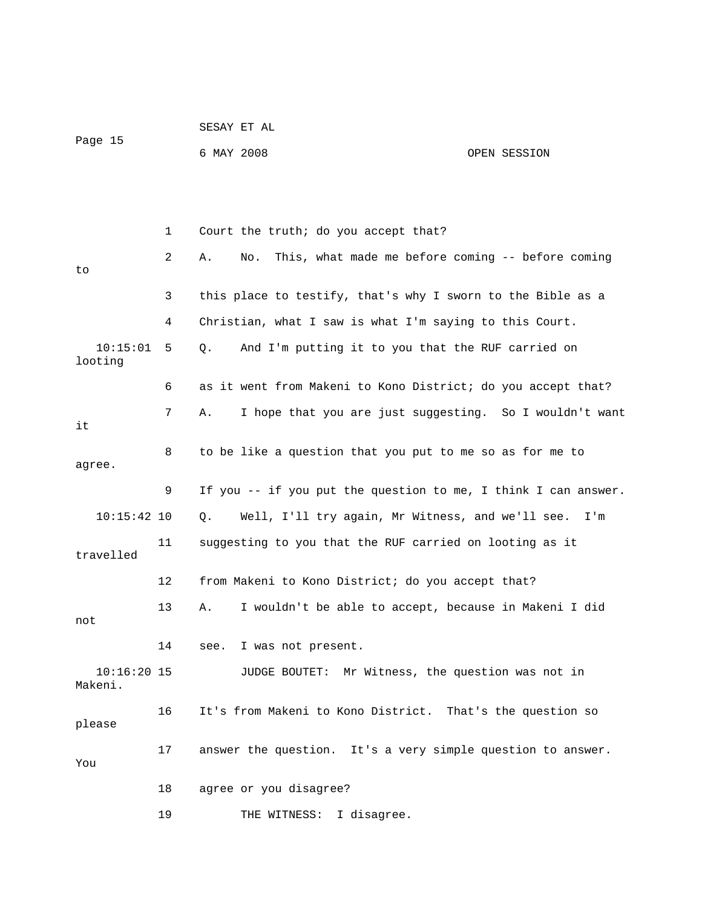|                          |    | SESAY ET AL                                                    |              |
|--------------------------|----|----------------------------------------------------------------|--------------|
| Page 15                  |    | 6 MAY 2008                                                     | OPEN SESSION |
|                          |    |                                                                |              |
|                          |    |                                                                |              |
|                          | 1  | Court the truth; do you accept that?                           |              |
| to                       | 2  | This, what made me before coming -- before coming<br>Α.<br>No. |              |
|                          | 3  | this place to testify, that's why I sworn to the Bible as a    |              |
|                          | 4  | Christian, what I saw is what I'm saying to this Court.        |              |
| 10:15:01<br>looting      | 5  | And I'm putting it to you that the RUF carried on<br>Q.        |              |
|                          | 6  | as it went from Makeni to Kono District; do you accept that?   |              |
| it                       | 7  | I hope that you are just suggesting. So I wouldn't want<br>Α.  |              |
| agree.                   | 8  | to be like a question that you put to me so as for me to       |              |
|                          | 9  | If you -- if you put the question to me, I think I can answer. |              |
| $10:15:42$ 10            |    | Well, I'll try again, Mr Witness, and we'll see. I'm<br>Q.     |              |
| travelled                | 11 | suggesting to you that the RUF carried on looting as it        |              |
|                          | 12 | from Makeni to Kono District; do you accept that?              |              |
| not                      | 13 | I wouldn't be able to accept, because in Makeni I did<br>Α.    |              |
|                          | 14 | see. I was not present.                                        |              |
| $10:16:20$ 15<br>Makeni. |    | JUDGE BOUTET: Mr Witness, the question was not in              |              |
| please                   | 16 | It's from Makeni to Kono District. That's the question so      |              |
| You                      | 17 | answer the question. It's a very simple question to answer.    |              |
|                          | 18 | agree or you disagree?                                         |              |
|                          | 19 | THE WITNESS: I disagree.                                       |              |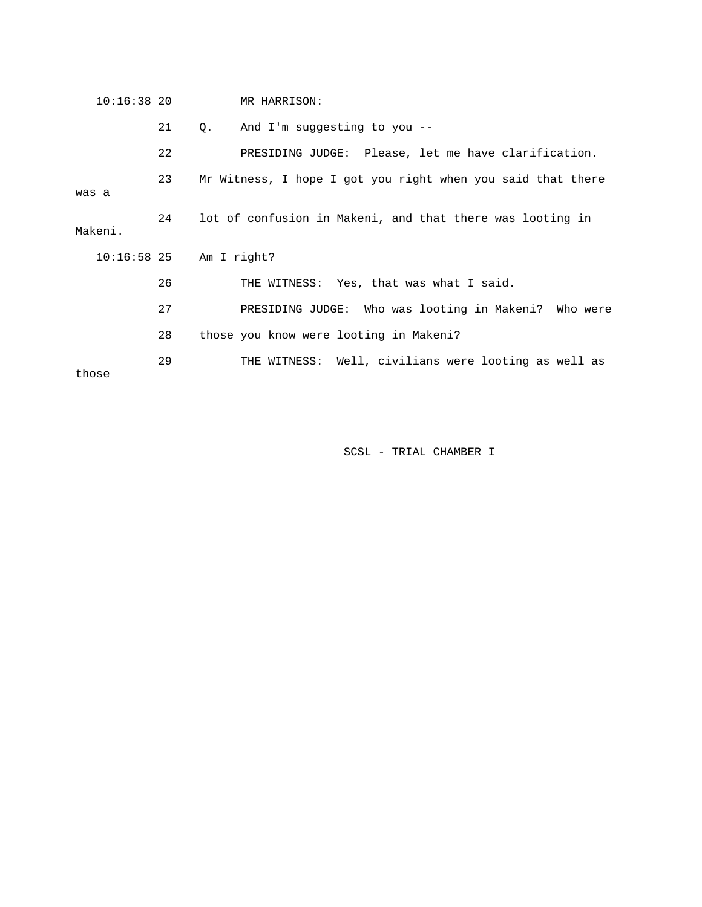|       | $10:16:38$ 20 |    | MR HARRISON:                                                |
|-------|---------------|----|-------------------------------------------------------------|
|       |               | 21 | And I'm suggesting to you --<br>$\circ$ .                   |
|       |               | 22 | PRESIDING JUDGE: Please, let me have clarification.         |
| was a |               | 23 | Mr Witness, I hope I got you right when you said that there |
|       | Makeni.       | 24 | lot of confusion in Makeni, and that there was looting in   |
|       |               |    | $10:16:58$ 25 Am I right?                                   |
|       |               | 26 | THE WITNESS: Yes, that was what I said.                     |
|       |               | 27 | PRESIDING JUDGE: Who was looting in Makeni? Who were        |
|       |               | 28 | those you know were looting in Makeni?                      |
|       |               |    |                                                             |
|       | those         | 29 | THE WITNESS: Well, civilians were looting as well as        |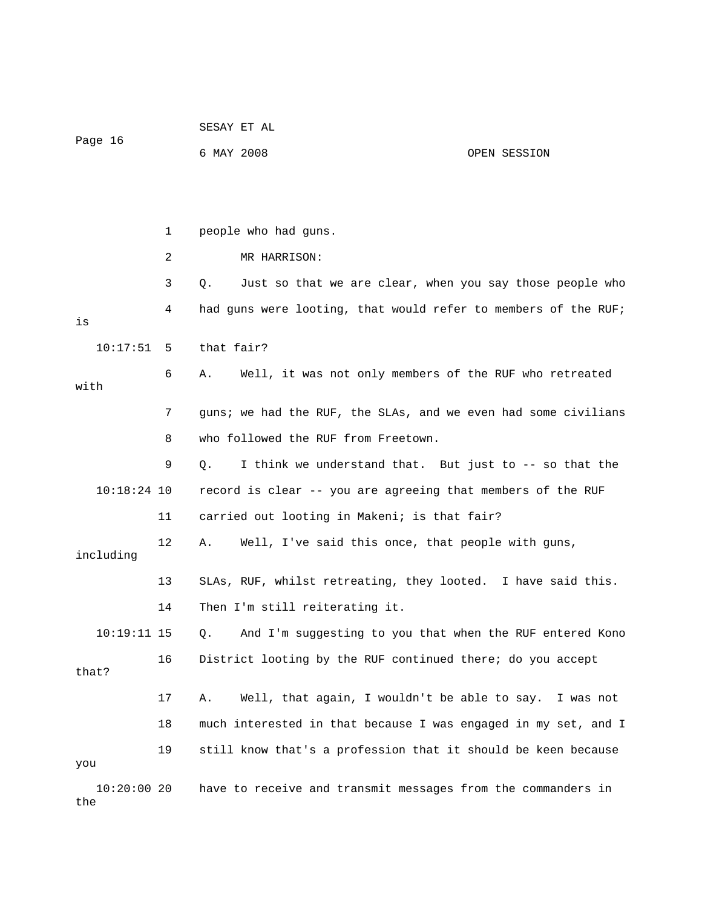|                      |    | SESAY ET AL                                                    |              |  |
|----------------------|----|----------------------------------------------------------------|--------------|--|
| Page 16              |    | 6 MAY 2008                                                     | OPEN SESSION |  |
|                      |    |                                                                |              |  |
|                      |    |                                                                |              |  |
|                      | 1  | people who had guns.                                           |              |  |
|                      | 2  | MR HARRISON:                                                   |              |  |
|                      | 3  | Just so that we are clear, when you say those people who<br>Q. |              |  |
| is                   | 4  | had guns were looting, that would refer to members of the RUF; |              |  |
| 10:17:51             | 5  | that fair?                                                     |              |  |
| with                 | 6  | Well, it was not only members of the RUF who retreated<br>Α.   |              |  |
|                      | 7  | guns; we had the RUF, the SLAs, and we even had some civilians |              |  |
|                      | 8  | who followed the RUF from Freetown.                            |              |  |
|                      | 9  | I think we understand that. But just to -- so that the<br>Q.   |              |  |
| $10:18:24$ 10        |    | record is clear -- you are agreeing that members of the RUF    |              |  |
|                      | 11 | carried out looting in Makeni; is that fair?                   |              |  |
| including            | 12 | Well, I've said this once, that people with guns,<br>Α.        |              |  |
|                      | 13 | SLAs, RUF, whilst retreating, they looted. I have said this.   |              |  |
|                      | 14 | Then I'm still reiterating it.                                 |              |  |
| $10:19:11$ 15        |    | Q. And I'm suggesting to you that when the RUF entered Kono    |              |  |
| that?                | 16 | District looting by the RUF continued there; do you accept     |              |  |
|                      | 17 | Well, that again, I wouldn't be able to say. I was not<br>Α.   |              |  |
|                      | 18 | much interested in that because I was engaged in my set, and I |              |  |
| you                  | 19 | still know that's a profession that it should be keen because  |              |  |
| $10:20:00$ 20<br>the |    | have to receive and transmit messages from the commanders in   |              |  |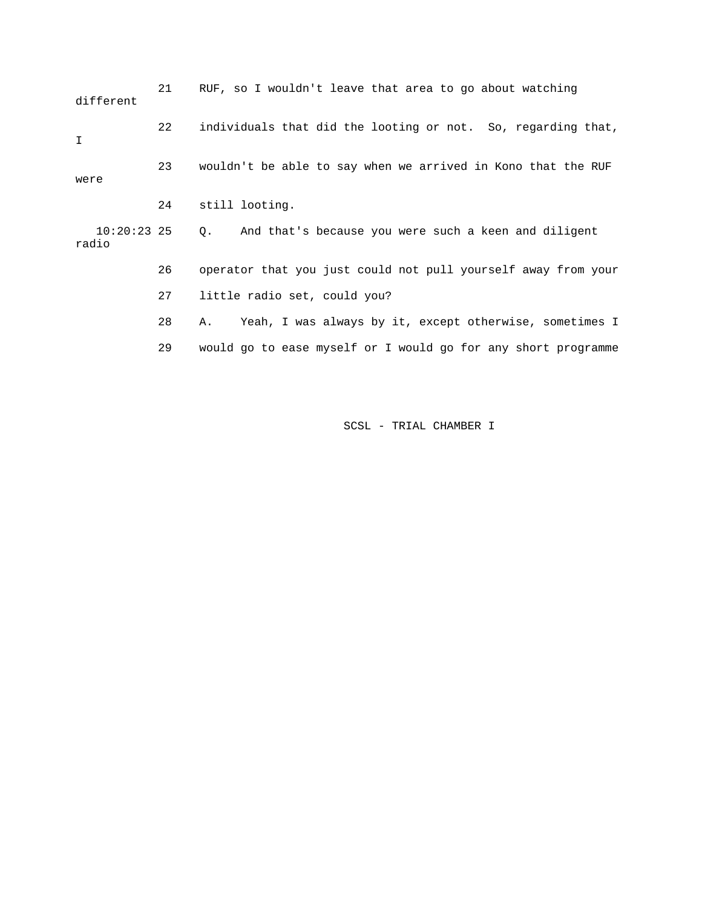21 RUF, so I wouldn't leave that area to go about watching different 22 individuals that did the looting or not. So, regarding that, I 23 wouldn't be able to say when we arrived in Kono that the RUF were 24 still looting. 10:20:23 25 Q. And that's because you were such a keen and diligent radio 26 operator that you just could not pull yourself away from your 27 little radio set, could you? 28 A. Yeah, I was always by it, except otherwise, sometimes I 29 would go to ease myself or I would go for any short programme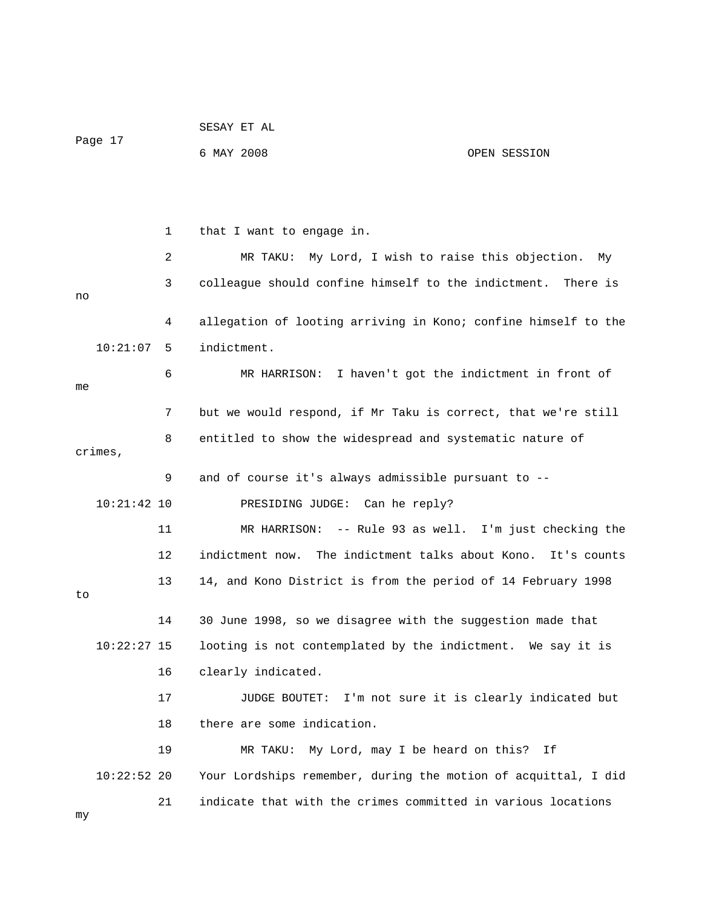| Page 17                                                        |    | SESAY ET AL                                                    |                                           |  |  |
|----------------------------------------------------------------|----|----------------------------------------------------------------|-------------------------------------------|--|--|
|                                                                |    | 6 MAY 2008                                                     | OPEN SESSION                              |  |  |
|                                                                |    |                                                                |                                           |  |  |
|                                                                |    |                                                                |                                           |  |  |
|                                                                | 1  | that I want to engage in.                                      |                                           |  |  |
|                                                                | 2  | My Lord, I wish to raise this objection.<br>MR TAKU:           | Мy                                        |  |  |
| colleague should confine himself to the indictment.<br>3<br>no |    |                                                                | There is                                  |  |  |
|                                                                | 4  | allegation of looting arriving in Kono; confine himself to the |                                           |  |  |
| 10:21:07                                                       | 5  | indictment.                                                    |                                           |  |  |
| me                                                             | 6  | MR HARRISON: I haven't got the indictment in front of          |                                           |  |  |
|                                                                | 7  | but we would respond, if Mr Taku is correct, that we're still  |                                           |  |  |
| crimes,                                                        | 8  | entitled to show the widespread and systematic nature of       |                                           |  |  |
|                                                                | 9  | and of course it's always admissible pursuant to --            |                                           |  |  |
| $10:21:42$ 10                                                  |    | PRESIDING JUDGE: Can he reply?                                 |                                           |  |  |
|                                                                | 11 | MR HARRISON:                                                   | -- Rule 93 as well. I'm just checking the |  |  |
|                                                                | 12 | indictment now. The indictment talks about Kono.               | It's counts                               |  |  |
| to                                                             | 13 | 14, and Kono District is from the period of 14 February 1998   |                                           |  |  |
|                                                                | 14 | 30 June 1998, so we disagree with the suggestion made that     |                                           |  |  |
| 10:22:27 15                                                    |    | looting is not contemplated by the indictment. We say it is    |                                           |  |  |
|                                                                | 16 | clearly indicated.                                             |                                           |  |  |
|                                                                | 17 | JUDGE BOUTET: I'm not sure it is clearly indicated but         |                                           |  |  |
|                                                                | 18 | there are some indication.                                     |                                           |  |  |
|                                                                | 19 | My Lord, may I be heard on this?<br>MR TAKU:                   | Ιf                                        |  |  |
| $10:22:52$ 20                                                  |    | Your Lordships remember, during the motion of acquittal, I did |                                           |  |  |
| my                                                             | 21 | indicate that with the crimes committed in various locations   |                                           |  |  |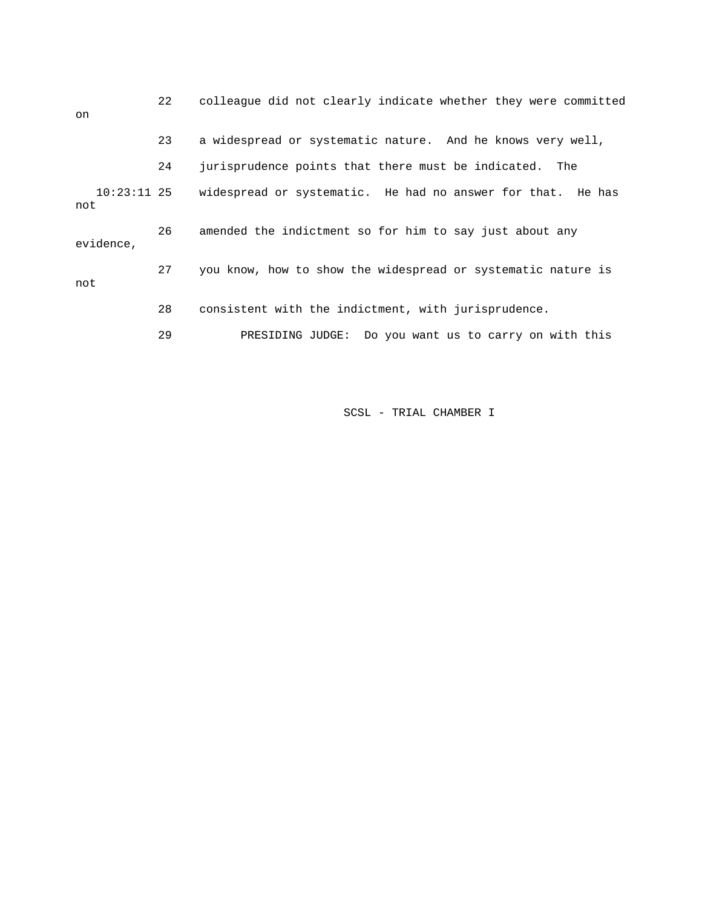| on                   | 22 | colleague did not clearly indicate whether they were committed |
|----------------------|----|----------------------------------------------------------------|
|                      | 23 | a widespread or systematic nature. And he knows very well,     |
|                      | 24 | jurisprudence points that there must be indicated. The         |
| $10:23:11$ 25<br>not |    | widespread or systematic. He had no answer for that. He has    |
| evidence,            | 26 | amended the indictment so for him to say just about any        |
| not                  | 27 | you know, how to show the widespread or systematic nature is   |
|                      | 28 | consistent with the indictment, with jurisprudence.            |
|                      | 29 | PRESIDING JUDGE: Do you want us to carry on with this          |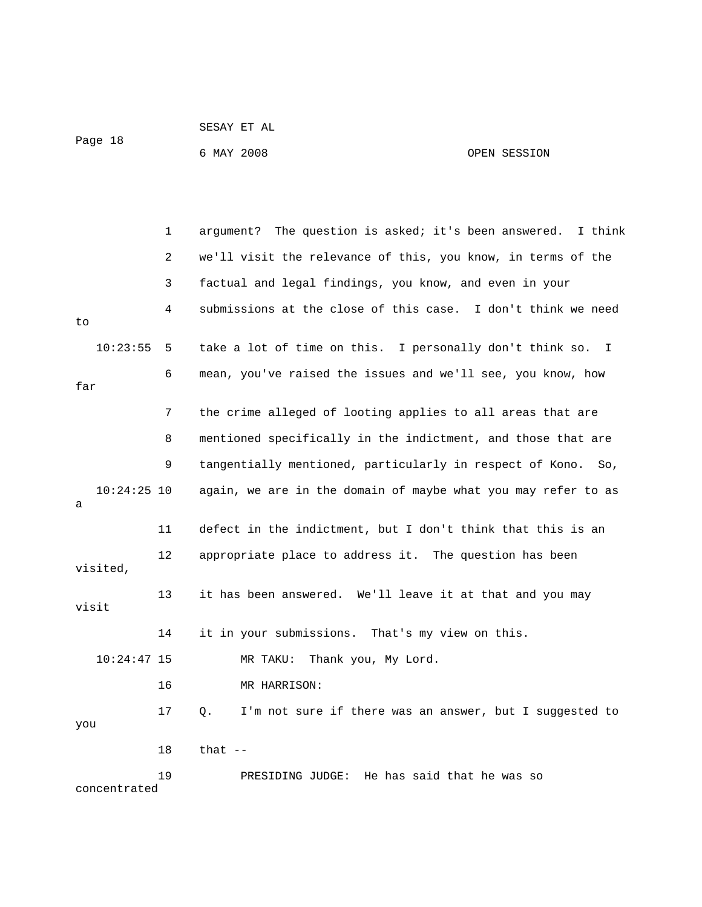| Page 18 | SESAY ET AL |  |              |
|---------|-------------|--|--------------|
|         | 6 MAY 2008  |  | OPEN SESSION |

|                    | $\mathbf{1}$   | argument? The question is asked; it's been answered.<br>I think |
|--------------------|----------------|-----------------------------------------------------------------|
|                    | $\overline{2}$ | we'll visit the relevance of this, you know, in terms of the    |
|                    | 3              | factual and legal findings, you know, and even in your          |
| to                 | 4              | submissions at the close of this case. I don't think we need    |
| 10:23:55           | 5              | take a lot of time on this. I personally don't think so. I      |
| far                | 6              | mean, you've raised the issues and we'll see, you know, how     |
|                    | 7              | the crime alleged of looting applies to all areas that are      |
|                    | 8              | mentioned specifically in the indictment, and those that are    |
|                    | 9              | tangentially mentioned, particularly in respect of Kono.<br>So, |
| $10:24:25$ 10<br>а |                | again, we are in the domain of maybe what you may refer to as   |
|                    | 11             | defect in the indictment, but I don't think that this is an     |
| visited,           | 12             | appropriate place to address it. The question has been          |
| visit              | 13             | it has been answered. We'll leave it at that and you may        |
|                    | 14             | it in your submissions. That's my view on this.                 |
| $10:24:47$ 15      |                | Thank you, My Lord.<br>MR TAKU:                                 |
|                    | 16             | MR HARRISON:                                                    |
| you                | 17             | I'm not sure if there was an answer, but I suggested to<br>Q.   |
|                    | 18             | that $-$                                                        |
| concentrated       | 19             | He has said that he was so<br>PRESIDING JUDGE:                  |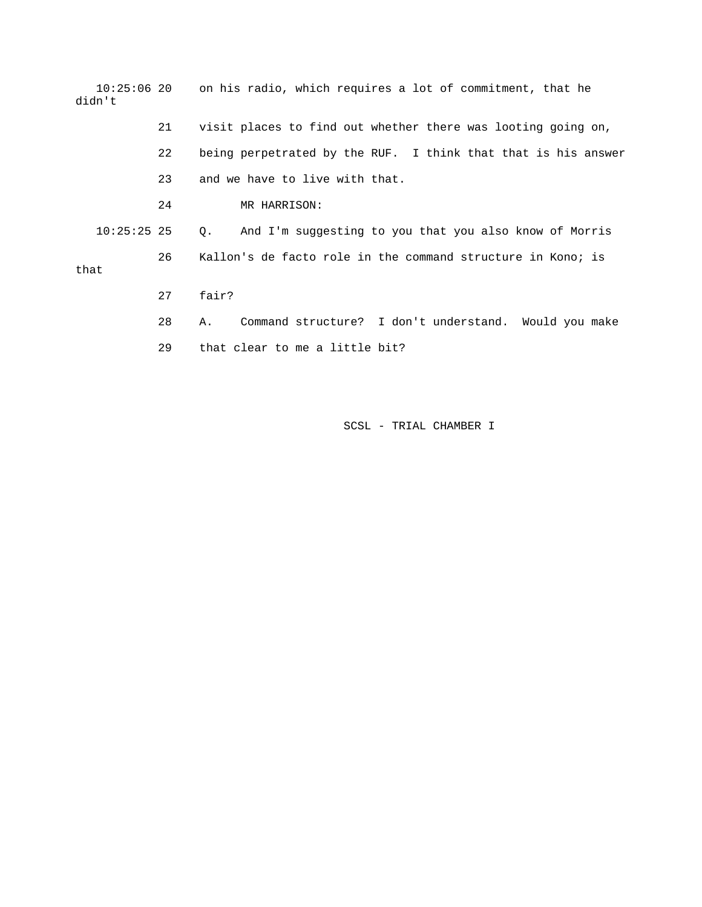| didn't        |    | 10:25:06 20 con his radio, which requires a lot of commitment, that he |  |  |
|---------------|----|------------------------------------------------------------------------|--|--|
|               | 21 | visit places to find out whether there was looting going on,           |  |  |
|               | 22 | being perpetrated by the RUF. I think that that is his answer          |  |  |
|               | 23 | and we have to live with that.                                         |  |  |
|               | 24 | MR HARRISON:                                                           |  |  |
| $10:25:25$ 25 |    | And I'm suggesting to you that you also know of Morris<br>$Q_{\star}$  |  |  |
| that          | 26 | Kallon's de facto role in the command structure in Kono; is            |  |  |
|               | 27 | fair?                                                                  |  |  |
|               | 28 | Command structure? I don't understand. Would you make<br>Α.            |  |  |
|               | 29 | that clear to me a little bit?                                         |  |  |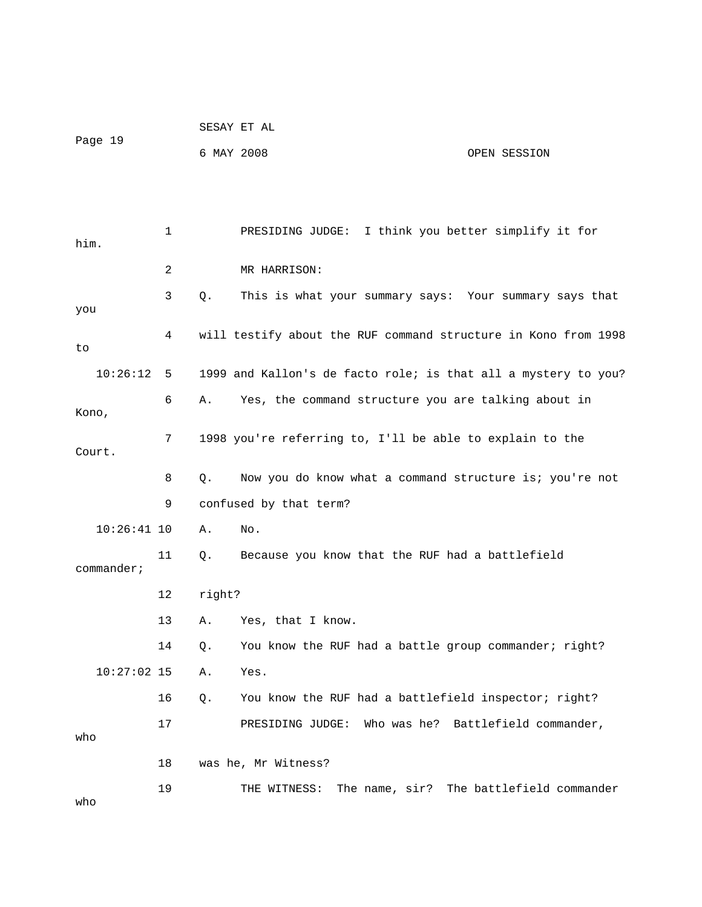|               |    | SESAY ET AL |                                                                |                                          |
|---------------|----|-------------|----------------------------------------------------------------|------------------------------------------|
| Page 19       |    | 6 MAY 2008  |                                                                | OPEN SESSION                             |
|               |    |             |                                                                |                                          |
|               |    |             |                                                                |                                          |
| him.          | 1  |             | PRESIDING JUDGE: I think you better simplify it for            |                                          |
|               | 2  |             | MR HARRISON:                                                   |                                          |
| you           | 3  | Q.          | This is what your summary says: Your summary says that         |                                          |
| to            | 4  |             | will testify about the RUF command structure in Kono from 1998 |                                          |
| 10:26:12      | 5  |             | 1999 and Kallon's de facto role; is that all a mystery to you? |                                          |
| Kono,         | 6  | Α.          | Yes, the command structure you are talking about in            |                                          |
| Court.        | 7  |             | 1998 you're referring to, I'll be able to explain to the       |                                          |
|               | 8  | Q.          | Now you do know what a command structure is; you're not        |                                          |
|               | 9  |             | confused by that term?                                         |                                          |
| $10:26:41$ 10 |    | Α.          | No.                                                            |                                          |
| commander;    | 11 | Q.          | Because you know that the RUF had a battlefield                |                                          |
|               | 12 | right?      |                                                                |                                          |
|               | 13 | Α.          | Yes, that I know.                                              |                                          |
|               | 14 | Q.          | You know the RUF had a battle group commander; right?          |                                          |
| $10:27:02$ 15 |    | Α.          | Yes.                                                           |                                          |
|               | 16 | Q.          | You know the RUF had a battlefield inspector; right?           |                                          |
| who           | 17 |             | Who was he?<br>PRESIDING JUDGE:                                | Battlefield commander,                   |
|               | 18 |             | was he, Mr Witness?                                            |                                          |
| who           | 19 |             | THE WITNESS:                                                   | The name, sir? The battlefield commander |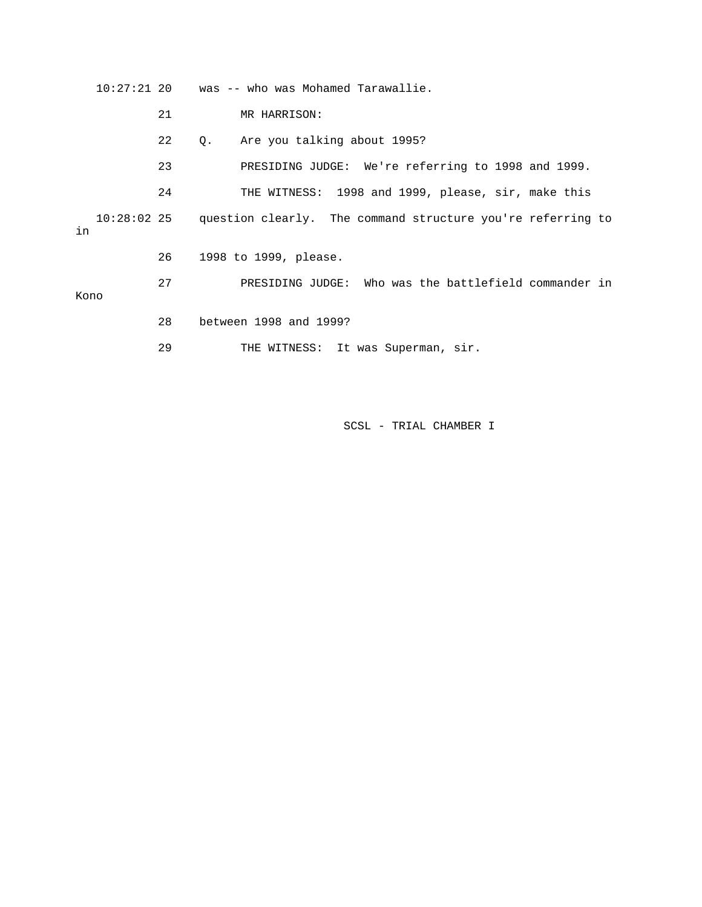10:27:21 20 was -- who was Mohamed Tarawallie. 21 MR HARRISON: 22 Q. Are you talking about 1995? 23 PRESIDING JUDGE: We're referring to 1998 and 1999. 24 THE WITNESS: 1998 and 1999, please, sir, make this 10:28:02 25 question clearly. The command structure you're referring to in 26 1998 to 1999, please. 27 PRESIDING JUDGE: Who was the battlefield commander in Kono 28 between 1998 and 1999?

29 THE WITNESS: It was Superman, sir.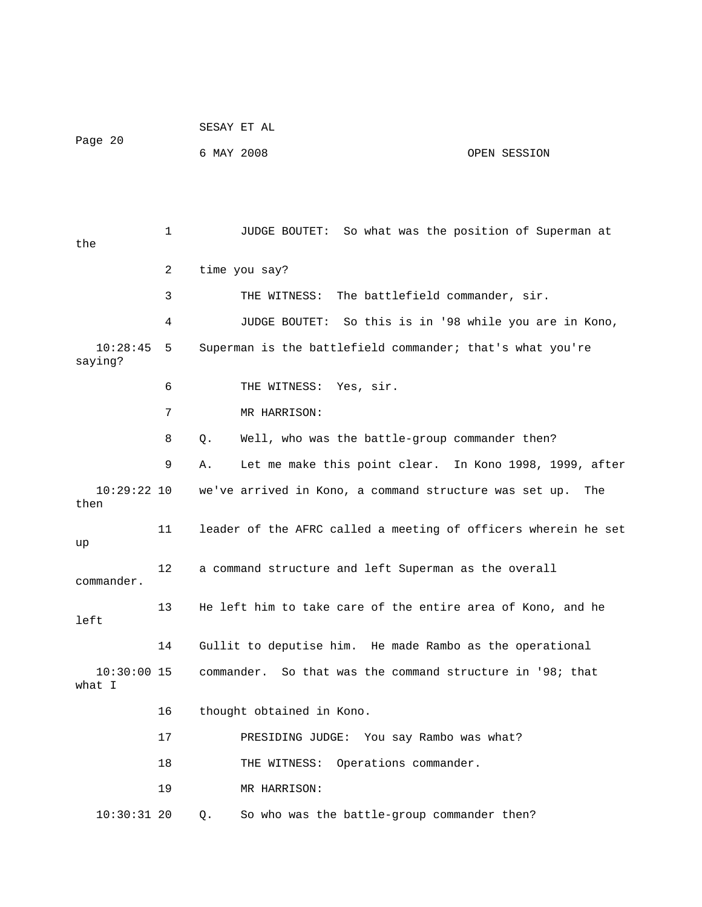|                         |    | SESAY ET AL                                                    |
|-------------------------|----|----------------------------------------------------------------|
| Page 20                 |    | 6 MAY 2008<br>OPEN SESSION                                     |
|                         |    |                                                                |
|                         |    |                                                                |
| the                     | 1  | JUDGE BOUTET: So what was the position of Superman at          |
|                         | 2  | time you say?                                                  |
|                         | 3  | THE WITNESS: The battlefield commander, sir.                   |
|                         | 4  | So this is in '98 while you are in Kono,<br>JUDGE BOUTET:      |
| 10:28:45<br>saying?     | 5  | Superman is the battlefield commander; that's what you're      |
|                         | 6  | THE WITNESS: Yes, sir.                                         |
|                         | 7  | MR HARRISON:                                                   |
|                         | 8  | Well, who was the battle-group commander then?<br>$Q$ .        |
|                         | 9  | Let me make this point clear. In Kono 1998, 1999, after<br>Α.  |
| $10:29:22$ 10<br>then   |    | we've arrived in Kono, a command structure was set up.<br>The  |
| up                      | 11 | leader of the AFRC called a meeting of officers wherein he set |
| commander.              | 12 | a command structure and left Superman as the overall           |
| left                    | 13 | He left him to take care of the entire area of Kono, and he    |
|                         | 14 | Gullit to deputise him. He made Rambo as the operational       |
| $10:30:00$ 15<br>what I |    | commander. So that was the command structure in '98; that      |
|                         | 16 | thought obtained in Kono.                                      |
|                         | 17 | PRESIDING JUDGE: You say Rambo was what?                       |
|                         | 18 | Operations commander.<br>THE WITNESS:                          |
|                         | 19 | MR HARRISON:                                                   |
| $10:30:31$ 20           |    | So who was the battle-group commander then?<br>Q.              |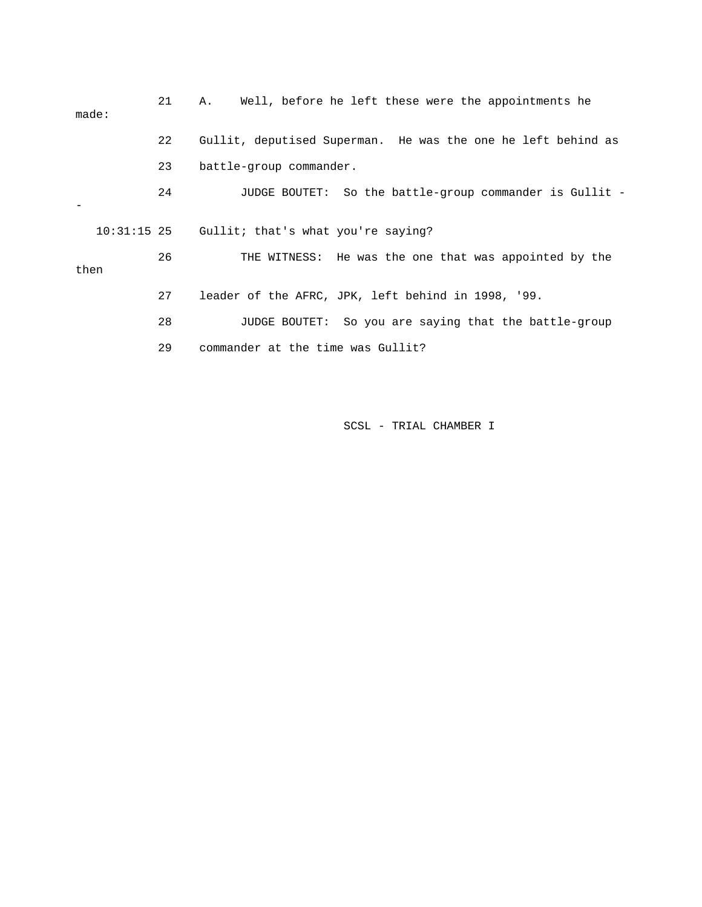| made: | 21 | Well, before he left these were the appointments he<br>Α.    |
|-------|----|--------------------------------------------------------------|
|       | 22 | Gullit, deputised Superman. He was the one he left behind as |
|       | 23 | battle-group commander.                                      |
|       | 24 | JUDGE BOUTET: So the battle-group commander is Gullit -      |
|       |    | 10:31:15 25 Gullit; that's what you're saying?               |
| then  | 26 | THE WITNESS: He was the one that was appointed by the        |
|       | 27 | leader of the AFRC, JPK, left behind in 1998, '99.           |
|       | 28 | JUDGE BOUTET: So you are saying that the battle-group        |
|       | 29 | commander at the time was Gullit?                            |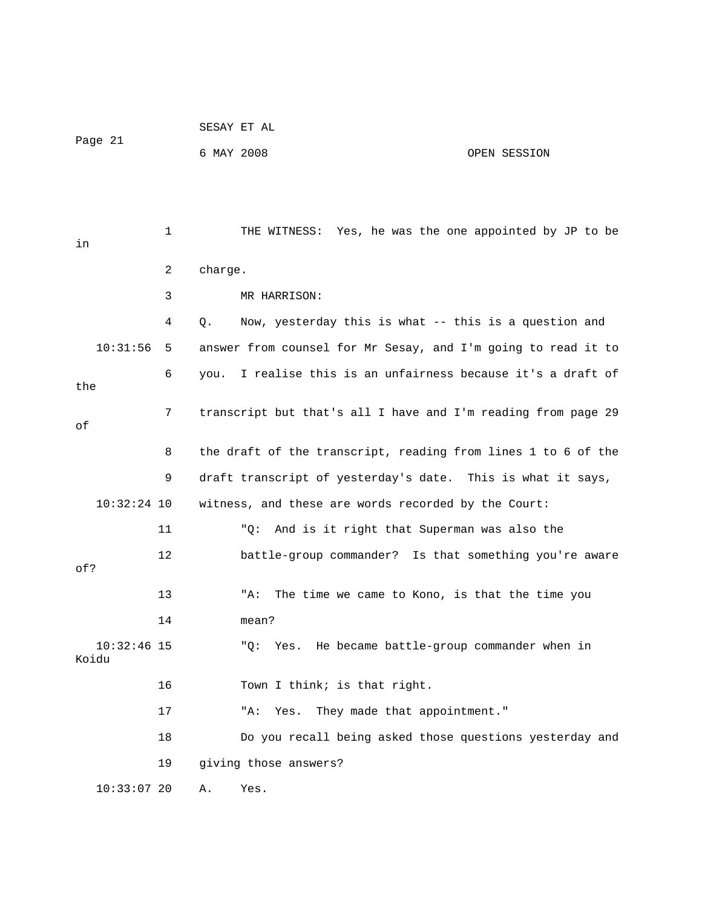|                        |    |            | SESAY ET AL                                                   |              |  |  |
|------------------------|----|------------|---------------------------------------------------------------|--------------|--|--|
| Page 21                |    | 6 MAY 2008 |                                                               | OPEN SESSION |  |  |
|                        |    |            |                                                               |              |  |  |
|                        |    |            |                                                               |              |  |  |
| in                     | 1  |            | THE WITNESS: Yes, he was the one appointed by JP to be        |              |  |  |
|                        | 2  | charge.    |                                                               |              |  |  |
|                        | 3  |            | MR HARRISON:                                                  |              |  |  |
|                        | 4  | Q.         | Now, yesterday this is what -- this is a question and         |              |  |  |
| 10:31:56               | 5  |            | answer from counsel for Mr Sesay, and I'm going to read it to |              |  |  |
| the                    | 6  | you.       | I realise this is an unfairness because it's a draft of       |              |  |  |
| оf                     | 7  |            | transcript but that's all I have and I'm reading from page 29 |              |  |  |
|                        | 8  |            | the draft of the transcript, reading from lines 1 to 6 of the |              |  |  |
|                        | 9  |            | draft transcript of yesterday's date. This is what it says,   |              |  |  |
| $10:32:24$ 10          |    |            | witness, and these are words recorded by the Court:           |              |  |  |
|                        | 11 |            | "Q:<br>And is it right that Superman was also the             |              |  |  |
| of?                    | 12 |            | battle-group commander? Is that something you're aware        |              |  |  |
|                        | 13 |            | "A:<br>The time we came to Kono, is that the time you         |              |  |  |
|                        | 14 |            | mean?                                                         |              |  |  |
| $10:32:46$ 15<br>Koidu |    |            | Yes. He became battle-group commander when in<br>" O:         |              |  |  |
|                        | 16 |            | Town I think; is that right.                                  |              |  |  |
|                        | 17 |            | "A:<br>They made that appointment."<br>Yes.                   |              |  |  |
|                        | 18 |            | Do you recall being asked those questions yesterday and       |              |  |  |
|                        | 19 |            | giving those answers?                                         |              |  |  |
| $10:33:07$ 20          |    | Α.         | Yes.                                                          |              |  |  |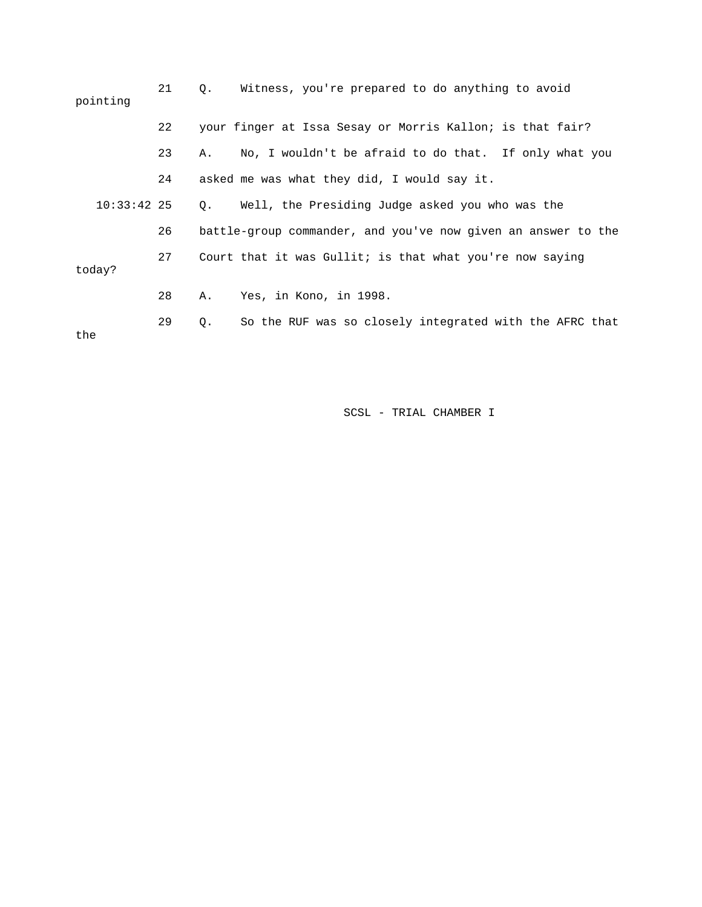| pointing      | 21 | $Q$ .     | Witness, you're prepared to do anything to avoid              |
|---------------|----|-----------|---------------------------------------------------------------|
|               | 22 |           | your finger at Issa Sesay or Morris Kallon; is that fair?     |
|               | 23 | Α.        | No, I wouldn't be afraid to do that. If only what you         |
|               | 24 |           | asked me was what they did, I would say it.                   |
| $10:33:42$ 25 |    | $\circ$ . | Well, the Presiding Judge asked you who was the               |
|               | 26 |           | battle-group commander, and you've now given an answer to the |
| today?        | 27 |           | Court that it was Gullit; is that what you're now saying      |
|               | 28 | Α.        | Yes, in Kono, in 1998.                                        |
| the           | 29 | Q.        | So the RUF was so closely integrated with the AFRC that       |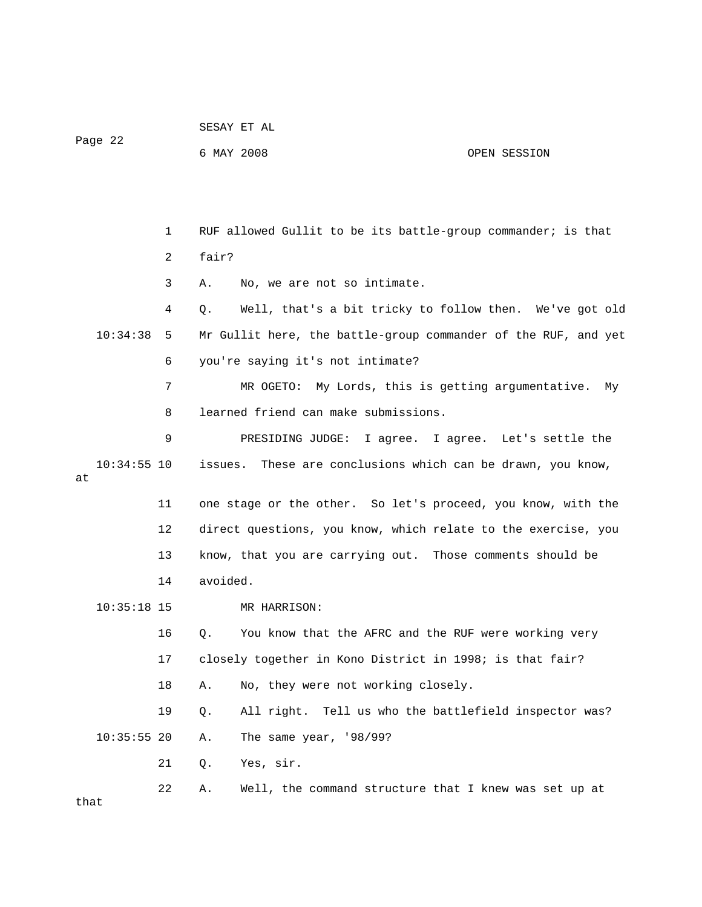Page 22

## 6 MAY 2008 OPEN SESSION

 1 RUF allowed Gullit to be its battle-group commander; is that 2 fair? 3 A. No, we are not so intimate. 4 Q. Well, that's a bit tricky to follow then. We've got old 10:34:38 5 Mr Gullit here, the battle-group commander of the RUF, and yet 6 you're saying it's not intimate? 7 MR OGETO: My Lords, this is getting argumentative. My 8 learned friend can make submissions. 9 PRESIDING JUDGE: I agree. I agree. Let's settle the 10:34:55 10 issues. These are conclusions which can be drawn, you know, at 11 one stage or the other. So let's proceed, you know, with the 12 direct questions, you know, which relate to the exercise, you 13 know, that you are carrying out. Those comments should be 14 avoided. 10:35:18 15 MR HARRISON: 16 Q. You know that the AFRC and the RUF were working very 17 closely together in Kono District in 1998; is that fair? 18 A. No, they were not working closely. 19 Q. All right. Tell us who the battlefield inspector was? 10:35:55 20 A. The same year, '98/99? 21 Q. Yes, sir. 22 A. Well, the command structure that I knew was set up at that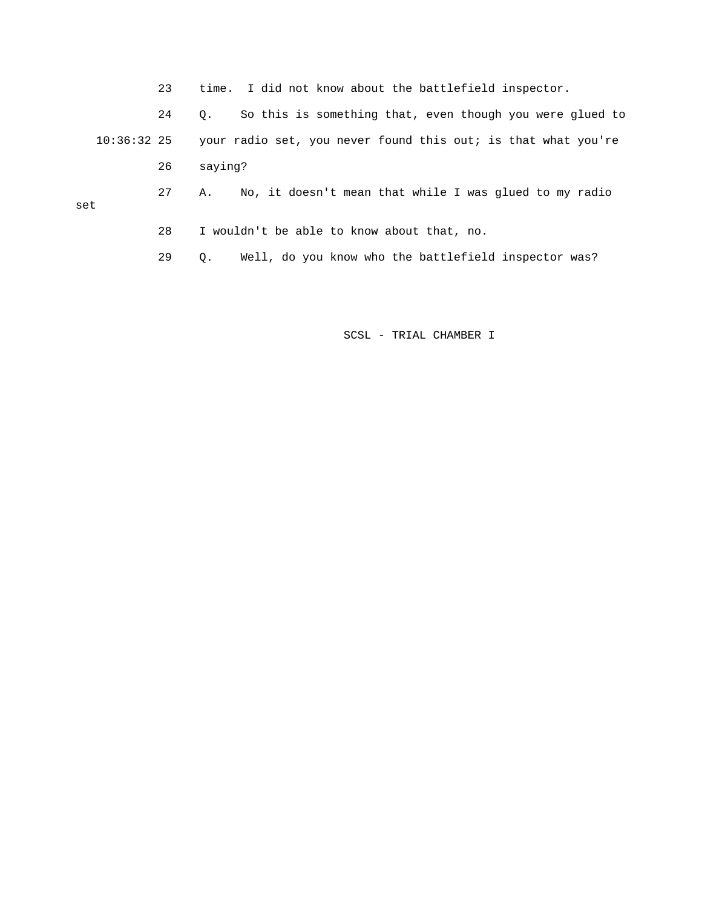23 time. I did not know about the battlefield inspector.

 24 Q. So this is something that, even though you were glued to 10:36:32 25 your radio set, you never found this out; is that what you're 26 saying?

set

28 I wouldn't be able to know about that, no.

29 Q. Well, do you know who the battlefield inspector was?

27 A. No, it doesn't mean that while I was glued to my radio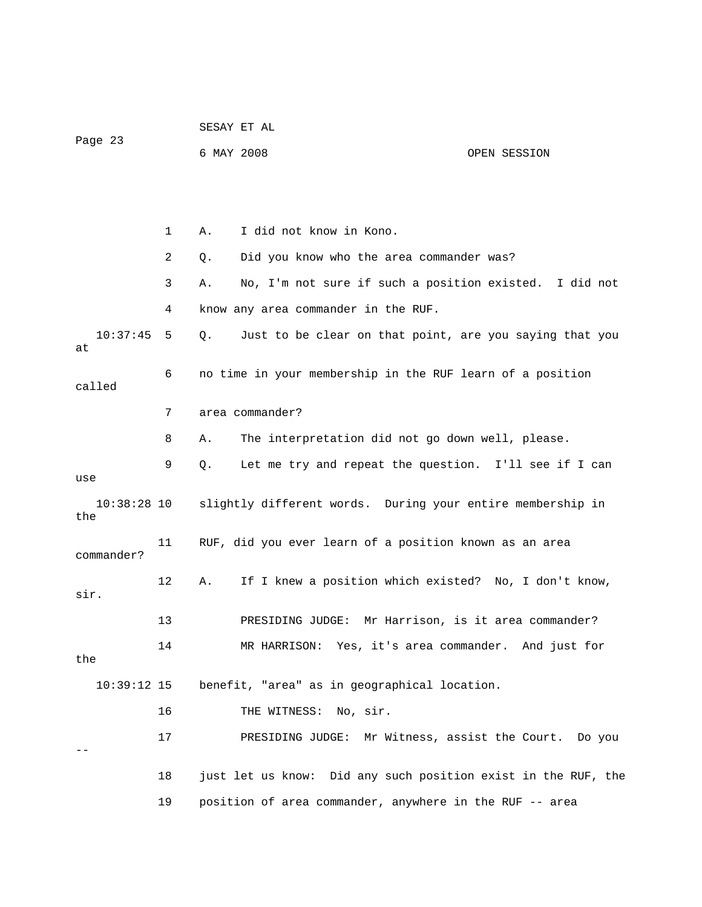|                      |              | SESAY ET AL |                                                               |                                    |  |  |
|----------------------|--------------|-------------|---------------------------------------------------------------|------------------------------------|--|--|
| Page 23              |              |             | 6 MAY 2008                                                    | OPEN SESSION                       |  |  |
|                      |              |             |                                                               |                                    |  |  |
|                      |              |             |                                                               |                                    |  |  |
|                      | $\mathbf{1}$ | Α.          | I did not know in Kono.                                       |                                    |  |  |
|                      | 2            | Q.          | Did you know who the area commander was?                      |                                    |  |  |
|                      | 3            | Α.          | No, I'm not sure if such a position existed. I did not        |                                    |  |  |
|                      | 4            |             | know any area commander in the RUF.                           |                                    |  |  |
| 10:37:45<br>at       | 5            | Q.          | Just to be clear on that point, are you saying that you       |                                    |  |  |
| called               | 6            |             | no time in your membership in the RUF learn of a position     |                                    |  |  |
|                      | 7            |             | area commander?                                               |                                    |  |  |
|                      | 8            | Α.          | The interpretation did not go down well, please.              |                                    |  |  |
| use                  | 9            | Q.          | Let me try and repeat the question. I'll see if I can         |                                    |  |  |
| $10:38:28$ 10<br>the |              |             | slightly different words. During your entire membership in    |                                    |  |  |
| commander?           | 11           |             | RUF, did you ever learn of a position known as an area        |                                    |  |  |
| sir.                 | 12           | Α.          | If I knew a position which existed? No, I don't know,         |                                    |  |  |
|                      | 13           |             | PRESIDING JUDGE:                                              | Mr Harrison, is it area commander? |  |  |
| the                  | 14           |             | MR HARRISON: Yes, it's area commander. And just for           |                                    |  |  |
| $10:39:12$ 15        |              |             | benefit, "area" as in geographical location.                  |                                    |  |  |
|                      | 16           |             | THE WITNESS: No, sir.                                         |                                    |  |  |
|                      | 17           |             | PRESIDING JUDGE: Mr Witness, assist the Court. Do you         |                                    |  |  |
|                      | 18           |             | just let us know: Did any such position exist in the RUF, the |                                    |  |  |
|                      | 19           |             | position of area commander, anywhere in the RUF -- area       |                                    |  |  |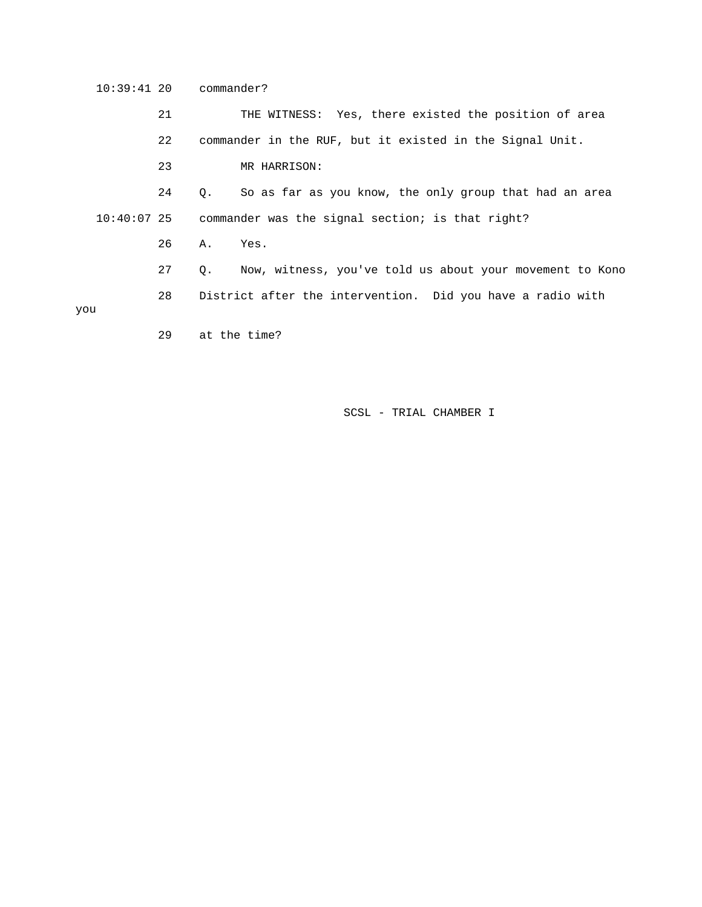10:39:41 20 commander?

 21 THE WITNESS: Yes, there existed the position of area 22 commander in the RUF, but it existed in the Signal Unit. 23 MR HARRISON: 24 Q. So as far as you know, the only group that had an area 10:40:07 25 commander was the signal section; is that right? 26 A. Yes. 27 Q. Now, witness, you've told us about your movement to Kono 28 District after the intervention. Did you have a radio with you 29 at the time?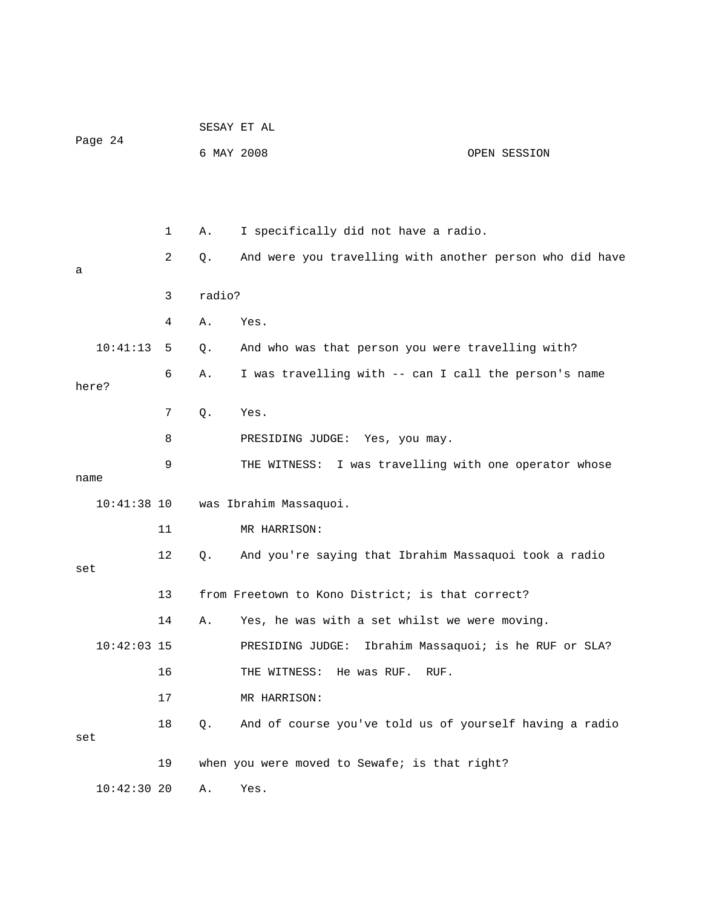|               |    |                        | SESAY ET AL                                              |                                      |  |  |
|---------------|----|------------------------|----------------------------------------------------------|--------------------------------------|--|--|
| Page 24       |    | 6 MAY 2008             |                                                          | OPEN SESSION                         |  |  |
|               |    |                        |                                                          |                                      |  |  |
|               | 1  | Α.                     | I specifically did not have a radio.                     |                                      |  |  |
| а             | 2  | Q.                     | And were you travelling with another person who did have |                                      |  |  |
|               | 3  |                        | radio?                                                   |                                      |  |  |
|               | 4  | Α.                     | Yes.                                                     |                                      |  |  |
| 10:41:13      | 5  | Q.                     | And who was that person you were travelling with?        |                                      |  |  |
| here?         | 6  | Α.                     | I was travelling with -- can I call the person's name    |                                      |  |  |
|               | 7  | Q.                     | Yes.                                                     |                                      |  |  |
|               | 8  |                        | PRESIDING JUDGE: Yes, you may.                           |                                      |  |  |
| name          | 9  |                        | THE WITNESS: I was travelling with one operator whose    |                                      |  |  |
| $10:41:38$ 10 |    | was Ibrahim Massaquoi. |                                                          |                                      |  |  |
|               | 11 |                        | MR HARRISON:                                             |                                      |  |  |
| set           | 12 | Q.                     | And you're saying that Ibrahim Massaquoi took a radio    |                                      |  |  |
|               | 13 |                        | from Freetown to Kono District; is that correct?         |                                      |  |  |
|               | 14 | Α.                     | Yes, he was with a set whilst we were moving.            |                                      |  |  |
| $10:42:03$ 15 |    |                        | PRESIDING JUDGE:                                         | Ibrahim Massaquoi; is he RUF or SLA? |  |  |
|               | 16 |                        | He was RUF.<br>THE WITNESS:<br>RUF.                      |                                      |  |  |
|               | 17 |                        | MR HARRISON:                                             |                                      |  |  |
| set           | 18 | Q.                     | And of course you've told us of yourself having a radio  |                                      |  |  |
|               | 19 |                        | when you were moved to Sewafe; is that right?            |                                      |  |  |
| $10:42:30$ 20 |    | Α.                     | Yes.                                                     |                                      |  |  |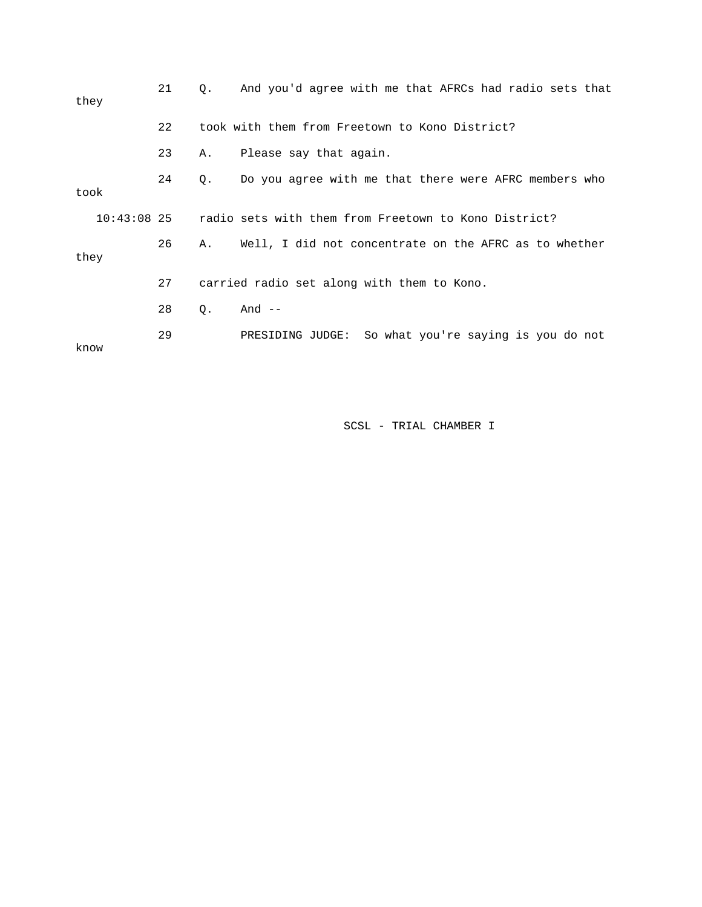| they |               | 21 | 0.        | And you'd agree with me that AFRCs had radio sets that  |
|------|---------------|----|-----------|---------------------------------------------------------|
|      |               | 22 |           | took with them from Freetown to Kono District?          |
|      |               | 23 | Α.        | Please say that again.                                  |
| took |               | 24 | $\circ$ . | Do you agree with me that there were AFRC members who   |
|      | $10:43:08$ 25 |    |           | radio sets with them from Freetown to Kono District?    |
| they |               | 26 | Α.        | Well, I did not concentrate on the AFRC as to whether   |
|      |               | 27 |           | carried radio set along with them to Kono.              |
|      |               | 28 | О.        | And $--$                                                |
| know |               | 29 |           | So what you're saying is you do not<br>PRESIDING JUDGE: |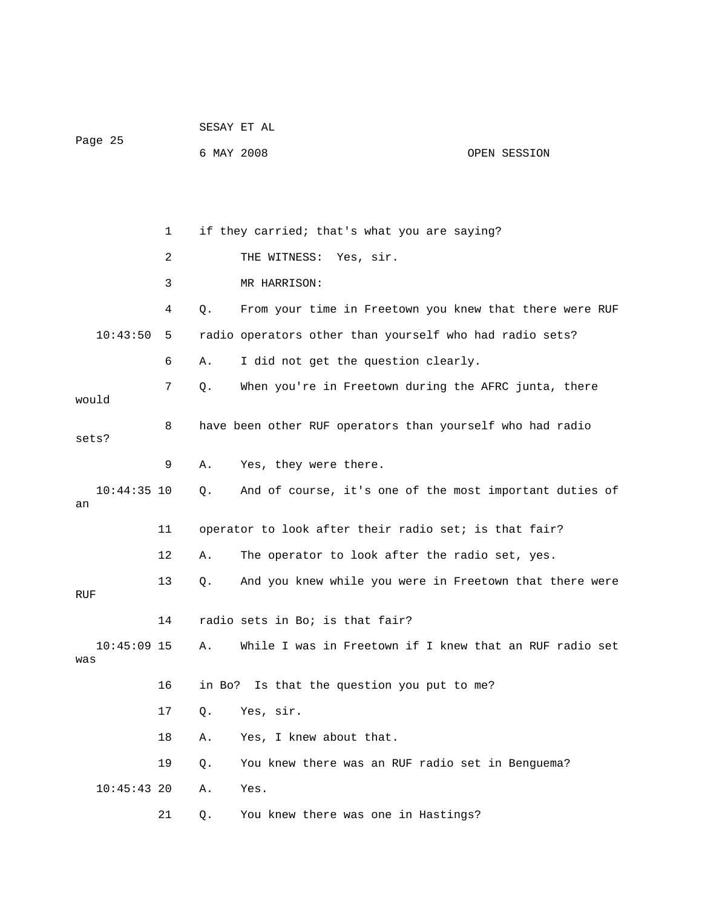| Page 25              |              | SESAY ET AL |                                                           |              |  |
|----------------------|--------------|-------------|-----------------------------------------------------------|--------------|--|
|                      |              | 6 MAY 2008  |                                                           | OPEN SESSION |  |
|                      |              |             |                                                           |              |  |
|                      |              |             |                                                           |              |  |
|                      | $\mathbf{1}$ |             | if they carried; that's what you are saying?              |              |  |
|                      | 2            |             | THE WITNESS: Yes, sir.                                    |              |  |
|                      | 3            |             | MR HARRISON:                                              |              |  |
|                      | 4            | $Q$ .       | From your time in Freetown you knew that there were RUF   |              |  |
| 10:43:50             | 5            |             | radio operators other than yourself who had radio sets?   |              |  |
|                      | 6            | Α.          | I did not get the question clearly.                       |              |  |
|                      | 7            | Q.          | When you're in Freetown during the AFRC junta, there      |              |  |
| would                |              |             |                                                           |              |  |
| sets?                | 8            |             | have been other RUF operators than yourself who had radio |              |  |
|                      | 9            | Α.          | Yes, they were there.                                     |              |  |
| $10:44:35$ 10<br>an  |              | Q.          | And of course, it's one of the most important duties of   |              |  |
|                      | 11           |             | operator to look after their radio set; is that fair?     |              |  |
|                      | 12           | Α.          | The operator to look after the radio set, yes.            |              |  |
|                      | 13           | Q.          | And you knew while you were in Freetown that there were   |              |  |
| RUF                  |              |             |                                                           |              |  |
|                      | 14           |             | radio sets in Bo; is that fair?                           |              |  |
| $10:45:09$ 15<br>was |              | Α.          | While I was in Freetown if I knew that an RUF radio set   |              |  |
|                      | 16           | in Bo?      | Is that the question you put to me?                       |              |  |
|                      | 17           | $Q$ .       | Yes, sir.                                                 |              |  |
|                      | 18           | Α.          | Yes, I knew about that.                                   |              |  |
|                      | 19           | Q.          | You knew there was an RUF radio set in Benguema?          |              |  |
| $10:45:43$ 20        |              | Α.          | Yes.                                                      |              |  |
|                      | 21           | Q.          | You knew there was one in Hastings?                       |              |  |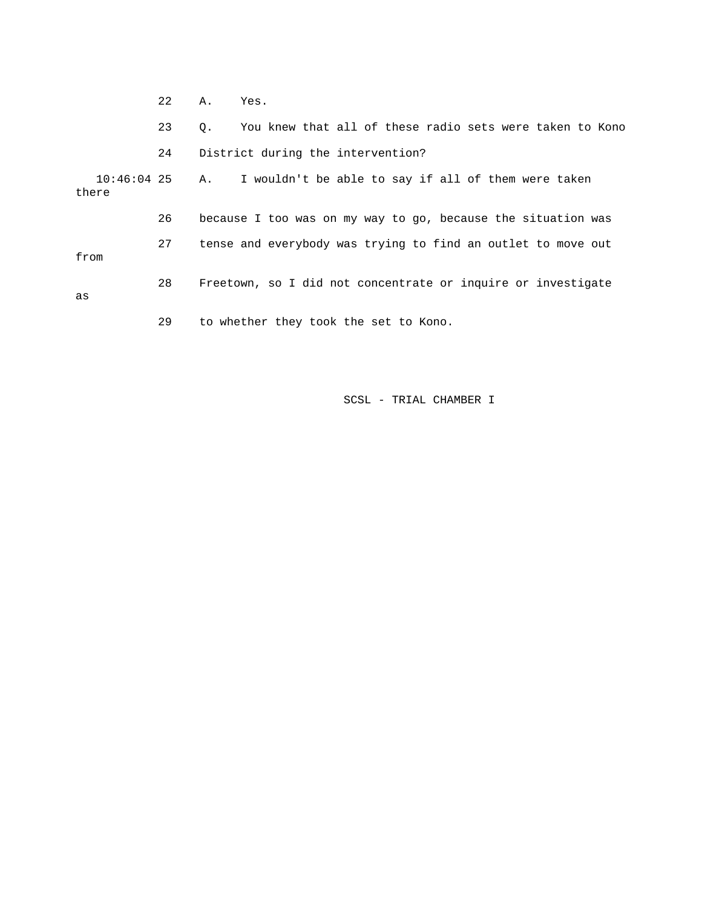|                        | 22 | Α.  | Yes.                                                         |
|------------------------|----|-----|--------------------------------------------------------------|
|                        | 23 | Q.  | You knew that all of these radio sets were taken to Kono     |
|                        | 24 |     | District during the intervention?                            |
| $10:46:04$ 25<br>there |    | A., | I wouldn't be able to say if all of them were taken          |
|                        | 26 |     | because I too was on my way to go, because the situation was |
| from                   | 27 |     | tense and everybody was trying to find an outlet to move out |
| as                     | 28 |     | Freetown, so I did not concentrate or inquire or investigate |
|                        | 29 |     | to whether they took the set to Kono.                        |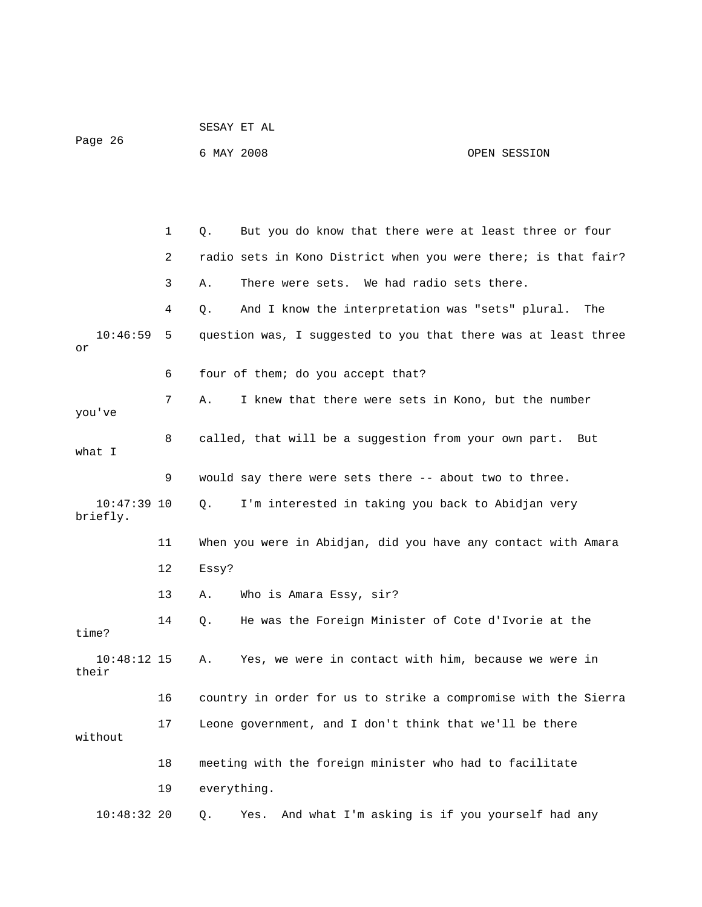|                           |    | SESAY ET AL                                                    |                                                        |  |
|---------------------------|----|----------------------------------------------------------------|--------------------------------------------------------|--|
| Page 26                   |    | 6 MAY 2008                                                     | OPEN SESSION                                           |  |
|                           |    |                                                                |                                                        |  |
|                           |    |                                                                |                                                        |  |
|                           | 1  | Q.                                                             | But you do know that there were at least three or four |  |
|                           | 2  | radio sets in Kono District when you were there; is that fair? |                                                        |  |
|                           | 3  | There were sets. We had radio sets there.<br>Α.                |                                                        |  |
|                           | 4  | And I know the interpretation was "sets" plural.<br>Q.         | The                                                    |  |
| 10:46:59<br>or            | 5  | question was, I suggested to you that there was at least three |                                                        |  |
|                           | 6  | four of them; do you accept that?                              |                                                        |  |
| you've                    | 7  | I knew that there were sets in Kono, but the number<br>Α.      |                                                        |  |
| what I                    | 8  | called, that will be a suggestion from your own part.          |                                                        |  |
|                           | 9  | would say there were sets there -- about two to three.         |                                                        |  |
| $10:47:39$ 10<br>briefly. |    | Q.<br>I'm interested in taking you back to Abidjan very        |                                                        |  |
|                           | 11 | When you were in Abidjan, did you have any contact with Amara  |                                                        |  |
|                           | 12 | Essy?                                                          |                                                        |  |
|                           | 13 | Who is Amara Essy, sir?<br>Α.                                  |                                                        |  |
| time?                     | 14 | He was the Foreign Minister of Cote d'Ivorie at the<br>Ο.      |                                                        |  |
| $10:48:12$ 15<br>their    |    | Α.                                                             | Yes, we were in contact with him, because we were in   |  |
|                           | 16 | country in order for us to strike a compromise with the Sierra |                                                        |  |
| without                   | 17 | Leone government, and I don't think that we'll be there        |                                                        |  |
|                           | 18 | meeting with the foreign minister who had to facilitate        |                                                        |  |
|                           | 19 | everything.                                                    |                                                        |  |
| $10:48:32$ 20             |    | Q.<br>Yes.                                                     | And what I'm asking is if you yourself had any         |  |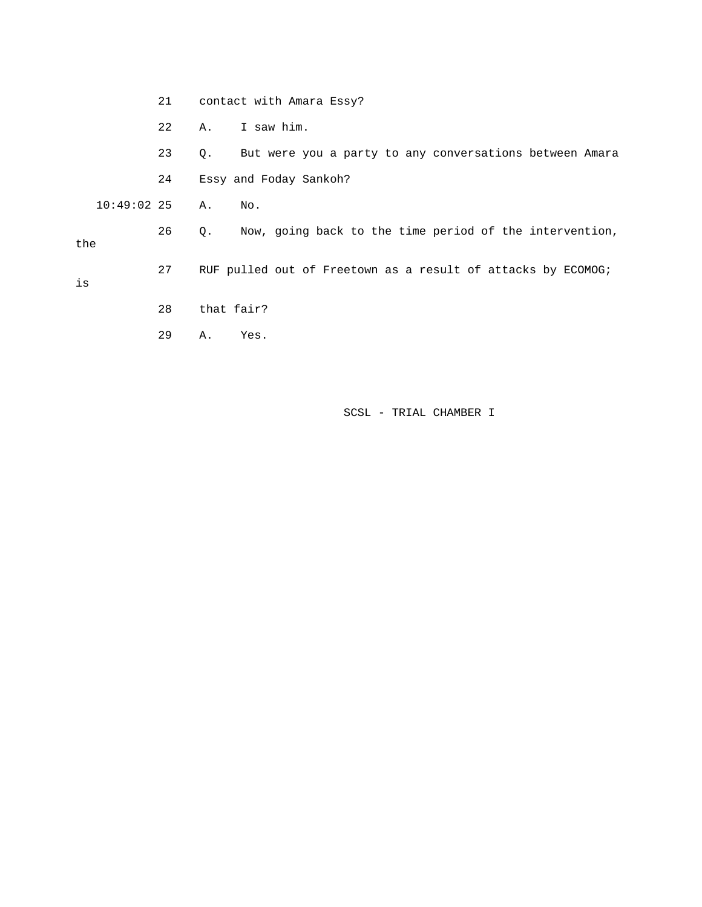21 contact with Amara Essy?

22 A. I saw him.

 23 Q. But were you a party to any conversations between Amara 24 Essy and Foday Sankoh?

26 Q. Now, going back to the time period of the intervention,

27 RUF pulled out of Freetown as a result of attacks by ECOMOG;

10:49:02 25 A. No.

the

is

- 28 that fair?
- 29 A. Yes.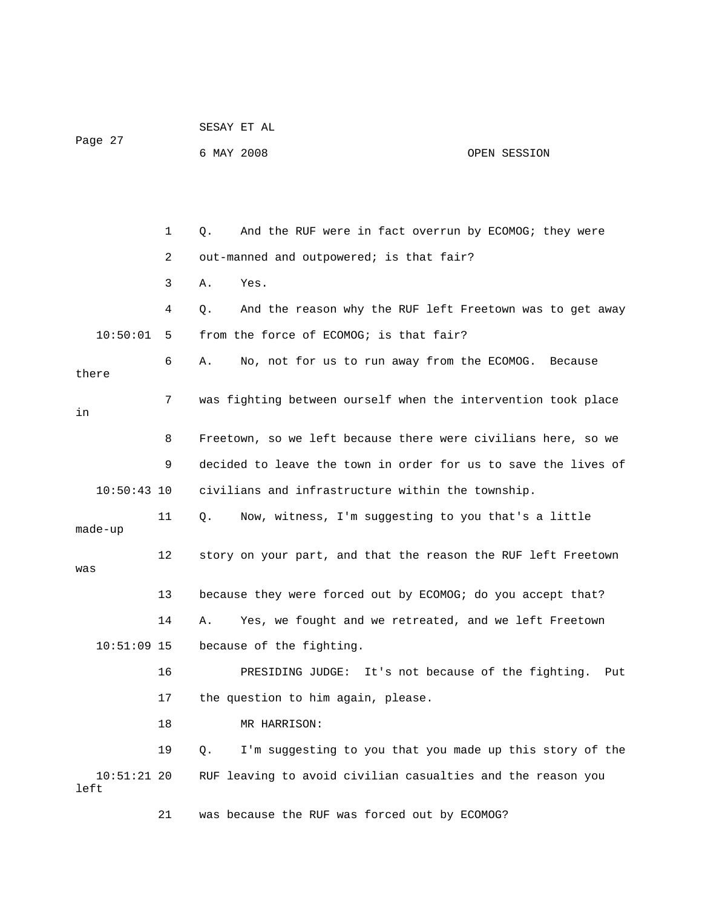|                       |    | SESAY ET AL                                                    |              |
|-----------------------|----|----------------------------------------------------------------|--------------|
| Page 27               |    | 6 MAY 2008                                                     | OPEN SESSION |
|                       |    |                                                                |              |
|                       |    |                                                                |              |
|                       | 1  | And the RUF were in fact overrun by ECOMOG; they were<br>Q.    |              |
|                       | 2  | out-manned and outpowered; is that fair?                       |              |
|                       | 3  | Yes.<br>Α.                                                     |              |
|                       | 4  | And the reason why the RUF left Freetown was to get away<br>Q. |              |
| 10:50:01              | 5  | from the force of ECOMOG; is that fair?                        |              |
| there                 | 6  | No, not for us to run away from the ECOMOG.<br>Α.              | Because      |
| in                    | 7  | was fighting between ourself when the intervention took place  |              |
|                       | 8  | Freetown, so we left because there were civilians here, so we  |              |
|                       | 9  | decided to leave the town in order for us to save the lives of |              |
| $10:50:43$ 10         |    | civilians and infrastructure within the township.              |              |
| made-up               | 11 | Now, witness, I'm suggesting to you that's a little<br>Q.      |              |
| was                   | 12 | story on your part, and that the reason the RUF left Freetown  |              |
|                       | 13 | because they were forced out by ECOMOG; do you accept that?    |              |
|                       | 14 | Yes, we fought and we retreated, and we left Freetown<br>Α.    |              |
| $10:51:09$ 15         |    | because of the fighting.                                       |              |
|                       | 16 | PRESIDING JUDGE: It's not because of the fighting.             | Put          |
|                       | 17 | the question to him again, please.                             |              |
|                       | 18 | MR HARRISON:                                                   |              |
|                       | 19 | I'm suggesting to you that you made up this story of the<br>Q. |              |
| $10:51:21$ 20<br>left |    | RUF leaving to avoid civilian casualties and the reason you    |              |
|                       | 21 | was because the RUF was forced out by ECOMOG?                  |              |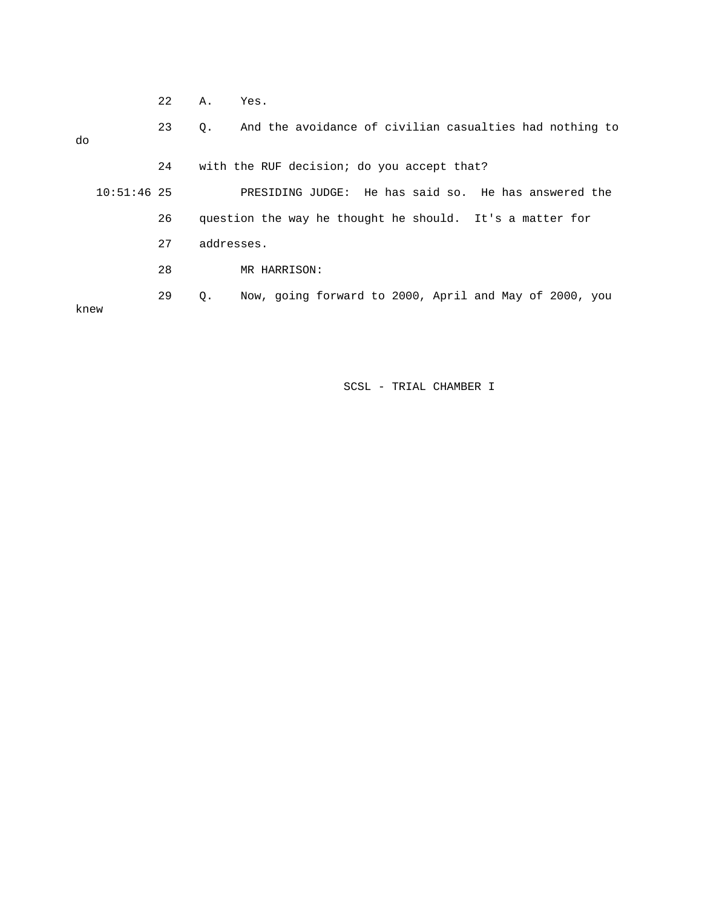| $\cap$<br>Τ. Τ. | א<br><b>1.</b> | es<br>-<br>- |
|-----------------|----------------|--------------|
|                 |                |              |

 23 Q. And the avoidance of civilian casualties had nothing to do 24 with the RUF decision; do you accept that? 10:51:46 25 PRESIDING JUDGE: He has said so. He has answered the 26 question the way he thought he should. It's a matter for 27 addresses. 28 MR HARRISON: 29 Q. Now, going forward to 2000, April and May of 2000, you knew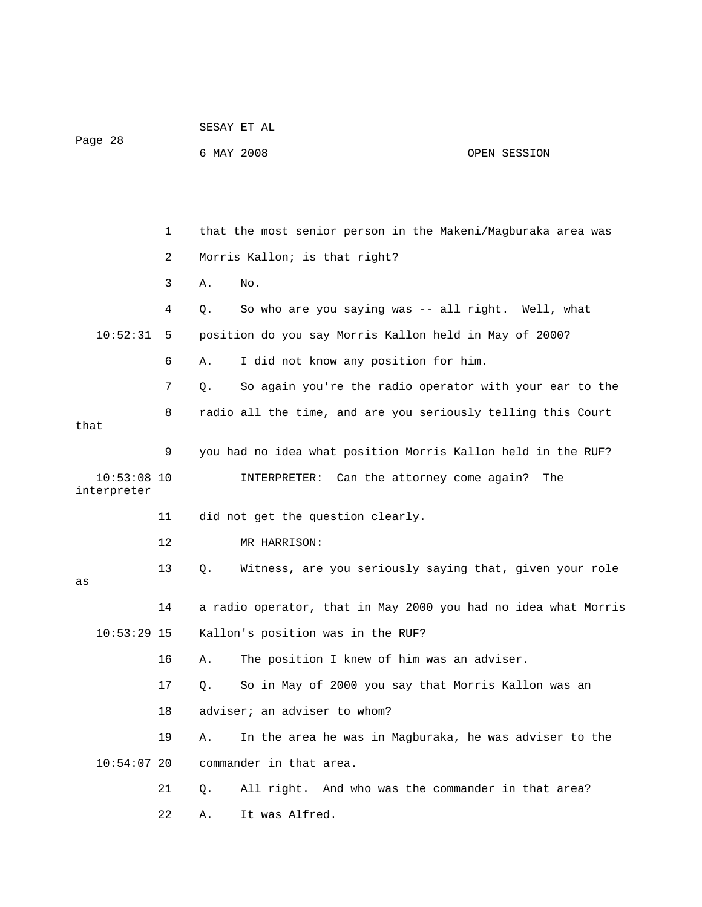| Page 28                      |    | 6 MAY 2008 |                                                                | OPEN SESSION |
|------------------------------|----|------------|----------------------------------------------------------------|--------------|
|                              |    |            |                                                                |              |
|                              | 1  |            | that the most senior person in the Makeni/Magburaka area was   |              |
|                              | 2  |            | Morris Kallon; is that right?                                  |              |
|                              | 3  | Α.         | No.                                                            |              |
|                              | 4  | Q.         | So who are you saying was -- all right. Well, what             |              |
| 10:52:31                     | 5  |            | position do you say Morris Kallon held in May of 2000?         |              |
|                              | 6  | Α.         | I did not know any position for him.                           |              |
|                              | 7  | Q.         | So again you're the radio operator with your ear to the        |              |
| that                         | 8  |            | radio all the time, and are you seriously telling this Court   |              |
|                              | 9  |            | you had no idea what position Morris Kallon held in the RUF?   |              |
| $10:53:08$ 10<br>interpreter |    |            | INTERPRETER: Can the attorney come again?                      | The          |
|                              | 11 |            | did not get the question clearly.                              |              |
|                              | 12 |            | MR HARRISON:                                                   |              |
| as                           | 13 | Q.         | Witness, are you seriously saying that, given your role        |              |
|                              | 14 |            | a radio operator, that in May 2000 you had no idea what Morris |              |
| $10:53:29$ 15                |    |            | Kallon's position was in the RUF?                              |              |
|                              | 16 | Α.         | The position I knew of him was an adviser.                     |              |
|                              | 17 | Q.         | So in May of 2000 you say that Morris Kallon was an            |              |
|                              | 18 |            | adviser; an adviser to whom?                                   |              |
|                              | 19 | Α.         | In the area he was in Magburaka, he was adviser to the         |              |
| $10:54:07$ 20                |    |            | commander in that area.                                        |              |
|                              | 21 | Q.         | All right. And who was the commander in that area?             |              |
|                              | 22 | Α.         | It was Alfred.                                                 |              |

SESAY ET AL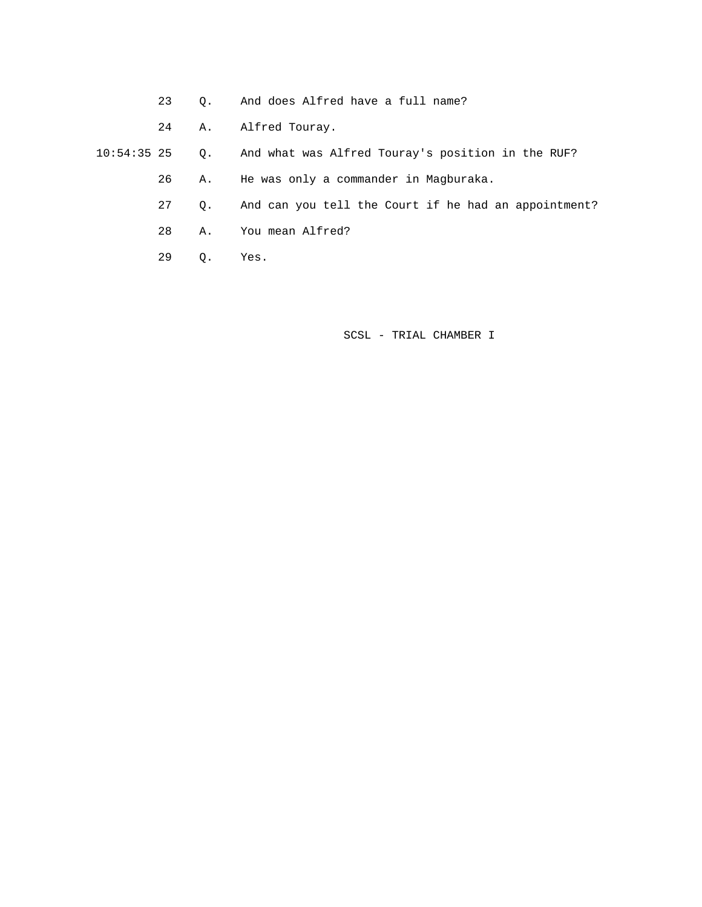- 23 Q. And does Alfred have a full name?
- 24 A. Alfred Touray.
- 10:54:35 25 Q. And what was Alfred Touray's position in the RUF?
	- 26 A. He was only a commander in Magburaka.
	- 27 Q. And can you tell the Court if he had an appointment?
	- 28 A. You mean Alfred?
	- 29 Q. Yes.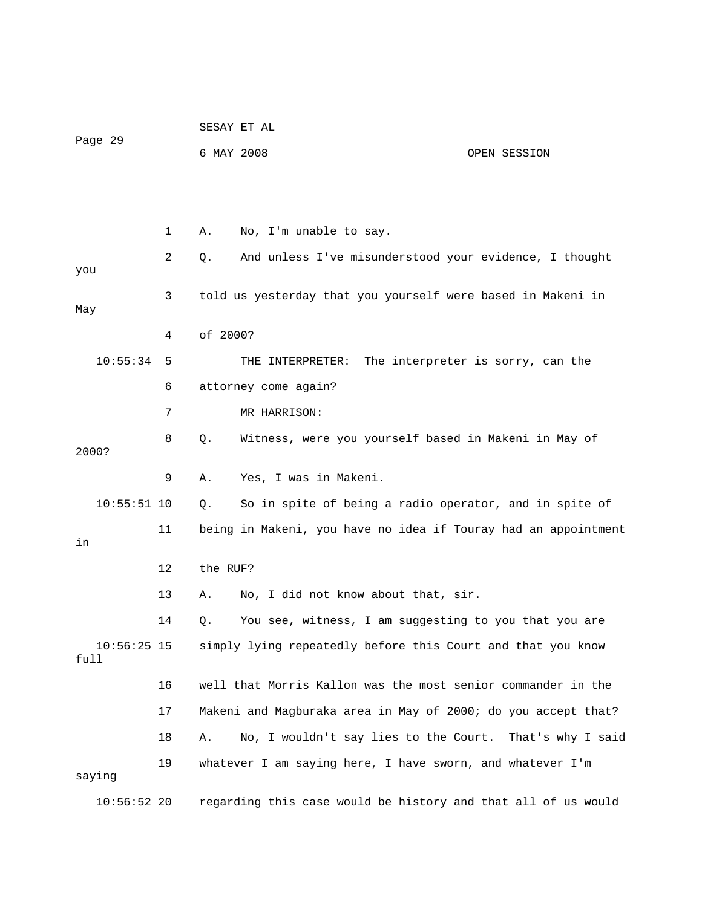|                       |    | SESAY ET AL |                                                                |                                   |  |
|-----------------------|----|-------------|----------------------------------------------------------------|-----------------------------------|--|
| Page 29               |    | 6 MAY 2008  |                                                                | OPEN SESSION                      |  |
|                       |    |             |                                                                |                                   |  |
|                       | 1  | Α.          | No, I'm unable to say.                                         |                                   |  |
| you                   | 2  | Q.          | And unless I've misunderstood your evidence, I thought         |                                   |  |
| May                   | 3  |             | told us yesterday that you yourself were based in Makeni in    |                                   |  |
|                       | 4  | of 2000?    |                                                                |                                   |  |
| 10:55:34              | 5  |             | THE INTERPRETER:                                               | The interpreter is sorry, can the |  |
|                       | 6  |             | attorney come again?                                           |                                   |  |
|                       | 7  |             | MR HARRISON:                                                   |                                   |  |
| 2000?                 | 8  | Q.          | Witness, were you yourself based in Makeni in May of           |                                   |  |
|                       | 9  | Α.          | Yes, I was in Makeni.                                          |                                   |  |
| $10:55:51$ 10         |    | Q.          | So in spite of being a radio operator, and in spite of         |                                   |  |
| in                    | 11 |             | being in Makeni, you have no idea if Touray had an appointment |                                   |  |
|                       | 12 | the RUF?    |                                                                |                                   |  |
|                       | 13 | Α.          | No, I did not know about that, sir.                            |                                   |  |
|                       | 14 | Q.          | You see, witness, I am suggesting to you that you are          |                                   |  |
| $10:56:25$ 15<br>full |    |             | simply lying repeatedly before this Court and that you know    |                                   |  |
|                       | 16 |             | well that Morris Kallon was the most senior commander in the   |                                   |  |
|                       | 17 |             | Makeni and Magburaka area in May of 2000; do you accept that?  |                                   |  |
|                       | 18 | Α.          | No, I wouldn't say lies to the Court. That's why I said        |                                   |  |
| saying                | 19 |             | whatever I am saying here, I have sworn, and whatever I'm      |                                   |  |
| $10:56:52$ 20         |    |             | regarding this case would be history and that all of us would  |                                   |  |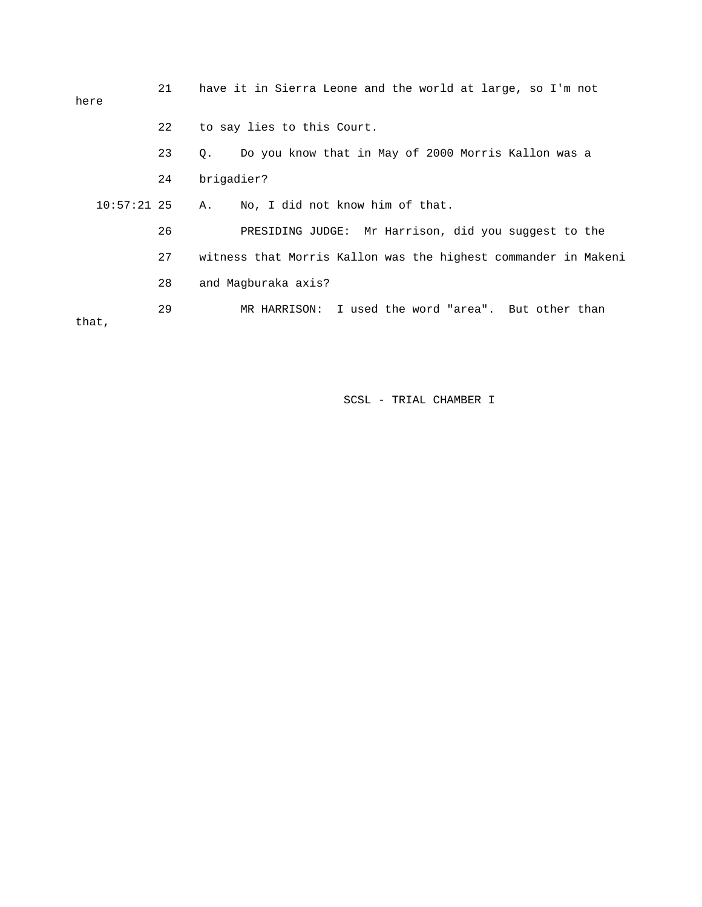| here          | 21 | have it in Sierra Leone and the world at large, so I'm not     |  |  |  |  |  |
|---------------|----|----------------------------------------------------------------|--|--|--|--|--|
|               | 22 | to say lies to this Court.                                     |  |  |  |  |  |
|               | 23 | Do you know that in May of 2000 Morris Kallon was a<br>Q.      |  |  |  |  |  |
|               | 24 | brigadier?                                                     |  |  |  |  |  |
| $10:57:21$ 25 |    | No, I did not know him of that.<br>A.                          |  |  |  |  |  |
|               | 26 | PRESIDING JUDGE: Mr Harrison, did you suggest to the           |  |  |  |  |  |
|               | 27 | witness that Morris Kallon was the highest commander in Makeni |  |  |  |  |  |
|               | 28 | and Magburaka axis?                                            |  |  |  |  |  |
| that,         | 29 | MR HARRISON: I used the word "area". But other than            |  |  |  |  |  |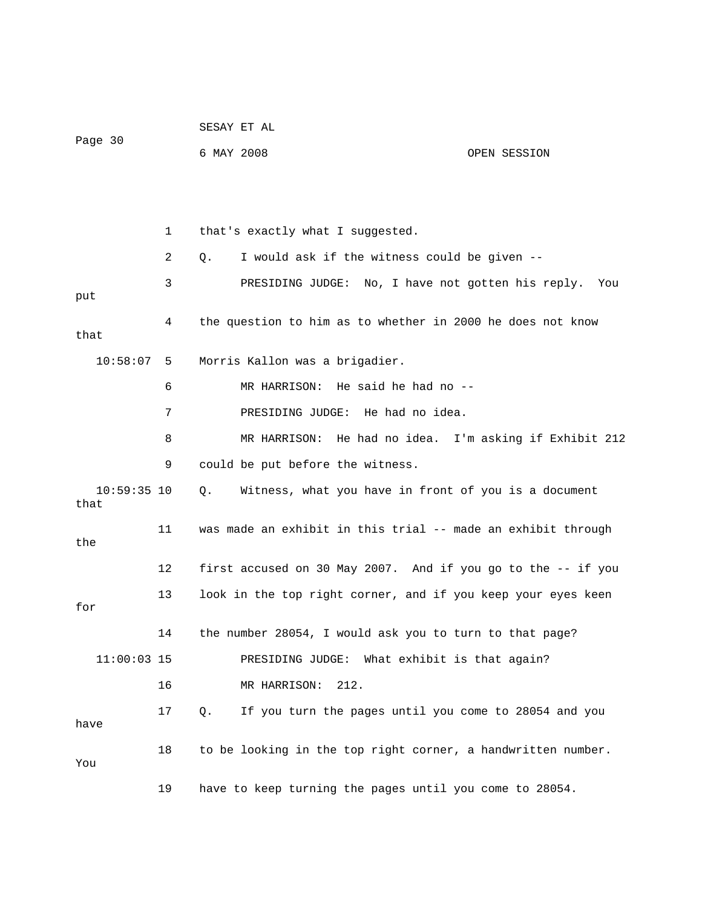|                       |    | SESAY ET AL                                                  |              |
|-----------------------|----|--------------------------------------------------------------|--------------|
| Page 30               |    | 6 MAY 2008                                                   | OPEN SESSION |
|                       |    |                                                              |              |
|                       |    |                                                              |              |
|                       | 1  | that's exactly what I suggested.                             |              |
|                       | 2  | I would ask if the witness could be given --<br>Q.           |              |
| put                   | 3  | PRESIDING JUDGE: No, I have not gotten his reply.            | You          |
| that                  | 4  | the question to him as to whether in 2000 he does not know   |              |
| 10:58:07              | 5  | Morris Kallon was a brigadier.                               |              |
|                       | 6  | MR HARRISON: He said he had no --                            |              |
|                       | 7  | PRESIDING JUDGE: He had no idea.                             |              |
|                       | 8  | MR HARRISON: He had no idea. I'm asking if Exhibit 212       |              |
|                       | 9  | could be put before the witness.                             |              |
| $10:59:35$ 10<br>that |    | Witness, what you have in front of you is a document<br>Q.   |              |
| the                   | 11 | was made an exhibit in this trial -- made an exhibit through |              |
|                       | 12 | first accused on 30 May 2007. And if you go to the -- if you |              |
| for                   | 13 | look in the top right corner, and if you keep your eyes keen |              |
|                       | 14 | the number 28054, I would ask you to turn to that page?      |              |
| $11:00:03$ 15         |    | PRESIDING JUDGE: What exhibit is that again?                 |              |
|                       | 16 | MR HARRISON:<br>212.                                         |              |
| have                  | 17 | If you turn the pages until you come to 28054 and you<br>Q.  |              |
| You                   | 18 | to be looking in the top right corner, a handwritten number. |              |
|                       | 19 | have to keep turning the pages until you come to 28054.      |              |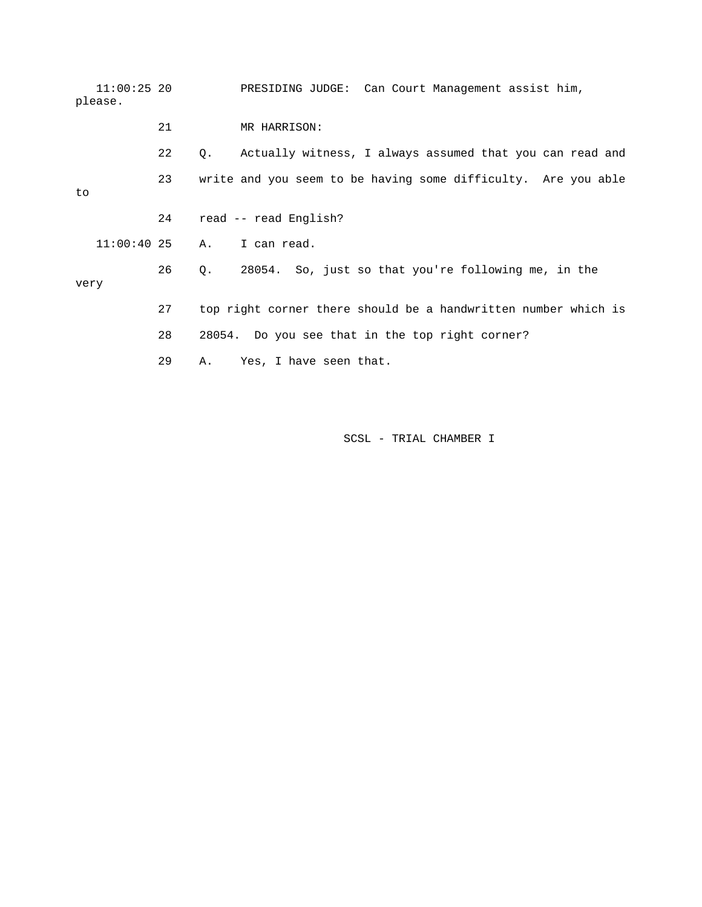11:00:25 20 PRESIDING JUDGE: Can Court Management assist him, please. 21 MR HARRISON: 22 Q. Actually witness, I always assumed that you can read and 23 write and you seem to be having some difficulty. Are you able to 24 read -- read English? 11:00:40 25 A. I can read. 26 Q. 28054. So, just so that you're following me, in the very 27 top right corner there should be a handwritten number which is 28 28054. Do you see that in the top right corner? 29 A. Yes, I have seen that.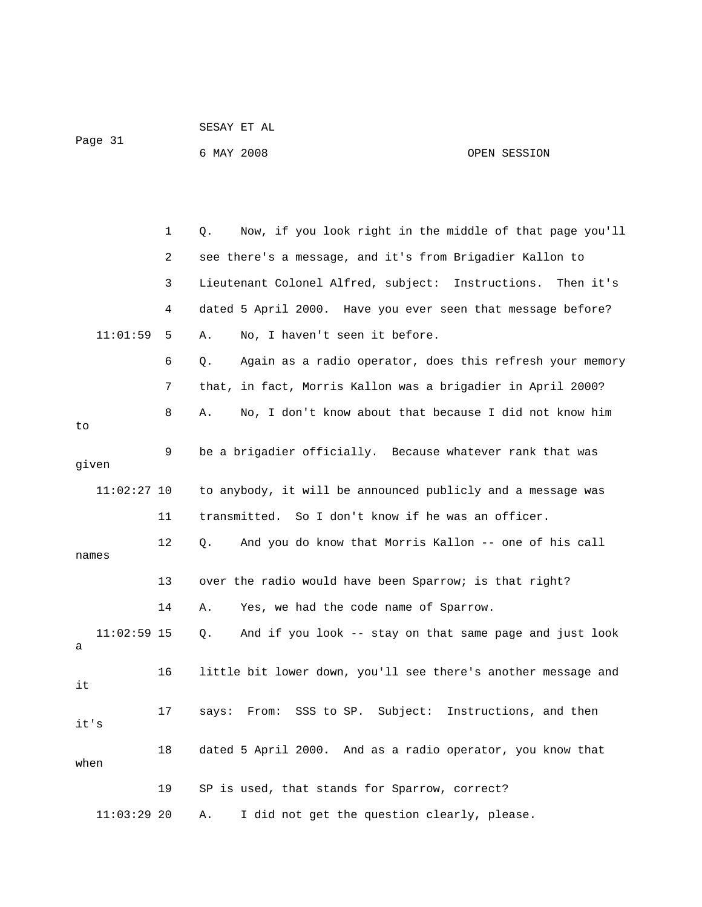|         | SESAY ET AL |              |
|---------|-------------|--------------|
| Page 31 |             |              |
|         | 6 MAY 2008  | OPEN SESSION |

 1 Q. Now, if you look right in the middle of that page you'll 2 see there's a message, and it's from Brigadier Kallon to 3 Lieutenant Colonel Alfred, subject: Instructions. Then it's 4 dated 5 April 2000. Have you ever seen that message before? 11:01:59 5 A. No, I haven't seen it before. 6 Q. Again as a radio operator, does this refresh your memory 7 that, in fact, Morris Kallon was a brigadier in April 2000? 8 A. No, I don't know about that because I did not know him to 9 be a brigadier officially. Because whatever rank that was given 11:02:27 10 to anybody, it will be announced publicly and a message was 11 transmitted. So I don't know if he was an officer. 12 Q. And you do know that Morris Kallon -- one of his call names 13 over the radio would have been Sparrow; is that right? 14 A. Yes, we had the code name of Sparrow. 11:02:59 15 Q. And if you look -- stay on that same page and just look a 16 little bit lower down, you'll see there's another message and it 17 says: From: SSS to SP. Subject: Instructions, and then it's 18 dated 5 April 2000. And as a radio operator, you know that when 19 SP is used, that stands for Sparrow, correct? 11:03:29 20 A. I did not get the question clearly, please.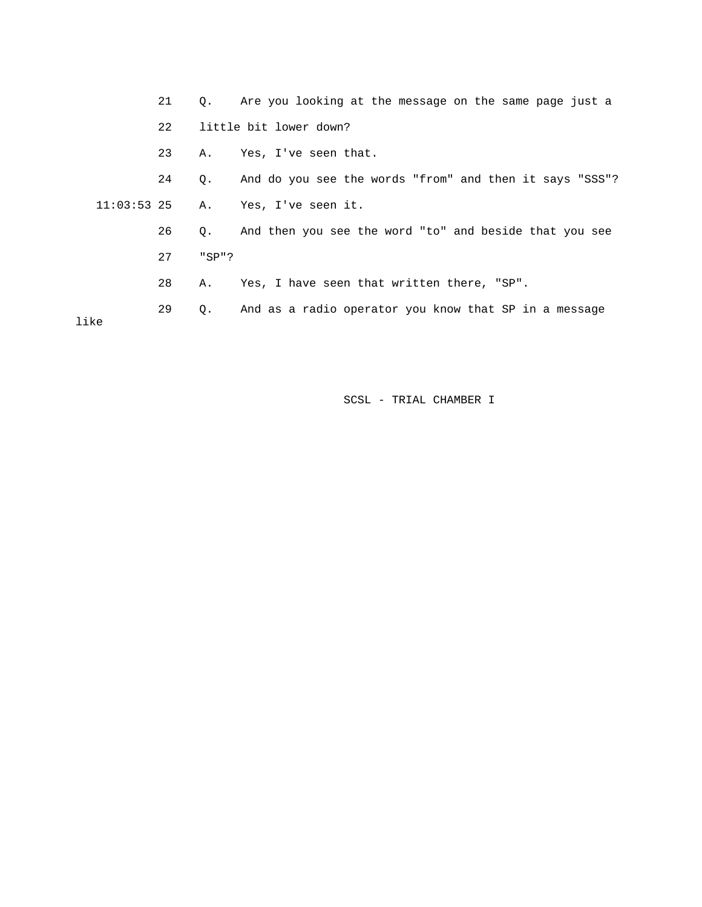|                          | 21 |           | Q. Are you looking at the message on the same page just a |
|--------------------------|----|-----------|-----------------------------------------------------------|
|                          | 22 |           | little bit lower down?                                    |
|                          | 23 | Α.        | Yes, I've seen that.                                      |
|                          | 24 | $\circ$ . | And do you see the words "from" and then it says "SSS"?   |
| $11:03:53$ 25 A.<br>like |    |           | Yes, I've seen it.                                        |
|                          | 26 | О.        | And then you see the word "to" and beside that you see    |
|                          | 27 | "SPI"     |                                                           |
|                          | 28 | Α.        | Yes, I have seen that written there, "SP".                |
|                          | 29 | Q.        | And as a radio operator you know that SP in a message     |
|                          |    |           |                                                           |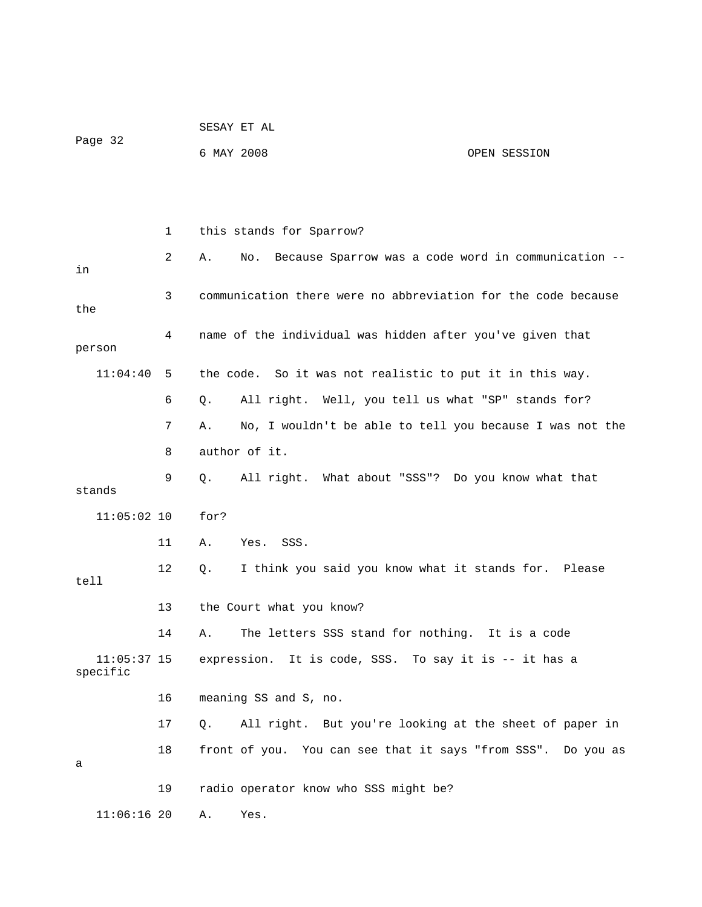|                           |    |            | SESAY ET AL                                                   |              |  |  |
|---------------------------|----|------------|---------------------------------------------------------------|--------------|--|--|
| Page 32                   |    | 6 MAY 2008 |                                                               | OPEN SESSION |  |  |
|                           |    |            |                                                               |              |  |  |
|                           |    |            |                                                               |              |  |  |
|                           | 1  |            | this stands for Sparrow?                                      |              |  |  |
| in                        | 2  | Α.         | No. Because Sparrow was a code word in communication --       |              |  |  |
| the                       | 3  |            | communication there were no abbreviation for the code because |              |  |  |
| person                    | 4  |            | name of the individual was hidden after you've given that     |              |  |  |
| 11:04:40                  | 5  |            | the code. So it was not realistic to put it in this way.      |              |  |  |
|                           | 6  | Q.         | All right. Well, you tell us what "SP" stands for?            |              |  |  |
|                           | 7  | Α.         | No, I wouldn't be able to tell you because I was not the      |              |  |  |
|                           | 8  |            | author of it.                                                 |              |  |  |
| stands                    | 9  | Q.         | All right. What about "SSS"? Do you know what that            |              |  |  |
| $11:05:02$ 10             |    | for?       |                                                               |              |  |  |
|                           | 11 | Α.         | Yes.<br>SSS.                                                  |              |  |  |
| tell                      | 12 | О.         | I think you said you know what it stands for. Please          |              |  |  |
|                           | 13 |            | the Court what you know?                                      |              |  |  |
|                           | 14 | Α.         | The letters SSS stand for nothing. It is a code               |              |  |  |
| $11:05:37$ 15<br>specific |    |            | expression. It is code, SSS. To say it is -- it has a         |              |  |  |
|                           | 16 |            | meaning SS and S, no.                                         |              |  |  |
|                           | 17 | Q.         | All right. But you're looking at the sheet of paper in        |              |  |  |
| а                         | 18 |            | front of you. You can see that it says "from SSS". Do you as  |              |  |  |
|                           | 19 |            | radio operator know who SSS might be?                         |              |  |  |
| $11:06:16$ 20             |    | Α.         | Yes.                                                          |              |  |  |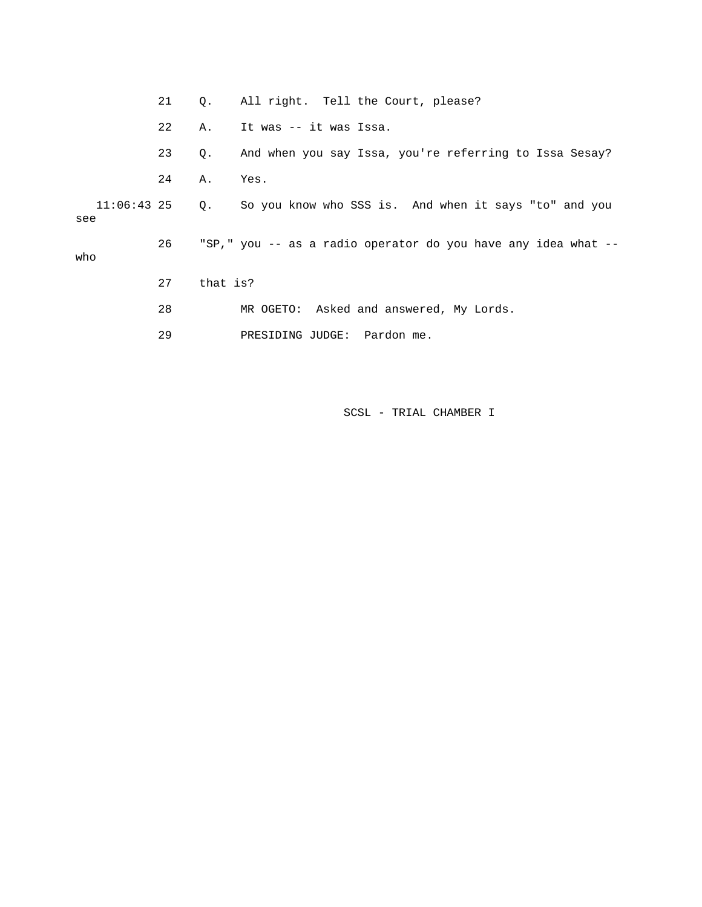|     | 21 |          | Q. All right. Tell the Court, please?                                |
|-----|----|----------|----------------------------------------------------------------------|
|     | 22 | Α.       | It was -- it was Issa.                                               |
|     | 23 | Q.       | And when you say Issa, you're referring to Issa Sesay?               |
|     | 24 | Α.       | Yes.                                                                 |
| see |    |          | 11:06:43 25 Q. So you know who SSS is. And when it says "to" and you |
| who | 26 |          | "SP," you -- as a radio operator do you have any idea what --        |
|     | 27 | that is? |                                                                      |
|     | 28 |          | MR OGETO: Asked and answered, My Lords.                              |
|     | 29 |          | PRESIDING JUDGE: Pardon me.                                          |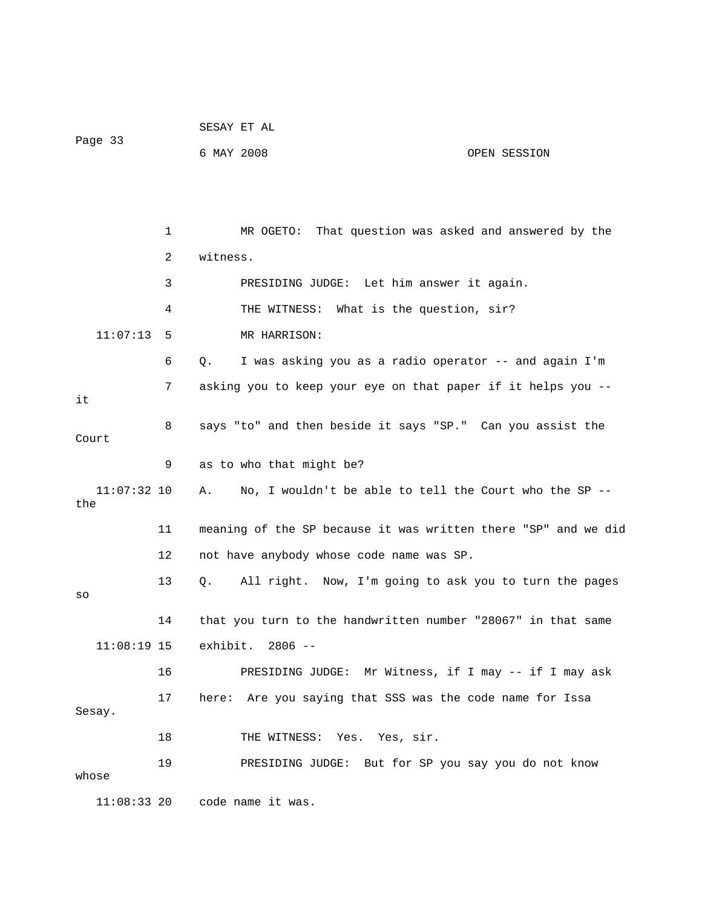|                      |    | SESAY ET AL                                                    |              |
|----------------------|----|----------------------------------------------------------------|--------------|
| Page 33              |    | 6 MAY 2008                                                     | OPEN SESSION |
|                      |    |                                                                |              |
|                      |    |                                                                |              |
|                      | 1  | MR OGETO: That question was asked and answered by the          |              |
|                      | 2  | witness.                                                       |              |
|                      | 3  | PRESIDING JUDGE: Let him answer it again.                      |              |
|                      | 4  | THE WITNESS: What is the question, sir?                        |              |
| 11:07:13             | 5  | MR HARRISON:                                                   |              |
|                      | 6  | I was asking you as a radio operator -- and again I'm<br>Q.    |              |
|                      | 7  | asking you to keep your eye on that paper if it helps you --   |              |
| it                   |    |                                                                |              |
| Court                | 8  | says "to" and then beside it says "SP." Can you assist the     |              |
|                      | 9  | as to who that might be?                                       |              |
| $11:07:32$ 10<br>the |    | No, I wouldn't be able to tell the Court who the SP --<br>Α.   |              |
|                      | 11 | meaning of the SP because it was written there "SP" and we did |              |
|                      | 12 | not have anybody whose code name was SP.                       |              |
|                      | 13 | All right. Now, I'm going to ask you to turn the pages<br>Q.   |              |
| SO                   |    |                                                                |              |
|                      | 14 | that you turn to the handwritten number "28067" in that same   |              |
| $11:08:19$ 15        |    | exhibit. 2806 --                                               |              |
|                      | 16 | PRESIDING JUDGE: Mr Witness, if I may -- if I may ask          |              |
| Sesay.               | 17 | here: Are you saying that SSS was the code name for Issa       |              |
|                      | 18 | THE WITNESS: Yes. Yes, sir.                                    |              |
|                      | 19 | PRESIDING JUDGE: But for SP you say you do not know            |              |
| whose                |    |                                                                |              |
| $11:08:33$ 20        |    | code name it was.                                              |              |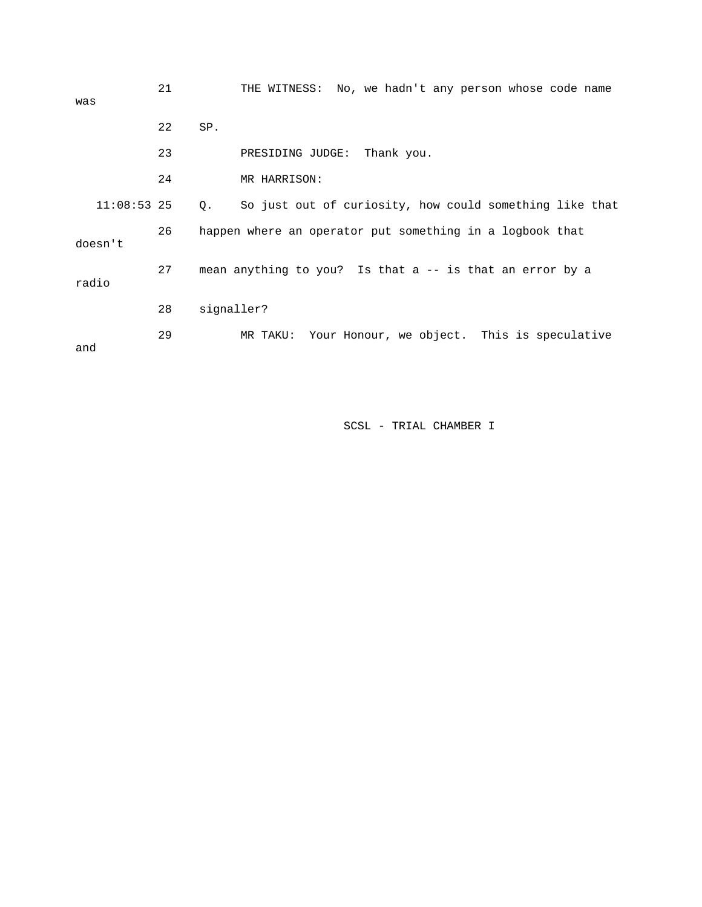| was                                                                       | 21 | THE WITNESS: No, we hadn't any person whose code name         |
|---------------------------------------------------------------------------|----|---------------------------------------------------------------|
|                                                                           | 22 | SP.                                                           |
|                                                                           | 23 | Thank you.<br>PRESIDING JUDGE:                                |
|                                                                           | 24 | MR HARRISON:                                                  |
| $11:08:53$ 25                                                             |    | So just out of curiosity, how could something like that<br>Q. |
| 26<br>happen where an operator put something in a logbook that<br>doesn't |    |                                                               |
| radio                                                                     | 27 | mean anything to you? Is that a -- is that an error by a      |
|                                                                           | 28 | signaller?                                                    |
| and                                                                       | 29 | Your Honour, we object. This is speculative<br>MR TAKU:       |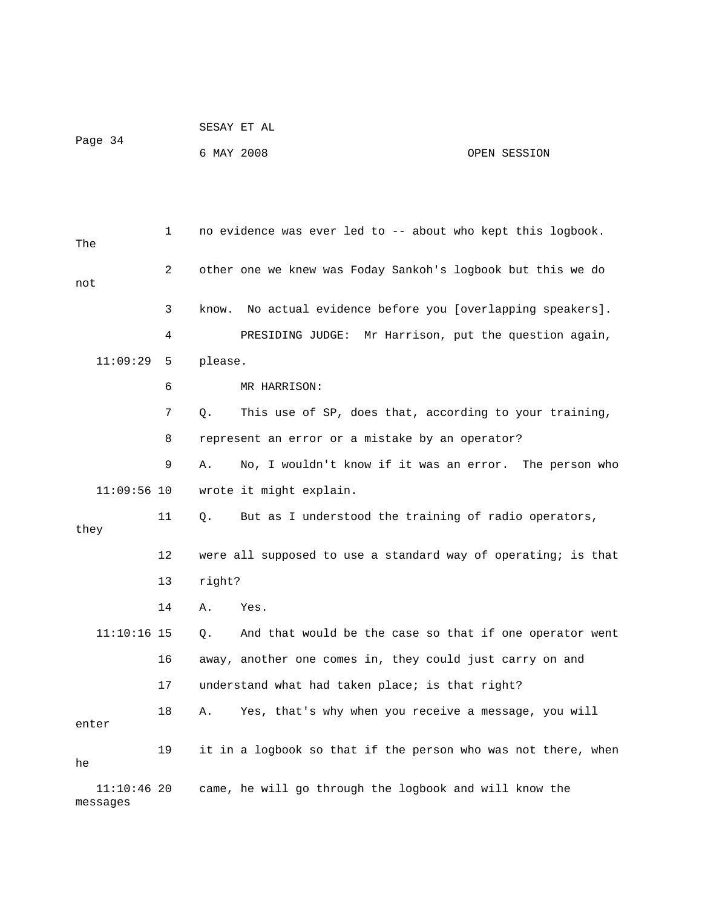|         | SESAY ET AL |  |
|---------|-------------|--|
| Page 34 |             |  |

## 6 MAY 2008 OPEN SESSION

 1 no evidence was ever led to -- about who kept this logbook. The 2 other one we knew was Foday Sankoh's logbook but this we do not 3 know. No actual evidence before you [overlapping speakers]. 4 PRESIDING JUDGE: Mr Harrison, put the question again, 11:09:29 5 please. 6 MR HARRISON: 7 Q. This use of SP, does that, according to your training, 8 represent an error or a mistake by an operator? 9 A. No, I wouldn't know if it was an error. The person who 11:09:56 10 wrote it might explain. 11 Q. But as I understood the training of radio operators, they 12 were all supposed to use a standard way of operating; is that 13 right? 14 A. Yes. 11:10:16 15 Q. And that would be the case so that if one operator went 16 away, another one comes in, they could just carry on and 17 understand what had taken place; is that right? 18 A. Yes, that's why when you receive a message, you will enter 19 it in a logbook so that if the person who was not there, when he 11:10:46 20 came, he will go through the logbook and will know the messages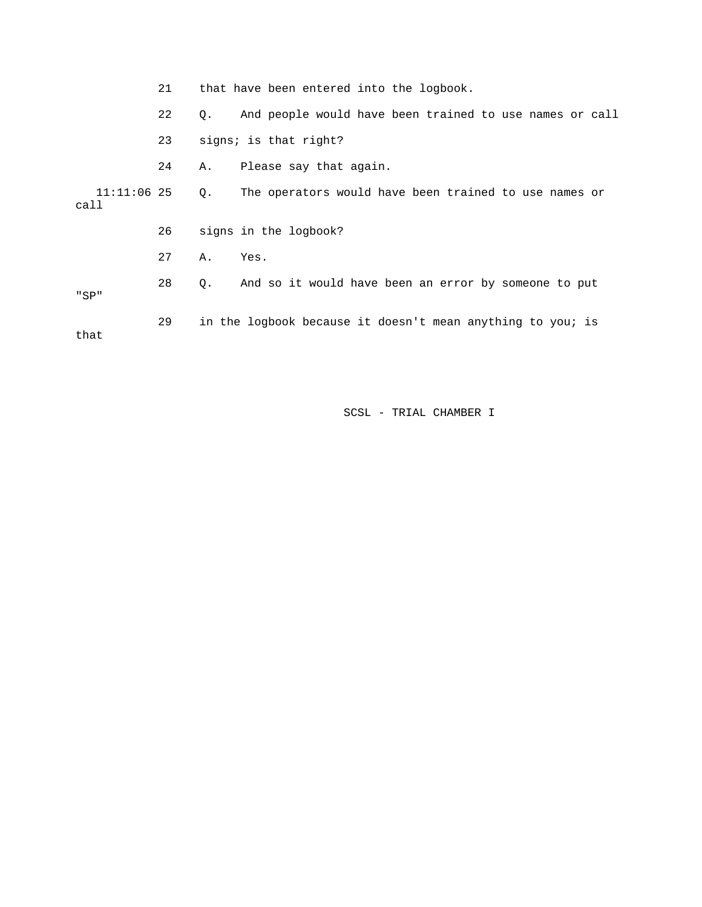|                       | 21 |    | that have been entered into the logbook.                   |
|-----------------------|----|----|------------------------------------------------------------|
|                       | 22 | Q. | And people would have been trained to use names or call    |
|                       | 23 |    | signs; is that right?                                      |
|                       | 24 | А. | Please say that again.                                     |
| $11:11:06$ 25<br>call |    | Q. | The operators would have been trained to use names or      |
|                       | 26 |    | signs in the logbook?                                      |
|                       | 27 | Α. | Yes.                                                       |
| "SP"                  | 28 | Q. | And so it would have been an error by someone to put       |
| that                  | 29 |    | in the logbook because it doesn't mean anything to you; is |
|                       |    |    |                                                            |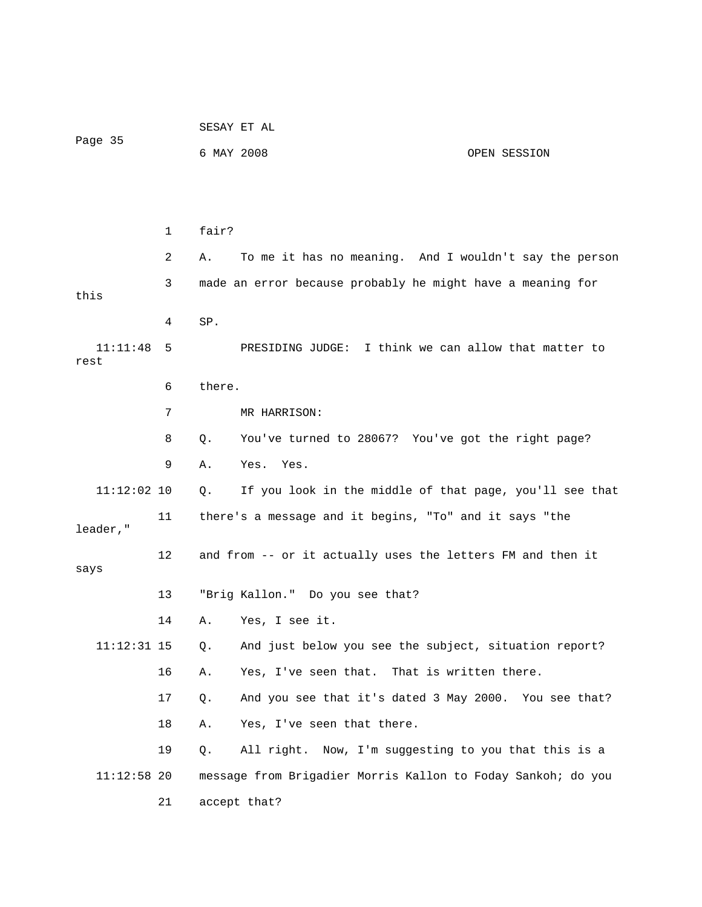|                  |    | SESAY ET AL                                                  |                                                            |              |
|------------------|----|--------------------------------------------------------------|------------------------------------------------------------|--------------|
| Page 35          |    | 6 MAY 2008                                                   |                                                            | OPEN SESSION |
|                  |    |                                                              |                                                            |              |
|                  |    |                                                              |                                                            |              |
|                  | 1  | fair?                                                        |                                                            |              |
|                  | 2  | Α.                                                           | To me it has no meaning. And I wouldn't say the person     |              |
| this             | 3  |                                                              | made an error because probably he might have a meaning for |              |
|                  | 4  | SP.                                                          |                                                            |              |
| 11:11:48<br>rest | 5  |                                                              | PRESIDING JUDGE: I think we can allow that matter to       |              |
|                  | 6  | there.                                                       |                                                            |              |
|                  | 7  |                                                              | MR HARRISON:                                               |              |
|                  | 8  | Q.                                                           | You've turned to 28067? You've got the right page?         |              |
|                  | 9  | Α.                                                           | Yes. Yes.                                                  |              |
| $11:12:02$ 10    |    | Q.                                                           | If you look in the middle of that page, you'll see that    |              |
| leader,"         | 11 |                                                              | there's a message and it begins, "To" and it says "the     |              |
| says             | 12 |                                                              | and from -- or it actually uses the letters FM and then it |              |
|                  | 13 |                                                              | "Brig Kallon." Do you see that?                            |              |
|                  | 14 | Α.                                                           | Yes, I see it.                                             |              |
| $11:12:31$ 15    |    | $Q$ .                                                        | And just below you see the subject, situation report?      |              |
|                  | 16 | Α.                                                           | Yes, I've seen that. That is written there.                |              |
|                  | 17 | Q.                                                           | And you see that it's dated 3 May 2000. You see that?      |              |
|                  | 18 | Α.                                                           | Yes, I've seen that there.                                 |              |
|                  | 19 | Q.                                                           | All right. Now, I'm suggesting to you that this is a       |              |
| $11:12:58$ 20    |    | message from Brigadier Morris Kallon to Foday Sankoh; do you |                                                            |              |
|                  | 21 |                                                              | accept that?                                               |              |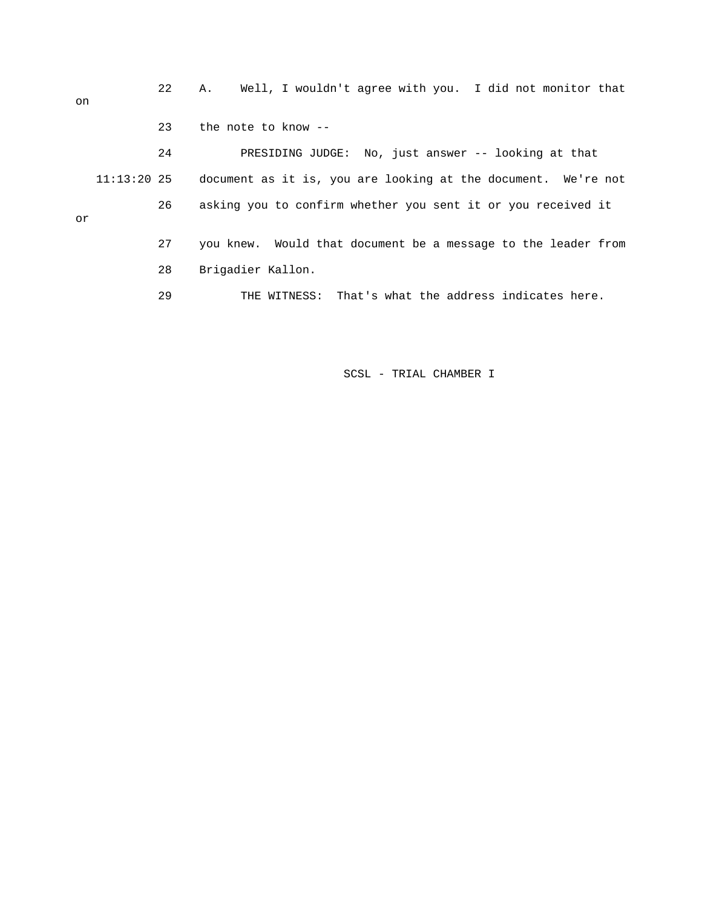22 A. Well, I wouldn't agree with you. I did not monitor that on 23 the note to know -- 24 PRESIDING JUDGE: No, just answer -- looking at that 11:13:20 25 document as it is, you are looking at the document. We're not 26 asking you to confirm whether you sent it or you received it or 27 you knew. Would that document be a message to the leader from 28 Brigadier Kallon. 29 THE WITNESS: That's what the address indicates here.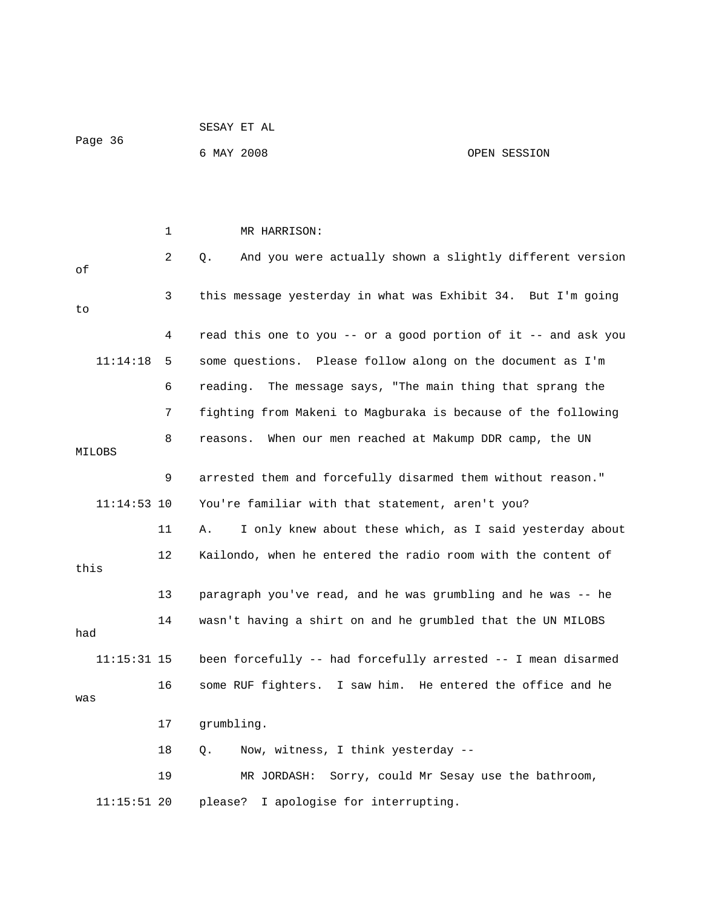|               |    | SESAY ET AL                                                    |                                         |
|---------------|----|----------------------------------------------------------------|-----------------------------------------|
| Page 36       |    | 6 MAY 2008                                                     | OPEN SESSION                            |
|               |    |                                                                |                                         |
|               |    |                                                                |                                         |
|               | 1  | MR HARRISON:                                                   |                                         |
| οf            | 2  | And you were actually shown a slightly different version<br>Q. |                                         |
| to            | 3  | this message yesterday in what was Exhibit 34. But I'm going   |                                         |
|               | 4  | read this one to you -- or a good portion of it -- and ask you |                                         |
| 11:14:18      | 5  | some questions. Please follow along on the document as I'm     |                                         |
|               | 6  | The message says, "The main thing that sprang the<br>reading.  |                                         |
|               | 7  | fighting from Makeni to Magburaka is because of the following  |                                         |
| MILOBS        | 8  | When our men reached at Makump DDR camp, the UN<br>reasons.    |                                         |
|               | 9  | arrested them and forcefully disarmed them without reason."    |                                         |
| $11:14:53$ 10 |    | You're familiar with that statement, aren't you?               |                                         |
|               | 11 | I only knew about these which, as I said yesterday about<br>Α. |                                         |
| this          | 12 | Kailondo, when he entered the radio room with the content of   |                                         |
|               | 13 | paragraph you've read, and he was grumbling and he was -- he   |                                         |
| had           | 14 | wasn't having a shirt on and he grumbled that the UN MILOBS    |                                         |
| $11:15:31$ 15 |    | been forcefully -- had forcefully arrested -- I mean disarmed  |                                         |
|               | 16 | some RUF fighters. I saw him. He entered the office and he     |                                         |
| was           |    |                                                                |                                         |
|               | 17 | grumbling.                                                     |                                         |
|               | 18 | Now, witness, I think yesterday --<br>Q.                       |                                         |
|               | 19 | MR JORDASH:                                                    | Sorry, could Mr Sesay use the bathroom, |
| $11:15:51$ 20 |    | please?<br>I apologise for interrupting.                       |                                         |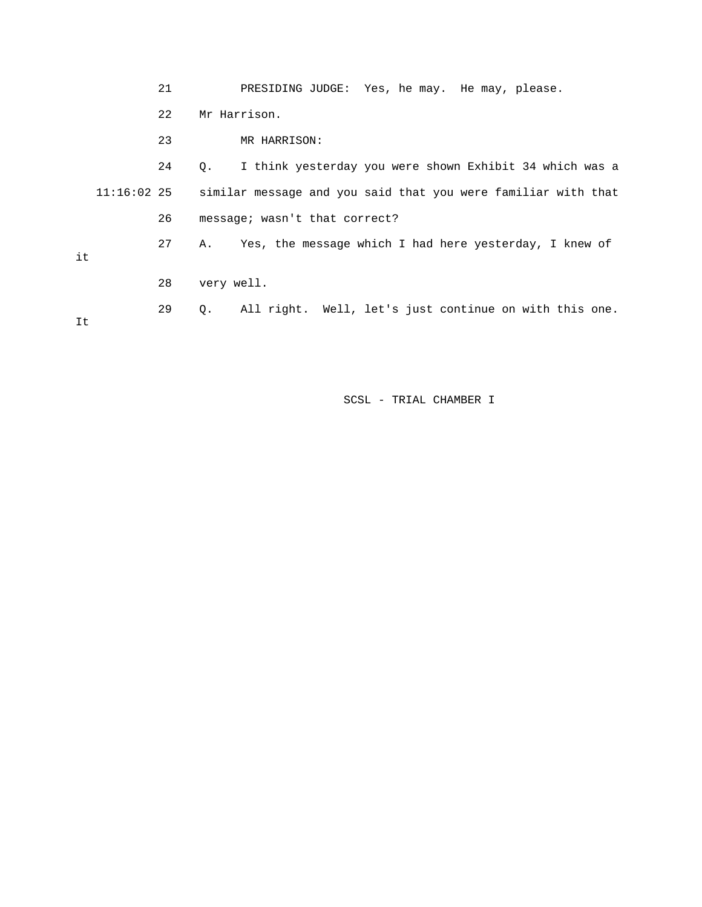|    |               | 21 | PRESIDING JUDGE: Yes, he may. He may, please.                 |
|----|---------------|----|---------------------------------------------------------------|
|    |               | 22 | Mr Harrison.                                                  |
|    |               | 23 | MR HARRISON:                                                  |
|    |               | 24 | I think yesterday you were shown Exhibit 34 which was a<br>Q. |
|    | $11:16:02$ 25 |    | similar message and you said that you were familiar with that |
|    |               | 26 | message; wasn't that correct?                                 |
| it |               | 27 | Yes, the message which I had here yesterday, I knew of<br>Α.  |
|    |               | 28 | very well.                                                    |
| It |               | 29 | All right. Well, let's just continue on with this one.<br>О.  |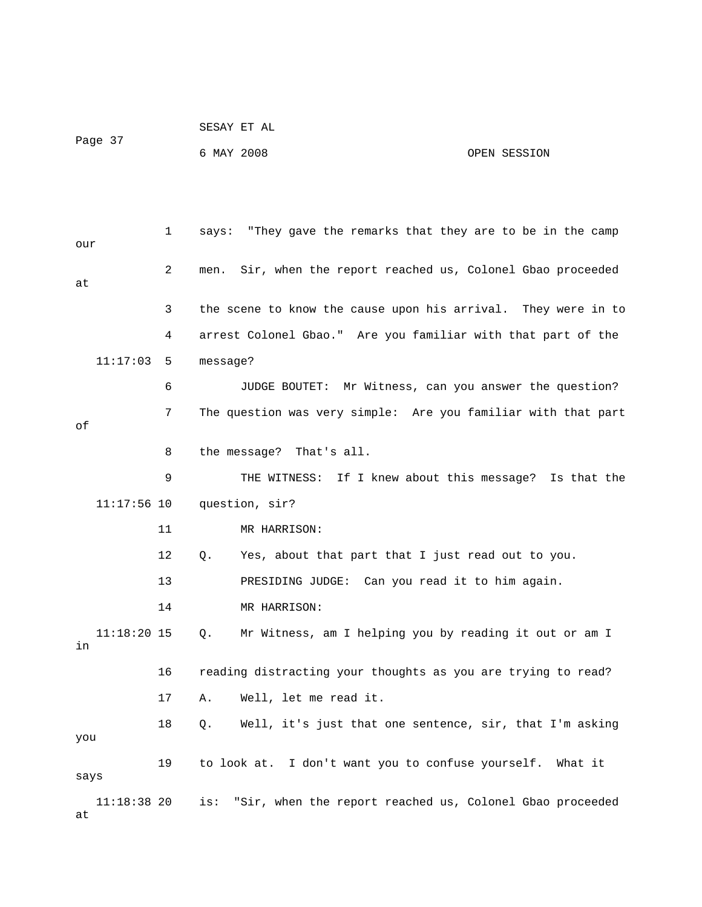|         | SESAY ET AL |              |
|---------|-------------|--------------|
| Page 37 |             |              |
|         | 6 MAY 2008  | OPEN SESSION |

 1 says: "They gave the remarks that they are to be in the camp our 2 men. Sir, when the report reached us, Colonel Gbao proceeded at 3 the scene to know the cause upon his arrival. They were in to 4 arrest Colonel Gbao." Are you familiar with that part of the 11:17:03 5 message? 6 JUDGE BOUTET: Mr Witness, can you answer the question? 7 The question was very simple: Are you familiar with that part of 8 the message? That's all. 9 THE WITNESS: If I knew about this message? Is that the 11:17:56 10 question, sir? 11 MR HARRISON: 12 Q. Yes, about that part that I just read out to you. 13 PRESIDING JUDGE: Can you read it to him again. 14 MR HARRISON: 11:18:20 15 Q. Mr Witness, am I helping you by reading it out or am I in 16 reading distracting your thoughts as you are trying to read? 17 A. Well, let me read it. 18 Q. Well, it's just that one sentence, sir, that I'm asking you 19 to look at. I don't want you to confuse yourself. What it says 11:18:38 20 is: "Sir, when the report reached us, Colonel Gbao proceeded at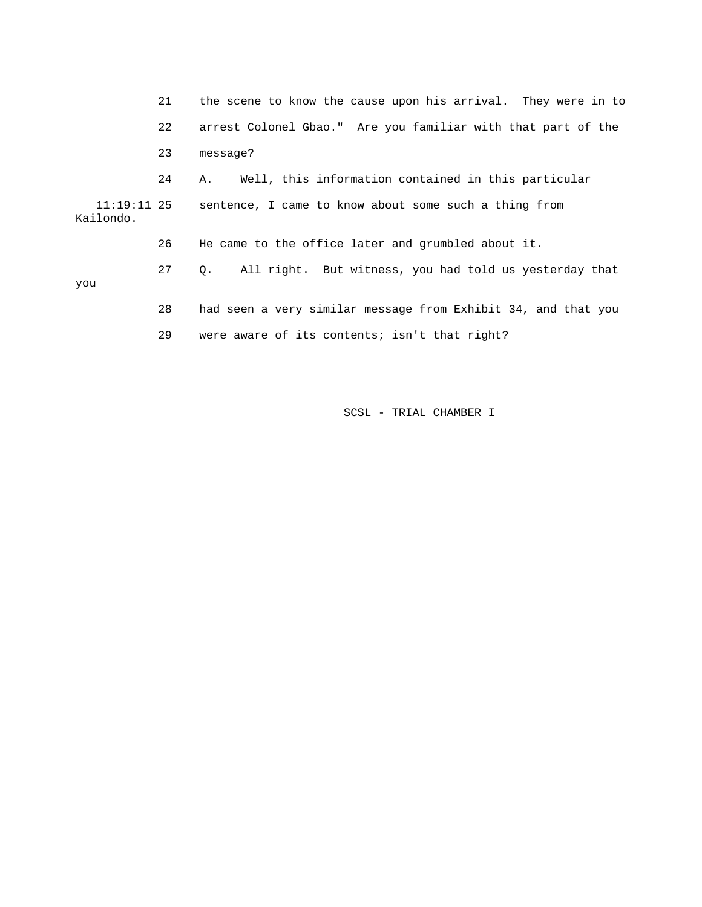21 the scene to know the cause upon his arrival. They were in to 22 arrest Colonel Gbao." Are you familiar with that part of the 23 message? 24 A. Well, this information contained in this particular 11:19:11 25 sentence, I came to know about some such a thing from Kailondo. 26 He came to the office later and grumbled about it. 27 Q. All right. But witness, you had told us yesterday that you 28 had seen a very similar message from Exhibit 34, and that you 29 were aware of its contents; isn't that right?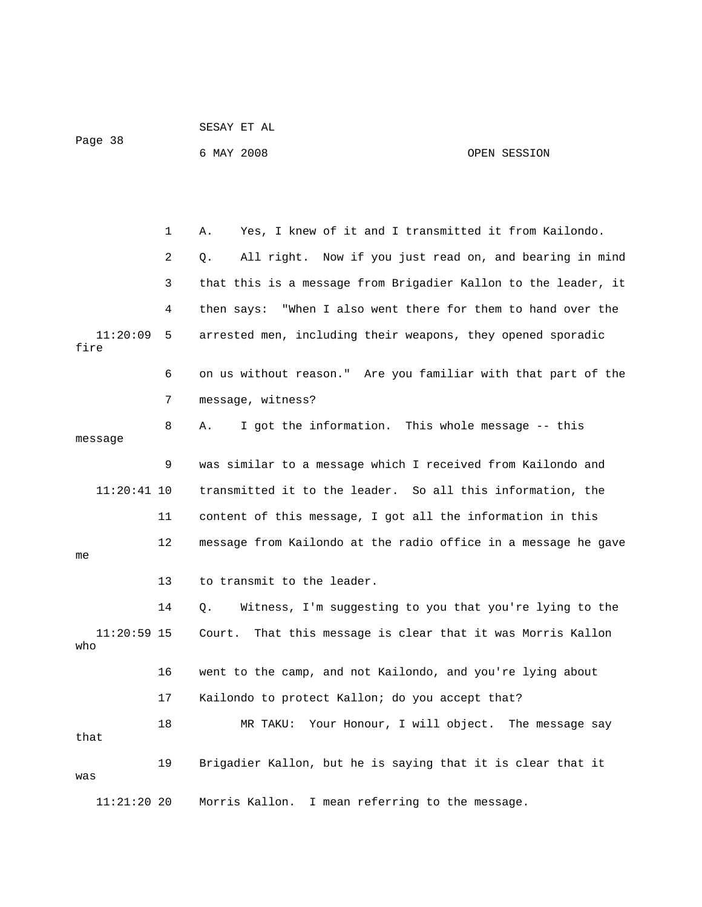| Page 38              |    | 6 MAY 2008                                                      | OPEN SESSION |
|----------------------|----|-----------------------------------------------------------------|--------------|
|                      |    |                                                                 |              |
|                      | 1  | Yes, I knew of it and I transmitted it from Kailondo.<br>Α.     |              |
|                      | 2  | All right. Now if you just read on, and bearing in mind<br>Q.   |              |
|                      | 3  | that this is a message from Brigadier Kallon to the leader, it  |              |
|                      | 4  | "When I also went there for them to hand over the<br>then says: |              |
| 11:20:09<br>fire     | 5  | arrested men, including their weapons, they opened sporadic     |              |
|                      | 6  | on us without reason." Are you familiar with that part of the   |              |
|                      | 7  | message, witness?                                               |              |
| message              | 8  | I got the information. This whole message -- this<br>Α.         |              |
|                      | 9  | was similar to a message which I received from Kailondo and     |              |
| $11:20:41$ 10        |    | transmitted it to the leader. So all this information, the      |              |
|                      | 11 | content of this message, I got all the information in this      |              |
| me                   | 12 | message from Kailondo at the radio office in a message he gave  |              |
|                      | 13 | to transmit to the leader.                                      |              |
|                      | 14 | Witness, I'm suggesting to you that you're lying to the<br>Q.   |              |
| $11:20:59$ 15<br>who |    | That this message is clear that it was Morris Kallon<br>Court.  |              |
|                      | 16 | went to the camp, and not Kailondo, and you're lying about      |              |
|                      | 17 | Kailondo to protect Kallon; do you accept that?                 |              |
| that                 | 18 | Your Honour, I will object. The message say<br>MR TAKU:         |              |
| was                  | 19 | Brigadier Kallon, but he is saying that it is clear that it     |              |
| $11:21:20$ 20        |    | I mean referring to the message.<br>Morris Kallon.              |              |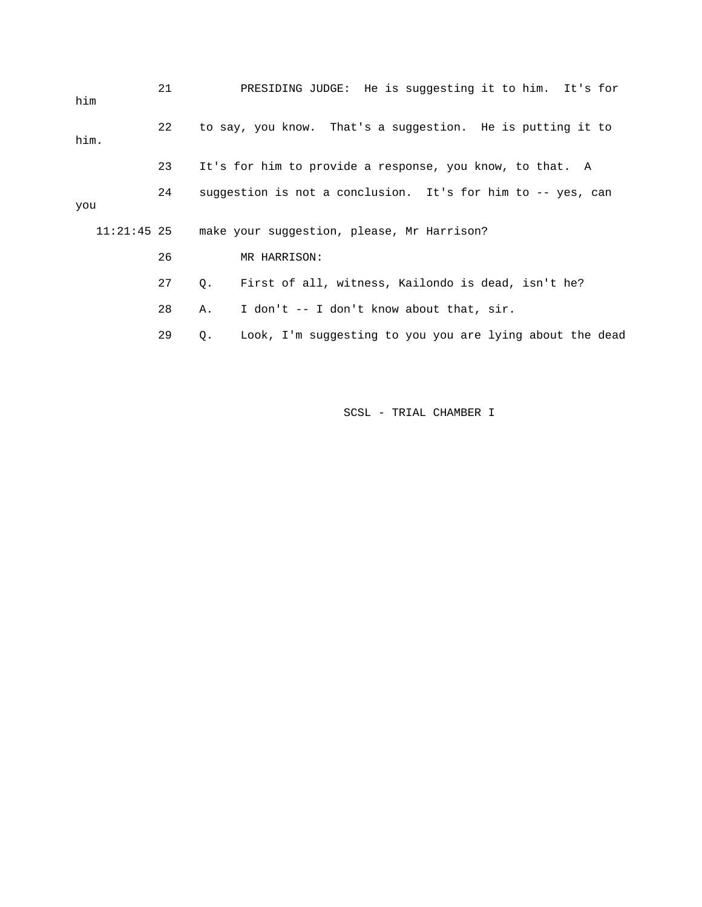| him  | 21 |                                                             | PRESIDING JUDGE: He is suggesting it to him. It's for      |  |  |
|------|----|-------------------------------------------------------------|------------------------------------------------------------|--|--|
| him. | 22 |                                                             | to say, you know. That's a suggestion. He is putting it to |  |  |
|      | 23 |                                                             | It's for him to provide a response, you know, to that. A   |  |  |
| you  | 24 | suggestion is not a conclusion. It's for him to -- yes, can |                                                            |  |  |
|      |    | 11:21:45 25 make your suggestion, please, Mr Harrison?      |                                                            |  |  |
|      | 26 |                                                             | MR HARRISON:                                               |  |  |
|      | 27 | $\circ$ .                                                   | First of all, witness, Kailondo is dead, isn't he?         |  |  |
|      | 28 | Α.                                                          | I don't -- I don't know about that, sir.                   |  |  |
|      | 29 | Q.                                                          | Look, I'm suqqesting to you you are lying about the dead   |  |  |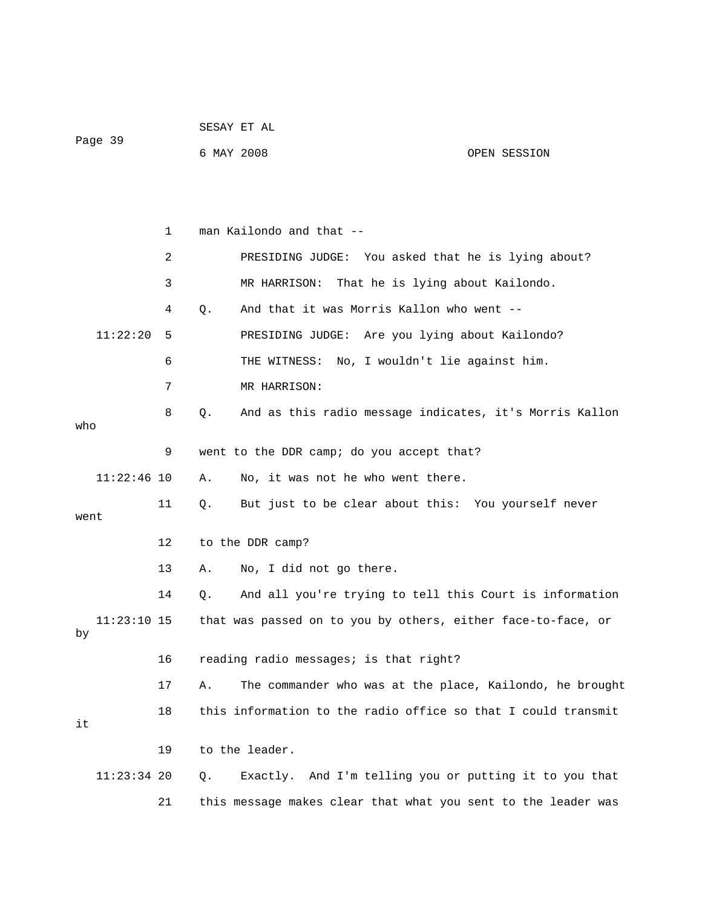|                     |    |            | SESAY ET AL                                                   |              |
|---------------------|----|------------|---------------------------------------------------------------|--------------|
| Page 39             |    | 6 MAY 2008 |                                                               | OPEN SESSION |
|                     |    |            |                                                               |              |
|                     |    |            |                                                               |              |
|                     | 1  |            | man Kailondo and that --                                      |              |
|                     | 2  |            | PRESIDING JUDGE: You asked that he is lying about?            |              |
|                     | 3  |            | MR HARRISON: That he is lying about Kailondo.                 |              |
|                     | 4  | Q.         | And that it was Morris Kallon who went --                     |              |
| 11:22:20            | 5  |            | PRESIDING JUDGE: Are you lying about Kailondo?                |              |
|                     | 6  |            | THE WITNESS: No, I wouldn't lie against him.                  |              |
|                     | 7  |            | MR HARRISON:                                                  |              |
|                     | 8  | Q.         | And as this radio message indicates, it's Morris Kallon       |              |
| who                 |    |            |                                                               |              |
|                     | 9  |            | went to the DDR camp; do you accept that?                     |              |
| $11:22:46$ 10       |    | Α.         | No, it was not he who went there.                             |              |
| went                | 11 | Q.         | But just to be clear about this: You yourself never           |              |
|                     | 12 |            | to the DDR camp?                                              |              |
|                     | 13 | Α.         | No, I did not go there.                                       |              |
|                     | 14 | Q.         | And all you're trying to tell this Court is information       |              |
|                     |    |            |                                                               |              |
| $11:23:10$ 15<br>by |    |            | that was passed on to you by others, either face-to-face, or  |              |
|                     | 16 |            | reading radio messages; is that right?                        |              |
|                     | 17 | Α.         | The commander who was at the place, Kailondo, he brought      |              |
| it                  | 18 |            | this information to the radio office so that I could transmit |              |
|                     | 19 |            | to the leader.                                                |              |
| $11:23:34$ 20       |    | Q.         | Exactly. And I'm telling you or putting it to you that        |              |
|                     | 21 |            | this message makes clear that what you sent to the leader was |              |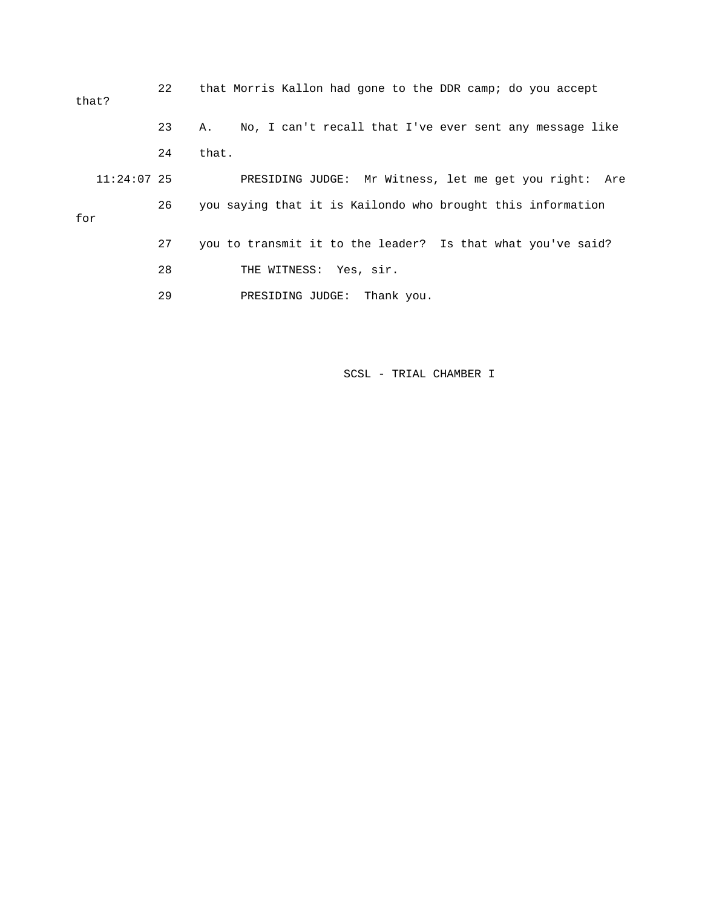22 that Morris Kallon had gone to the DDR camp; do you accept that? 23 A. No, I can't recall that I've ever sent any message like 24 that. 11:24:07 25 PRESIDING JUDGE: Mr Witness, let me get you right: Are 26 you saying that it is Kailondo who brought this information for 27 you to transmit it to the leader? Is that what you've said? 28 THE WITNESS: Yes, sir. 29 PRESIDING JUDGE: Thank you.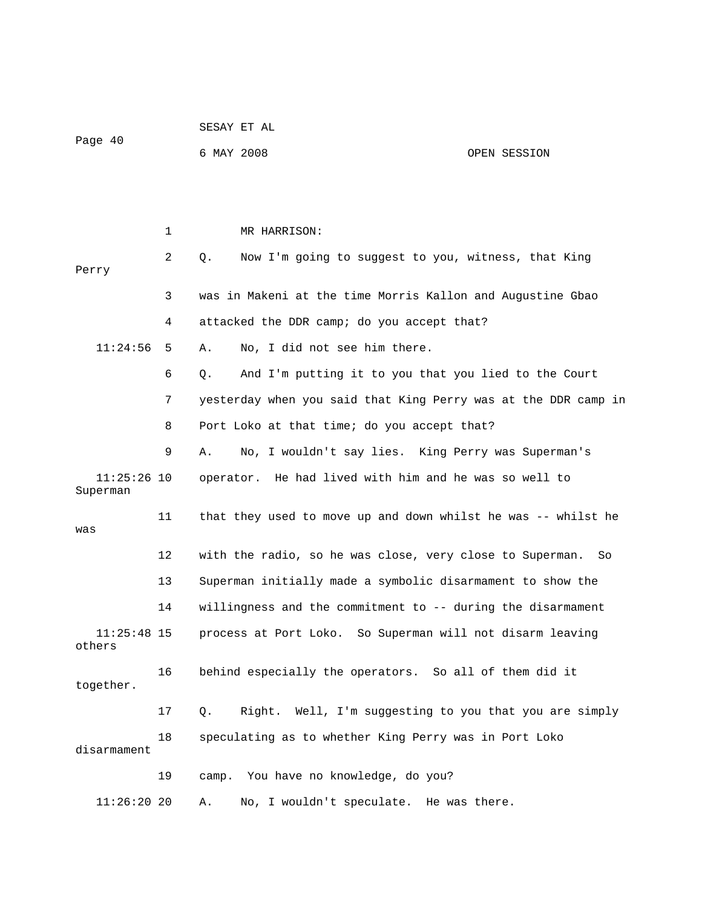| Page 40                   |    | 6 MAY 2008                                                      | OPEN SESSION |
|---------------------------|----|-----------------------------------------------------------------|--------------|
|                           |    |                                                                 |              |
|                           | 1  | MR HARRISON:                                                    |              |
| Perry                     | 2  | Now I'm going to suggest to you, witness, that King<br>Q.       |              |
|                           | 3  | was in Makeni at the time Morris Kallon and Augustine Gbao      |              |
|                           | 4  | attacked the DDR camp; do you accept that?                      |              |
| 11:24:56                  | 5  | No, I did not see him there.<br>Α.                              |              |
|                           | 6  | And I'm putting it to you that you lied to the Court<br>Q.      |              |
|                           | 7  | yesterday when you said that King Perry was at the DDR camp in  |              |
|                           | 8  | Port Loko at that time; do you accept that?                     |              |
|                           | 9  | No, I wouldn't say lies. King Perry was Superman's<br>Α.        |              |
| $11:25:26$ 10<br>Superman |    | operator. He had lived with him and he was so well to           |              |
| was                       | 11 | that they used to move up and down whilst he was -- whilst he   |              |
|                           | 12 | with the radio, so he was close, very close to Superman.        | So           |
|                           | 13 | Superman initially made a symbolic disarmament to show the      |              |
|                           | 14 | willingness and the commitment to -- during the disarmament     |              |
| $11:25:48$ 15<br>others   |    | process at Port Loko. So Superman will not disarm leaving       |              |
| together.                 | 16 | behind especially the operators. So all of them did it          |              |
|                           | 17 | Right. Well, I'm suggesting to you that you are simply<br>$Q$ . |              |
| disarmament               | 18 | speculating as to whether King Perry was in Port Loko           |              |
|                           | 19 | camp. You have no knowledge, do you?                            |              |
| 11:26:2020                |    | No, I wouldn't speculate. He was there.<br>Α.                   |              |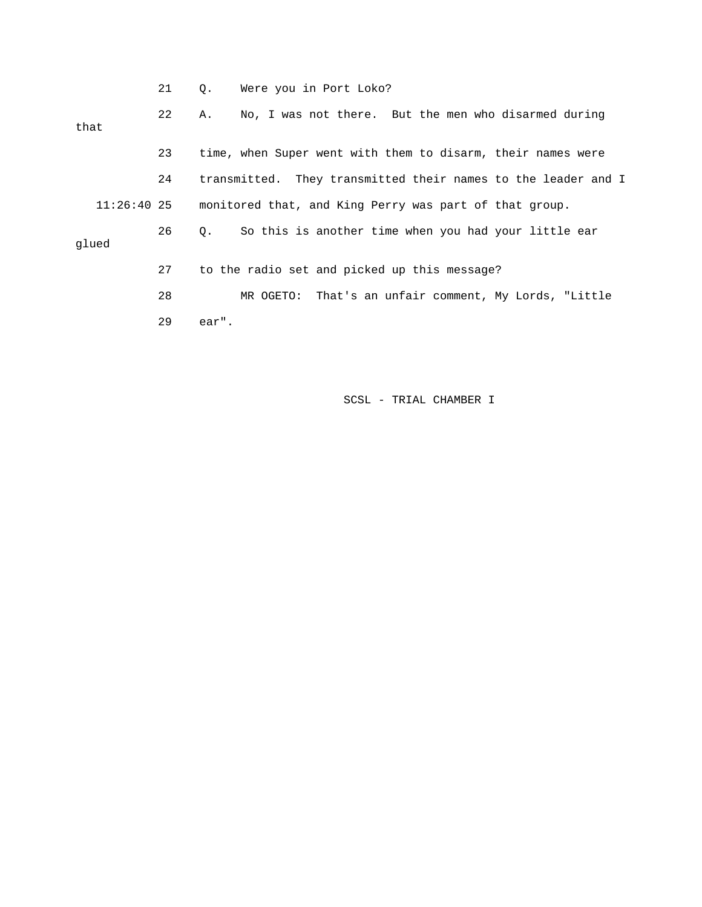|             | 21 | Q.    | Were you in Port Loko?                                        |
|-------------|----|-------|---------------------------------------------------------------|
| that        | 22 | Α.    | No, I was not there. But the men who disarmed during          |
|             |    |       |                                                               |
|             | 23 |       | time, when Super went with them to disarm, their names were   |
|             | 24 |       | transmitted. They transmitted their names to the leader and I |
| 11:26:40 25 |    |       | monitored that, and King Perry was part of that group.        |
| glued       | 26 | Q.    | So this is another time when you had your little ear          |
|             |    |       |                                                               |
|             | 27 |       | to the radio set and picked up this message?                  |
|             | 28 |       | That's an unfair comment, My Lords, "Little<br>MR OGETO:      |
|             | 29 | ear". |                                                               |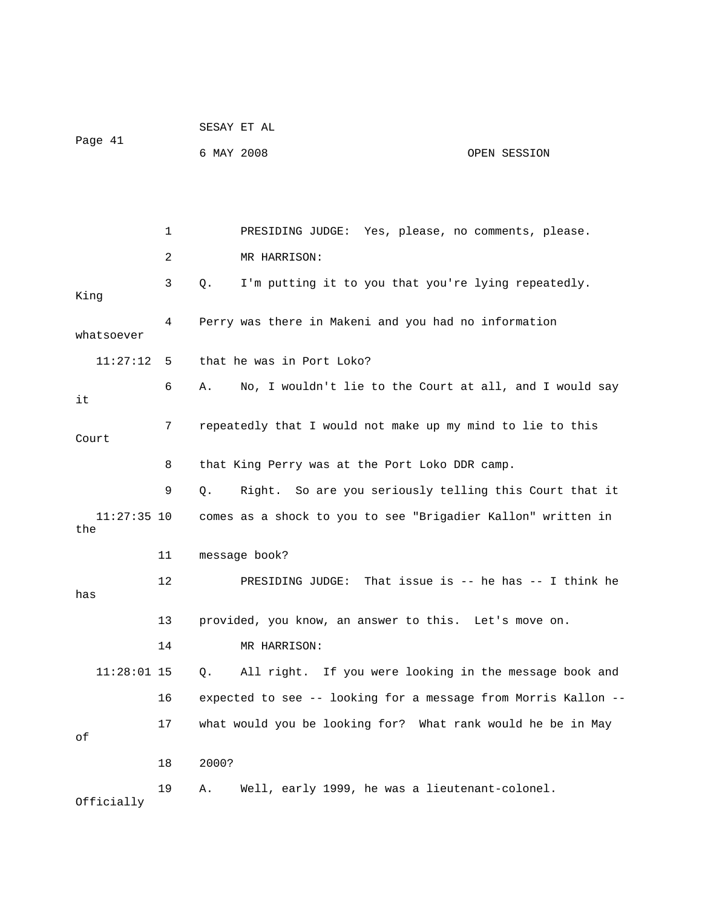|                      |    |            | SESAY ET AL                                                    |              |
|----------------------|----|------------|----------------------------------------------------------------|--------------|
| Page 41              |    | 6 MAY 2008 |                                                                | OPEN SESSION |
|                      |    |            |                                                                |              |
|                      |    |            |                                                                |              |
|                      | 1  |            | PRESIDING JUDGE: Yes, please, no comments, please.             |              |
|                      | 2  |            | MR HARRISON:                                                   |              |
| King                 | 3  | Q.         | I'm putting it to you that you're lying repeatedly.            |              |
| whatsoever           | 4  |            | Perry was there in Makeni and you had no information           |              |
| 11:27:12             | 5  |            | that he was in Port Loko?                                      |              |
| it                   | 6  | Α.         | No, I wouldn't lie to the Court at all, and I would say        |              |
| Court                | 7  |            | repeatedly that I would not make up my mind to lie to this     |              |
|                      | 8  |            | that King Perry was at the Port Loko DDR camp.                 |              |
|                      | 9  | Q.         | Right. So are you seriously telling this Court that it         |              |
| $11:27:35$ 10<br>the |    |            | comes as a shock to you to see "Brigadier Kallon" written in   |              |
|                      | 11 |            | message book?                                                  |              |
| has                  | 12 |            | PRESIDING JUDGE: That issue is $--$ he has $--$ I think he     |              |
|                      | 13 |            | provided, you know, an answer to this. Let's move on.          |              |
|                      | 14 |            | MR HARRISON:                                                   |              |
| $11:28:01$ 15        |    | Q.         | All right. If you were looking in the message book and         |              |
|                      | 16 |            | expected to see -- looking for a message from Morris Kallon -- |              |
| оf                   | 17 |            | what would you be looking for? What rank would he be in May    |              |
|                      | 18 | 2000?      |                                                                |              |
| Officially           | 19 | Α.         | Well, early 1999, he was a lieutenant-colonel.                 |              |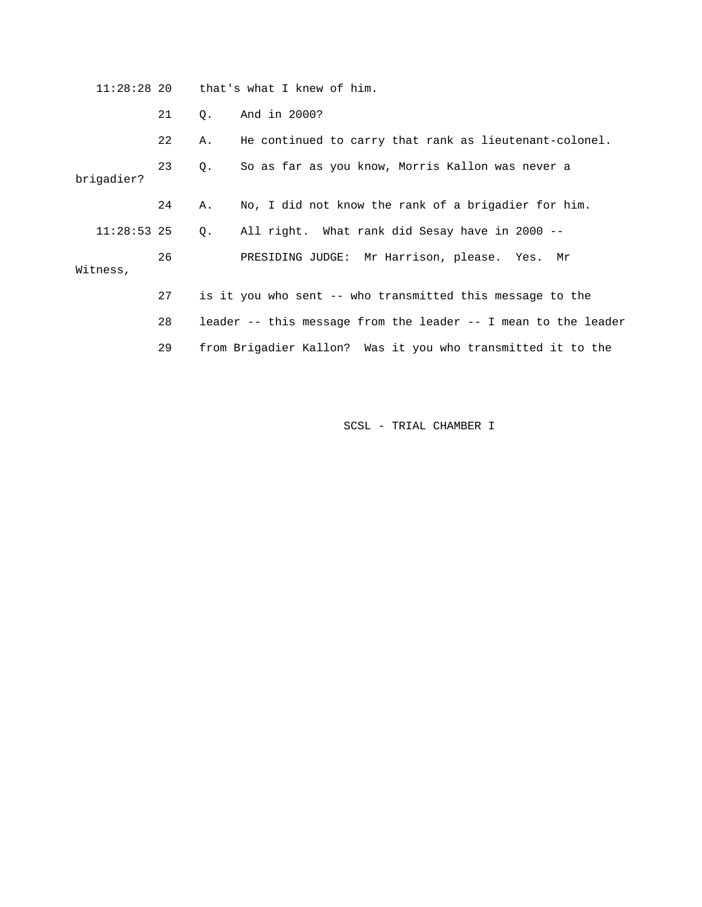11:28:28 20 that's what I knew of him. 21 Q. And in 2000? 22 A. He continued to carry that rank as lieutenant-colonel. 23 Q. So as far as you know, Morris Kallon was never a brigadier? 24 A. No, I did not know the rank of a brigadier for him. 11:28:53 25 Q. All right. What rank did Sesay have in 2000 -- 26 PRESIDING JUDGE: Mr Harrison, please. Yes. Mr Witness, 27 is it you who sent -- who transmitted this message to the 28 leader -- this message from the leader -- I mean to the leader 29 from Brigadier Kallon? Was it you who transmitted it to the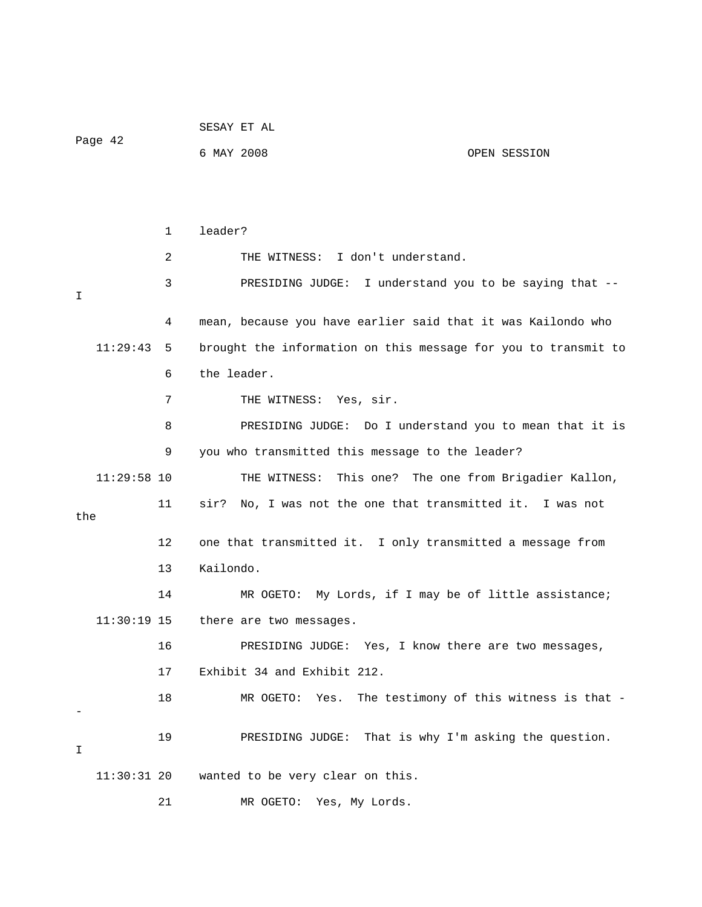|               |              | SESAY ET AL                                                    |
|---------------|--------------|----------------------------------------------------------------|
| Page 42       |              | 6 MAY 2008<br>OPEN SESSION                                     |
|               |              |                                                                |
|               |              |                                                                |
|               | $\mathbf{1}$ | leader?                                                        |
|               | 2            | THE WITNESS: I don't understand.                               |
| I             | 3            | PRESIDING JUDGE: I understand you to be saying that --         |
|               | 4            | mean, because you have earlier said that it was Kailondo who   |
| 11:29:43      | 5            | brought the information on this message for you to transmit to |
|               | 6            | the leader.                                                    |
|               | 7            | THE WITNESS: Yes, sir.                                         |
|               | 8            | PRESIDING JUDGE: Do I understand you to mean that it is        |
|               | 9            | you who transmitted this message to the leader?                |
| $11:29:58$ 10 |              | THE WITNESS: This one? The one from Brigadier Kallon,          |
| the           | 11           | No, I was not the one that transmitted it. I was not<br>sir?   |
|               | 12           | one that transmitted it. I only transmitted a message from     |
|               | 13           | Kailondo.                                                      |
|               |              |                                                                |
|               | 14           | MR OGETO: My Lords, if I may be of little assistance;          |
| $11:30:19$ 15 |              | there are two messages.                                        |
|               | 16           | PRESIDING JUDGE: Yes, I know there are two messages,           |
|               | 17           | Exhibit 34 and Exhibit 212.                                    |
|               | 18           | The testimony of this witness is that -<br>MR OGETO: Yes.      |
| I             | 19           | PRESIDING JUDGE: That is why I'm asking the question.          |
| $11:30:31$ 20 |              | wanted to be very clear on this.                               |
|               | 21           | MR OGETO:<br>Yes, My Lords.                                    |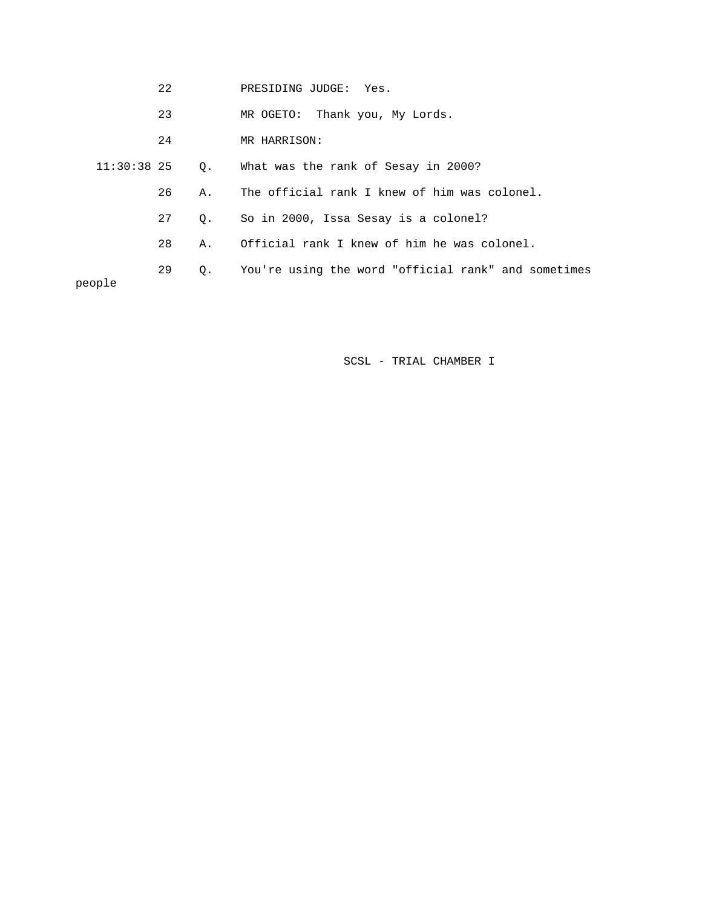|             | 23 |    | MR OGETO: Thank you, My Lords.                      |
|-------------|----|----|-----------------------------------------------------|
|             | 24 |    | MR HARRISON:                                        |
| 11:30:38 25 |    | Q. | What was the rank of Sesay in 2000?                 |
|             | 26 | Α. | The official rank I knew of him was colonel.        |
|             | 27 | 0. | So in 2000, Issa Sesay is a colonel?                |
|             | 28 | Α. | Official rank I knew of him he was colonel.         |
| people      | 29 | Q. | You're using the word "official rank" and sometimes |
|             |    |    |                                                     |

22 PRESIDING JUDGE: Yes.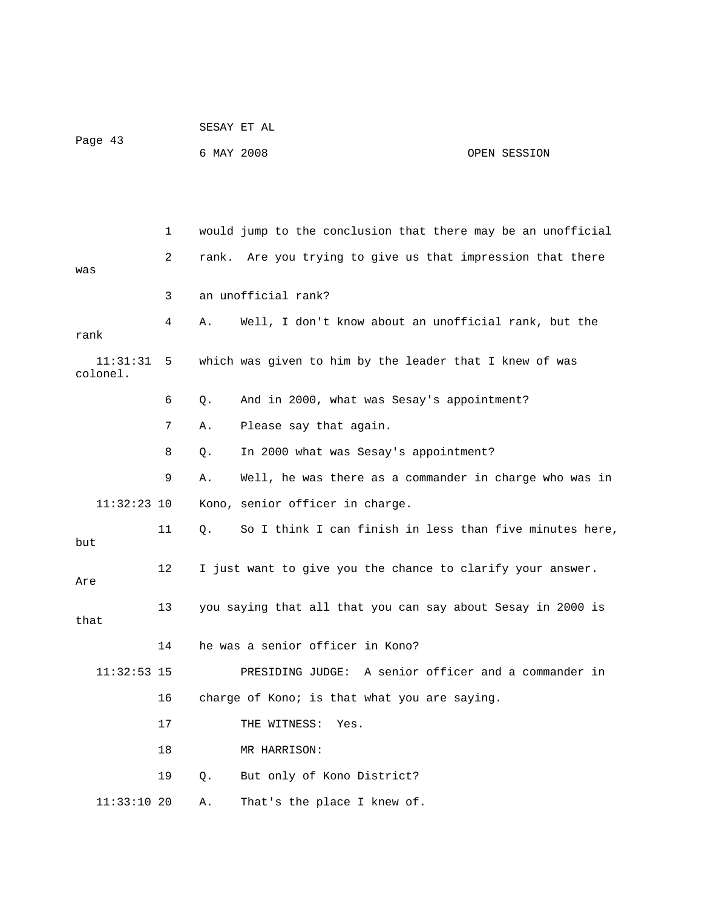|                      |    |            | SESAY ET AL                                                  |              |
|----------------------|----|------------|--------------------------------------------------------------|--------------|
| Page 43              |    | 6 MAY 2008 |                                                              | OPEN SESSION |
|                      |    |            |                                                              |              |
|                      |    |            |                                                              |              |
|                      | 1  |            | would jump to the conclusion that there may be an unofficial |              |
| was                  | 2  |            | rank. Are you trying to give us that impression that there   |              |
|                      | 3  |            | an unofficial rank?                                          |              |
| rank                 | 4  | Α.         | Well, I don't know about an unofficial rank, but the         |              |
| 11:31:31<br>colonel. | 5  |            | which was given to him by the leader that I knew of was      |              |
|                      | 6  | Q.         | And in 2000, what was Sesay's appointment?                   |              |
|                      | 7  | Α.         | Please say that again.                                       |              |
|                      | 8  | Q.         | In 2000 what was Sesay's appointment?                        |              |
|                      | 9  | Α.         | Well, he was there as a commander in charge who was in       |              |
| $11:32:23$ 10        |    |            | Kono, senior officer in charge.                              |              |
| but                  | 11 | Q.         | So I think I can finish in less than five minutes here,      |              |
| Are                  | 12 |            | I just want to give you the chance to clarify your answer.   |              |
| that                 | 13 |            | you saying that all that you can say about Sesay in 2000 is  |              |
|                      | 14 |            | he was a senior officer in Kono?                             |              |
| $11:32:53$ 15        |    |            | PRESIDING JUDGE: A senior officer and a commander in         |              |
|                      | 16 |            | charge of Kono; is that what you are saying.                 |              |
|                      | 17 |            | THE WITNESS:<br>Yes.                                         |              |
|                      | 18 |            | MR HARRISON:                                                 |              |
|                      | 19 | Q.         | But only of Kono District?                                   |              |
| $11:33:10$ 20        |    | Α.         | That's the place I knew of.                                  |              |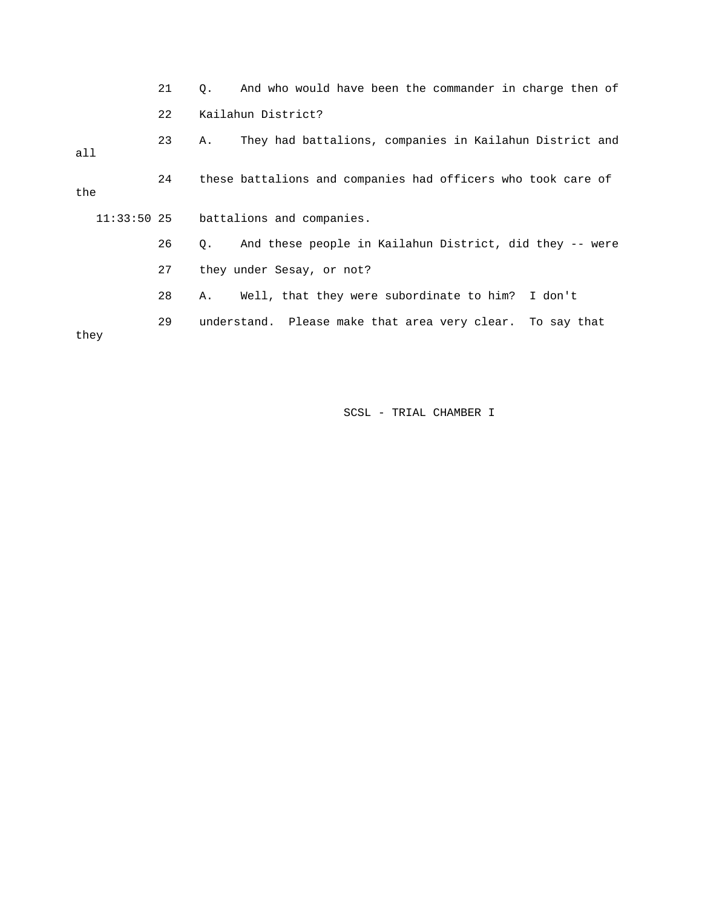21 Q. And who would have been the commander in charge then of 22 Kailahun District? 23 A. They had battalions, companies in Kailahun District and all 24 these battalions and companies had officers who took care of the 11:33:50 25 battalions and companies. 26 Q. And these people in Kailahun District, did they -- were 27 they under Sesay, or not? 28 A. Well, that they were subordinate to him? I don't 29 understand. Please make that area very clear. To say that they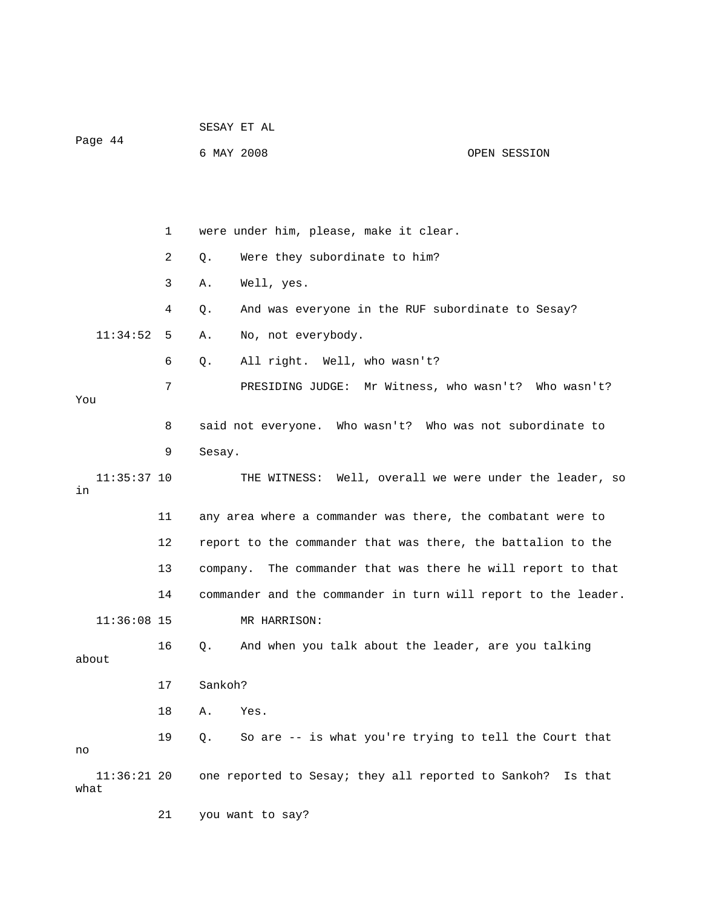|                       |    | SESAY ET AL                                                    |              |
|-----------------------|----|----------------------------------------------------------------|--------------|
| Page 44               |    | 6 MAY 2008                                                     | OPEN SESSION |
|                       |    |                                                                |              |
|                       |    |                                                                |              |
|                       | 1  | were under him, please, make it clear.                         |              |
|                       | 2  | Were they subordinate to him?<br>$Q$ .                         |              |
|                       | 3  | Α.<br>Well, yes.                                               |              |
|                       | 4  | And was everyone in the RUF subordinate to Sesay?<br>Q.        |              |
| 11:34:52              | 5  | No, not everybody.<br>Α.                                       |              |
|                       | 6  | All right. Well, who wasn't?<br>Q.                             |              |
|                       | 7  | PRESIDING JUDGE: Mr Witness, who wasn't? Who wasn't?           |              |
| You                   |    |                                                                |              |
|                       | 8  | said not everyone. Who wasn't? Who was not subordinate to      |              |
|                       | 9  | Sesay.                                                         |              |
| $11:35:37$ 10<br>in   |    | THE WITNESS: Well, overall we were under the leader, so        |              |
|                       | 11 | any area where a commander was there, the combatant were to    |              |
|                       | 12 | report to the commander that was there, the battalion to the   |              |
|                       | 13 | company. The commander that was there he will report to that   |              |
|                       | 14 | commander and the commander in turn will report to the leader. |              |
| $11:36:08$ 15         |    | MR HARRISON:                                                   |              |
| about                 | 16 | And when you talk about the leader, are you talking<br>Q.      |              |
|                       | 17 | Sankoh?                                                        |              |
|                       | 18 | Α.<br>Yes.                                                     |              |
| no                    | 19 | So are -- is what you're trying to tell the Court that<br>Q.   |              |
| $11:36:21$ 20<br>what |    | one reported to Sesay; they all reported to Sankoh?            | Is that      |
|                       | 21 | you want to say?                                               |              |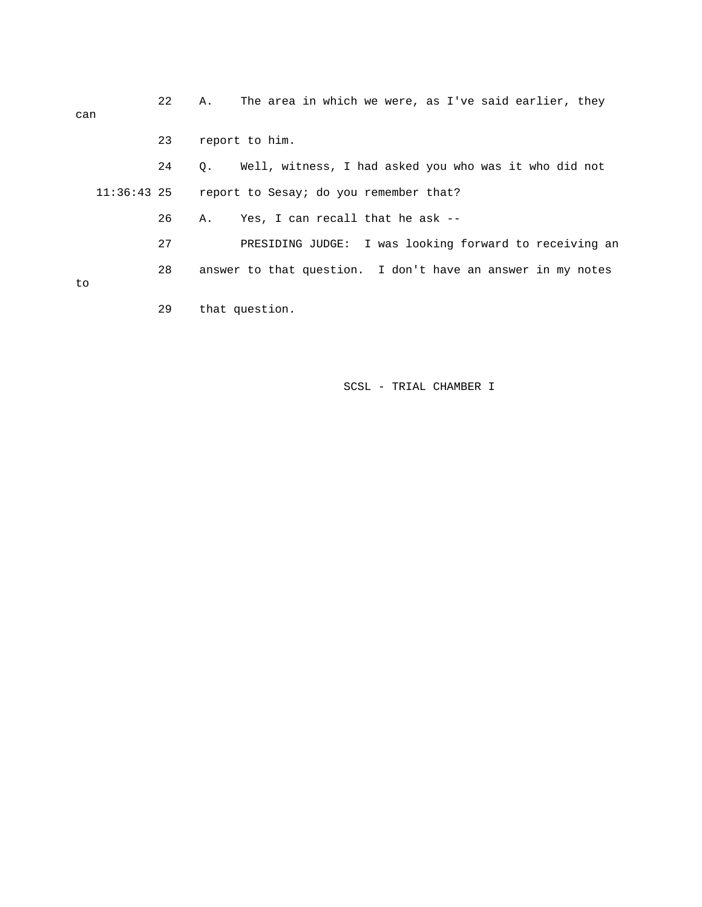| can           | 22 | А.             | The area in which we were, as I've said earlier, they       |
|---------------|----|----------------|-------------------------------------------------------------|
|               | 23 | report to him. |                                                             |
|               | 24 | $\circ$ .      | Well, witness, I had asked you who was it who did not       |
| $11:36:43$ 25 |    |                | report to Sesay; do you remember that?                      |
|               | 26 | Α.             | Yes, I can recall that he ask --                            |
|               | 27 |                | PRESIDING JUDGE: I was looking forward to receiving an      |
| to            | 28 |                | answer to that question. I don't have an answer in my notes |
|               | 29 | that question. |                                                             |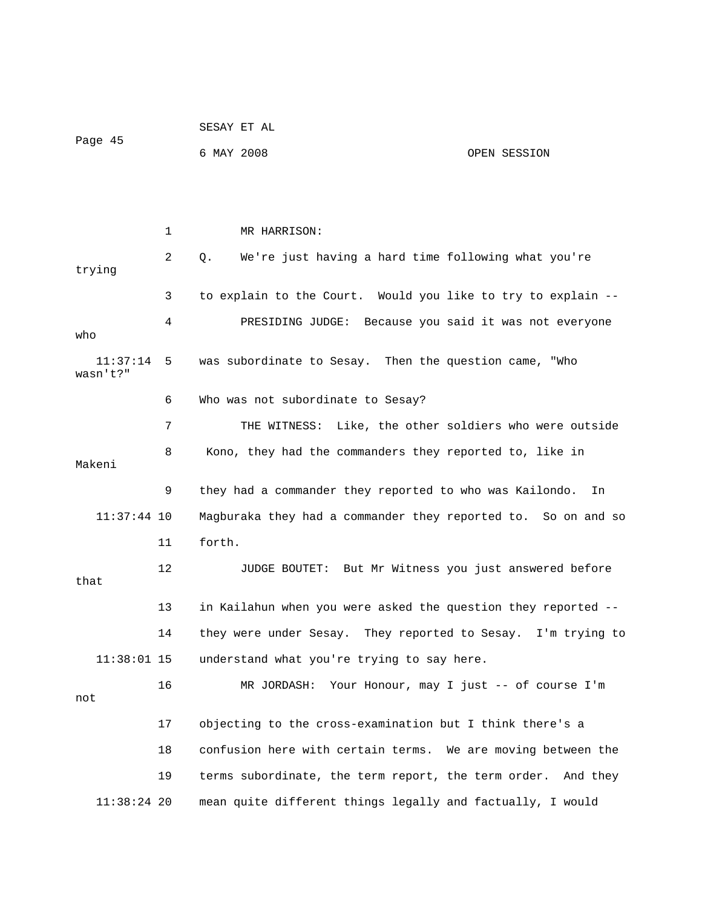| Page 45              |    | SESAY ET AL                                                   |              |
|----------------------|----|---------------------------------------------------------------|--------------|
|                      |    | 6 MAY 2008                                                    | OPEN SESSION |
|                      |    |                                                               |              |
|                      |    |                                                               |              |
|                      | 1  | MR HARRISON:                                                  |              |
| trying               | 2  | We're just having a hard time following what you're<br>Q.     |              |
|                      | 3  | to explain to the Court. Would you like to try to explain --  |              |
| who                  | 4  | PRESIDING JUDGE: Because you said it was not everyone         |              |
| 11:37:14<br>wasn't?" | 5  | was subordinate to Sesay. Then the question came, "Who        |              |
|                      | 6  | Who was not subordinate to Sesay?                             |              |
|                      | 7  | THE WITNESS: Like, the other soldiers who were outside        |              |
| Makeni               | 8  | Kono, they had the commanders they reported to, like in       |              |
|                      | 9  | they had a commander they reported to who was Kailondo.       | In           |
| $11:37:44$ 10        |    | Magburaka they had a commander they reported to. So on and so |              |
|                      | 11 | forth.                                                        |              |
| that                 | 12 | JUDGE BOUTET: But Mr Witness you just answered before         |              |
|                      | 13 | in Kailahun when you were asked the question they reported -- |              |
|                      | 14 | they were under Sesay. They reported to Sesay. I'm trying to  |              |
| $11:38:01$ 15        |    | understand what you're trying to say here.                    |              |
| not                  | 16 | MR JORDASH: Your Honour, may I just -- of course I'm          |              |
|                      | 17 | objecting to the cross-examination but I think there's a      |              |
|                      | 18 | confusion here with certain terms. We are moving between the  |              |
|                      | 19 | terms subordinate, the term report, the term order. And they  |              |
| $11:38:24$ 20        |    | mean quite different things legally and factually, I would    |              |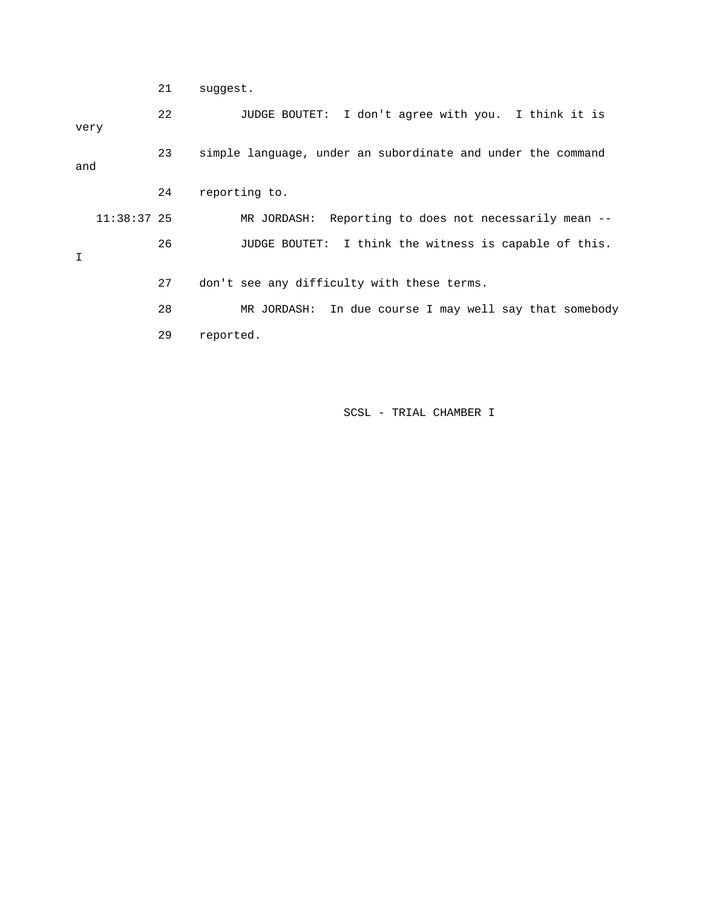21 suggest.

 22 JUDGE BOUTET: I don't agree with you. I think it is very 23 simple language, under an subordinate and under the command and 24 reporting to. 11:38:37 25 MR JORDASH: Reporting to does not necessarily mean -- 26 JUDGE BOUTET: I think the witness is capable of this. I 27 don't see any difficulty with these terms. 28 MR JORDASH: In due course I may well say that somebody 29 reported.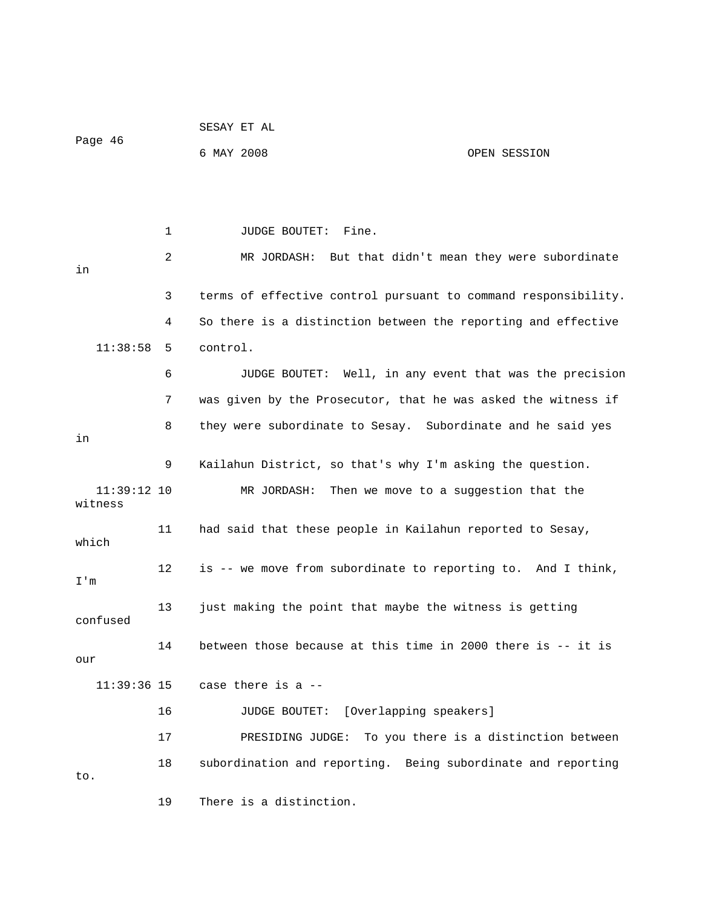| Page 46                  |    | SESAY ET AL                                                    |                                       |
|--------------------------|----|----------------------------------------------------------------|---------------------------------------|
|                          |    | 6 MAY 2008                                                     | OPEN SESSION                          |
|                          |    |                                                                |                                       |
|                          |    |                                                                |                                       |
|                          | 1  | JUDGE BOUTET: Fine.                                            |                                       |
| in                       | 2  | MR JORDASH: But that didn't mean they were subordinate         |                                       |
|                          | 3  | terms of effective control pursuant to command responsibility. |                                       |
|                          | 4  | So there is a distinction between the reporting and effective  |                                       |
| 11:38:58                 | 5  | control.                                                       |                                       |
|                          |    |                                                                |                                       |
|                          | 6  | JUDGE BOUTET: Well, in any event that was the precision        |                                       |
|                          | 7  | was given by the Prosecutor, that he was asked the witness if  |                                       |
| in                       | 8  | they were subordinate to Sesay. Subordinate and he said yes    |                                       |
|                          | 9  | Kailahun District, so that's why I'm asking the question.      |                                       |
| $11:39:12$ 10<br>witness |    | MR JORDASH: Then we move to a suggestion that the              |                                       |
| which                    | 11 | had said that these people in Kailahun reported to Sesay,      |                                       |
| I'm                      | 12 | is -- we move from subordinate to reporting to. And I think,   |                                       |
| confused                 | 13 | just making the point that maybe the witness is getting        |                                       |
| our                      | 14 | between those because at this time in 2000 there is -- it is   |                                       |
| $11:39:36$ 15            |    | case there is a --                                             |                                       |
|                          | 16 | JUDGE BOUTET: [Overlapping speakers]                           |                                       |
|                          | 17 | PRESIDING JUDGE:                                               | To you there is a distinction between |
|                          |    |                                                                |                                       |
| to.                      | 18 | subordination and reporting. Being subordinate and reporting   |                                       |
|                          | 19 | There is a distinction.                                        |                                       |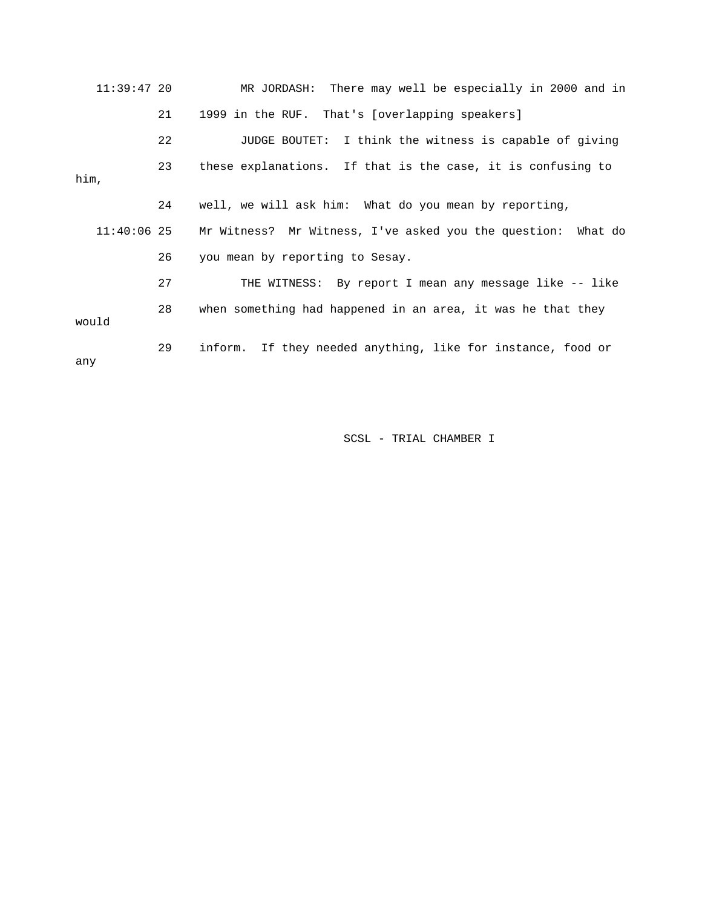| $11:39:47$ 20 |    | MR JORDASH: There may well be especially in 2000 and in      |
|---------------|----|--------------------------------------------------------------|
|               | 21 | 1999 in the RUF. That's [overlapping speakers]               |
|               | 22 | JUDGE BOUTET: I think the witness is capable of giving       |
| him,          | 23 | these explanations. If that is the case, it is confusing to  |
|               | 24 | well, we will ask him: What do you mean by reporting,        |
| $11:40:06$ 25 |    | Mr Witness? Mr Witness, I've asked you the question: What do |
|               | 26 | you mean by reporting to Sesay.                              |
|               | 27 | THE WITNESS: By report I mean any message like -- like       |
| would         | 28 | when something had happened in an area, it was he that they  |
| any           | 29 | inform. If they needed anything, like for instance, food or  |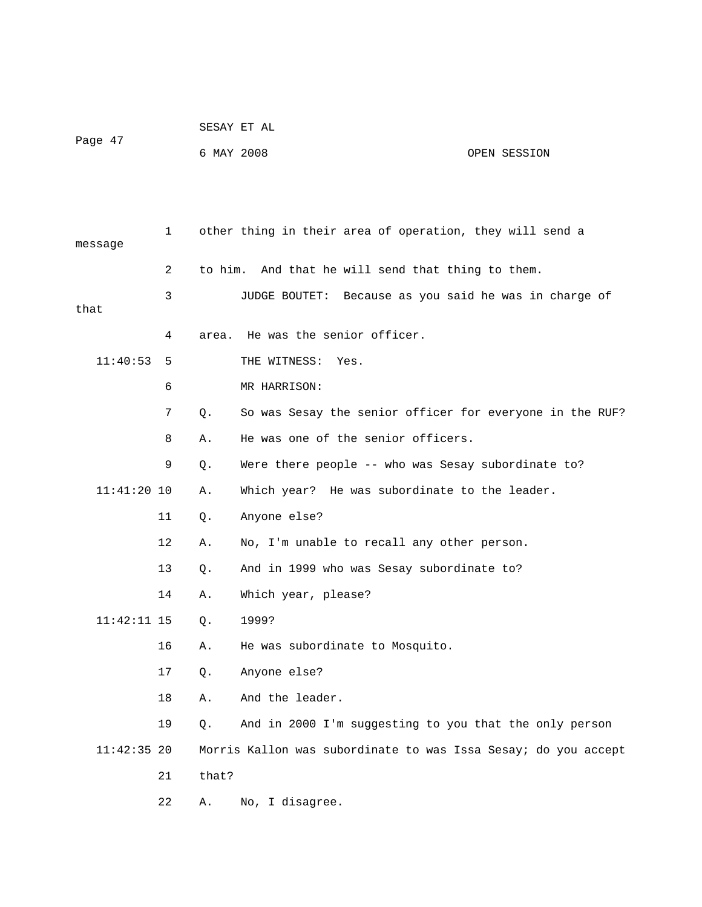|         | SESAY ET AL |              |
|---------|-------------|--------------|
| Page 47 |             |              |
|         | 6 MAY 2008  | OPEN SESSION |

| message       | 1  |         | other thing in their area of operation, they will send a       |
|---------------|----|---------|----------------------------------------------------------------|
|               | 2  | to him. | And that he will send that thing to them.                      |
| that          | 3  |         | Because as you said he was in charge of<br>JUDGE BOUTET:       |
|               | 4  | area.   | He was the senior officer.                                     |
| 11:40:53      | 5  |         | THE WITNESS:<br>Yes.                                           |
|               | 6  |         | MR HARRISON:                                                   |
|               | 7  | О.      | So was Sesay the senior officer for everyone in the RUF?       |
|               |    |         |                                                                |
|               | 8  | Α.      | He was one of the senior officers.                             |
|               | 9  | Q.      | Were there people -- who was Sesay subordinate to?             |
| $11:41:20$ 10 |    | Α.      | Which year? He was subordinate to the leader.                  |
|               | 11 | Q.      | Anyone else?                                                   |
|               | 12 | Α.      | No, I'm unable to recall any other person.                     |
|               | 13 | О.      | And in 1999 who was Sesay subordinate to?                      |
|               | 14 | Α.      | Which year, please?                                            |
| $11:42:11$ 15 |    | $Q$ .   | 1999?                                                          |
|               | 16 | Α.      | He was subordinate to Mosquito.                                |
|               | 17 | О.      | Anyone else?                                                   |
|               | 18 | Α.      | And the leader.                                                |
|               | 19 | Q.      | And in 2000 I'm suggesting to you that the only person         |
| $11:42:35$ 20 |    |         | Morris Kallon was subordinate to was Issa Sesay; do you accept |
|               | 21 | that?   |                                                                |
|               | 22 | Α.      | No, I disagree.                                                |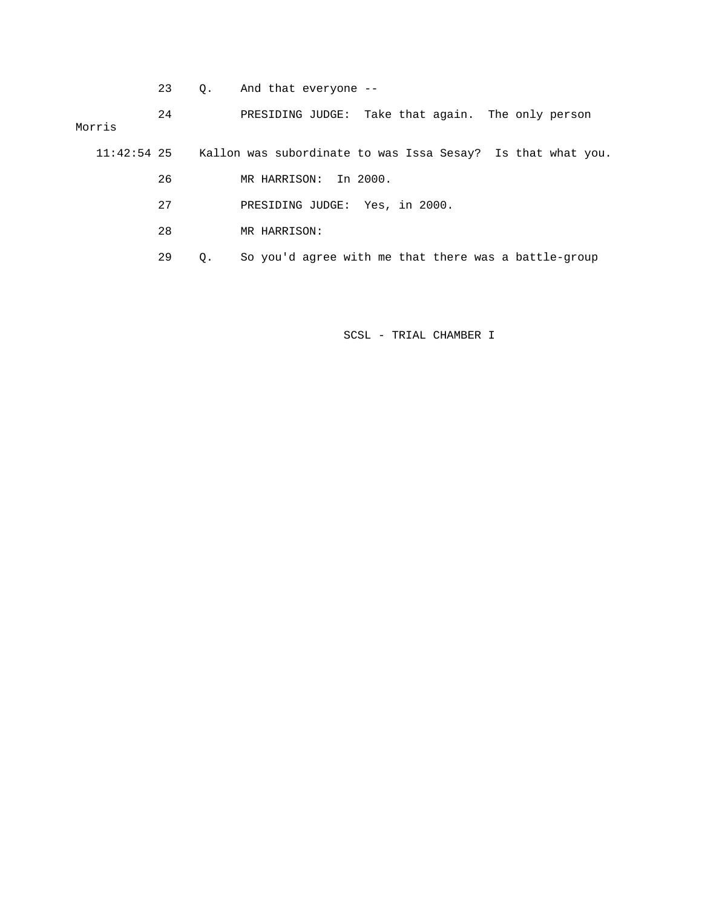23 Q. And that everyone --

 24 PRESIDING JUDGE: Take that again. The only person Morris

11:42:54 25 Kallon was subordinate to was Issa Sesay? Is that what you.

26 MR HARRISON: In 2000.

27 PRESIDING JUDGE: Yes, in 2000.

28 MR HARRISON:

29 Q. So you'd agree with me that there was a battle-group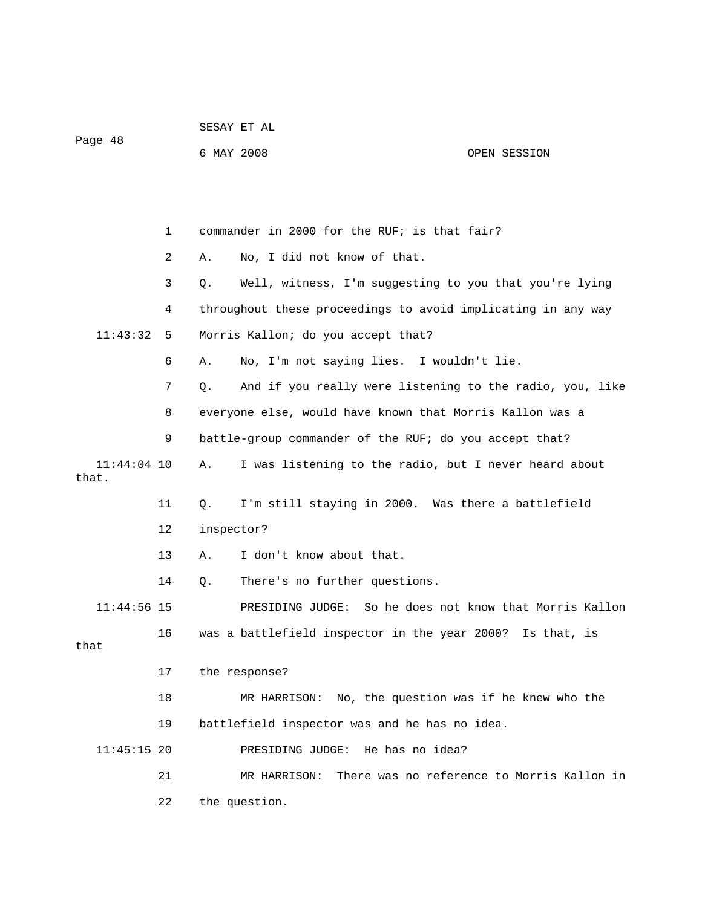|                        |    | 6 MAY 2008 |                                                              | OPEN SESSION                               |
|------------------------|----|------------|--------------------------------------------------------------|--------------------------------------------|
|                        |    |            |                                                              |                                            |
|                        |    |            |                                                              |                                            |
|                        | 1  |            | commander in 2000 for the RUF; is that fair?                 |                                            |
|                        | 2  | Α.         | No, I did not know of that.                                  |                                            |
|                        | 3  | Q.         | Well, witness, I'm suggesting to you that you're lying       |                                            |
|                        | 4  |            | throughout these proceedings to avoid implicating in any way |                                            |
| 11:43:32               | 5  |            | Morris Kallon; do you accept that?                           |                                            |
|                        | 6  | Α.         | No, I'm not saying lies. I wouldn't lie.                     |                                            |
|                        | 7  | Q.         | And if you really were listening to the radio, you, like     |                                            |
|                        | 8  |            | everyone else, would have known that Morris Kallon was a     |                                            |
|                        | 9  |            | battle-group commander of the RUF; do you accept that?       |                                            |
| $11:44:04$ 10<br>that. |    | Α.         | I was listening to the radio, but I never heard about        |                                            |
|                        | 11 | Q.         | I'm still staying in 2000. Was there a battlefield           |                                            |
|                        | 12 | inspector? |                                                              |                                            |
|                        | 13 | Α.         | I don't know about that.                                     |                                            |
|                        | 14 | Q.         | There's no further questions.                                |                                            |
| $11:44:56$ 15          |    |            | PRESIDING JUDGE:                                             | So he does not know that Morris Kallon     |
| that                   | 16 |            | was a battlefield inspector in the year 2000? Is that, is    |                                            |
|                        | 17 |            | the response?                                                |                                            |
|                        | 18 |            | MR HARRISON: No, the question was if he knew who the         |                                            |
|                        | 19 |            | battlefield inspector was and he has no idea.                |                                            |
| $11:45:15$ 20          |    |            | PRESIDING JUDGE:<br>He has no idea?                          |                                            |
|                        | 21 |            | MR HARRISON:                                                 | There was no reference to Morris Kallon in |
|                        | 22 |            | the question.                                                |                                            |

Page 48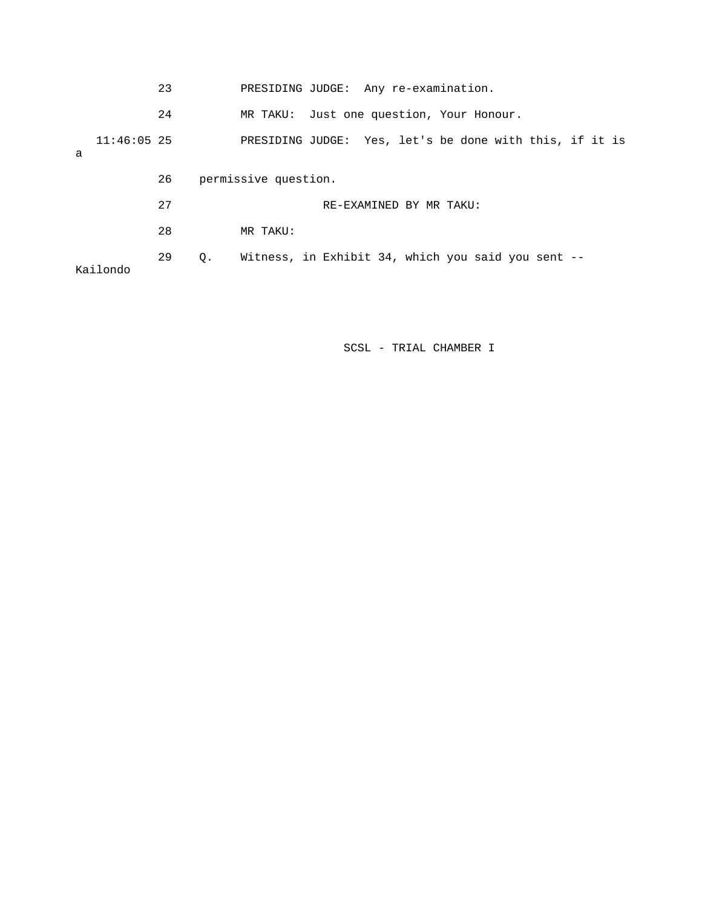|   |               | 23 |    | PRESIDING JUDGE: Any re-examination.                    |  |                         |  |  |
|---|---------------|----|----|---------------------------------------------------------|--|-------------------------|--|--|
|   |               | 24 |    | MR TAKU: Just one question, Your Honour.                |  |                         |  |  |
| a | $11:46:05$ 25 |    |    | PRESIDING JUDGE: Yes, let's be done with this, if it is |  |                         |  |  |
|   |               | 26 |    | permissive question.                                    |  |                         |  |  |
|   |               | 27 |    |                                                         |  | RE-EXAMINED BY MR TAKU: |  |  |
|   |               | 28 |    | MR TAKU:                                                |  |                         |  |  |
|   | Kailondo      | 29 | О. | Witness, in Exhibit 34, which you said you sent --      |  |                         |  |  |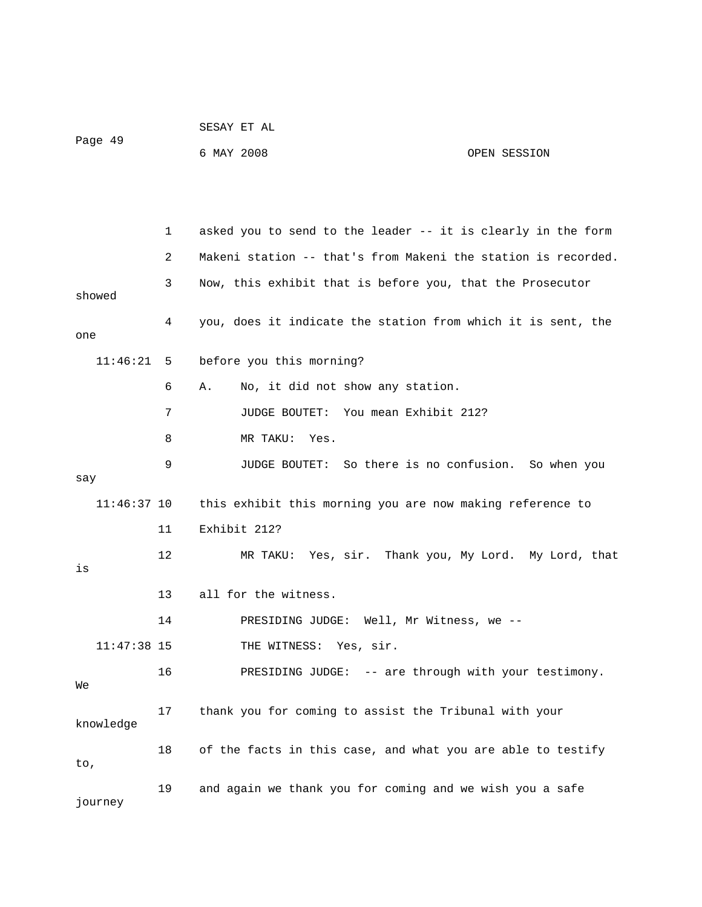| Page 49                    |  |
|----------------------------|--|
| 6 MAY 2008<br>OPEN SESSION |  |

 1 asked you to send to the leader -- it is clearly in the form 2 Makeni station -- that's from Makeni the station is recorded. 3 Now, this exhibit that is before you, that the Prosecutor showed 4 you, does it indicate the station from which it is sent, the one 11:46:21 5 before you this morning? 6 A. No, it did not show any station. 7 JUDGE BOUTET: You mean Exhibit 212? 8 MR TAKU: Yes. 9 JUDGE BOUTET: So there is no confusion. So when you say 11:46:37 10 this exhibit this morning you are now making reference to 11 Exhibit 212? 12 MR TAKU: Yes, sir. Thank you, My Lord. My Lord, that is 13 all for the witness. 14 PRESIDING JUDGE: Well, Mr Witness, we -- 11:47:38 15 THE WITNESS: Yes, sir. 16 PRESIDING JUDGE: -- are through with your testimony. We 17 thank you for coming to assist the Tribunal with your knowledge 18 of the facts in this case, and what you are able to testify to, 19 and again we thank you for coming and we wish you a safe journey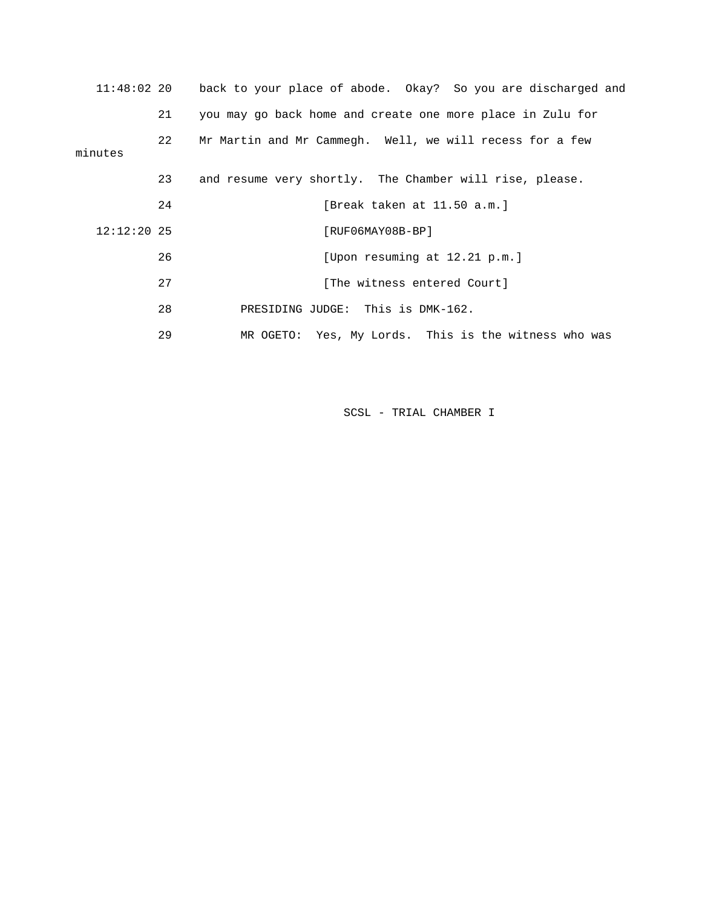| $11:48:02$ 20 |    | back to your place of abode. Okay? So you are discharged and |
|---------------|----|--------------------------------------------------------------|
|               | 21 | you may go back home and create one more place in Zulu for   |
| minutes       | 22 | Mr Martin and Mr Cammegh. Well, we will recess for a few     |
|               | 23 | and resume very shortly. The Chamber will rise, please.      |
|               | 24 | [Break taken at 11.50 a.m.]                                  |
| $12:12:20$ 25 |    | $[RUF06MAY08B-BP]$                                           |
|               | 26 | [Upon resuming at 12.21 p.m.]                                |
|               | 27 | [The witness entered Court]                                  |
|               | 28 | PRESIDING JUDGE: This is DMK-162.                            |
|               | 29 | MR OGETO: Yes, My Lords. This is the witness who was         |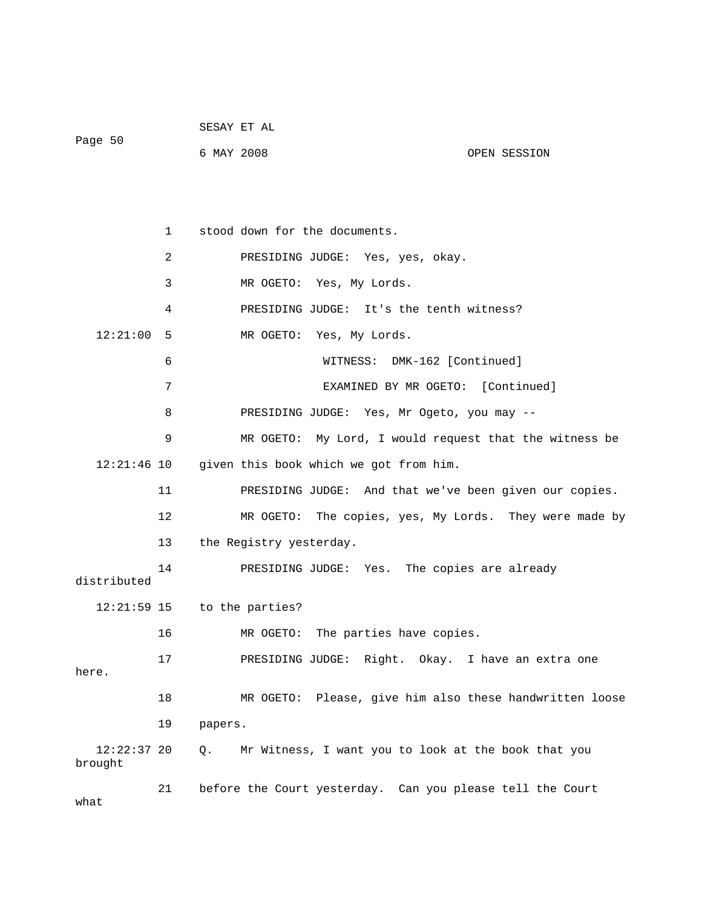|         | SESAY ET AL |              |
|---------|-------------|--------------|
| Page 50 | 6 MAY 2008  | OPEN SESSION |

|                          | 1              | stood down for the documents.                             |
|--------------------------|----------------|-----------------------------------------------------------|
|                          | $\overline{2}$ | PRESIDING JUDGE: Yes, yes, okay.                          |
|                          | 3              | MR OGETO: Yes, My Lords.                                  |
|                          | 4              | PRESIDING JUDGE: It's the tenth witness?                  |
| 12:21:00                 | 5              | MR OGETO: Yes, My Lords.                                  |
|                          | 6              | DMK-162 [Continued]<br>WITNESS:                           |
|                          | 7              | EXAMINED BY MR OGETO: [Continued]                         |
|                          | 8              | PRESIDING JUDGE: Yes, Mr Ogeto, you may --                |
|                          | 9              | My Lord, I would request that the witness be<br>MR OGETO: |
| $12:21:46$ 10            |                | given this book which we got from him.                    |
|                          | 11             | PRESIDING JUDGE: And that we've been given our copies.    |
|                          | 12             | The copies, yes, My Lords. They were made by<br>MR OGETO: |
|                          | 13             | the Registry yesterday.                                   |
| distributed              | 14             | PRESIDING JUDGE: Yes. The copies are already              |
| 12:21:59 15              |                | to the parties?                                           |
|                          | 16             | MR OGETO: The parties have copies.                        |
| here.                    | 17             | PRESIDING JUDGE: Right. Okay. I have an extra one         |
|                          | 18             | MR OGETO: Please, give him also these handwritten loose   |
|                          | 19             | papers.                                                   |
| $12:22:37$ 20<br>brought |                | Mr Witness, I want you to look at the book that you<br>Q. |
| what                     | 21             | before the Court yesterday. Can you please tell the Court |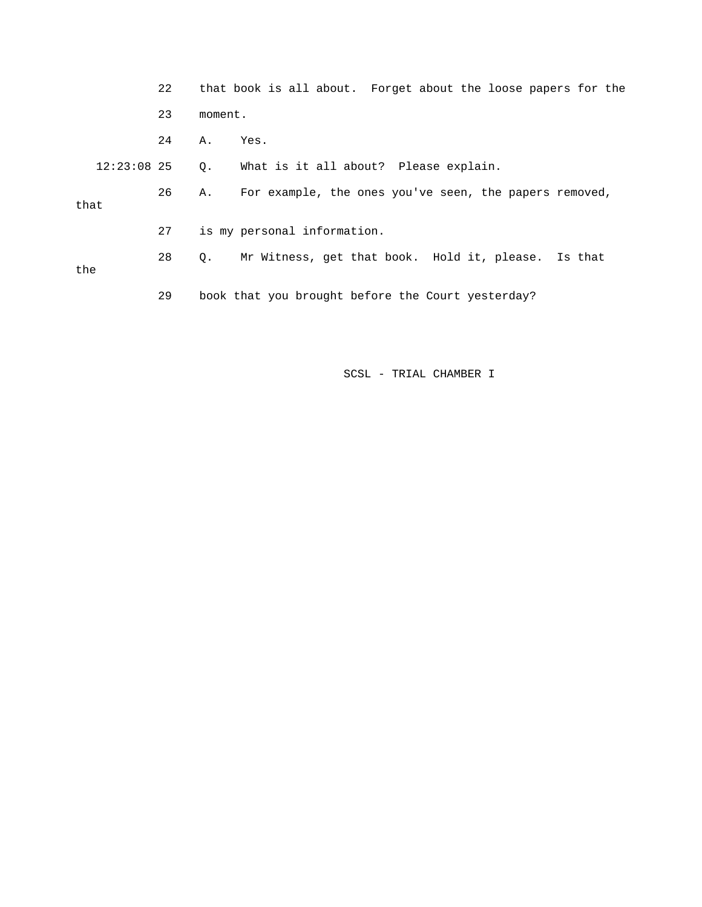|      |               | 22 |           | that book is all about. Forget about the loose papers for the |
|------|---------------|----|-----------|---------------------------------------------------------------|
|      |               | 23 | moment.   |                                                               |
|      |               | 24 | Α.        | Yes.                                                          |
|      | $12:23:08$ 25 |    | $\circ$ . | What is it all about? Please explain.                         |
| that |               | 26 | Α.        | For example, the ones you've seen, the papers removed,        |
|      |               | 27 |           | is my personal information.                                   |
| the  |               | 28 | $\circ$ . | Mr Witness, get that book. Hold it, please. Is that           |
|      |               | 29 |           | book that you brought before the Court yesterday?             |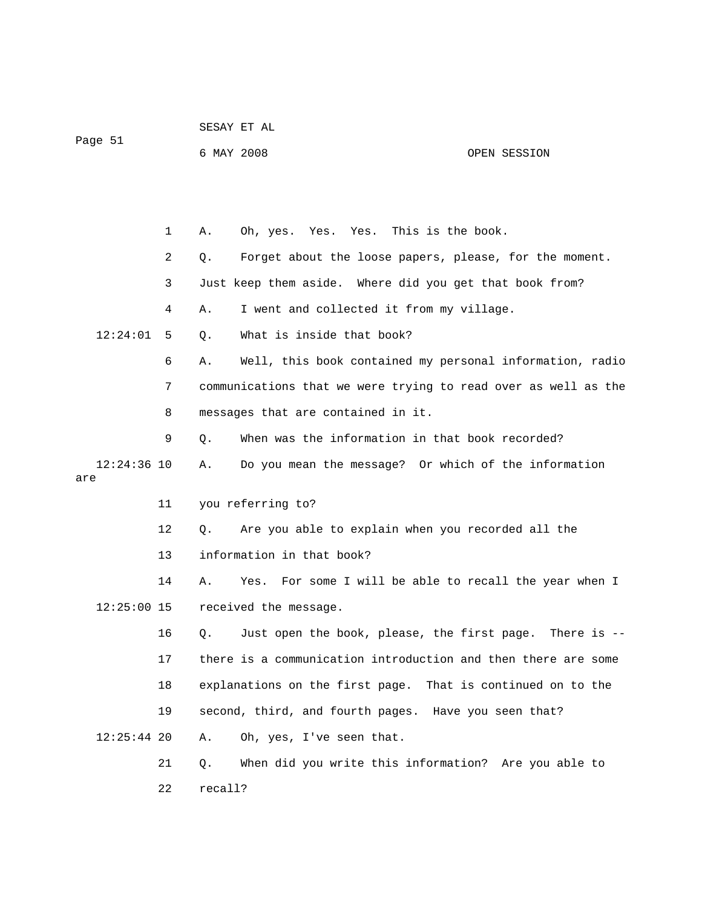| Page 51       |    | 6 MAY 2008 |                                                                | OPEN SESSION |
|---------------|----|------------|----------------------------------------------------------------|--------------|
|               |    |            |                                                                |              |
|               |    |            |                                                                |              |
|               | 1  | Α.         | Yes. Yes. This is the book.<br>Oh, yes.                        |              |
|               | 2  | Q.         | Forget about the loose papers, please, for the moment.         |              |
|               | 3  |            | Just keep them aside. Where did you get that book from?        |              |
|               | 4  | Α.         | I went and collected it from my village.                       |              |
| 12:24:01      | 5  | О.         | What is inside that book?                                      |              |
|               | 6  | Α.         | Well, this book contained my personal information, radio       |              |
|               | 7  |            | communications that we were trying to read over as well as the |              |
|               | 8  |            | messages that are contained in it.                             |              |
|               | 9  | Q.         | When was the information in that book recorded?                |              |
| $12:24:36$ 10 |    | Α.         | Do you mean the message? Or which of the information           |              |
| are           |    |            |                                                                |              |
|               | 11 |            | you referring to?                                              |              |
|               | 12 | Q.         | Are you able to explain when you recorded all the              |              |
|               | 13 |            | information in that book?                                      |              |
|               | 14 | Α.         | For some I will be able to recall the year when I<br>Yes.      |              |
| $12:25:00$ 15 |    |            | received the message.                                          |              |
|               | 16 | Q.         | Just open the book, please, the first page.                    | There is $-$ |
|               | 17 |            | there is a communication introduction and then there are some  |              |
|               | 18 |            | explanations on the first page. That is continued on to the    |              |
|               | 19 |            | second, third, and fourth pages. Have you seen that?           |              |
| $12:25:44$ 20 |    | Α.         | Oh, yes, I've seen that.                                       |              |
|               | 21 | Q.         | When did you write this information? Are you able to           |              |
|               | 22 | recall?    |                                                                |              |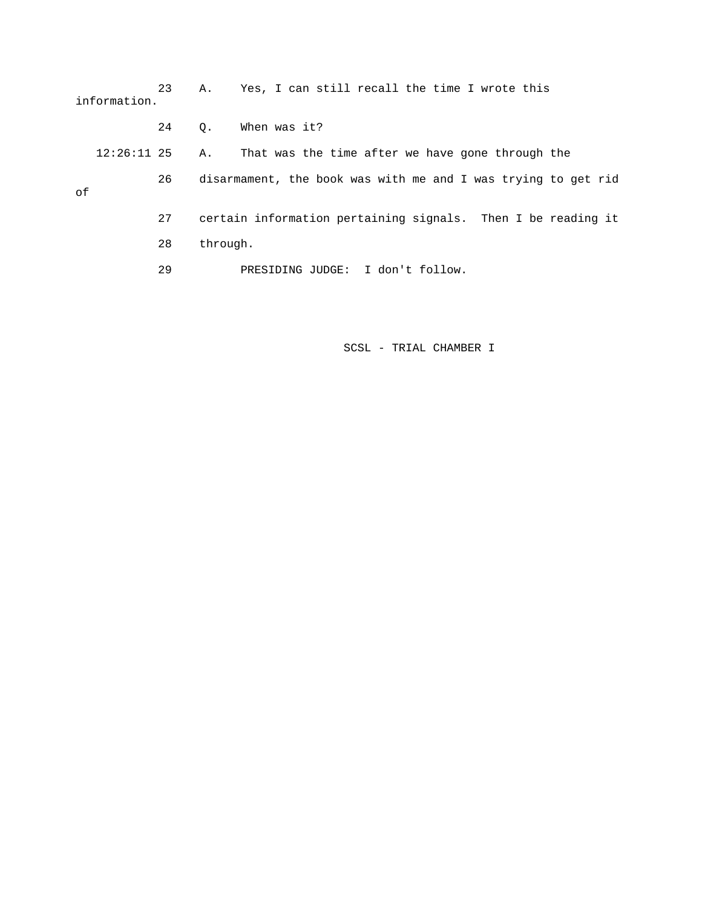|    | information.  | 23 | Α.        | Yes, I can still recall the time I wrote this                 |
|----|---------------|----|-----------|---------------------------------------------------------------|
|    |               | 24 | $\circ$ . | When was it?                                                  |
|    | $12:26:11$ 25 |    | Α.        | That was the time after we have gone through the              |
| оf |               | 26 |           | disarmament, the book was with me and I was trying to get rid |
|    |               | 27 |           | certain information pertaining signals. Then I be reading it  |
|    |               | 28 | through.  |                                                               |
|    |               | 29 |           | PRESIDING JUDGE: I don't follow.                              |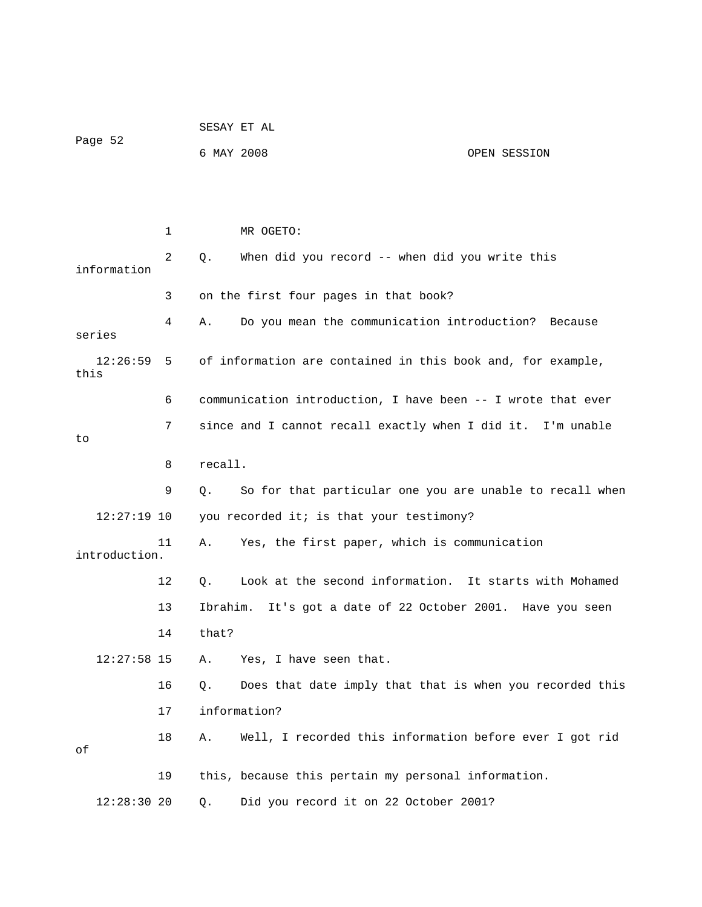| Page 52          |    |          | 6 MAY 2008                                                   | OPEN SESSION |
|------------------|----|----------|--------------------------------------------------------------|--------------|
|                  |    |          |                                                              |              |
|                  |    |          |                                                              |              |
|                  | 1  |          | MR OGETO:                                                    |              |
| information      | 2  | Q.       | When did you record -- when did you write this               |              |
|                  | 3  |          | on the first four pages in that book?                        |              |
| series           | 4  | Α.       | Do you mean the communication introduction?                  | Because      |
| 12:26:59<br>this | 5  |          | of information are contained in this book and, for example,  |              |
|                  | 6  |          | communication introduction, I have been -- I wrote that ever |              |
| to               | 7  |          | since and I cannot recall exactly when I did it. I'm unable  |              |
|                  | 8  | recall.  |                                                              |              |
|                  | 9  | Q.       | So for that particular one you are unable to recall when     |              |
| $12:27:19$ 10    |    |          | you recorded it; is that your testimony?                     |              |
| introduction.    | 11 | Α.       | Yes, the first paper, which is communication                 |              |
|                  | 12 | Q.       | Look at the second information. It starts with Mohamed       |              |
|                  | 13 | Ibrahim. | It's got a date of 22 October 2001. Have you seen            |              |
|                  | 14 | that?    |                                                              |              |
| $12:27:58$ 15    |    | Α.       | Yes, I have seen that.                                       |              |
|                  | 16 | Q.       | Does that date imply that that is when you recorded this     |              |
|                  | 17 |          | information?                                                 |              |
| оf               | 18 | Α.       | Well, I recorded this information before ever I got rid      |              |
|                  | 19 |          | this, because this pertain my personal information.          |              |
| $12:28:30$ 20    |    | Q.       | Did you record it on 22 October 2001?                        |              |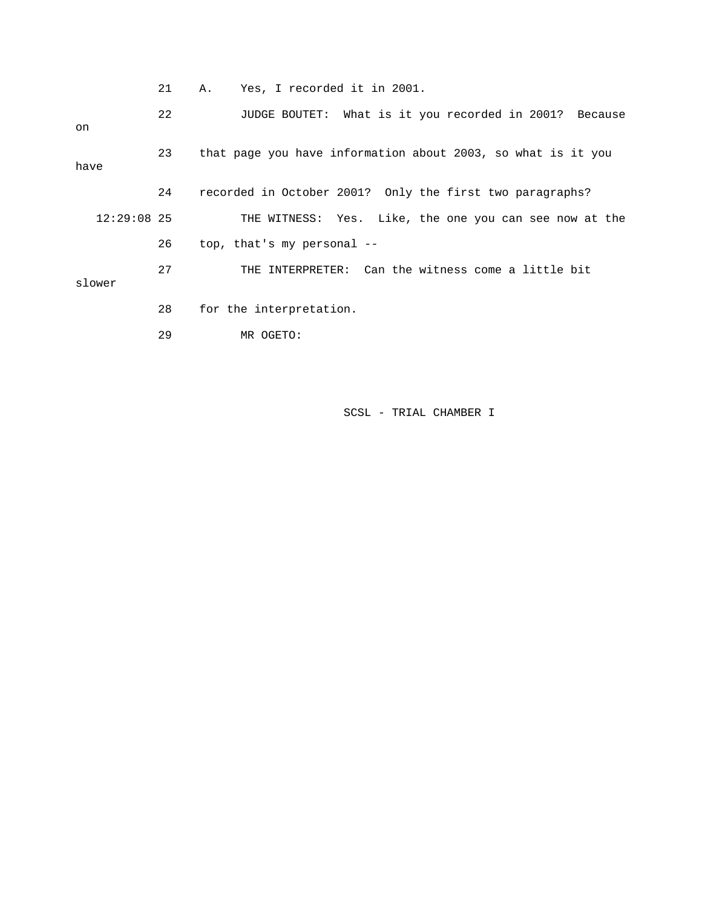21 A. Yes, I recorded it in 2001.

 22 JUDGE BOUTET: What is it you recorded in 2001? Because on 23 that page you have information about 2003, so what is it you have 24 recorded in October 2001? Only the first two paragraphs? 12:29:08 25 THE WITNESS: Yes. Like, the one you can see now at the 26 top, that's my personal -- 27 THE INTERPRETER: Can the witness come a little bit slower 28 for the interpretation. 29 MR OGETO: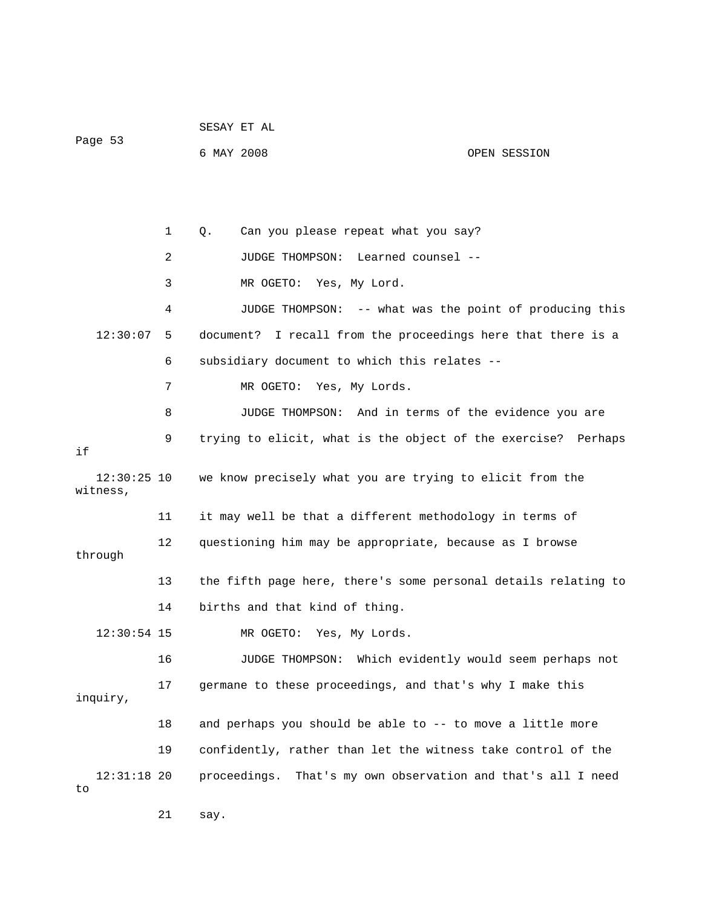|                           |    | SESAY ET AL |                                                                 |                                        |  |
|---------------------------|----|-------------|-----------------------------------------------------------------|----------------------------------------|--|
| Page 53                   |    | 6 MAY 2008  |                                                                 | OPEN SESSION                           |  |
|                           |    |             |                                                                 |                                        |  |
|                           |    |             |                                                                 |                                        |  |
|                           | 1  | Q.          | Can you please repeat what you say?                             |                                        |  |
|                           | 2  |             | JUDGE THOMPSON:<br>Learned counsel --                           |                                        |  |
|                           | 3  |             | MR OGETO:<br>Yes, My Lord.                                      |                                        |  |
|                           | 4  |             | JUDGE THOMPSON: -- what was the point of producing this         |                                        |  |
| 12:30:07                  | 5  |             | document? I recall from the proceedings here that there is a    |                                        |  |
|                           | 6  |             | subsidiary document to which this relates --                    |                                        |  |
|                           | 7  |             | Yes, My Lords.<br>MR OGETO:                                     |                                        |  |
|                           | 8  |             | JUDGE THOMPSON: And in terms of the evidence you are            |                                        |  |
| if                        | 9  |             | trying to elicit, what is the object of the exercise? Perhaps   |                                        |  |
| $12:30:25$ 10<br>witness, |    |             | we know precisely what you are trying to elicit from the        |                                        |  |
|                           | 11 |             | it may well be that a different methodology in terms of         |                                        |  |
| through                   | 12 |             | questioning him may be appropriate, because as I browse         |                                        |  |
|                           | 13 |             | the fifth page here, there's some personal details relating to  |                                        |  |
|                           | 14 |             | births and that kind of thing.                                  |                                        |  |
| $12:30:54$ 15             |    |             | MR OGETO:<br>Yes, My Lords.                                     |                                        |  |
|                           | 16 |             | JUDGE THOMPSON:                                                 | Which evidently would seem perhaps not |  |
|                           | 17 |             | germane to these proceedings, and that's why I make this        |                                        |  |
| inquiry,                  |    |             |                                                                 |                                        |  |
|                           | 18 |             | and perhaps you should be able to -- to move a little more      |                                        |  |
|                           | 19 |             | confidently, rather than let the witness take control of the    |                                        |  |
| $12:31:18$ 20<br>to       |    |             | proceedings.<br>That's my own observation and that's all I need |                                        |  |
|                           | 21 | say.        |                                                                 |                                        |  |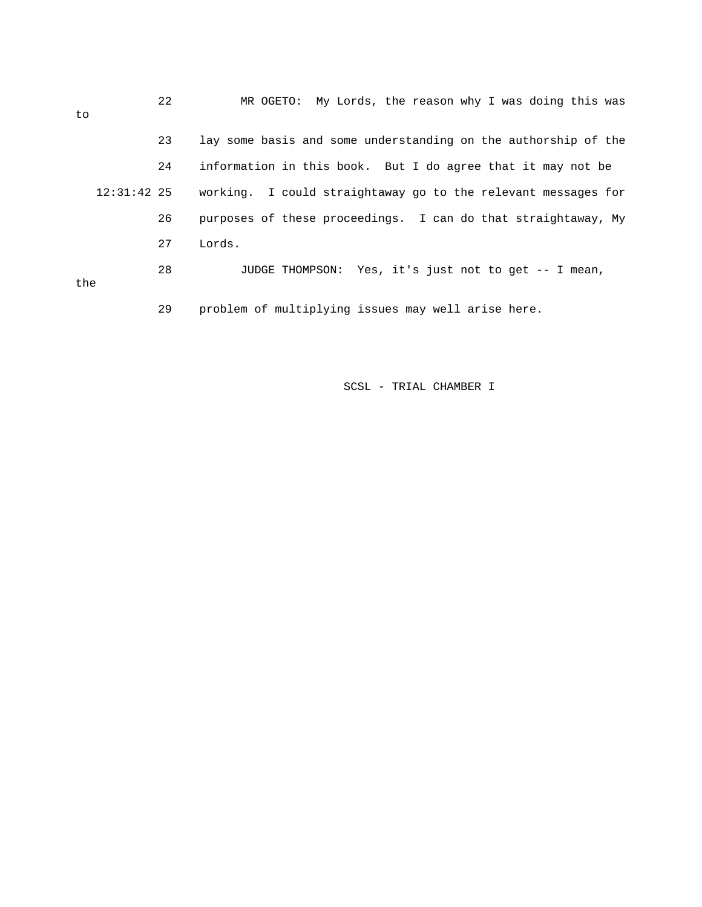| to            |  | 22 | MR OGETO: My Lords, the reason why I was doing this was        |
|---------------|--|----|----------------------------------------------------------------|
|               |  | 23 | lay some basis and some understanding on the authorship of the |
| $12:31:42$ 25 |  | 24 | information in this book. But I do agree that it may not be    |
|               |  |    | working. I could straightaway go to the relevant messages for  |
|               |  | 26 | purposes of these proceedings. I can do that straightaway, My  |
|               |  | 27 | Lords.                                                         |
| the           |  | 28 | JUDGE THOMPSON: Yes, it's just not to get -- I mean,           |
|               |  | 29 | problem of multiplying issues may well arise here.             |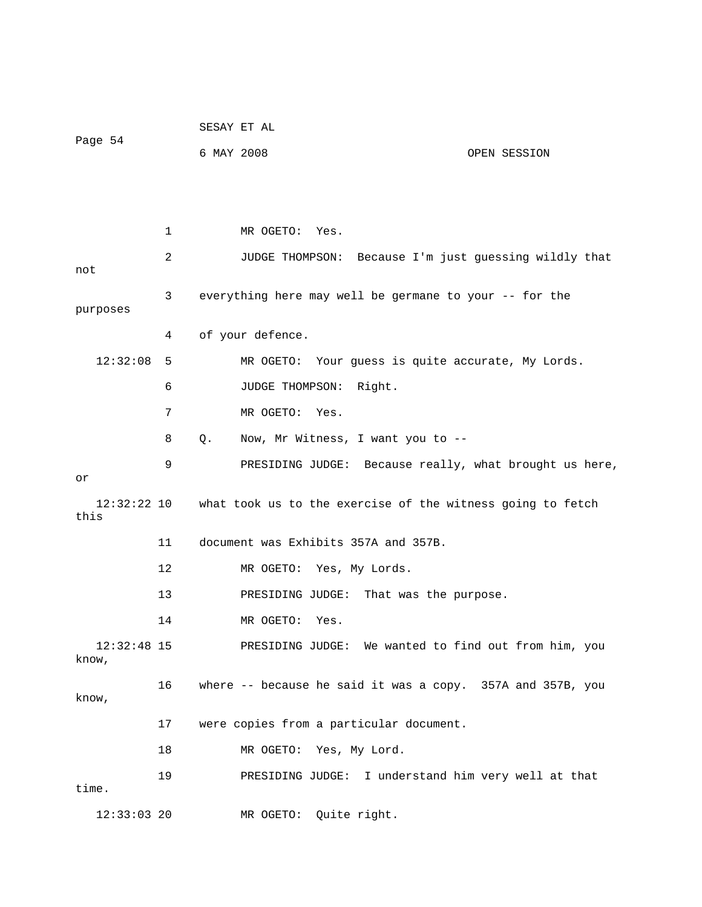|                        |    | SESAY ET AL                                      |                                                            |  |
|------------------------|----|--------------------------------------------------|------------------------------------------------------------|--|
| Page 54                |    | 6 MAY 2008                                       | OPEN SESSION                                               |  |
|                        |    |                                                  |                                                            |  |
|                        |    |                                                  |                                                            |  |
|                        | 1  | MR OGETO: Yes.                                   |                                                            |  |
| not                    | 2  |                                                  | JUDGE THOMPSON: Because I'm just guessing wildly that      |  |
| purposes               | 3  |                                                  | everything here may well be germane to your -- for the     |  |
|                        | 4  | of your defence.                                 |                                                            |  |
| 12:32:08               | 5  |                                                  | MR OGETO: Your guess is quite accurate, My Lords.          |  |
|                        | 6  | JUDGE THOMPSON:                                  | Right.                                                     |  |
|                        | 7  | MR OGETO: Yes.                                   |                                                            |  |
|                        | 8  | $Q_{\star}$<br>Now, Mr Witness, I want you to -- |                                                            |  |
| or                     | 9  |                                                  | PRESIDING JUDGE: Because really, what brought us here,     |  |
| 12:32:22 10<br>this    |    |                                                  | what took us to the exercise of the witness going to fetch |  |
|                        | 11 | document was Exhibits 357A and 357B.             |                                                            |  |
|                        | 12 | MR OGETO: Yes, My Lords.                         |                                                            |  |
|                        | 13 | PRESIDING JUDGE:                                 | That was the purpose.                                      |  |
|                        | 14 | MR OGETO:<br>Yes.                                |                                                            |  |
| $12:32:48$ 15<br>know, |    |                                                  | PRESIDING JUDGE: We wanted to find out from him, you       |  |
| know,                  | 16 |                                                  | where -- because he said it was a copy. 357A and 357B, you |  |
|                        | 17 | were copies from a particular document.          |                                                            |  |
|                        | 18 | MR OGETO: Yes, My Lord.                          |                                                            |  |
| time.                  | 19 | PRESIDING JUDGE:                                 | I understand him very well at that                         |  |
| $12:33:03$ 20          |    | MR OGETO: Quite right.                           |                                                            |  |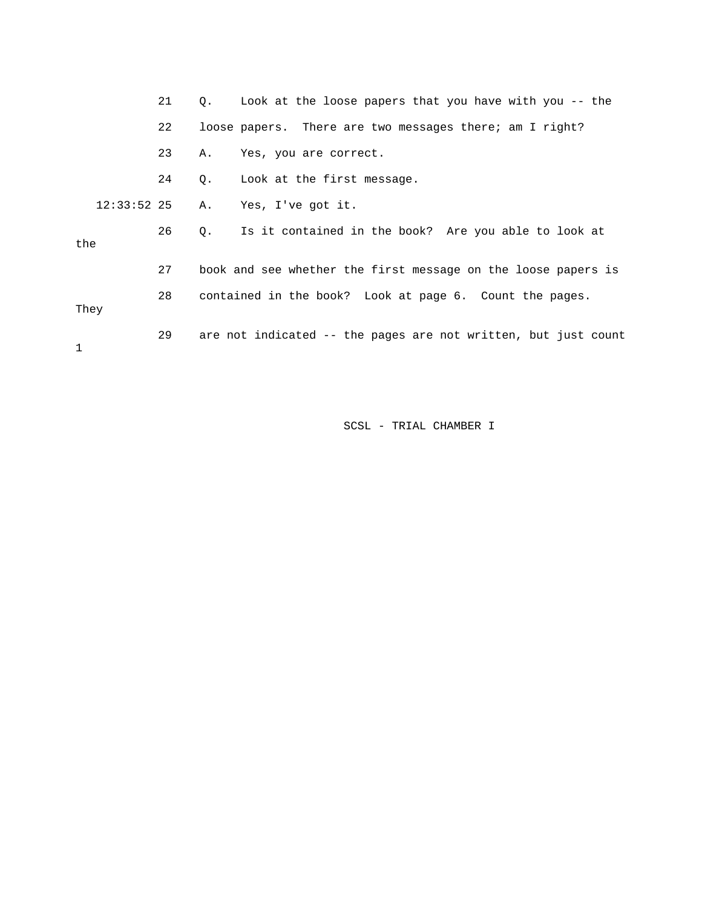|               | 21 |    | Q. Look at the loose papers that you have with you -- the      |
|---------------|----|----|----------------------------------------------------------------|
|               | 22 |    | loose papers. There are two messages there; am I right?        |
|               | 23 | Α. | Yes, you are correct.                                          |
|               | 24 |    | Q. Look at the first message.                                  |
| $12:33:52$ 25 |    |    | A. Yes, I've got it.                                           |
| the           | 26 |    | Q. Is it contained in the book? Are you able to look at        |
|               | 27 |    | book and see whether the first message on the loose papers is  |
| They          | 28 |    | contained in the book? Look at page 6. Count the pages.        |
| 1             | 29 |    | are not indicated -- the pages are not written, but just count |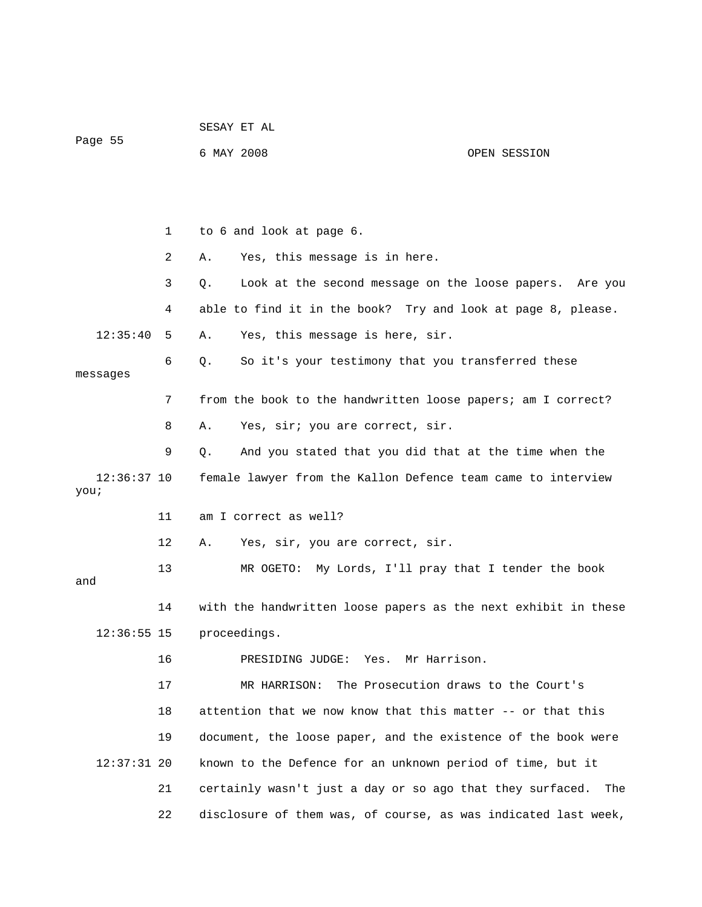| Page 55               |    | SESAY ET AL                         |                                                                  |
|-----------------------|----|-------------------------------------|------------------------------------------------------------------|
|                       |    | 6 MAY 2008                          | OPEN SESSION                                                     |
|                       |    |                                     |                                                                  |
|                       |    |                                     |                                                                  |
|                       | 1  | to 6 and look at page 6.            |                                                                  |
|                       | 2  | Yes, this message is in here.<br>Α. |                                                                  |
|                       | 3  | Q.                                  | Look at the second message on the loose papers. Are you          |
|                       | 4  |                                     | able to find it in the book? Try and look at page 8, please.     |
| 12:35:40              | 5  | Α.                                  | Yes, this message is here, sir.                                  |
|                       | 6  | Q.                                  | So it's your testimony that you transferred these                |
| messages              |    |                                     |                                                                  |
|                       | 7  |                                     | from the book to the handwritten loose papers; am I correct?     |
|                       | 8  | Α.                                  | Yes, sir; you are correct, sir.                                  |
|                       | 9  | Q.                                  | And you stated that you did that at the time when the            |
| $12:36:37$ 10<br>you; |    |                                     | female lawyer from the Kallon Defence team came to interview     |
|                       | 11 | am I correct as well?               |                                                                  |
|                       | 12 | Α.                                  | Yes, sir, you are correct, sir.                                  |
|                       | 13 |                                     | MR OGETO: My Lords, I'll pray that I tender the book             |
| and                   |    |                                     |                                                                  |
|                       | 14 |                                     | with the handwritten loose papers as the next exhibit in these   |
| $12:36:55$ 15         |    | proceedings.                        |                                                                  |
|                       | 16 | PRESIDING JUDGE:                    | Yes.<br>Mr Harrison.                                             |
|                       | 17 | MR HARRISON:                        | The Prosecution draws to the Court's                             |
|                       | 18 |                                     | attention that we now know that this matter -- or that this      |
|                       | 19 |                                     | document, the loose paper, and the existence of the book were    |
| $12:37:31$ 20         |    |                                     | known to the Defence for an unknown period of time, but it       |
|                       | 21 |                                     | certainly wasn't just a day or so ago that they surfaced.<br>The |
|                       | 22 |                                     | disclosure of them was, of course, as was indicated last week,   |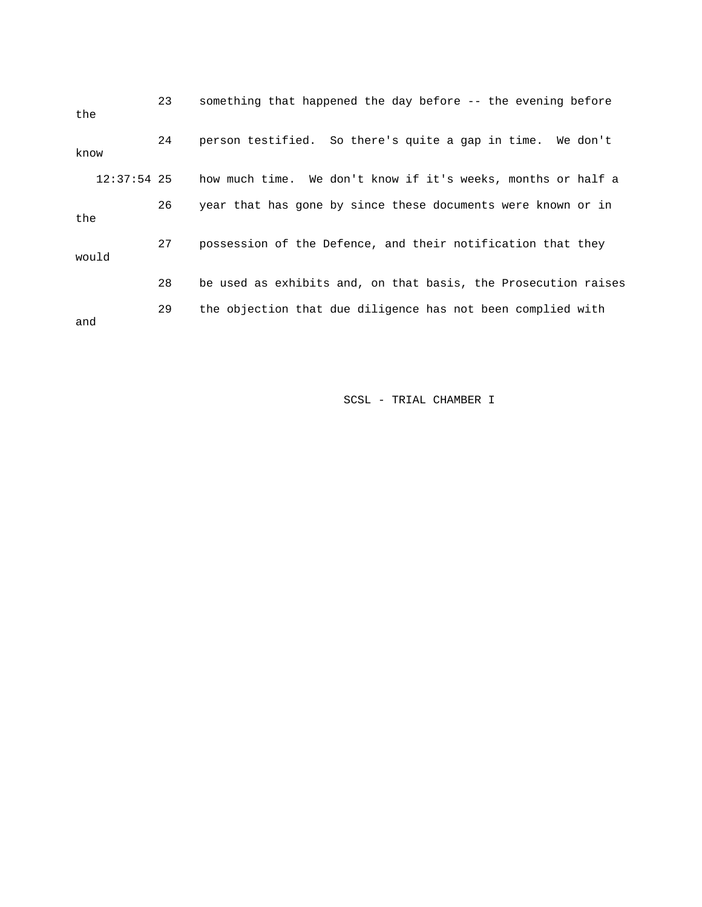| the   |               | 23 | something that happened the day before -- the evening before   |
|-------|---------------|----|----------------------------------------------------------------|
| know  |               | 24 | person testified. So there's quite a gap in time. We don't     |
|       | $12:37:54$ 25 |    | how much time. We don't know if it's weeks, months or half a   |
| the   |               | 26 | year that has gone by since these documents were known or in   |
| would |               | 27 | possession of the Defence, and their notification that they    |
|       |               | 28 | be used as exhibits and, on that basis, the Prosecution raises |
| and   |               | 29 | the objection that due diligence has not been complied with    |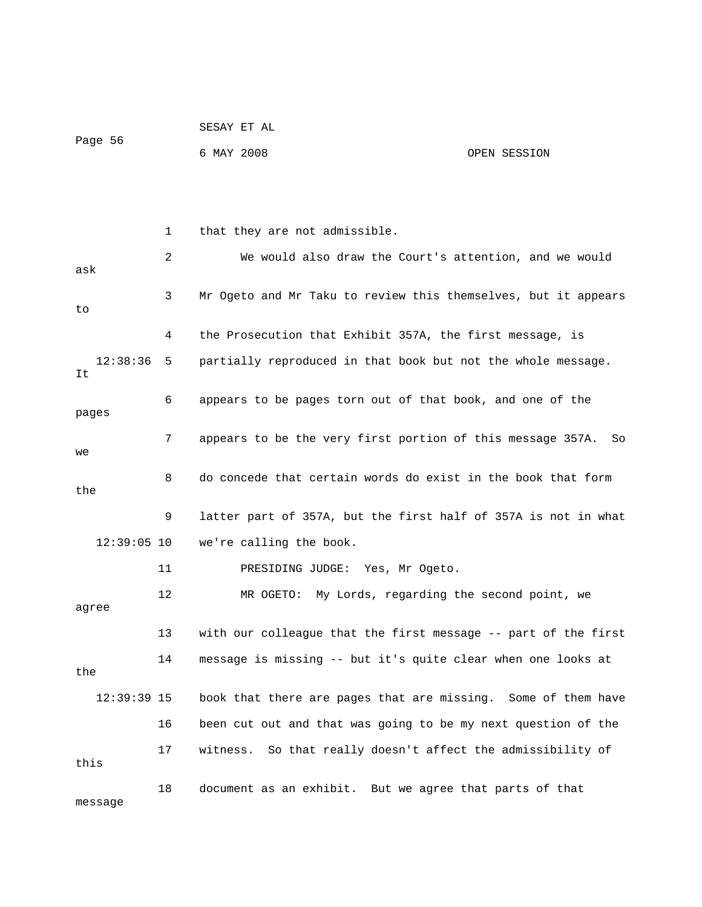|         | SESAY ET AL |              |
|---------|-------------|--------------|
| Page 56 |             |              |
|         | 6 MAY 2008  | OPEN SESSION |

 1 that they are not admissible. 2 We would also draw the Court's attention, and we would ask 3 Mr Ogeto and Mr Taku to review this themselves, but it appears to 4 the Prosecution that Exhibit 357A, the first message, is 12:38:36 5 partially reproduced in that book but not the whole message. It 6 appears to be pages torn out of that book, and one of the pages 7 appears to be the very first portion of this message 357A. So we 8 do concede that certain words do exist in the book that form the 9 latter part of 357A, but the first half of 357A is not in what 12:39:05 10 we're calling the book. 11 PRESIDING JUDGE: Yes, Mr Ogeto. 12 MR OGETO: My Lords, regarding the second point, we agree 13 with our colleague that the first message -- part of the first 14 message is missing -- but it's quite clear when one looks at the 12:39:39 15 book that there are pages that are missing. Some of them have 16 been cut out and that was going to be my next question of the 17 witness. So that really doesn't affect the admissibility of this 18 document as an exhibit. But we agree that parts of that message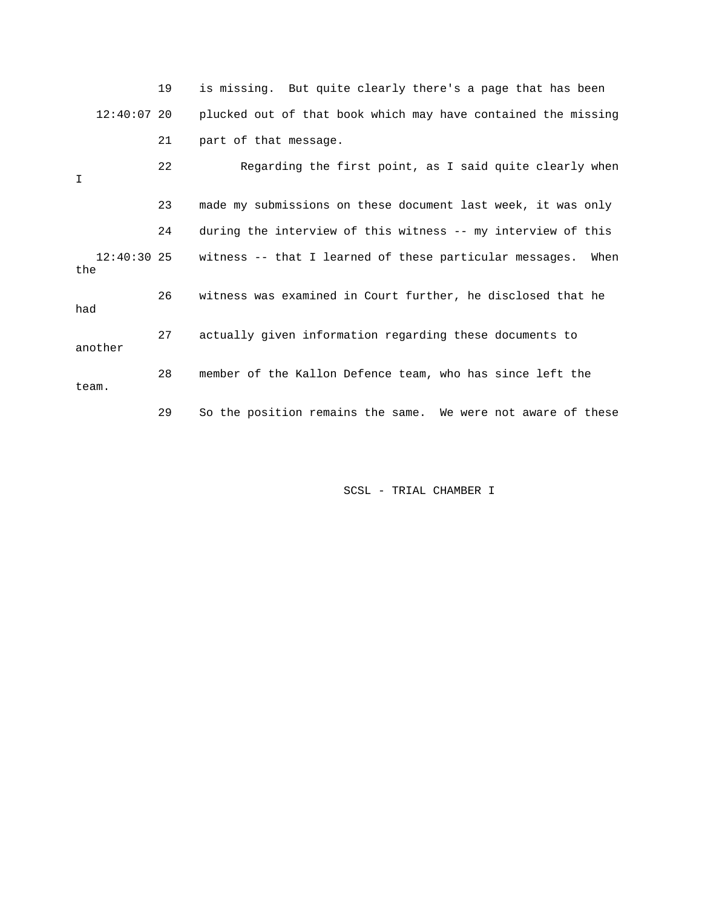|         |               | 19 | is missing. But quite clearly there's a page that has been      |
|---------|---------------|----|-----------------------------------------------------------------|
|         | $12:40:07$ 20 |    | plucked out of that book which may have contained the missing   |
|         |               | 21 | part of that message.                                           |
| I       |               | 22 | Regarding the first point, as I said quite clearly when         |
|         |               | 23 | made my submissions on these document last week, it was only    |
|         |               | 24 | during the interview of this witness -- my interview of this    |
| the     | $12:40:30$ 25 |    | witness -- that I learned of these particular messages.<br>When |
| had     |               | 26 | witness was examined in Court further, he disclosed that he     |
| another |               | 27 | actually given information regarding these documents to         |
| team.   |               | 28 | member of the Kallon Defence team, who has since left the       |
|         |               | 29 | So the position remains the same. We were not aware of these    |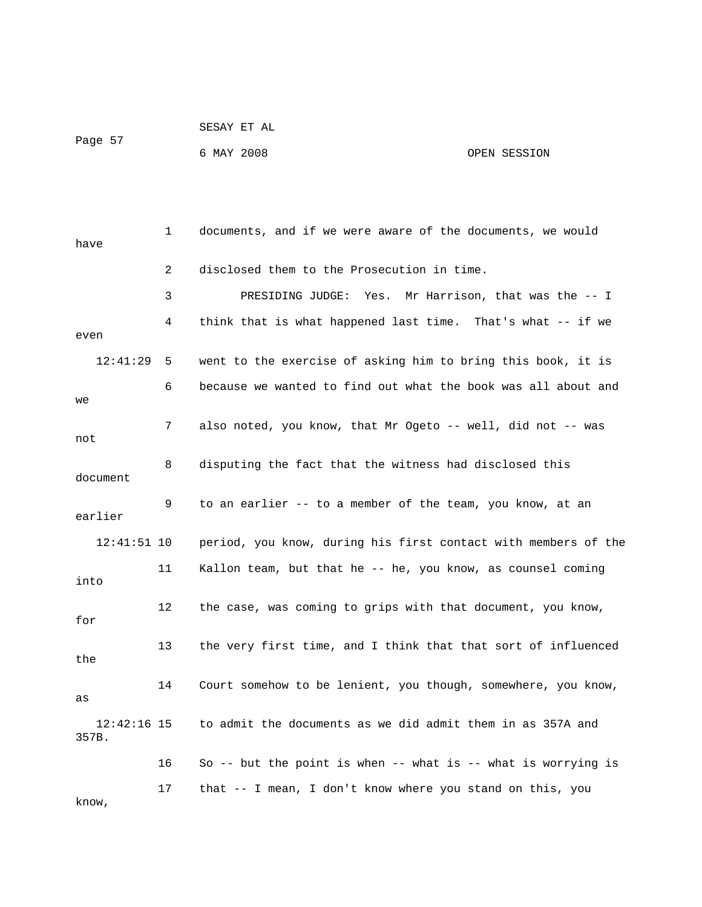| Page 57 | SESAY ET AL |              |
|---------|-------------|--------------|
|         | 6 MAY 2008  | OPEN SESSION |

| have                   | $\mathbf{1}$ | documents, and if we were aware of the documents, we would     |
|------------------------|--------------|----------------------------------------------------------------|
|                        | 2            | disclosed them to the Prosecution in time.                     |
|                        | 3            | Mr Harrison, that was the $-$ - I<br>PRESIDING JUDGE:<br>Yes.  |
| even                   | 4            | think that is what happened last time. That's what -- if we    |
| 12:41:29               | 5            | went to the exercise of asking him to bring this book, it is   |
| we                     | 6            | because we wanted to find out what the book was all about and  |
| not                    | 7            | also noted, you know, that Mr Ogeto -- well, did not -- was    |
| document               | 8            | disputing the fact that the witness had disclosed this         |
| earlier                | 9            | to an earlier -- to a member of the team, you know, at an      |
| $12:41:51$ 10          |              | period, you know, during his first contact with members of the |
| into                   | 11           | Kallon team, but that he -- he, you know, as counsel coming    |
| for                    | 12           | the case, was coming to grips with that document, you know,    |
| the                    | 13           | the very first time, and I think that that sort of influenced  |
| as                     | 14           | Court somehow to be lenient, you though, somewhere, you know,  |
| $12:42:16$ 15<br>357B. |              | to admit the documents as we did admit them in as 357A and     |
|                        | 16           | So -- but the point is when -- what is -- what is worrying is  |
| know,                  | 17           | that -- I mean, I don't know where you stand on this, you      |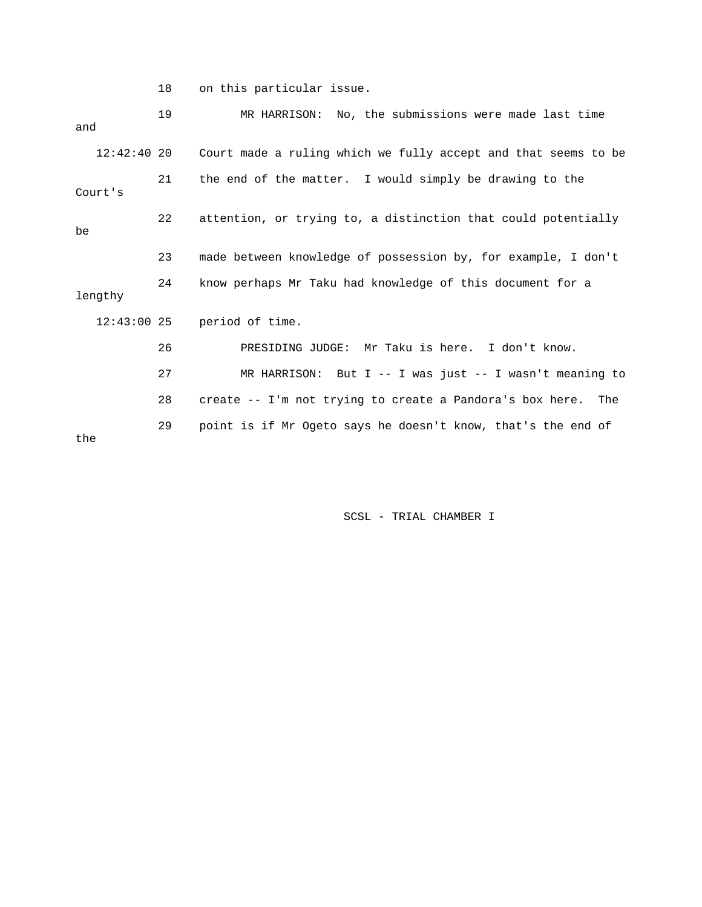18 on this particular issue.

| and           | 19 | MR HARRISON: No, the submissions were made last time           |
|---------------|----|----------------------------------------------------------------|
| $12:42:40$ 20 |    | Court made a ruling which we fully accept and that seems to be |
| Court's       | 21 | the end of the matter. I would simply be drawing to the        |
| be            | 22 | attention, or trying to, a distinction that could potentially  |
|               | 23 | made between knowledge of possession by, for example, I don't  |
| lengthy       | 24 | know perhaps Mr Taku had knowledge of this document for a      |
| $12:43:00$ 25 |    | period of time.                                                |
|               | 26 | PRESIDING JUDGE: Mr Taku is here. I don't know.                |
|               | 27 | MR HARRISON: But I -- I was just -- I wasn't meaning to        |
|               | 28 | create -- I'm not trying to create a Pandora's box here. The   |
| the           | 29 | point is if Mr Ogeto says he doesn't know, that's the end of   |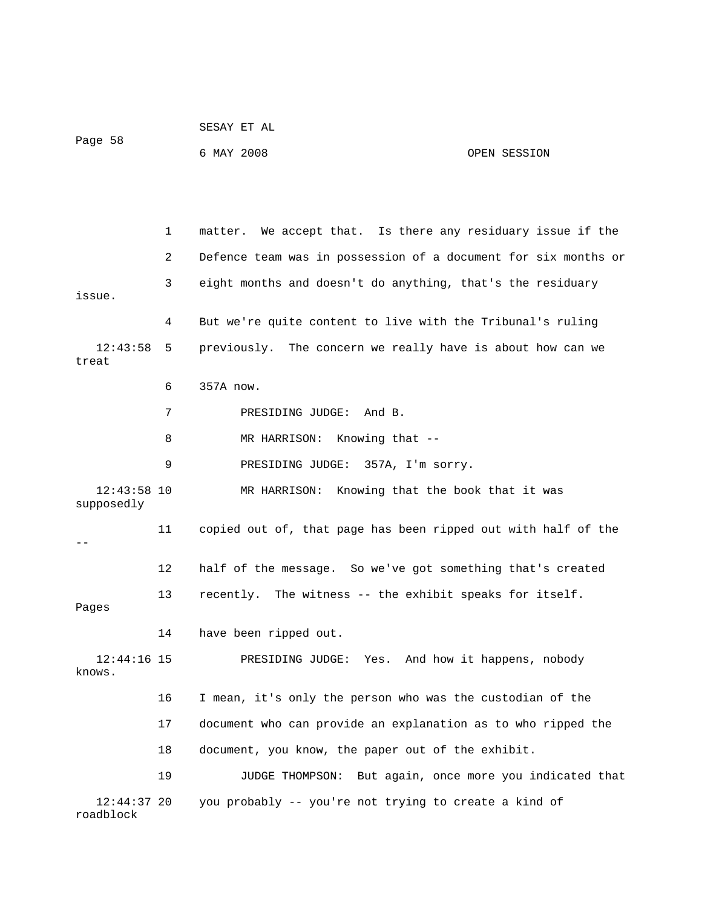|                             |    | SESAY ET AL                                                    |              |
|-----------------------------|----|----------------------------------------------------------------|--------------|
| Page 58                     |    | 6 MAY 2008                                                     | OPEN SESSION |
|                             |    |                                                                |              |
|                             |    |                                                                |              |
|                             | 1  | matter. We accept that. Is there any residuary issue if the    |              |
|                             | 2  | Defence team was in possession of a document for six months or |              |
| issue.                      | 3  | eight months and doesn't do anything, that's the residuary     |              |
|                             | 4  | But we're quite content to live with the Tribunal's ruling     |              |
| 12:43:58<br>treat           | 5  | previously. The concern we really have is about how can we     |              |
|                             | 6  | 357A now.                                                      |              |
|                             | 7  | PRESIDING JUDGE: And B.                                        |              |
|                             | 8  | MR HARRISON: Knowing that --                                   |              |
|                             | 9  | PRESIDING JUDGE: 357A, I'm sorry.                              |              |
| $12:43:58$ 10<br>supposedly |    | MR HARRISON: Knowing that the book that it was                 |              |
|                             | 11 | copied out of, that page has been ripped out with half of the  |              |
|                             | 12 | half of the message. So we've got something that's created     |              |
| Pages                       | 13 | recently. The witness -- the exhibit speaks for itself.        |              |
|                             | 14 | have been ripped out.                                          |              |
| $12:44:16$ 15<br>knows.     |    | PRESIDING JUDGE: Yes. And how it happens, nobody               |              |
|                             | 16 | I mean, it's only the person who was the custodian of the      |              |
|                             | 17 | document who can provide an explanation as to who ripped the   |              |
|                             | 18 | document, you know, the paper out of the exhibit.              |              |
|                             | 19 | JUDGE THOMPSON: But again, once more you indicated that        |              |
| $12:44:37$ 20<br>roadblock  |    | you probably -- you're not trying to create a kind of          |              |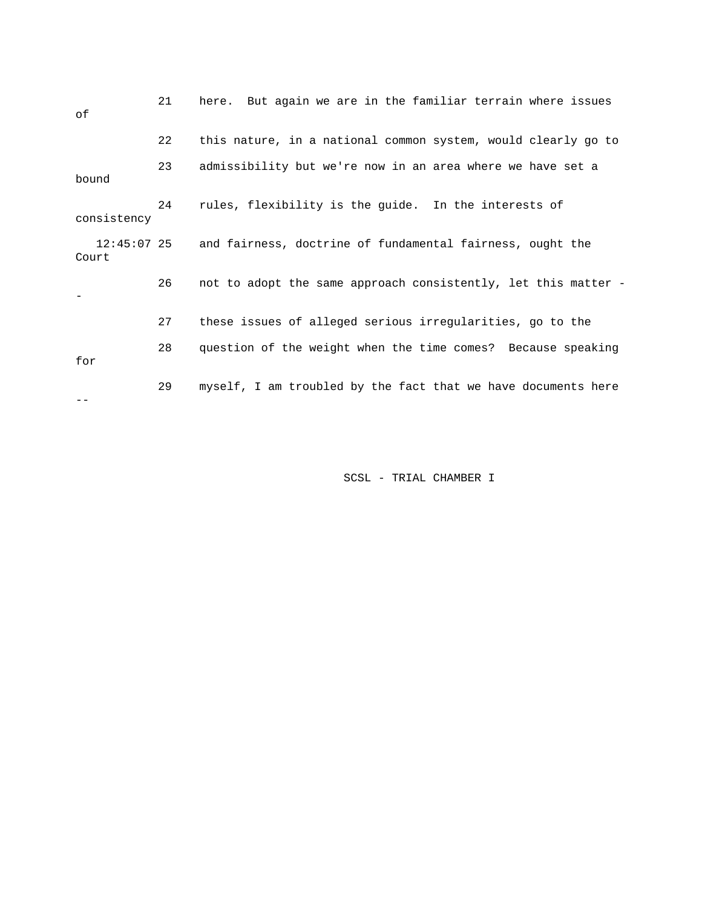| оf                     | 21 | here. But again we are in the familiar terrain where issues    |
|------------------------|----|----------------------------------------------------------------|
|                        | 22 | this nature, in a national common system, would clearly go to  |
| bound                  | 23 | admissibility but we're now in an area where we have set a     |
| consistency            | 24 | rules, flexibility is the guide. In the interests of           |
| $12:45:07$ 25<br>Court |    | and fairness, doctrine of fundamental fairness, ought the      |
|                        | 26 | not to adopt the same approach consistently, let this matter - |
|                        | 27 | these issues of alleged serious irregularities, go to the      |
| for                    | 28 | question of the weight when the time comes? Because speaking   |
|                        | 29 | myself, I am troubled by the fact that we have documents here  |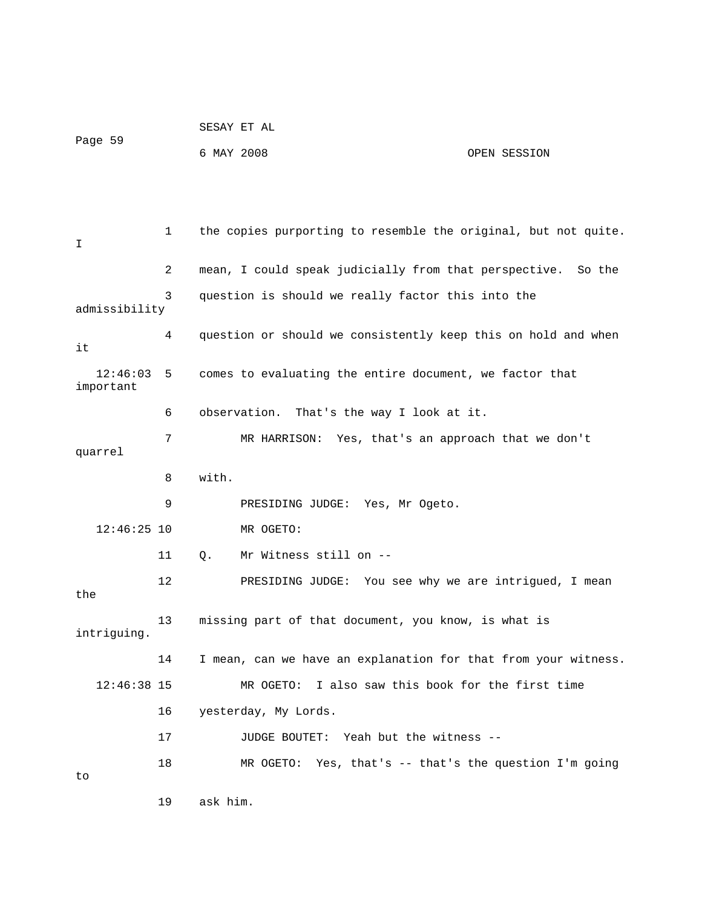|                       |    | SESAY ET AL                                             |                                                                |
|-----------------------|----|---------------------------------------------------------|----------------------------------------------------------------|
| Page 59               |    | 6 MAY 2008                                              | OPEN SESSION                                                   |
|                       |    |                                                         |                                                                |
|                       |    |                                                         |                                                                |
| I                     | 1  |                                                         | the copies purporting to resemble the original, but not quite. |
|                       | 2  | mean, I could speak judicially from that perspective.   | So the                                                         |
| admissibility         | 3  | question is should we really factor this into the       |                                                                |
| it                    | 4  |                                                         | question or should we consistently keep this on hold and when  |
| 12:46:03<br>important | 5  | comes to evaluating the entire document, we factor that |                                                                |
|                       | 6  | observation. That's the way I look at it.               |                                                                |
| 7<br>quarrel          |    |                                                         | MR HARRISON: Yes, that's an approach that we don't             |
|                       | 8  | with.                                                   |                                                                |
|                       | 9  | PRESIDING JUDGE: Yes, Mr Ogeto.                         |                                                                |
| $12:46:25$ 10         |    | MR OGETO:                                               |                                                                |
|                       | 11 | Mr Witness still on --<br>Q.                            |                                                                |
| the                   | 12 |                                                         | PRESIDING JUDGE: You see why we are intrigued, I mean          |
| intriguing.           | 13 | missing part of that document, you know, is what is     |                                                                |
|                       | 14 |                                                         | I mean, can we have an explanation for that from your witness. |
| $12:46:38$ 15         |    | MR OGETO:                                               | I also saw this book for the first time                        |
|                       | 16 | yesterday, My Lords.                                    |                                                                |
|                       | 17 | JUDGE BOUTET: Yeah but the witness --                   |                                                                |
| to                    | 18 |                                                         | MR OGETO: Yes, that's -- that's the question I'm going         |
|                       | 19 | ask him.                                                |                                                                |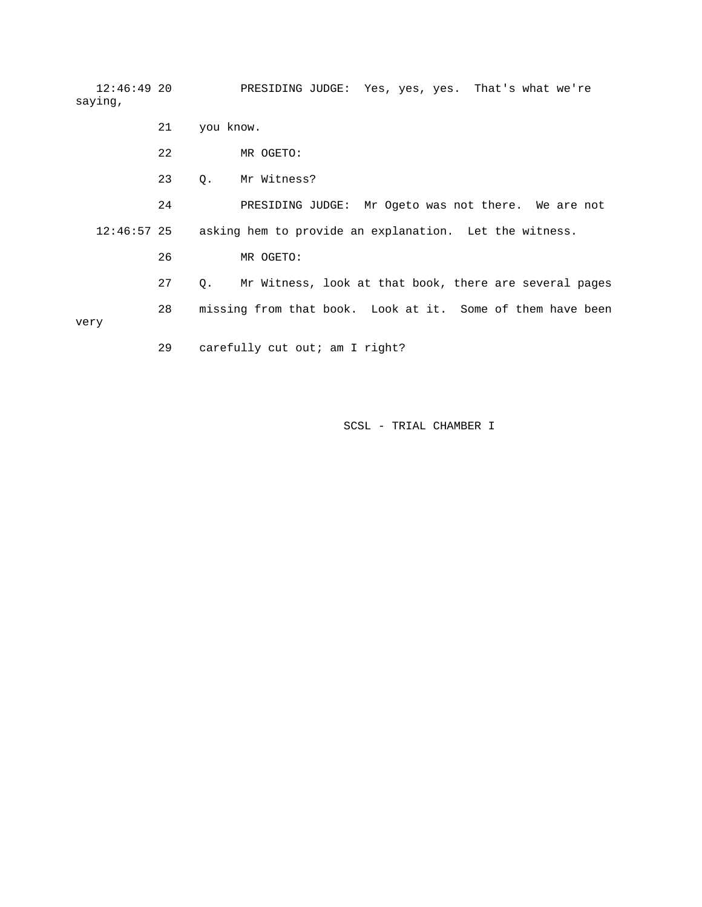12:46:49 20 PRESIDING JUDGE: Yes, yes, yes. That's what we're saying,

|               | 21 | you know.                                                    |
|---------------|----|--------------------------------------------------------------|
|               | 22 | MR OGETO:                                                    |
|               | 23 | Mr Witness?<br>О.                                            |
|               | 24 | PRESIDING JUDGE: Mr Ogeto was not there. We are not          |
| $12:46:57$ 25 |    | asking hem to provide an explanation. Let the witness.       |
|               | 26 | MR OGETO:                                                    |
|               | 27 | Mr Witness, look at that book, there are several pages<br>О. |
|               | 28 | missing from that book. Look at it. Some of them have been   |
| very          |    |                                                              |
|               | 29 | carefully cut out; am I right?                               |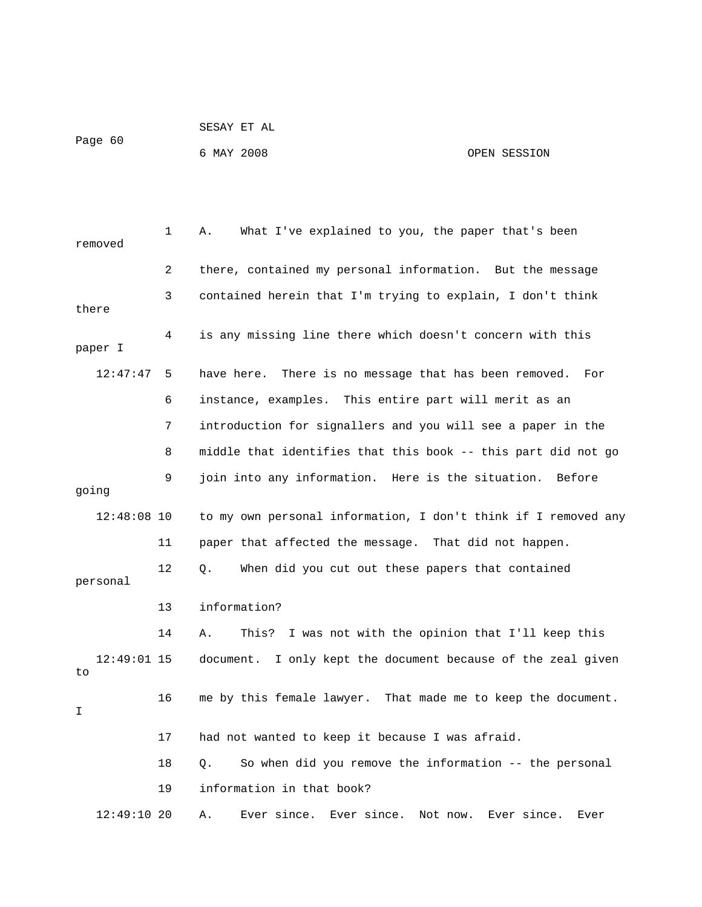| SESAY | EТ | 71 T<br>$\overline{a}$ |  |
|-------|----|------------------------|--|
|       |    |                        |  |

Page 60

## 6 MAY 2008 OPEN SESSION

 1 A. What I've explained to you, the paper that's been removed 2 there, contained my personal information. But the message 3 contained herein that I'm trying to explain, I don't think there 4 is any missing line there which doesn't concern with this paper I 12:47:47 5 have here. There is no message that has been removed. For 6 instance, examples. This entire part will merit as an 7 introduction for signallers and you will see a paper in the 8 middle that identifies that this book -- this part did not go 9 join into any information. Here is the situation. Before going 12:48:08 10 to my own personal information, I don't think if I removed any 11 paper that affected the message. That did not happen. 12 Q. When did you cut out these papers that contained personal 13 information? 14 A. This? I was not with the opinion that I'll keep this 12:49:01 15 document. I only kept the document because of the zeal given to 16 me by this female lawyer. That made me to keep the document. I 17 had not wanted to keep it because I was afraid. 18 Q. So when did you remove the information -- the personal 19 information in that book? 12:49:10 20 A. Ever since. Ever since. Not now. Ever since. Ever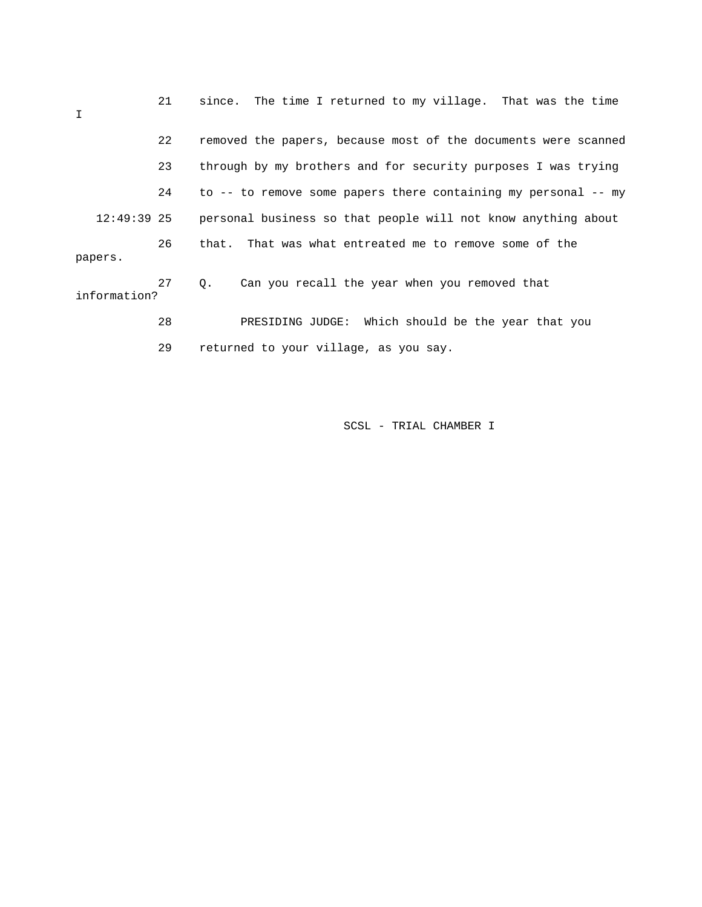| I             | 21 | since. The time I returned to my village. That was the time    |
|---------------|----|----------------------------------------------------------------|
|               | 22 | removed the papers, because most of the documents were scanned |
|               | 23 | through by my brothers and for security purposes I was trying  |
|               | 24 | to -- to remove some papers there containing my personal -- my |
| $12:49:39$ 25 |    | personal business so that people will not know anything about  |
| papers.       | 26 | that. That was what entreated me to remove some of the         |
| information?  | 27 | Can you recall the year when you removed that<br>$\circ$ .     |
|               | 28 | PRESIDING JUDGE: Which should be the year that you             |
|               | 29 | returned to your village, as you say.                          |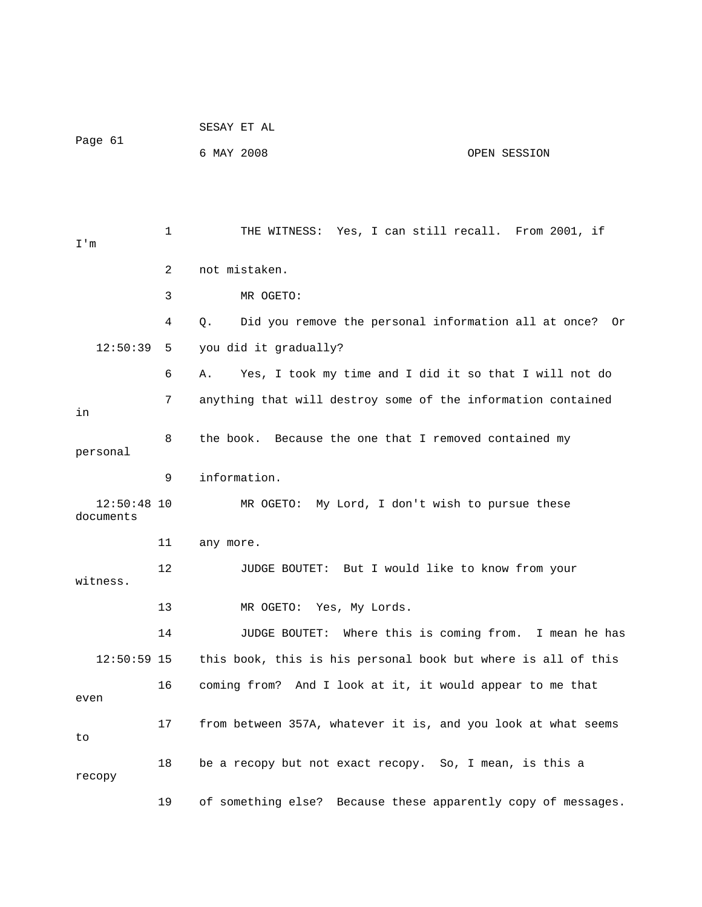|                            |    | SESAY ET AL                                                   |  |
|----------------------------|----|---------------------------------------------------------------|--|
| Page 61                    |    | 6 MAY 2008<br>OPEN SESSION                                    |  |
|                            |    |                                                               |  |
|                            |    |                                                               |  |
| I'm                        | 1  | THE WITNESS: Yes, I can still recall. From 2001, if           |  |
|                            | 2  | not mistaken.                                                 |  |
|                            | 3  | MR OGETO:                                                     |  |
|                            | 4  | Did you remove the personal information all at once? Or<br>Q. |  |
| 12:50:39                   | 5  | you did it gradually?                                         |  |
|                            | 6  | Yes, I took my time and I did it so that I will not do<br>Α.  |  |
|                            | 7  | anything that will destroy some of the information contained  |  |
| in                         |    |                                                               |  |
| personal                   | 8  | the book. Because the one that I removed contained my         |  |
|                            | 9  | information.                                                  |  |
| $12:50:48$ 10<br>documents |    | MR OGETO: My Lord, I don't wish to pursue these               |  |
|                            | 11 | any more.                                                     |  |
| witness.                   | 12 | <b>JUDGE BOUTET:</b><br>But I would like to know from your    |  |
|                            | 13 | MR OGETO: Yes, My Lords.                                      |  |
|                            | 14 | JUDGE BOUTET: Where this is coming from. I mean he has        |  |
| $12:50:59$ 15              |    | this book, this is his personal book but where is all of this |  |
| even                       | 16 | coming from? And I look at it, it would appear to me that     |  |
| to                         | 17 | from between 357A, whatever it is, and you look at what seems |  |
| recopy                     | 18 | be a recopy but not exact recopy. So, I mean, is this a       |  |
|                            | 19 | of something else? Because these apparently copy of messages. |  |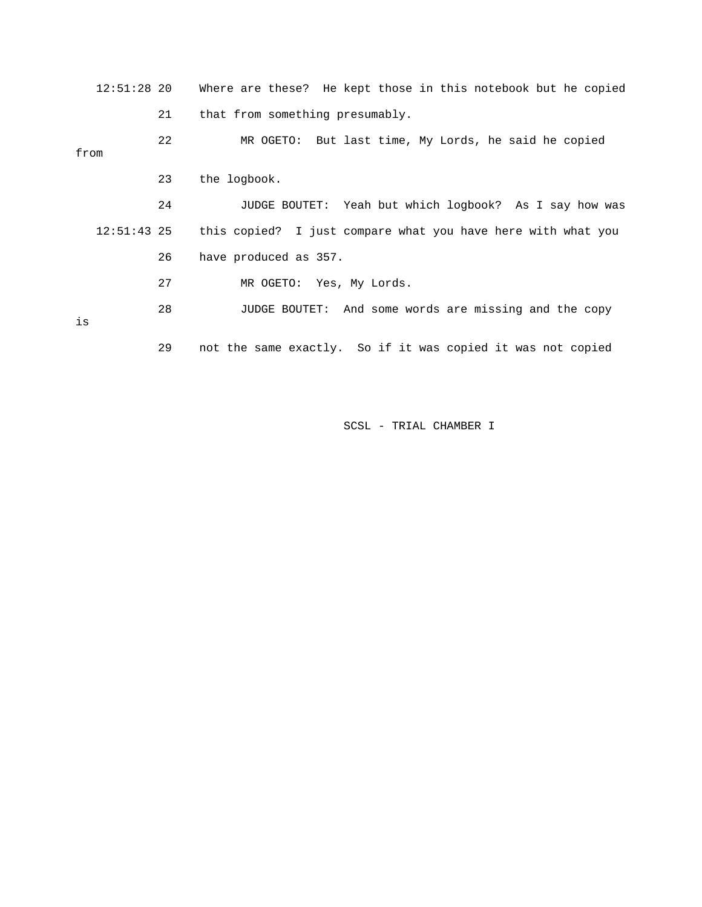12:51:28 20 Where are these? He kept those in this notebook but he copied 21 that from something presumably. 22 MR OGETO: But last time, My Lords, he said he copied from 23 the logbook. 24 JUDGE BOUTET: Yeah but which logbook? As I say how was 12:51:43 25 this copied? I just compare what you have here with what you 26 have produced as 357. 27 MR OGETO: Yes, My Lords. 28 JUDGE BOUTET: And some words are missing and the copy is 29 not the same exactly. So if it was copied it was not copied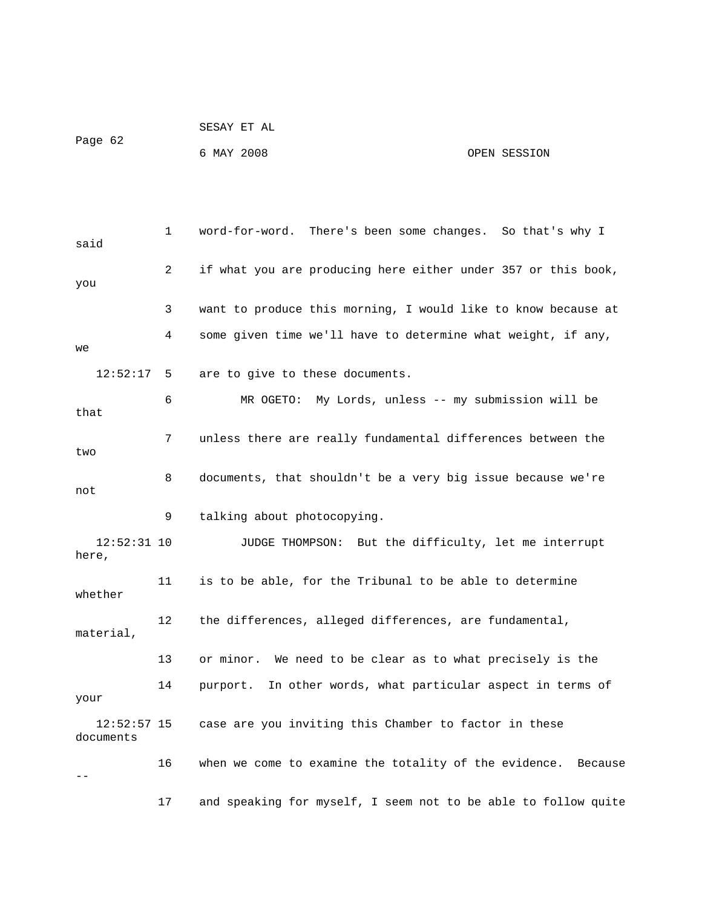| Page 62 | SESAY ET AL |              |
|---------|-------------|--------------|
|         | 6 MAY 2008  | OPEN SESSION |

 1 word-for-word. There's been some changes. So that's why I said 2 if what you are producing here either under 357 or this book, you 3 want to produce this morning, I would like to know because at 4 some given time we'll have to determine what weight, if any, we 12:52:17 5 are to give to these documents. 6 MR OGETO: My Lords, unless -- my submission will be that 7 unless there are really fundamental differences between the two 8 documents, that shouldn't be a very big issue because we're not 9 talking about photocopying. 12:52:31 10 JUDGE THOMPSON: But the difficulty, let me interrupt here, 11 is to be able, for the Tribunal to be able to determine whether 12 the differences, alleged differences, are fundamental, material, 13 or minor. We need to be clear as to what precisely is the 14 purport. In other words, what particular aspect in terms of your 12:52:57 15 case are you inviting this Chamber to factor in these documents 16 when we come to examine the totality of the evidence. Because  $-$ 17 and speaking for myself, I seem not to be able to follow quite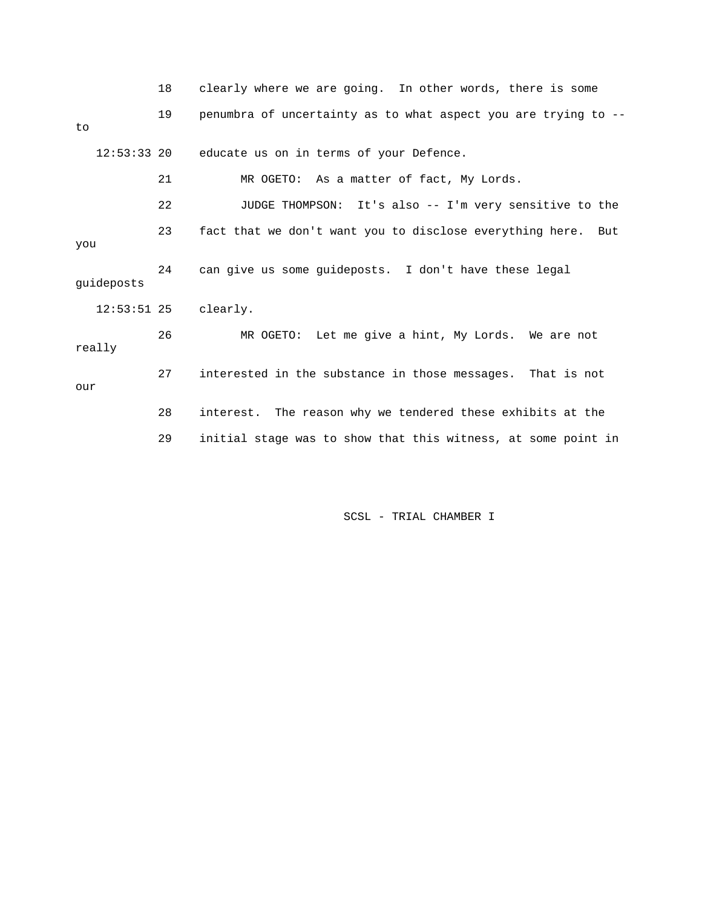|               | 18 | clearly where we are going. In other words, there is some      |
|---------------|----|----------------------------------------------------------------|
| to            | 19 | penumbra of uncertainty as to what aspect you are trying to -- |
| $12:53:33$ 20 |    | educate us on in terms of your Defence.                        |
|               | 21 | MR OGETO: As a matter of fact, My Lords.                       |
|               | 22 | JUDGE THOMPSON: It's also -- I'm very sensitive to the         |
| you           | 23 | fact that we don't want you to disclose everything here. But   |
| quideposts    | 24 | can give us some guideposts. I don't have these legal          |
|               |    | 12:53:51 25 clearly.                                           |
| really        | 26 | MR OGETO: Let me give a hint, My Lords. We are not             |
| our           | 27 | interested in the substance in those messages. That is not     |
|               | 28 | interest. The reason why we tendered these exhibits at the     |
|               | 29 | initial stage was to show that this witness, at some point in  |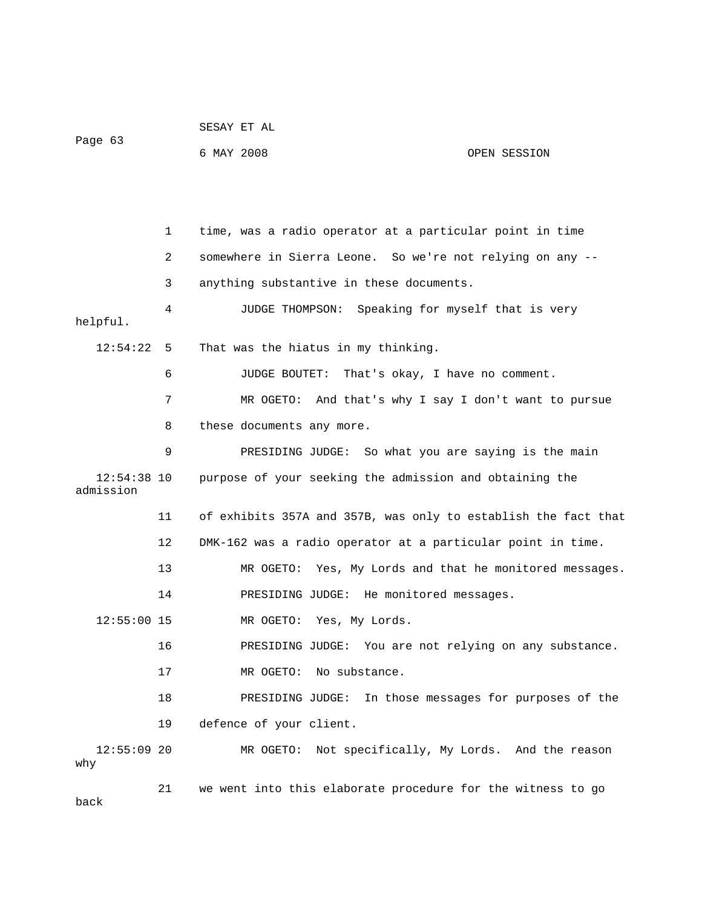| Page 63                    |    | SESAY ET AL                                                    |                                             |
|----------------------------|----|----------------------------------------------------------------|---------------------------------------------|
|                            |    | 6 MAY 2008                                                     | OPEN SESSION                                |
|                            |    |                                                                |                                             |
|                            |    |                                                                |                                             |
|                            | 1  | time, was a radio operator at a particular point in time       |                                             |
|                            | 2  | somewhere in Sierra Leone. So we're not relying on any --      |                                             |
|                            | 3  | anything substantive in these documents.                       |                                             |
| helpful.                   | 4  | JUDGE THOMPSON: Speaking for myself that is very               |                                             |
| 12:54:22 5                 |    | That was the hiatus in my thinking.                            |                                             |
|                            | 6  | JUDGE BOUTET: That's okay, I have no comment.                  |                                             |
|                            | 7  | MR OGETO:                                                      | And that's why I say I don't want to pursue |
|                            | 8  | these documents any more.                                      |                                             |
|                            | 9  | PRESIDING JUDGE: So what you are saying is the main            |                                             |
| $12:54:38$ 10<br>admission |    | purpose of your seeking the admission and obtaining the        |                                             |
|                            | 11 | of exhibits 357A and 357B, was only to establish the fact that |                                             |
|                            | 12 | DMK-162 was a radio operator at a particular point in time.    |                                             |
|                            | 13 | MR OGETO: Yes, My Lords and that he monitored messages.        |                                             |
|                            | 14 | PRESIDING JUDGE: He monitored messages.                        |                                             |
| $12:55:00$ 15              |    | MR OGETO:<br>Yes, My Lords.                                    |                                             |
|                            | 16 | PRESIDING JUDGE: You are not relying on any substance.         |                                             |
|                            | 17 | No substance.<br>MR OGETO:                                     |                                             |
|                            | 18 | PRESIDING JUDGE:                                               | In those messages for purposes of the       |
|                            | 19 | defence of your client.                                        |                                             |
| $12:55:09$ 20<br>why       |    | MR OGETO: Not specifically, My Lords. And the reason           |                                             |
|                            | 21 | we went into this elaborate procedure for the witness to go    |                                             |

back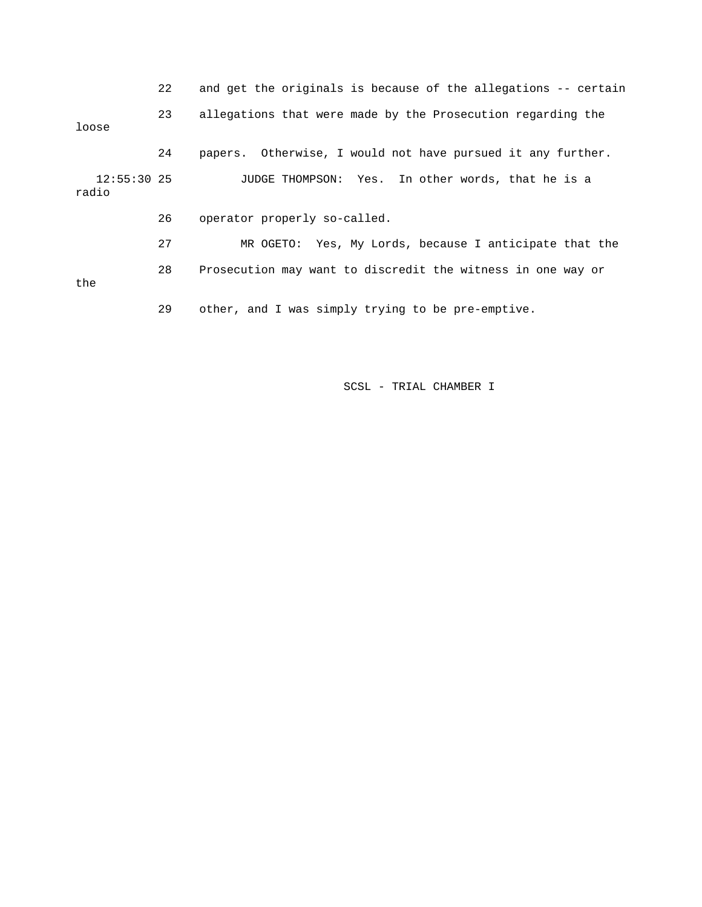22 and get the originals is because of the allegations -- certain 23 allegations that were made by the Prosecution regarding the loose 24 papers. Otherwise, I would not have pursued it any further. 12:55:30 25 JUDGE THOMPSON: Yes. In other words, that he is a radio 26 operator properly so-called. 27 MR OGETO: Yes, My Lords, because I anticipate that the 28 Prosecution may want to discredit the witness in one way or the 29 other, and I was simply trying to be pre-emptive.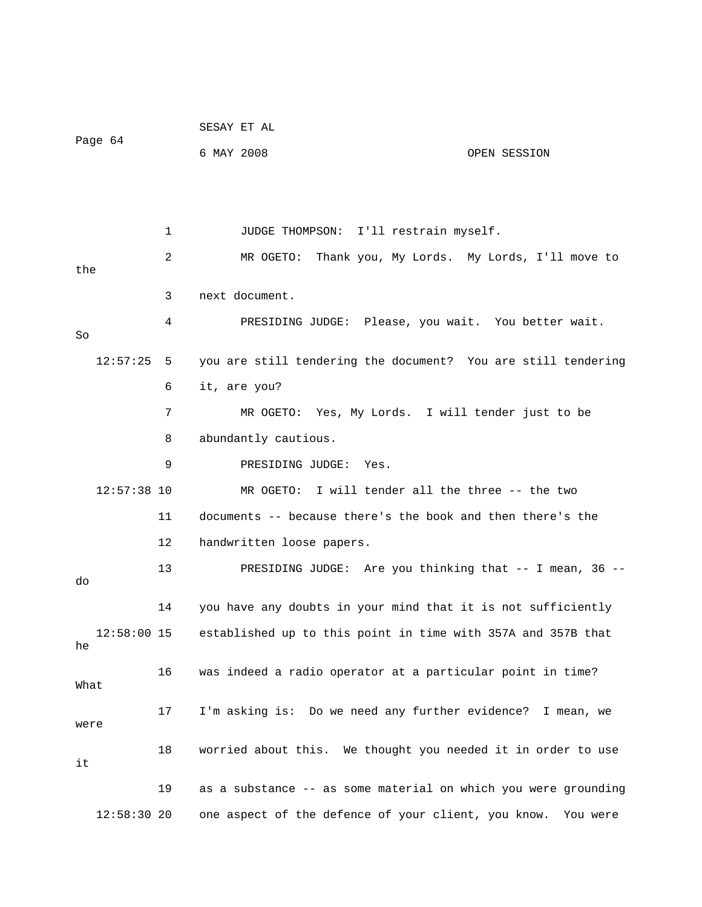| Page 64 |               |    | SESAY ET AL                                                              |              |
|---------|---------------|----|--------------------------------------------------------------------------|--------------|
|         |               |    | 6 MAY 2008                                                               | OPEN SESSION |
|         |               |    |                                                                          |              |
|         |               |    |                                                                          |              |
|         |               | 1  | JUDGE THOMPSON: I'll restrain myself.                                    |              |
|         |               | 2  | MR OGETO: Thank you, My Lords. My Lords, I'll move to                    |              |
| the     |               |    |                                                                          |              |
|         |               | 3  | next document.                                                           |              |
| So      |               | 4  | PRESIDING JUDGE: Please, you wait. You better wait.                      |              |
|         | $12:57:25$ 5  |    | you are still tendering the document? You are still tendering            |              |
|         |               | 6  | it, are you?                                                             |              |
|         |               | 7  | MR OGETO: Yes, My Lords. I will tender just to be                        |              |
|         |               | 8  | abundantly cautious.                                                     |              |
|         |               | 9  | PRESIDING JUDGE:<br>Yes.                                                 |              |
|         | $12:57:38$ 10 |    | MR OGETO: I will tender all the three -- the two                         |              |
|         |               | 11 | documents -- because there's the book and then there's the               |              |
|         |               | 12 | handwritten loose papers.                                                |              |
| do      |               | 13 | PRESIDING JUDGE: Are you thinking that -- I mean, 36 --                  |              |
|         |               | 14 | you have any doubts in your mind that it is not sufficiently             |              |
| he      |               |    | 12:58:00 15 established up to this point in time with 357A and 357B that |              |
| What    |               | 16 | was indeed a radio operator at a particular point in time?               |              |
| were    |               | 17 | I'm asking is: Do we need any further evidence? I mean, we               |              |
| it      |               | 18 | worried about this. We thought you needed it in order to use             |              |
|         |               | 19 | as a substance -- as some material on which you were grounding           |              |
|         | 12:58:30 20   |    | one aspect of the defence of your client, you know.                      | You were     |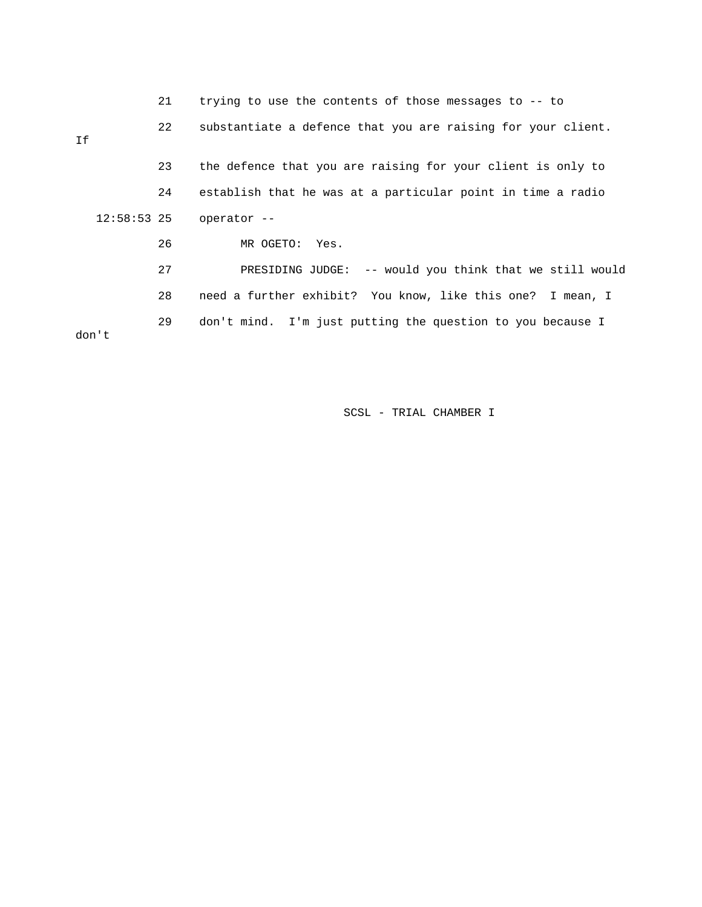|               | 21 | trying to use the contents of those messages to -- to        |
|---------------|----|--------------------------------------------------------------|
| Ιf            | 22 | substantiate a defence that you are raising for your client. |
|               | 23 | the defence that you are raising for your client is only to  |
|               | 24 | establish that he was at a particular point in time a radio  |
| $12:58:53$ 25 |    | operator --                                                  |
|               | 26 | MR OGETO: Yes.                                               |
|               | 27 | PRESIDING JUDGE: -- would you think that we still would      |
|               | 28 | need a further exhibit? You know, like this one? I mean, I   |
| don't         | 29 | don't mind. I'm just putting the question to you because I   |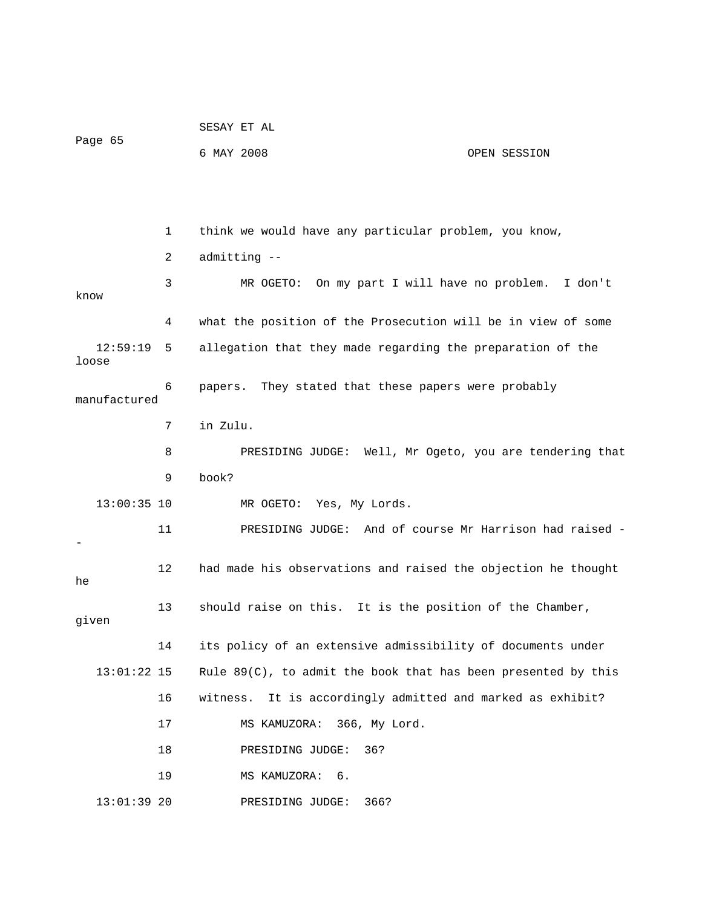| Page 65           |    | SESAY ET AL                                                   |              |
|-------------------|----|---------------------------------------------------------------|--------------|
|                   |    | 6 MAY 2008                                                    | OPEN SESSION |
|                   |    |                                                               |              |
|                   |    |                                                               |              |
|                   | 1  | think we would have any particular problem, you know,         |              |
|                   | 2  | admitting --                                                  |              |
| know              | 3  | MR OGETO: On my part I will have no problem.                  | I don't      |
|                   | 4  | what the position of the Prosecution will be in view of some  |              |
| 12:59:19<br>loose | 5  | allegation that they made regarding the preparation of the    |              |
| manufactured      | 6  | papers. They stated that these papers were probably           |              |
|                   | 7  | in Zulu.                                                      |              |
|                   | 8  | PRESIDING JUDGE: Well, Mr Ogeto, you are tendering that       |              |
|                   | 9  | book?                                                         |              |
| $13:00:35$ 10     |    | MR OGETO: Yes, My Lords.                                      |              |
|                   | 11 | PRESIDING JUDGE: And of course Mr Harrison had raised -       |              |
| he                | 12 | had made his observations and raised the objection he thought |              |
| given             | 13 | should raise on this. It is the position of the Chamber,      |              |
|                   | 14 | its policy of an extensive admissibility of documents under   |              |
| $13:01:22$ 15     |    | Rule 89(C), to admit the book that has been presented by this |              |
|                   | 16 | It is accordingly admitted and marked as exhibit?<br>witness. |              |
|                   | 17 | 366, My Lord.<br>MS KAMUZORA:                                 |              |
|                   | 18 | PRESIDING JUDGE:<br>36?                                       |              |
|                   | 19 | MS KAMUZORA:<br>б.                                            |              |
| $13:01:39$ 20     |    | PRESIDING JUDGE:<br>366?                                      |              |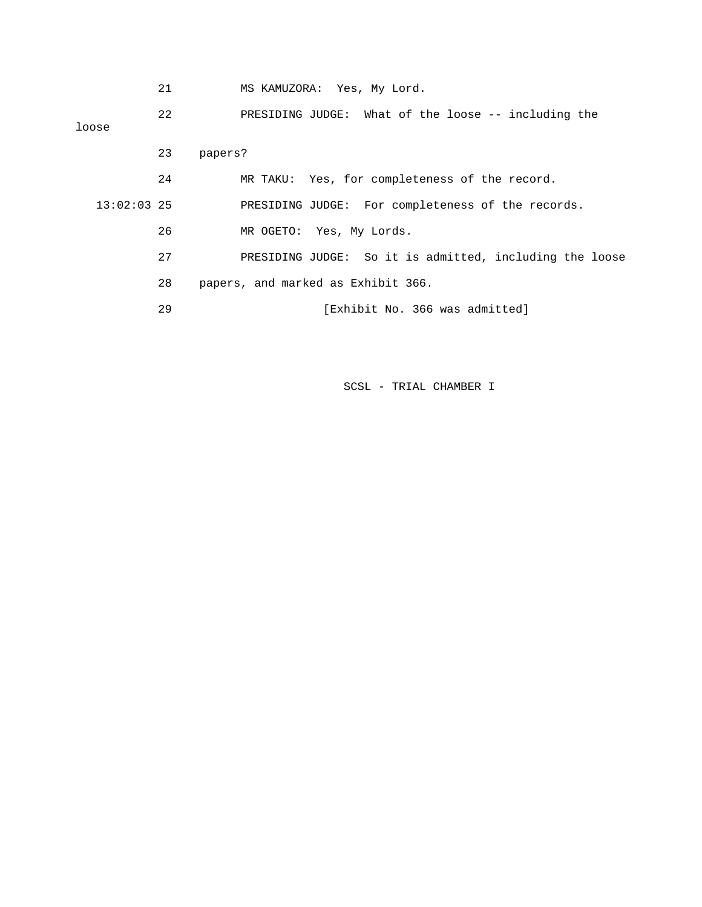|  |  | MS KAMUZORA: Yes, My Lord. |  |  |  |  |
|--|--|----------------------------|--|--|--|--|
|--|--|----------------------------|--|--|--|--|

 22 PRESIDING JUDGE: What of the loose -- including the loose 23 papers? 24 MR TAKU: Yes, for completeness of the record. 13:02:03 25 PRESIDING JUDGE: For completeness of the records. 26 MR OGETO: Yes, My Lords. 27 PRESIDING JUDGE: So it is admitted, including the loose 28 papers, and marked as Exhibit 366. 29 [Exhibit No. 366 was admitted]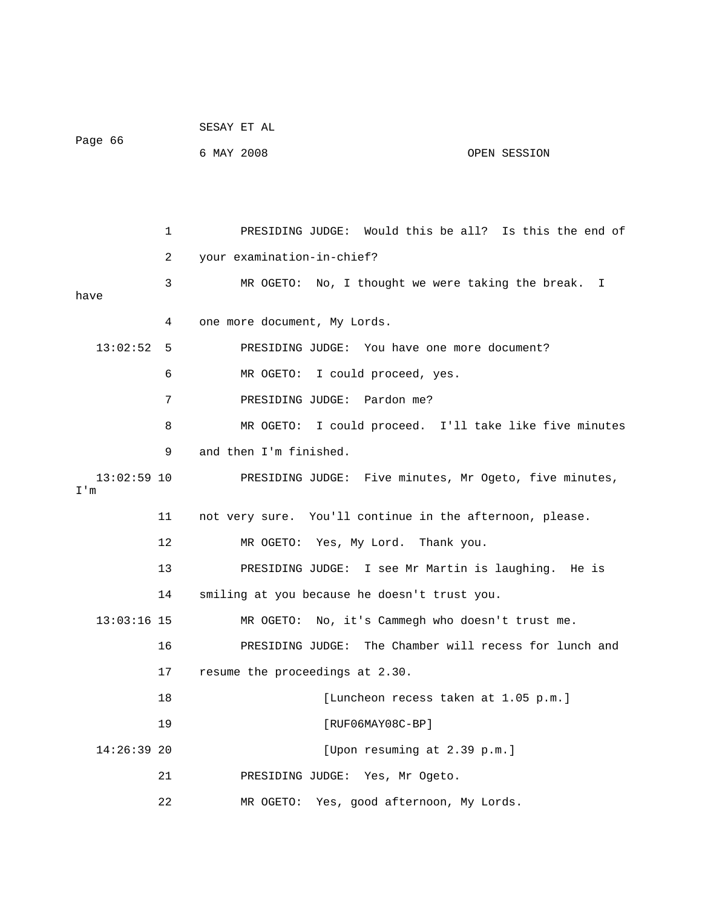| Page 66              |    | SESAY ET AL                                              |
|----------------------|----|----------------------------------------------------------|
|                      |    | 6 MAY 2008<br>OPEN SESSION                               |
|                      |    |                                                          |
|                      |    |                                                          |
|                      | 1  | PRESIDING JUDGE: Would this be all? Is this the end of   |
|                      | 2  | your examination-in-chief?                               |
| have                 | 3  | MR OGETO: No, I thought we were taking the break. I      |
|                      | 4  | one more document, My Lords.                             |
| 13:02:52             | 5  | PRESIDING JUDGE: You have one more document?             |
|                      | 6  | MR OGETO: I could proceed, yes.                          |
|                      | 7  | PRESIDING JUDGE: Pardon me?                              |
|                      |    |                                                          |
|                      | 8  | MR OGETO: I could proceed. I'll take like five minutes   |
|                      | 9  | and then I'm finished.                                   |
| $13:02:59$ 10<br>I'm |    | PRESIDING JUDGE: Five minutes, Mr Ogeto, five minutes,   |
|                      | 11 | not very sure. You'll continue in the afternoon, please. |
|                      | 12 | MR OGETO: Yes, My Lord. Thank you.                       |
|                      | 13 | PRESIDING JUDGE: I see Mr Martin is laughing. He is      |
|                      | 14 | smiling at you because he doesn't trust you.             |
| $13:03:16$ 15        |    | MR OGETO: No, it's Cammegh who doesn't trust me.         |
|                      | 16 | PRESIDING JUDGE: The Chamber will recess for lunch and   |
|                      | 17 | resume the proceedings at 2.30.                          |
|                      | 18 | [Luncheon recess taken at 1.05 p.m.]                     |
|                      | 19 | $[RUF06MAY08C-BP]$                                       |
| $14:26:39$ 20        |    | [Upon resuming at 2.39 p.m.]                             |
|                      | 21 | PRESIDING JUDGE: Yes, Mr Ogeto.                          |
|                      | 22 | MR OGETO:<br>Yes, good afternoon, My Lords.              |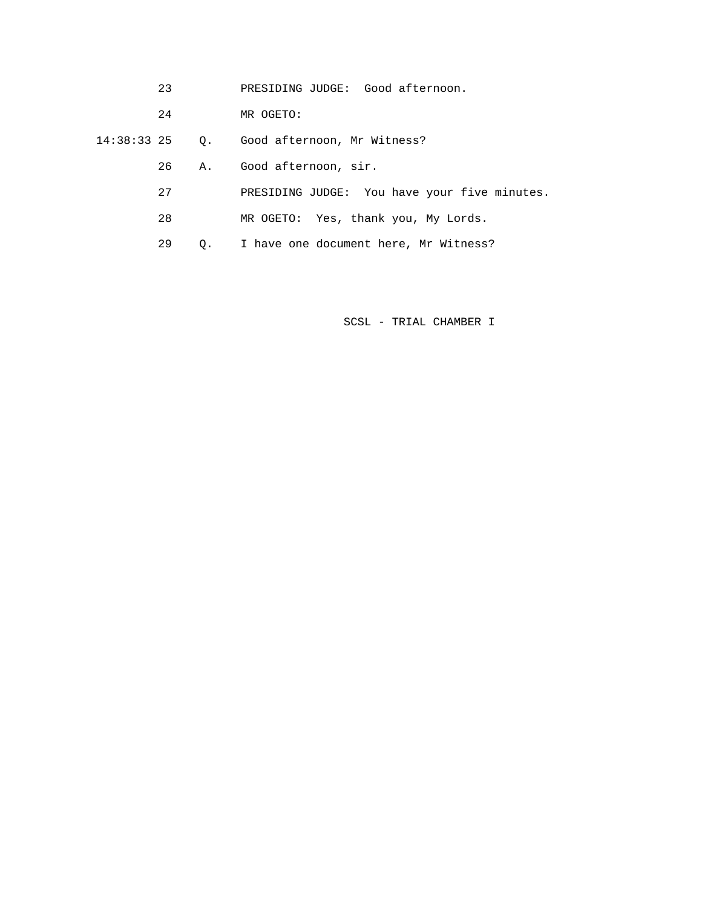- 23 PRESIDING JUDGE: Good afternoon.
- 24 MR OGETO:
- 14:38:33 25 Q. Good afternoon, Mr Witness?
	- 26 A. Good afternoon, sir.
	- 27 PRESIDING JUDGE: You have your five minutes.
	- 28 MR OGETO: Yes, thank you, My Lords.
	- 29 Q. I have one document here, Mr Witness?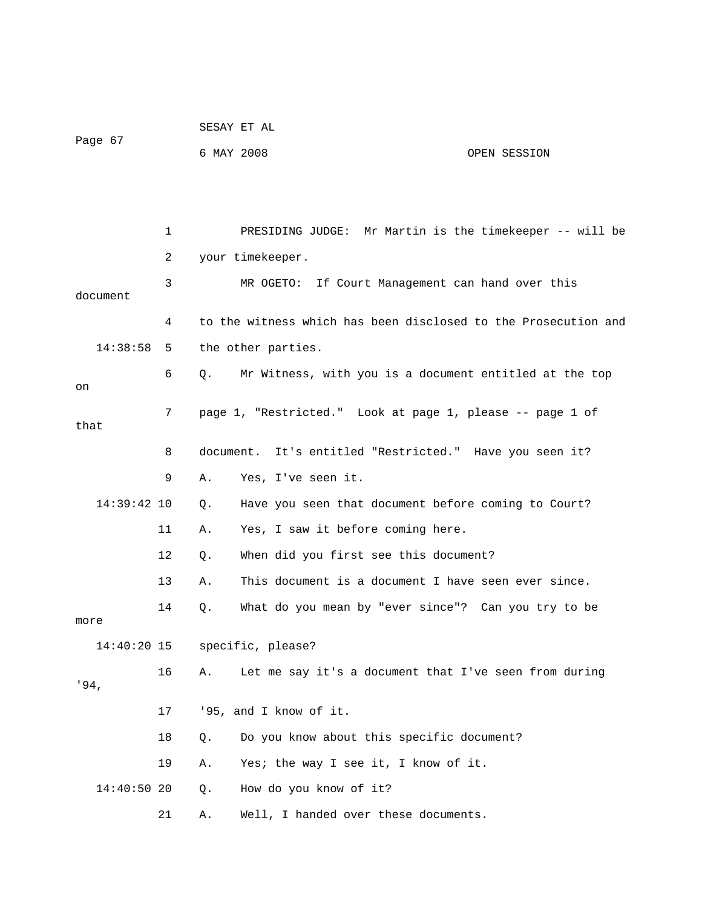|               |    | SESAY ET AL                                                         |
|---------------|----|---------------------------------------------------------------------|
| Page 67       |    | 6 MAY 2008<br>OPEN SESSION                                          |
|               |    |                                                                     |
|               |    |                                                                     |
|               | 1  | PRESIDING JUDGE: Mr Martin is the timekeeper -- will be             |
|               | 2  | your timekeeper.                                                    |
| document      | 3  | MR OGETO: If Court Management can hand over this                    |
|               | 4  | to the witness which has been disclosed to the Prosecution and      |
| 14:38:58      | 5  | the other parties.                                                  |
| on            | 6  | Mr Witness, with you is a document entitled at the top<br>$\circ$ . |
| that          | 7  | page 1, "Restricted." Look at page 1, please -- page 1 of           |
|               | 8  | document. It's entitled "Restricted." Have you seen it?             |
|               | 9  | Yes, I've seen it.<br>Α.                                            |
| $14:39:42$ 10 |    | Have you seen that document before coming to Court?<br>Q.           |
|               | 11 | Yes, I saw it before coming here.<br>Α.                             |
|               | 12 | When did you first see this document?<br>Q.                         |
|               | 13 | This document is a document I have seen ever since.<br>Α.           |
| more          | 14 | What do you mean by "ever since"? Can you try to be<br>Q.           |
| $14:40:20$ 15 |    | specific, please?                                                   |
| .94.          | 16 | Let me say it's a document that I've seen from during<br>Α.         |
|               | 17 | '95, and I know of it.                                              |
|               | 18 | Do you know about this specific document?<br>Q.                     |
|               | 19 | Yes; the way I see it, I know of it.<br>Α.                          |
| 14:40:50 20   |    | How do you know of it?<br>Q.                                        |
|               | 21 | Well, I handed over these documents.<br>Α.                          |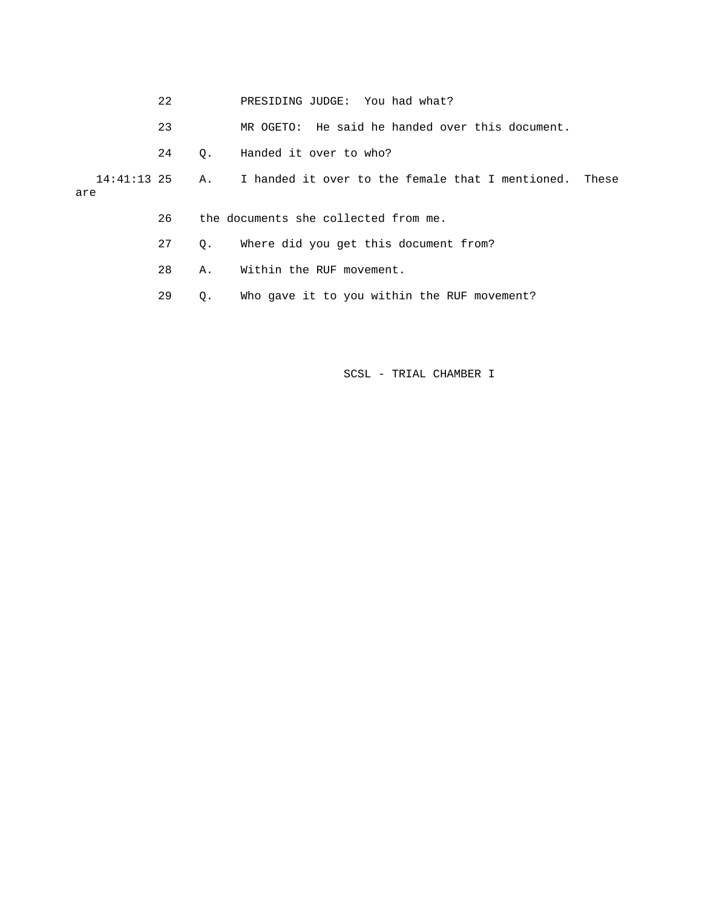- 22 PRESIDING JUDGE: You had what?
	- 23 MR OGETO: He said he handed over this document.
	- 24 Q. Handed it over to who?

 14:41:13 25 A. I handed it over to the female that I mentioned. These are

- 26 the documents she collected from me.
- 27 Q. Where did you get this document from?
- 28 A. Within the RUF movement.
- 29 Q. Who gave it to you within the RUF movement?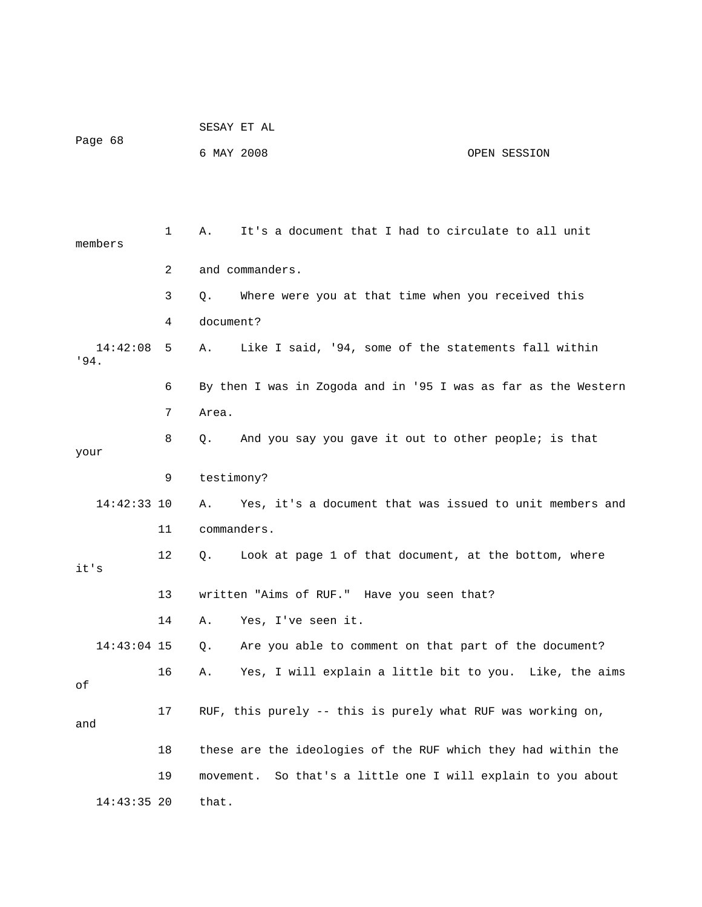|                  |              |            | SESAY ET AL                                                    |              |
|------------------|--------------|------------|----------------------------------------------------------------|--------------|
| Page 68          |              | 6 MAY 2008 |                                                                | OPEN SESSION |
|                  |              |            |                                                                |              |
|                  |              |            |                                                                |              |
| members          | $\mathbf{1}$ | Α.         | It's a document that I had to circulate to all unit            |              |
|                  | 2            |            | and commanders.                                                |              |
|                  | 3            | Q.         | Where were you at that time when you received this             |              |
|                  | 4            | document?  |                                                                |              |
| 14:42:08<br>'94. | 5            | Α.         | Like I said, '94, some of the statements fall within           |              |
|                  | 6            |            | By then I was in Zogoda and in '95 I was as far as the Western |              |
|                  | 7            | Area.      |                                                                |              |
| your             | 8            | Q.         | And you say you gave it out to other people; is that           |              |
|                  | 9            | testimony? |                                                                |              |
| $14:42:33$ 10    |              | Α.         | Yes, it's a document that was issued to unit members and       |              |
|                  | 11           |            | commanders.                                                    |              |
| it's             | 12           | Q.         | Look at page 1 of that document, at the bottom, where          |              |
|                  | 13           |            | written "Aims of RUF." Have you seen that?                     |              |
|                  | 14           | Α.         | Yes, I've seen it.                                             |              |
| 14:43:04 15      |              | Q.         | Are you able to comment on that part of the document?          |              |
| оf               | 16           | Α.         | Yes, I will explain a little bit to you. Like, the aims        |              |
| and              | 17           |            | RUF, this purely -- this is purely what RUF was working on,    |              |
|                  | 18           |            | these are the ideologies of the RUF which they had within the  |              |
|                  | 19           | movement.  | So that's a little one I will explain to you about             |              |
| $14:43:35$ 20    |              | that.      |                                                                |              |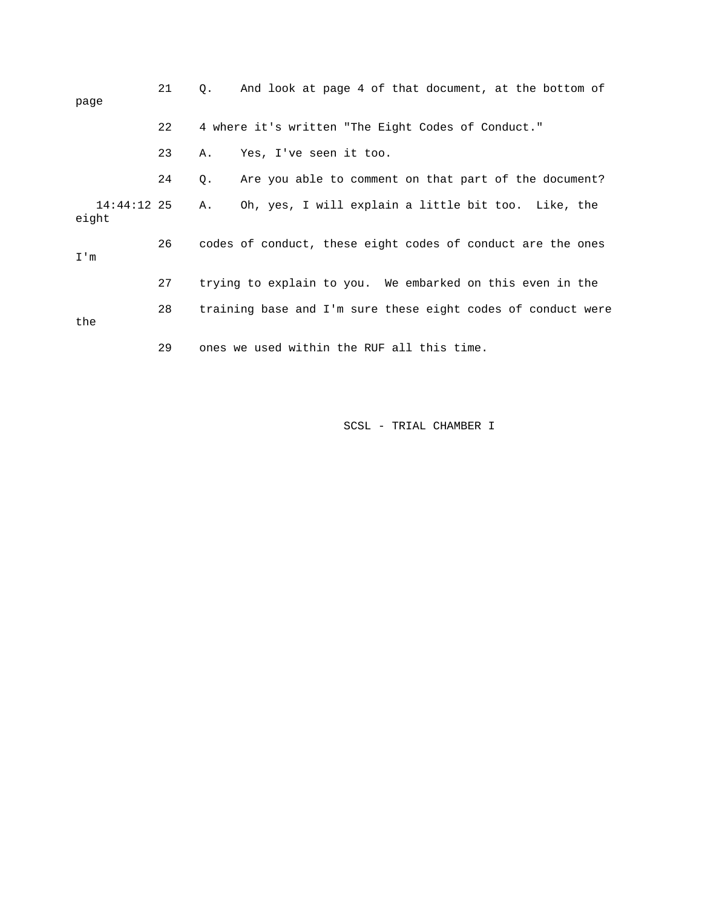| page                 | 21 |    | Q. And look at page 4 of that document, at the bottom of     |
|----------------------|----|----|--------------------------------------------------------------|
|                      | 22 |    | 4 where it's written "The Eight Codes of Conduct."           |
|                      | 23 | Α. | Yes, I've seen it too.                                       |
|                      | 24 | Q. | Are you able to comment on that part of the document?        |
| 14:44:12 25<br>eight |    | Α. | Oh, yes, I will explain a little bit too. Like, the          |
| I'm                  | 26 |    | codes of conduct, these eight codes of conduct are the ones  |
|                      | 27 |    | trying to explain to you. We embarked on this even in the    |
| the                  | 28 |    | training base and I'm sure these eight codes of conduct were |
|                      | 29 |    | ones we used within the RUF all this time.                   |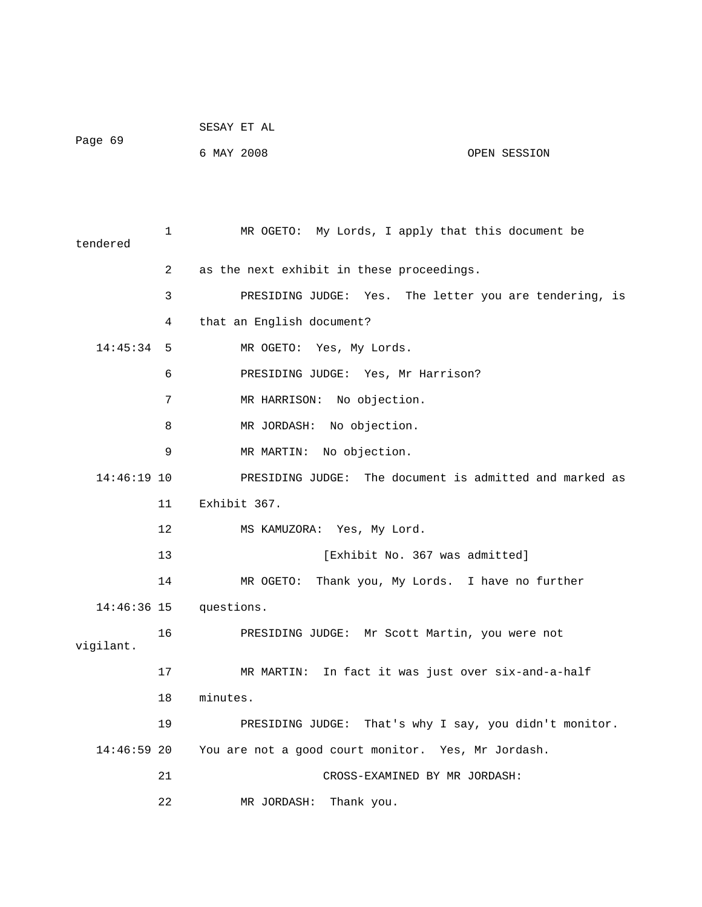| Page 69 | SESAY ET AL |  |              |
|---------|-------------|--|--------------|
|         | 6 MAY 2008  |  | OPEN SESSION |

| tendered      | $\mathbf{1}$   | MR OGETO: My Lords, I apply that this document be       |
|---------------|----------------|---------------------------------------------------------|
|               | $\overline{2}$ | as the next exhibit in these proceedings.               |
|               | 3              | PRESIDING JUDGE: Yes. The letter you are tendering, is  |
|               | 4              | that an English document?                               |
| $14:45:34$ 5  |                | MR OGETO: Yes, My Lords.                                |
|               | 6              | PRESIDING JUDGE: Yes, Mr Harrison?                      |
|               | 7              | MR HARRISON: No objection.                              |
|               | 8              | MR JORDASH: No objection.                               |
|               | 9              | MR MARTIN: No objection.                                |
| $14:46:19$ 10 |                | PRESIDING JUDGE: The document is admitted and marked as |
|               | 11             | Exhibit 367.                                            |
|               | 12             | MS KAMUZORA: Yes, My Lord.                              |
|               | 13             | [Exhibit No. 367 was admitted]                          |
|               | 14             | MR OGETO: Thank you, My Lords. I have no further        |
|               |                | 14:46:36 15 questions.                                  |
| vigilant.     | 16             | PRESIDING JUDGE: Mr Scott Martin, you were not          |
|               | 17             | MR MARTIN: In fact it was just over six-and-a-half      |
|               | 18             | minutes.                                                |
|               | 19             | PRESIDING JUDGE: That's why I say, you didn't monitor.  |
| 14:46:59 20   |                | You are not a good court monitor. Yes, Mr Jordash.      |
|               | 21             | CROSS-EXAMINED BY MR JORDASH:                           |
|               | 22             | MR JORDASH:<br>Thank you.                               |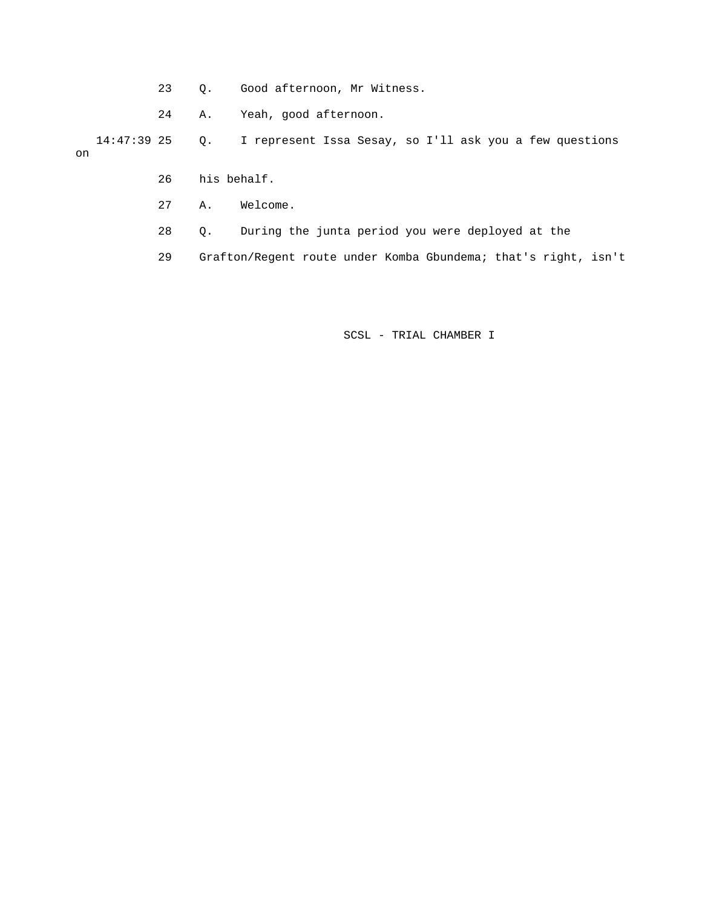- 23 Q. Good afternoon, Mr Witness.
- 24 A. Yeah, good afternoon.

 14:47:39 25 Q. I represent Issa Sesay, so I'll ask you a few questions on

- 26 his behalf.
- 27 A. Welcome.
- 28 Q. During the junta period you were deployed at the

29 Grafton/Regent route under Komba Gbundema; that's right, isn't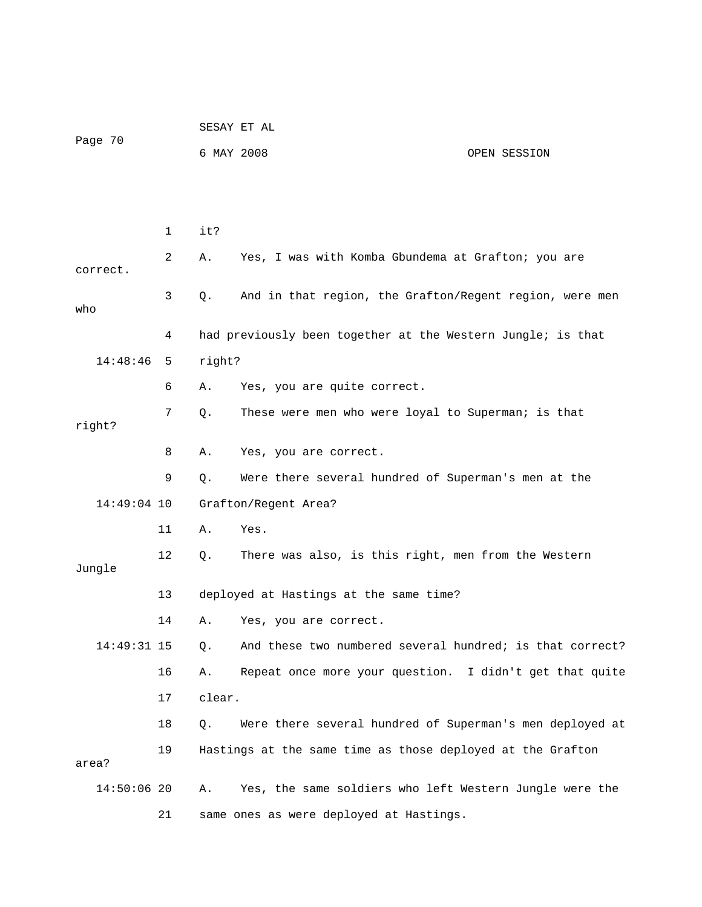|               |              |            | SESAY ET AL                                                 |  |  |  |  |
|---------------|--------------|------------|-------------------------------------------------------------|--|--|--|--|
| Page 70       |              | 6 MAY 2008 | OPEN SESSION                                                |  |  |  |  |
|               |              |            |                                                             |  |  |  |  |
|               |              |            |                                                             |  |  |  |  |
|               | $\mathbf{1}$ | it?        |                                                             |  |  |  |  |
| correct.      | 2            | Α.         | Yes, I was with Komba Gbundema at Grafton; you are          |  |  |  |  |
| who           | 3            | Q.         | And in that region, the Grafton/Regent region, were men     |  |  |  |  |
|               | 4            |            | had previously been together at the Western Jungle; is that |  |  |  |  |
| 14:48:46      | 5            | right?     |                                                             |  |  |  |  |
|               | 6            | Α.         | Yes, you are quite correct.                                 |  |  |  |  |
| right?        | 7            | $Q$ .      | These were men who were loyal to Superman; is that          |  |  |  |  |
|               | 8            | Α.         | Yes, you are correct.                                       |  |  |  |  |
|               | 9            | Q.         | Were there several hundred of Superman's men at the         |  |  |  |  |
| $14:49:04$ 10 |              |            | Grafton/Regent Area?                                        |  |  |  |  |
|               | 11           | Α.         | Yes.                                                        |  |  |  |  |
| Jungle        | 12           | Q.         | There was also, is this right, men from the Western         |  |  |  |  |
|               | 13           |            | deployed at Hastings at the same time?                      |  |  |  |  |
|               | 14           | Α.         | Yes, you are correct.                                       |  |  |  |  |
| $14:49:31$ 15 |              | $Q$ .      | And these two numbered several hundred; is that correct?    |  |  |  |  |
|               | 16           | Α.         | Repeat once more your question. I didn't get that quite     |  |  |  |  |
|               | 17           | clear.     |                                                             |  |  |  |  |
|               | 18           | Q.         | Were there several hundred of Superman's men deployed at    |  |  |  |  |
| area?         | 19           |            | Hastings at the same time as those deployed at the Grafton  |  |  |  |  |
| $14:50:06$ 20 |              | Α.         | Yes, the same soldiers who left Western Jungle were the     |  |  |  |  |
|               | 21           |            | same ones as were deployed at Hastings.                     |  |  |  |  |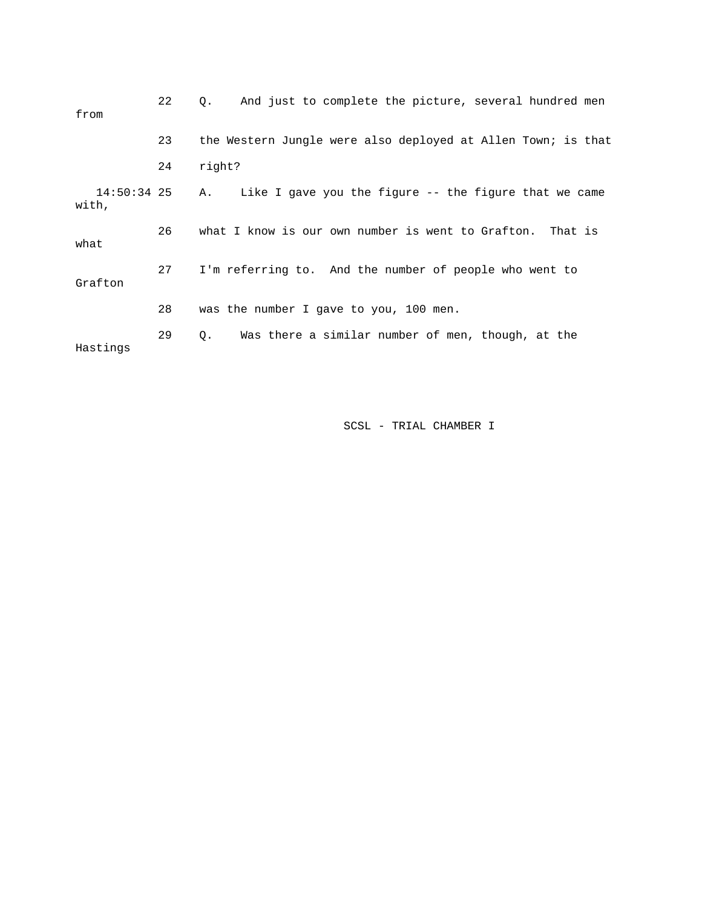| from                 | 22 | And just to complete the picture, several hundred men<br>$\circ$ . |
|----------------------|----|--------------------------------------------------------------------|
|                      | 23 | the Western Jungle were also deployed at Allen Town; is that       |
|                      | 24 | right?                                                             |
| 14:50:34 25<br>with, |    | Like I gave you the figure -- the figure that we came<br>Α.        |
| what                 | 26 | what I know is our own number is went to Grafton. That is          |
| Grafton              | 27 | I'm referring to. And the number of people who went to             |
|                      | 28 | was the number I gave to you, 100 men.                             |
| Hastings             | 29 | Was there a similar number of men, though, at the<br>О.            |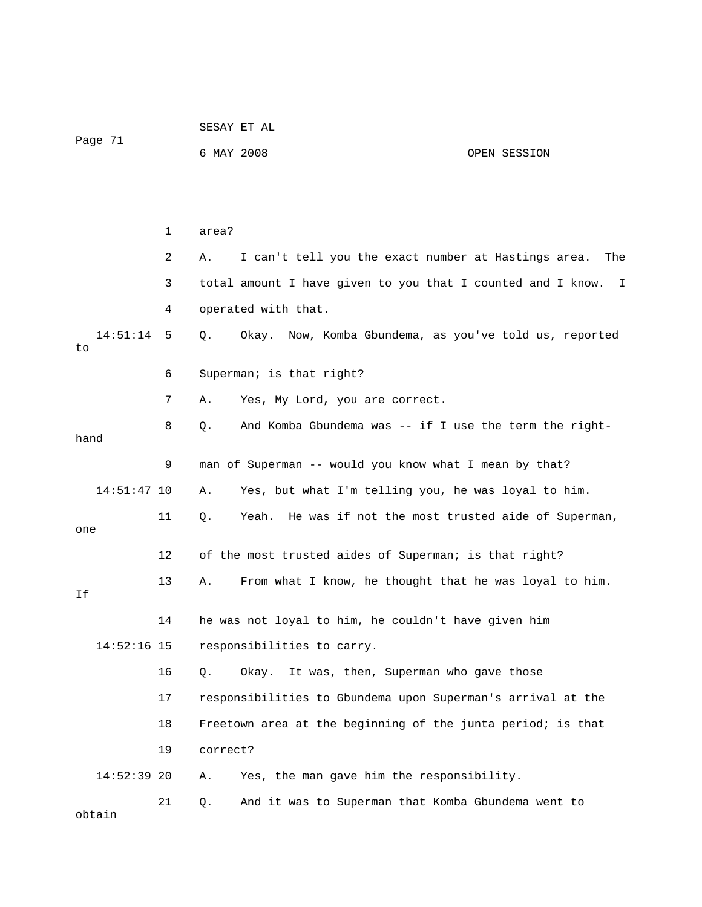|                |    |            | SESAY ET AL                                                   |              |  |  |
|----------------|----|------------|---------------------------------------------------------------|--------------|--|--|
| Page 71        |    | 6 MAY 2008 |                                                               | OPEN SESSION |  |  |
|                |    |            |                                                               |              |  |  |
|                |    |            |                                                               |              |  |  |
|                | 1  | area?      |                                                               |              |  |  |
|                | 2  | Α.         | I can't tell you the exact number at Hastings area.           | The          |  |  |
|                | 3  |            | total amount I have given to you that I counted and I know. I |              |  |  |
|                | 4  |            | operated with that.                                           |              |  |  |
| 14:51:14<br>to | 5  | Q.         | Okay. Now, Komba Gbundema, as you've told us, reported        |              |  |  |
|                | 6  |            | Superman; is that right?                                      |              |  |  |
|                | 7  | Α.         | Yes, My Lord, you are correct.                                |              |  |  |
| hand           | 8  | Q.         | And Komba Gbundema was -- if I use the term the right-        |              |  |  |
|                | 9  |            | man of Superman -- would you know what I mean by that?        |              |  |  |
| $14:51:47$ 10  |    | Α.         | Yes, but what I'm telling you, he was loyal to him.           |              |  |  |
|                | 11 | Q.         | Yeah. He was if not the most trusted aide of Superman,        |              |  |  |
| one            |    |            |                                                               |              |  |  |
|                | 12 |            | of the most trusted aides of Superman; is that right?         |              |  |  |
| Ιf             | 13 | Α.         | From what I know, he thought that he was loyal to him.        |              |  |  |
|                | 14 |            | he was not loyal to him, he couldn't have given him           |              |  |  |
| $14:52:16$ 15  |    |            | responsibilities to carry.                                    |              |  |  |
|                | 16 | Q.         | It was, then, Superman who gave those<br>Okay.                |              |  |  |
|                | 17 |            | responsibilities to Gbundema upon Superman's arrival at the   |              |  |  |
|                | 18 |            | Freetown area at the beginning of the junta period; is that   |              |  |  |
|                | 19 | correct?   |                                                               |              |  |  |
| $14:52:39$ 20  |    | Α.         | Yes, the man gave him the responsibility.                     |              |  |  |
| obtain         | 21 | Q.         | And it was to Superman that Komba Gbundema went to            |              |  |  |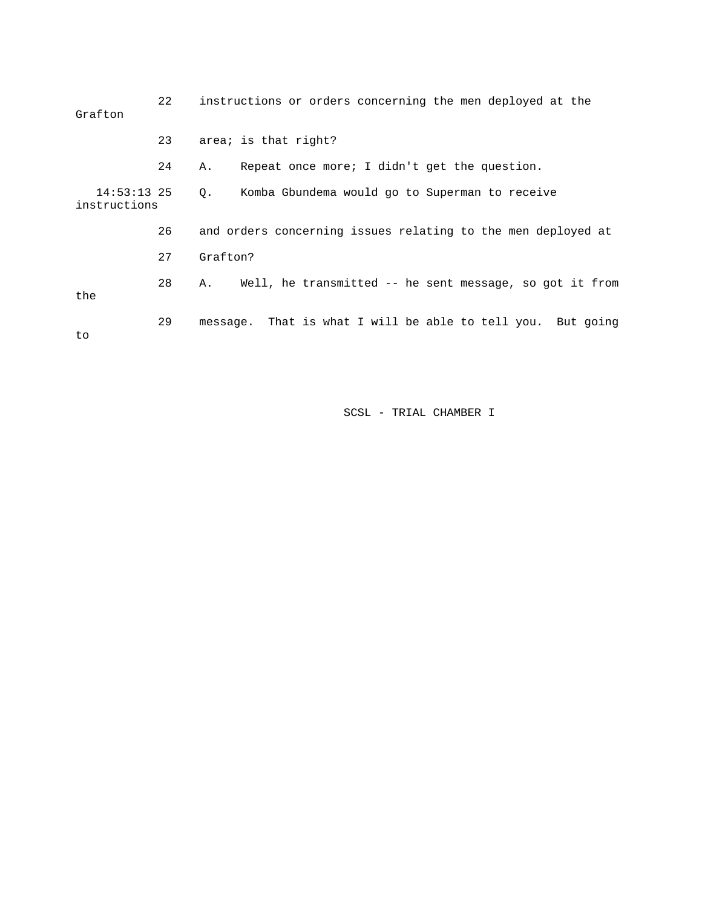| Grafton                       | 22 | instructions or orders concerning the men deployed at the     |
|-------------------------------|----|---------------------------------------------------------------|
|                               | 23 | area; is that right?                                          |
| $14:53:13$ 25<br>instructions | 24 | Repeat once more; I didn't get the question.<br>Α.            |
|                               |    | Komba Gbundema would go to Superman to receive<br>$\circ$ .   |
|                               | 26 | and orders concerning issues relating to the men deployed at  |
|                               | 27 | Grafton?                                                      |
| the                           | 28 | Well, he transmitted -- he sent message, so got it from<br>Α. |
| to                            | 29 | message. That is what I will be able to tell you. But going   |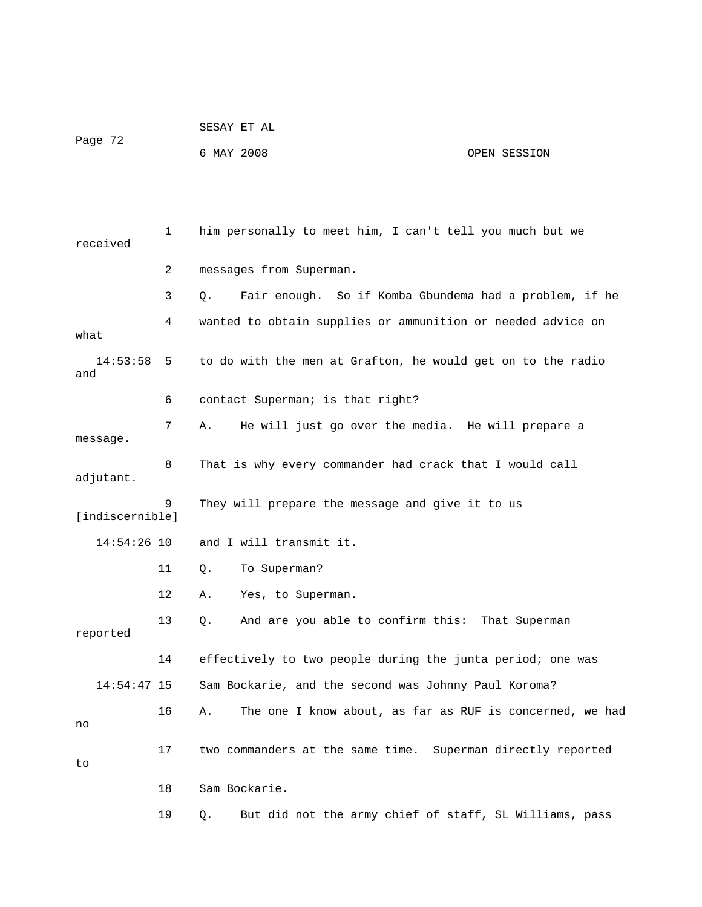| Page 72 | SESAY ET AL |  |              |
|---------|-------------|--|--------------|
|         | 6 MAY 2008  |  | OPEN SESSION |

 1 him personally to meet him, I can't tell you much but we received 2 messages from Superman. 3 Q. Fair enough. So if Komba Gbundema had a problem, if he 4 wanted to obtain supplies or ammunition or needed advice on what 14:53:58 5 to do with the men at Grafton, he would get on to the radio and 6 contact Superman; is that right? 7 A. He will just go over the media. He will prepare a message. 8 That is why every commander had crack that I would call adjutant. 9 They will prepare the message and give it to us [indiscernible] 14:54:26 10 and I will transmit it. 11 Q. To Superman? 12 A. Yes, to Superman. 13 Q. And are you able to confirm this: That Superman reported 14 effectively to two people during the junta period; one was 14:54:47 15 Sam Bockarie, and the second was Johnny Paul Koroma? 16 A. The one I know about, as far as RUF is concerned, we had no 17 two commanders at the same time. Superman directly reported to 18 Sam Bockarie. 19 Q. But did not the army chief of staff, SL Williams, pass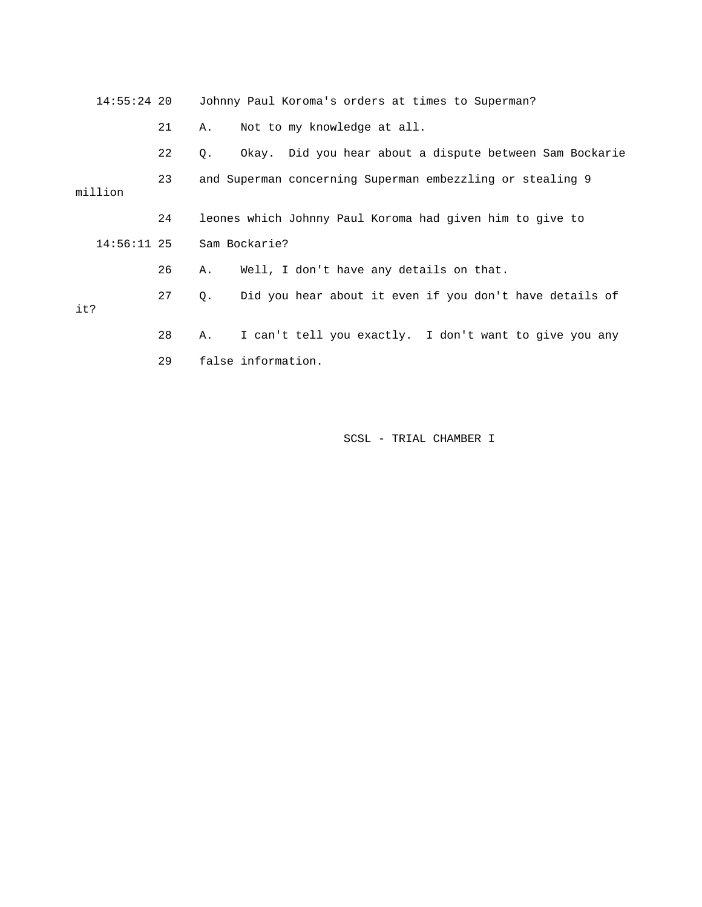|         |    | 14:55:24 20 Johnny Paul Koroma's orders at times to Superman?          |  |  |  |
|---------|----|------------------------------------------------------------------------|--|--|--|
|         | 21 | Not to my knowledge at all.<br>А.                                      |  |  |  |
|         | 22 | Okay. Did you hear about a dispute between Sam Bockarie<br>$Q_{\star}$ |  |  |  |
| million | 23 | and Superman concerning Superman embezzling or stealing 9              |  |  |  |
|         | 24 | leones which Johnny Paul Koroma had given him to give to               |  |  |  |
|         |    | $14:56:11$ 25 Sam Bockarie?                                            |  |  |  |
|         | 26 | Well, I don't have any details on that.<br>Α.                          |  |  |  |
| it?     | 27 | Did you hear about it even if you don't have details of<br>Q.          |  |  |  |
|         | 28 | I can't tell you exactly. I don't want to give you any<br>A.           |  |  |  |
|         | 29 | false information.                                                     |  |  |  |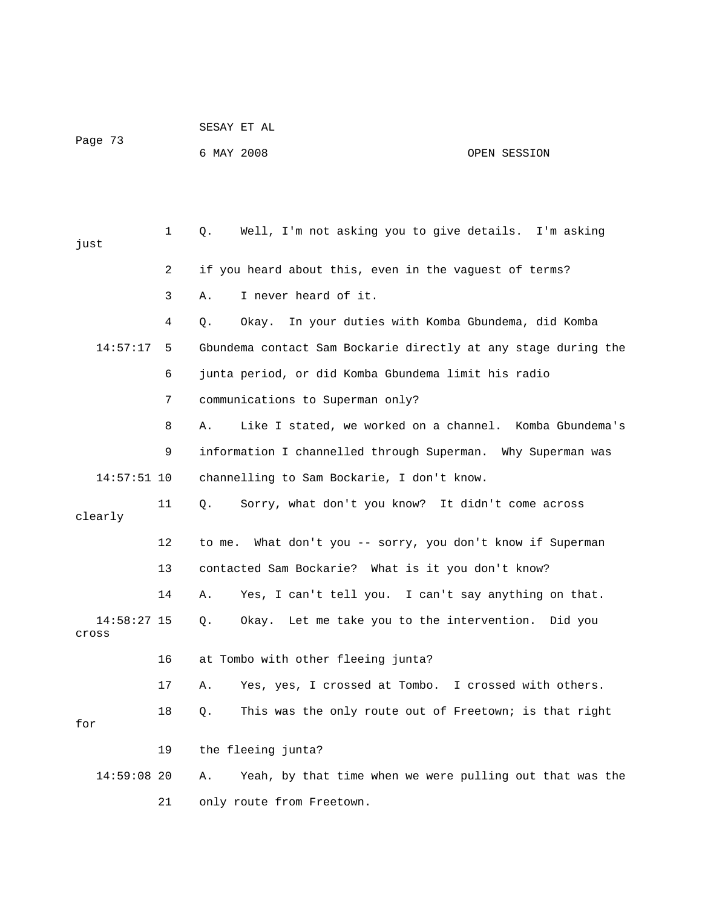| Page 73                |                   | 6 MAY 2008<br>OPEN SESSION                                     |         |
|------------------------|-------------------|----------------------------------------------------------------|---------|
|                        |                   |                                                                |         |
| just                   | $\mathbf{1}$      | Well, I'm not asking you to give details. I'm asking<br>Q.     |         |
|                        | 2                 | if you heard about this, even in the vaguest of terms?         |         |
|                        | 3                 | I never heard of it.<br>Α.                                     |         |
|                        | 4                 | Okay. In your duties with Komba Gbundema, did Komba<br>Q.      |         |
| 14:57:17               | 5                 | Gbundema contact Sam Bockarie directly at any stage during the |         |
|                        | 6                 | junta period, or did Komba Gbundema limit his radio            |         |
|                        | 7                 | communications to Superman only?                               |         |
|                        | 8                 | Like I stated, we worked on a channel. Komba Gbundema's<br>Α.  |         |
|                        | 9                 | information I channelled through Superman. Why Superman was    |         |
| $14:57:51$ 10          |                   | channelling to Sam Bockarie, I don't know.                     |         |
| clearly                | 11                | Sorry, what don't you know? It didn't come across<br>Q.        |         |
|                        | $12 \overline{ }$ | What don't you -- sorry, you don't know if Superman<br>to me.  |         |
|                        | 13                | contacted Sam Bockarie? What is it you don't know?             |         |
|                        | 14                | Yes, I can't tell you. I can't say anything on that.<br>Α.     |         |
| $14:58:27$ 15<br>Cross |                   | Okay. Let me take you to the intervention.<br>Q.               | Did you |
|                        | 16                | at Tombo with other fleeing junta?                             |         |
|                        | 17                | Yes, yes, I crossed at Tombo. I crossed with others.<br>Α.     |         |
| for                    | 18                | This was the only route out of Freetown; is that right<br>Q.   |         |
|                        | 19                | the fleeing junta?                                             |         |
| $14:59:08$ 20          |                   | Yeah, by that time when we were pulling out that was the<br>Α. |         |
|                        | 21                | only route from Freetown.                                      |         |

SESAY ET AL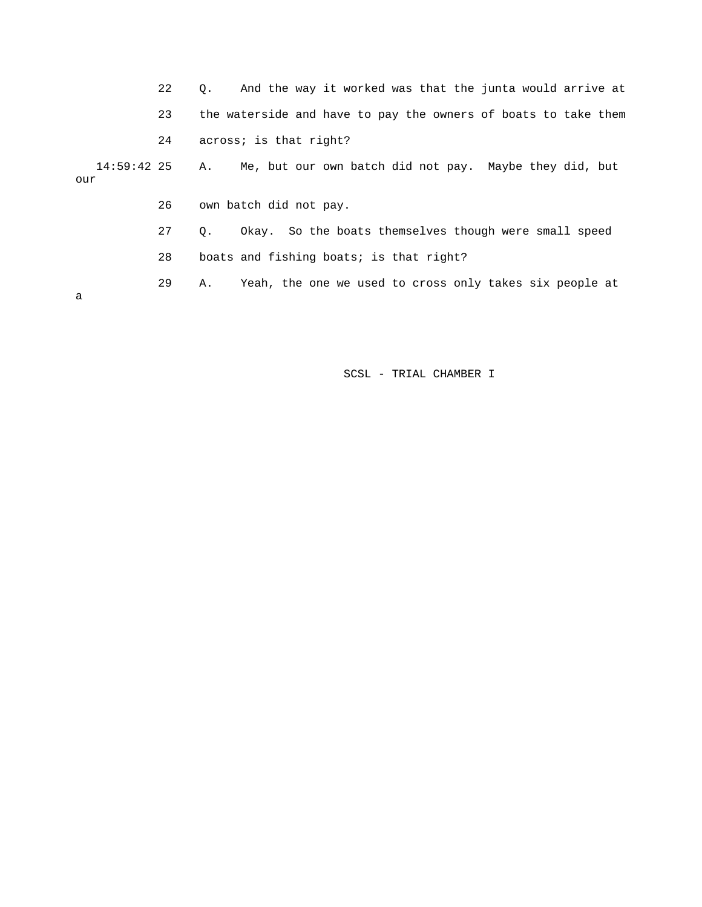22 Q. And the way it worked was that the junta would arrive at 23 the waterside and have to pay the owners of boats to take them 24 across; is that right? 14:59:42 25 A. Me, but our own batch did not pay. Maybe they did, but our 26 own batch did not pay. 27 Q. Okay. So the boats themselves though were small speed 28 boats and fishing boats; is that right? 29 A. Yeah, the one we used to cross only takes six people at a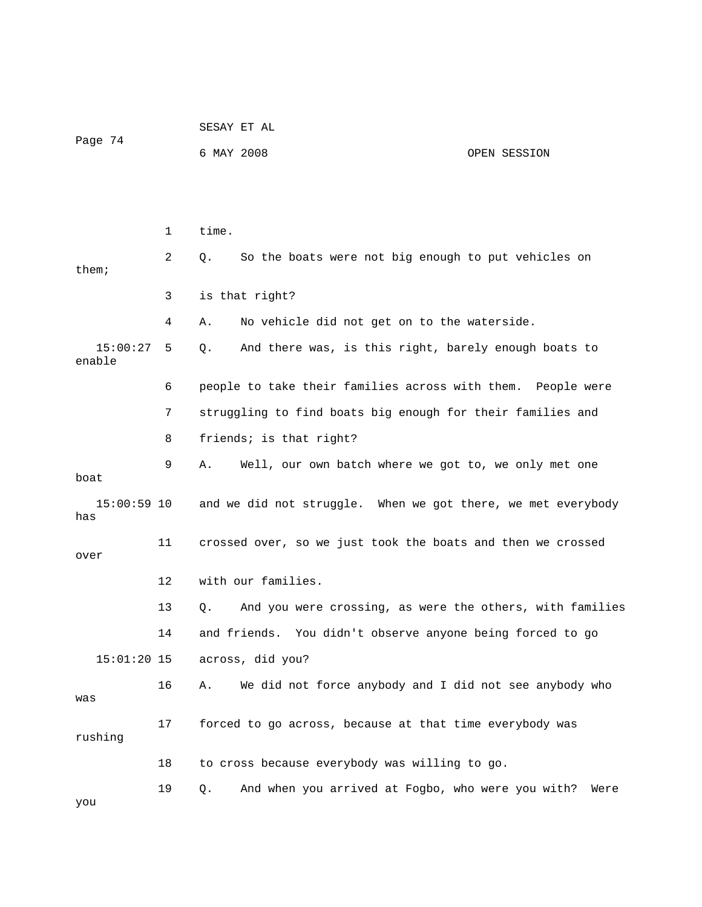| Page 74              |    | SESAY ET AL                                                    |              |  |  |
|----------------------|----|----------------------------------------------------------------|--------------|--|--|
|                      |    | 6 MAY 2008                                                     | OPEN SESSION |  |  |
|                      |    |                                                                |              |  |  |
|                      |    |                                                                |              |  |  |
|                      | 1  | time.                                                          |              |  |  |
| then:                | 2  | So the boats were not big enough to put vehicles on<br>Q.      |              |  |  |
|                      | 3  | is that right?                                                 |              |  |  |
|                      | 4  | No vehicle did not get on to the waterside.<br>Α.              |              |  |  |
| 15:00:27<br>enable   | 5  | And there was, is this right, barely enough boats to<br>Q.     |              |  |  |
|                      | 6  | people to take their families across with them. People were    |              |  |  |
|                      | 7  | struggling to find boats big enough for their families and     |              |  |  |
|                      | 8  | friends; is that right?                                        |              |  |  |
| boat                 | 9  | Α.<br>Well, our own batch where we got to, we only met one     |              |  |  |
| $15:00:59$ 10<br>has |    | and we did not struggle. When we got there, we met everybody   |              |  |  |
| over                 | 11 | crossed over, so we just took the boats and then we crossed    |              |  |  |
|                      | 12 | with our families.                                             |              |  |  |
|                      | 13 | And you were crossing, as were the others, with families<br>Q. |              |  |  |
|                      | 14 | and friends. You didn't observe anyone being forced to go      |              |  |  |
| $15:01:20$ 15        |    | across, did you?                                               |              |  |  |
| was                  | 16 | We did not force anybody and I did not see anybody who<br>Α.   |              |  |  |
| rushing              | 17 | forced to go across, because at that time everybody was        |              |  |  |
|                      | 18 | to cross because everybody was willing to go.                  |              |  |  |
| you                  | 19 | And when you arrived at Fogbo, who were you with?<br>Q.        | Were         |  |  |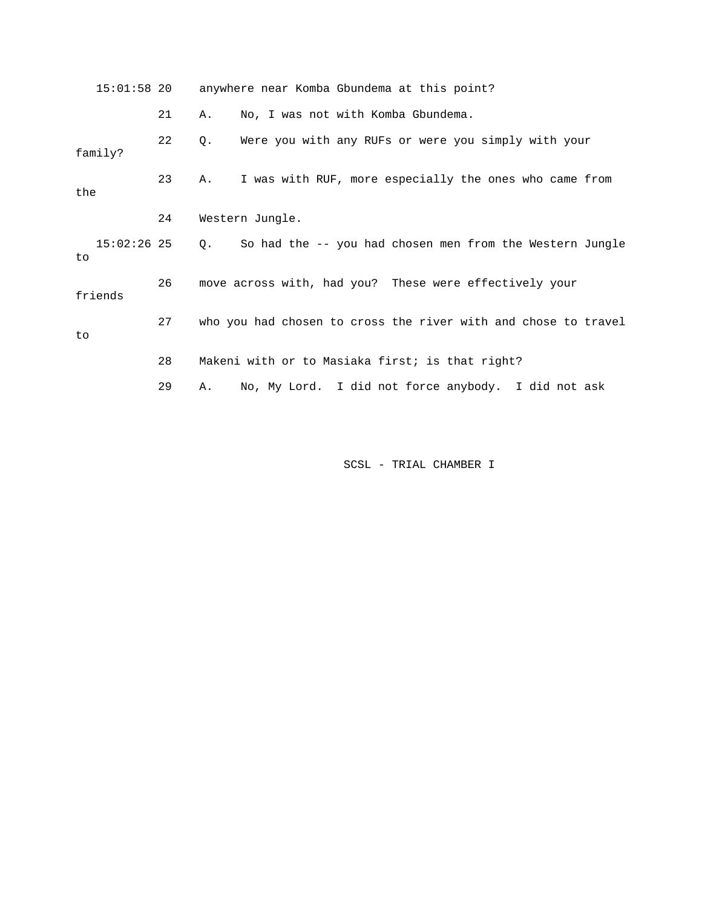15:01:58 20 anywhere near Komba Gbundema at this point? 21 A. No, I was not with Komba Gbundema. 22 Q. Were you with any RUFs or were you simply with your family? 23 A. I was with RUF, more especially the ones who came from the 24 Western Jungle. 15:02:26 25 Q. So had the -- you had chosen men from the Western Jungle to 26 move across with, had you? These were effectively your friends 27 who you had chosen to cross the river with and chose to travel to 28 Makeni with or to Masiaka first; is that right? 29 A. No, My Lord. I did not force anybody. I did not ask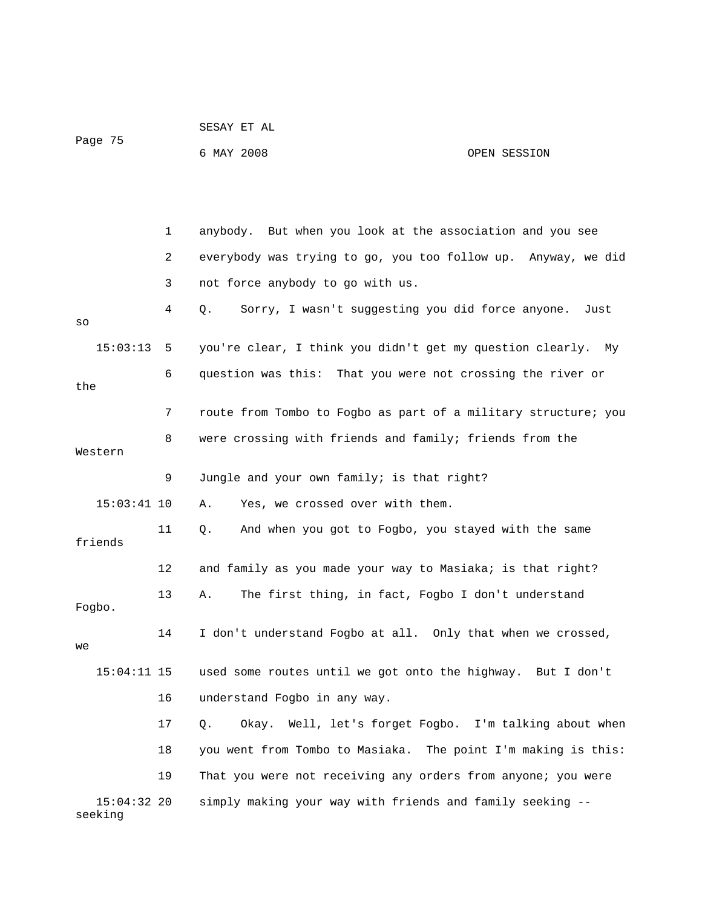| Page 75                  |              | 6 MAY 2008                                                      | OPEN SESSION |
|--------------------------|--------------|-----------------------------------------------------------------|--------------|
|                          |              |                                                                 |              |
|                          | $\mathbf{1}$ | anybody. But when you look at the association and you see       |              |
|                          | 2            | everybody was trying to go, you too follow up. Anyway, we did   |              |
|                          | 3            | not force anybody to go with us.                                |              |
| SO                       | 4            | Sorry, I wasn't suggesting you did force anyone.<br>Q.          | Just         |
| 15:03:13                 | 5            | you're clear, I think you didn't get my question clearly. My    |              |
| the                      | 6            | question was this: That you were not crossing the river or      |              |
|                          | 7            | route from Tombo to Fogbo as part of a military structure; you  |              |
| Western                  | 8            | were crossing with friends and family; friends from the         |              |
|                          | 9            | Jungle and your own family; is that right?                      |              |
| $15:03:41$ 10            |              | Yes, we crossed over with them.<br>Α.                           |              |
| friends                  | 11           | And when you got to Fogbo, you stayed with the same<br>Q.       |              |
|                          | 12           | and family as you made your way to Masiaka; is that right?      |              |
| Fogbo.                   | 13           | The first thing, in fact, Fogbo I don't understand<br>Α.        |              |
| we                       | 14           | I don't understand Fogbo at all. Only that when we crossed,     |              |
| $15:04:11$ 15            |              | used some routes until we got onto the highway. But I don't     |              |
|                          | 16           | understand Fogbo in any way.                                    |              |
|                          | 17           | Well, let's forget Fogbo. I'm talking about when<br>Okay.<br>Q. |              |
|                          | 18           | you went from Tombo to Masiaka. The point I'm making is this:   |              |
|                          | 19           | That you were not receiving any orders from anyone; you were    |              |
| $15:04:32$ 20<br>seeking |              | simply making your way with friends and family seeking --       |              |

SESAY ET AL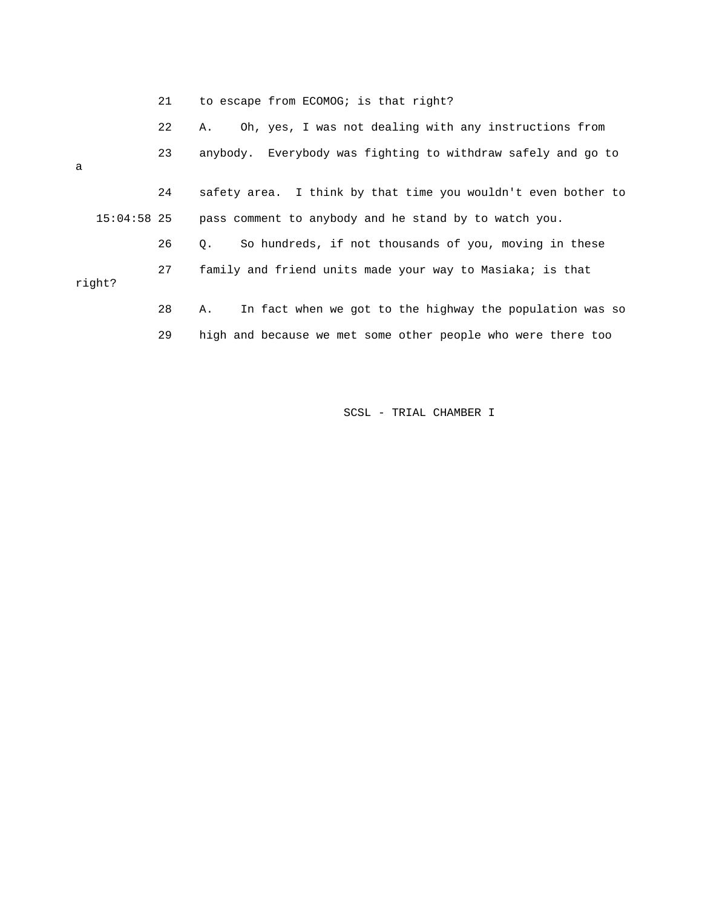|  |  |  |  | to escape from ECOMOG; is that right? |  |  |  |  |
|--|--|--|--|---------------------------------------|--|--|--|--|
|--|--|--|--|---------------------------------------|--|--|--|--|

|               | 22 | Oh, yes, I was not dealing with any instructions from<br>А.        |
|---------------|----|--------------------------------------------------------------------|
| a             | 23 | anybody. Everybody was fighting to withdraw safely and go to       |
|               | 24 | safety area. I think by that time you wouldn't even bother to      |
| $15:04:58$ 25 |    | pass comment to anybody and he stand by to watch you.              |
|               | 26 | So hundreds, if not thousands of you, moving in these<br>$\circ$ . |
| right?        | 27 | family and friend units made your way to Masiaka; is that          |
|               | 28 | In fact when we got to the highway the population was so<br>Α.     |
|               | 29 | high and because we met some other people who were there too       |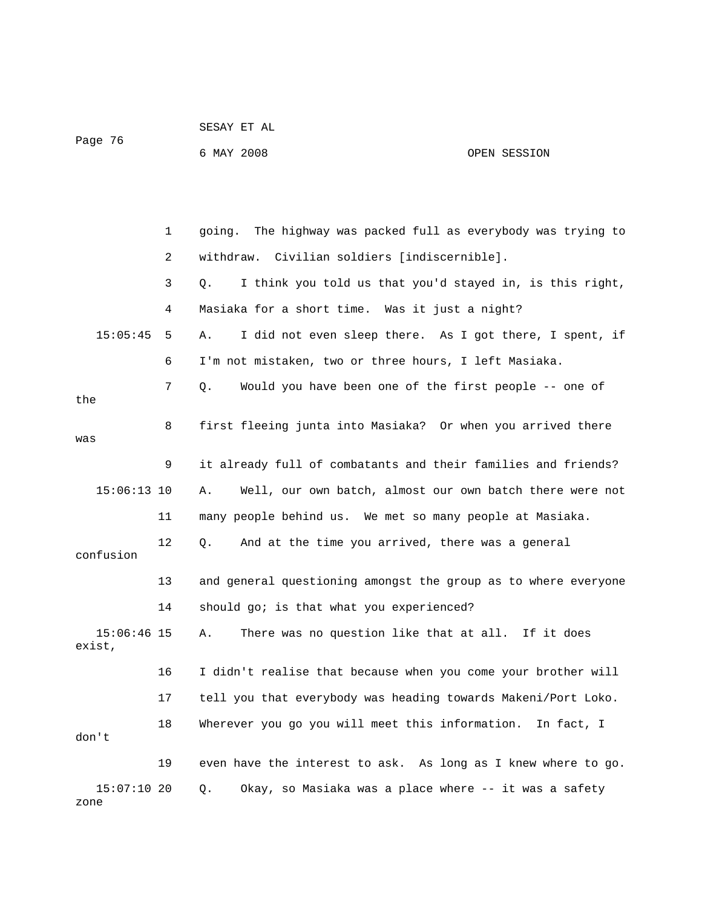|                         |    | 6 MAY 2008                                                       | OPEN SESSION |
|-------------------------|----|------------------------------------------------------------------|--------------|
|                         |    |                                                                  |              |
|                         |    |                                                                  |              |
|                         | 1  | The highway was packed full as everybody was trying to<br>going. |              |
|                         | 2  | withdraw. Civilian soldiers [indiscernible].                     |              |
|                         | 3  | I think you told us that you'd stayed in, is this right,<br>Q.   |              |
|                         | 4  | Masiaka for a short time. Was it just a night?                   |              |
| 15:05:45                | 5  | I did not even sleep there. As I got there, I spent, if<br>Α.    |              |
|                         | 6  | I'm not mistaken, two or three hours, I left Masiaka.            |              |
|                         | 7  | Would you have been one of the first people -- one of<br>$Q$ .   |              |
| the                     |    |                                                                  |              |
| was                     | 8  | first fleeing junta into Masiaka? Or when you arrived there      |              |
|                         | 9  | it already full of combatants and their families and friends?    |              |
|                         |    |                                                                  |              |
| $15:06:13$ 10           |    | Well, our own batch, almost our own batch there were not<br>Α.   |              |
|                         | 11 | many people behind us. We met so many people at Masiaka.         |              |
| confusion               | 12 | And at the time you arrived, there was a general<br>Q.           |              |
|                         |    |                                                                  |              |
|                         | 13 | and general questioning amongst the group as to where everyone   |              |
|                         | 14 | should go; is that what you experienced?                         |              |
| $15:06:46$ 15<br>exist, |    | There was no question like that at all. If it does<br>Α.         |              |
|                         |    |                                                                  |              |
|                         | 16 | I didn't realise that because when you come your brother will    |              |
|                         | 17 | tell you that everybody was heading towards Makeni/Port Loko.    |              |
| don't                   | 18 | Wherever you go you will meet this information.                  | In fact, I   |
|                         | 19 | even have the interest to ask. As long as I knew where to go.    |              |
|                         |    |                                                                  |              |
| $15:07:10$ 20<br>zone   |    | Okay, so Masiaka was a place where -- it was a safety<br>Q.      |              |

SESAY ET AL

Page 76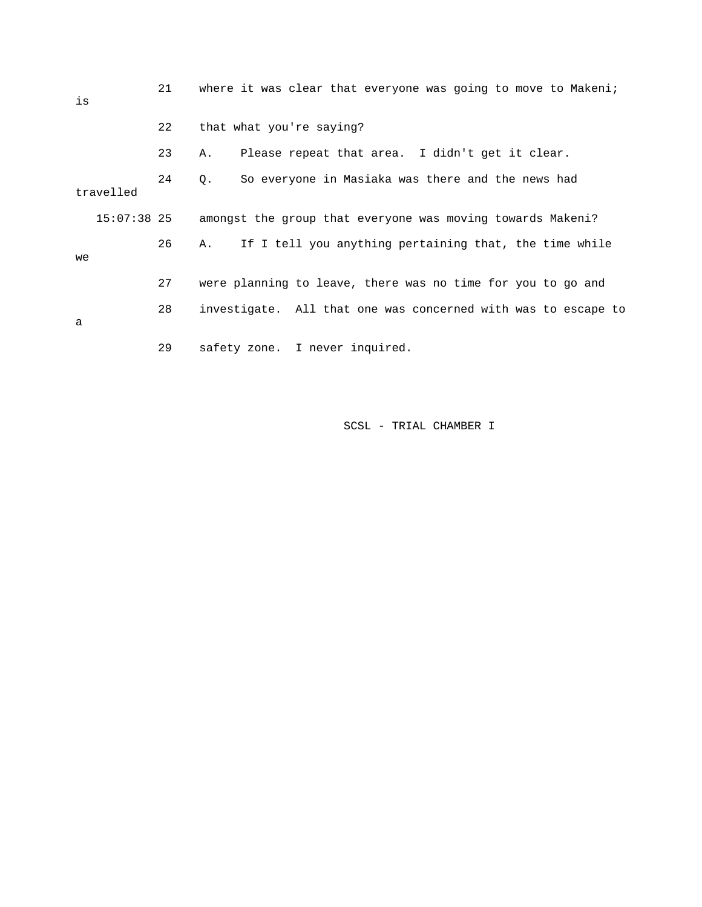| is          | 21 | where it was clear that everyone was going to move to Makeni;    |
|-------------|----|------------------------------------------------------------------|
|             | 22 | that what you're saying?                                         |
|             | 23 | Please repeat that area. I didn't get it clear.<br>Α.            |
| travelled   | 24 | So everyone in Masiaka was there and the news had<br>$Q_{\star}$ |
| 15:07:38 25 |    | amongst the group that everyone was moving towards Makeni?       |
| we          | 26 | If I tell you anything pertaining that, the time while<br>Α.     |
|             | 27 | were planning to leave, there was no time for you to go and      |
| a           | 28 | investigate. All that one was concerned with was to escape to    |
|             | 29 | safety zone. I never inquired.                                   |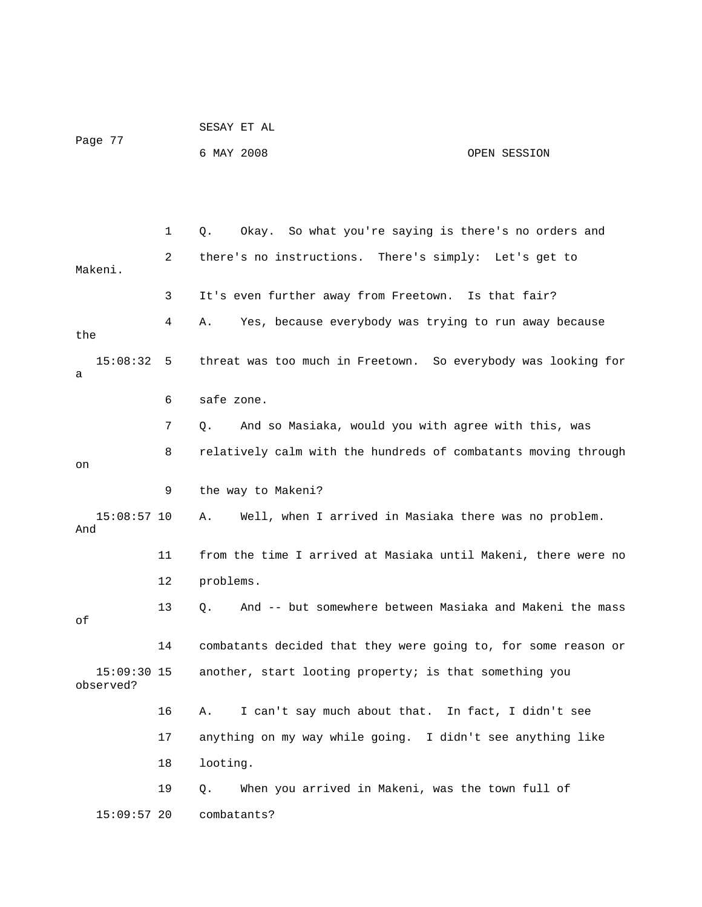| Page 77 | SESAY ET AL |              |
|---------|-------------|--------------|
|         | 6 MAY 2008  | OPEN SESSION |

 1 Q. Okay. So what you're saying is there's no orders and 2 there's no instructions. There's simply: Let's get to Makeni. 3 It's even further away from Freetown. Is that fair? 4 A. Yes, because everybody was trying to run away because the 15:08:32 5 threat was too much in Freetown. So everybody was looking for a 6 safe zone. 7 Q. And so Masiaka, would you with agree with this, was 8 relatively calm with the hundreds of combatants moving through on 9 the way to Makeni? 15:08:57 10 A. Well, when I arrived in Masiaka there was no problem. And 11 from the time I arrived at Masiaka until Makeni, there were no 12 problems. 13 Q. And -- but somewhere between Masiaka and Makeni the mass of 14 combatants decided that they were going to, for some reason or 15:09:30 15 another, start looting property; is that something you observed? 16 A. I can't say much about that. In fact, I didn't see 17 anything on my way while going. I didn't see anything like 18 looting. 19 Q. When you arrived in Makeni, was the town full of 15:09:57 20 combatants?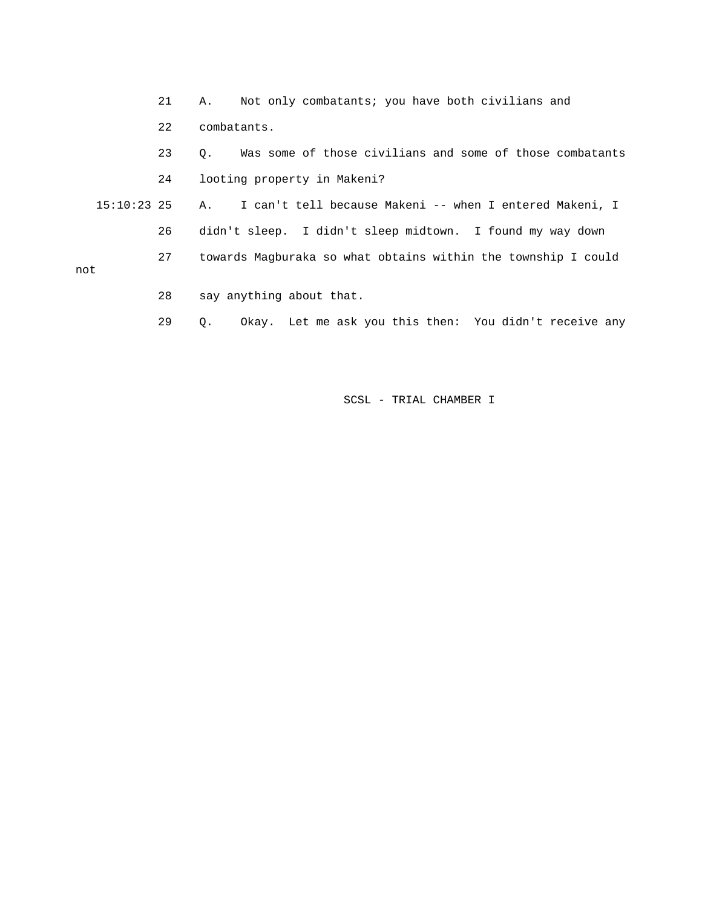21 A. Not only combatants; you have both civilians and 22 combatants. 23 Q. Was some of those civilians and some of those combatants 24 looting property in Makeni? 15:10:23 25 A. I can't tell because Makeni -- when I entered Makeni, I 26 didn't sleep. I didn't sleep midtown. I found my way down 27 towards Magburaka so what obtains within the township I could not 28 say anything about that.

29 Q. Okay. Let me ask you this then: You didn't receive any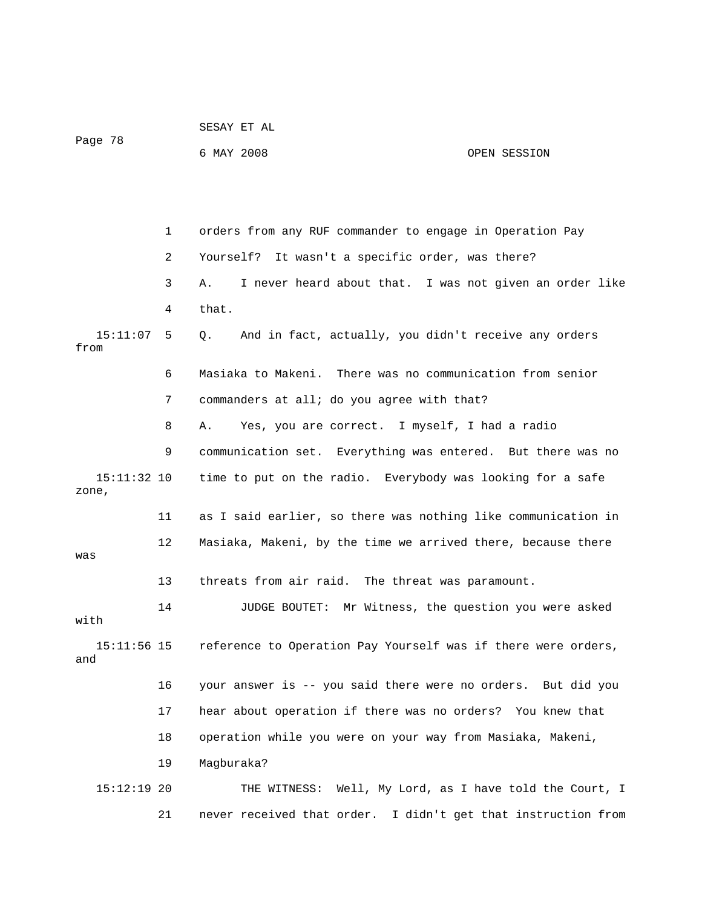| Page 78              |    | 6 MAY 2008                                                    | OPEN SESSION |
|----------------------|----|---------------------------------------------------------------|--------------|
|                      |    |                                                               |              |
|                      | 1  | orders from any RUF commander to engage in Operation Pay      |              |
|                      | 2  | It wasn't a specific order, was there?<br>Yourself?           |              |
|                      | 3  | I never heard about that. I was not given an order like<br>Α. |              |
|                      | 4  | that.                                                         |              |
| 15:11:07<br>from     | 5  | And in fact, actually, you didn't receive any orders<br>О.    |              |
|                      | 6  | Masiaka to Makeni. There was no communication from senior     |              |
|                      | 7  | commanders at all; do you agree with that?                    |              |
|                      | 8  | Yes, you are correct. I myself, I had a radio<br>Α.           |              |
|                      | 9  | communication set. Everything was entered. But there was no   |              |
| 15:11:32 10<br>zone, |    | time to put on the radio. Everybody was looking for a safe    |              |
|                      | 11 | as I said earlier, so there was nothing like communication in |              |
| was                  | 12 | Masiaka, Makeni, by the time we arrived there, because there  |              |
|                      | 13 | threats from air raid. The threat was paramount.              |              |
| with                 | 14 | JUDGE BOUTET: Mr Witness, the question you were asked         |              |
| $15:11:56$ 15<br>and |    | reference to Operation Pay Yourself was if there were orders, |              |
|                      | 16 | your answer is -- you said there were no orders. But did you  |              |
|                      | 17 | hear about operation if there was no orders? You knew that    |              |
|                      | 18 | operation while you were on your way from Masiaka, Makeni,    |              |
|                      | 19 | Magburaka?                                                    |              |
| $15:12:19$ 20        |    | THE WITNESS: Well, My Lord, as I have told the Court, I       |              |
|                      | 21 | never received that order. I didn't get that instruction from |              |

SESAY ET AL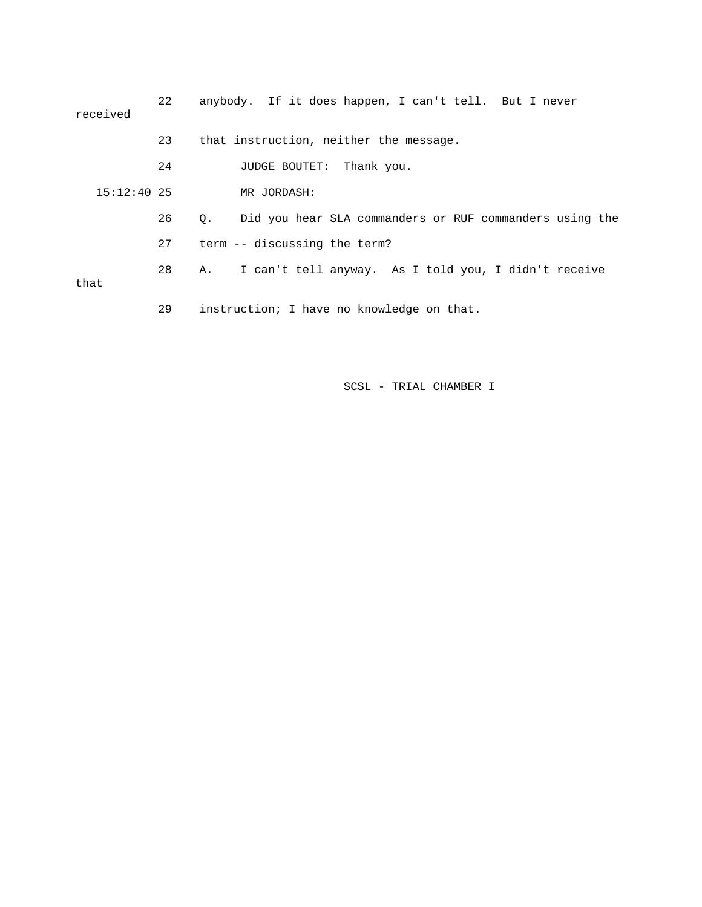| received      | 22 | anybody. If it does happen, I can't tell. But I never                |
|---------------|----|----------------------------------------------------------------------|
|               | 23 | that instruction, neither the message.                               |
|               | 24 | JUDGE BOUTET: Thank you.                                             |
| $15:12:40$ 25 |    | MR JORDASH:                                                          |
|               | 26 | Did you hear SLA commanders or RUF commanders using the<br>$\circ$ . |
|               | 27 | term -- discussing the term?                                         |
| that          | 28 | I can't tell anyway. As I told you, I didn't receive<br>А.           |
|               | 29 | instruction; I have no knowledge on that.                            |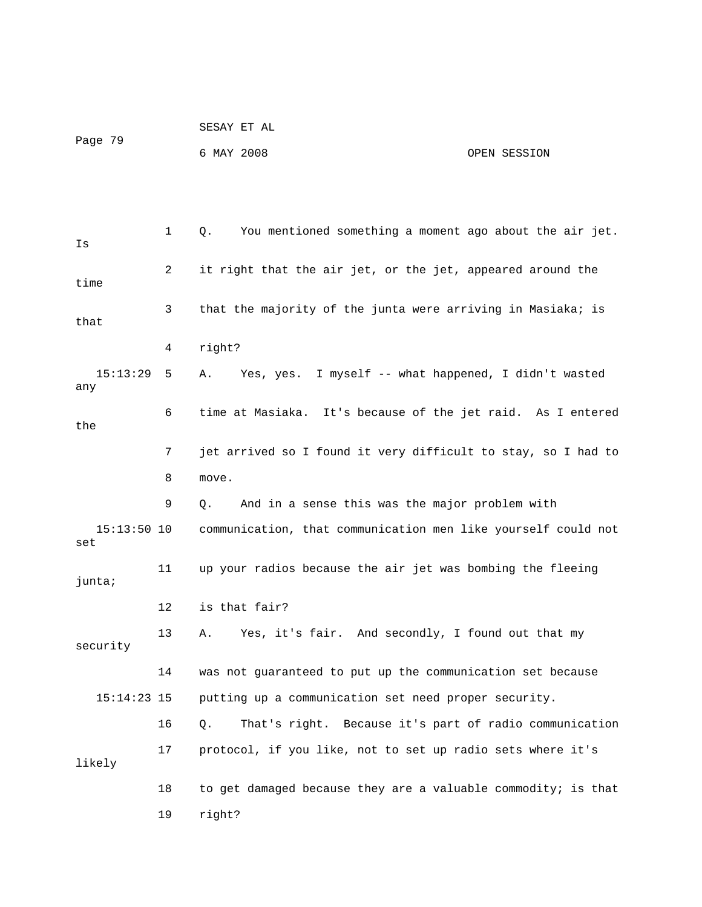|         | SESAY ET AL |              |
|---------|-------------|--------------|
| Page 79 |             |              |
|         | 6 MAY 2008  | OPEN SESSION |

 1 Q. You mentioned something a moment ago about the air jet. Is 2 it right that the air jet, or the jet, appeared around the time 3 that the majority of the junta were arriving in Masiaka; is that 4 right? 15:13:29 5 A. Yes, yes. I myself -- what happened, I didn't wasted any 6 time at Masiaka. It's because of the jet raid. As I entered the 7 jet arrived so I found it very difficult to stay, so I had to 8 move. 9 Q. And in a sense this was the major problem with 15:13:50 10 communication, that communication men like yourself could not set 11 up your radios because the air jet was bombing the fleeing junta; 12 is that fair? 13 A. Yes, it's fair. And secondly, I found out that my security 14 was not guaranteed to put up the communication set because 15:14:23 15 putting up a communication set need proper security. 16 Q. That's right. Because it's part of radio communication 17 protocol, if you like, not to set up radio sets where it's likely 18 to get damaged because they are a valuable commodity; is that 19 right?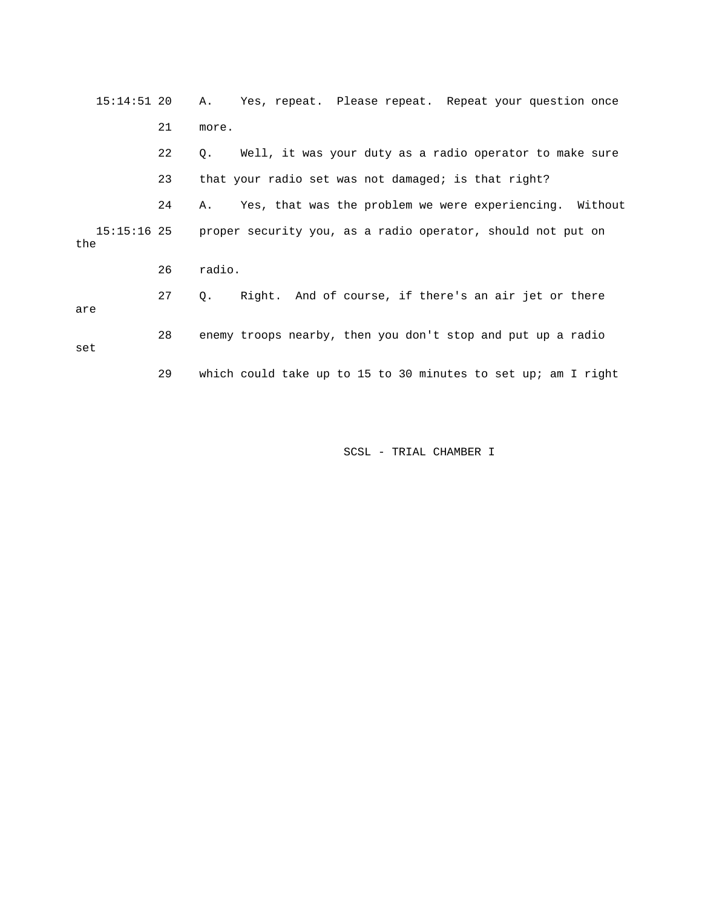| $15:14:51$ 20        |    | Yes, repeat. Please repeat. Repeat your question once<br>A.   |
|----------------------|----|---------------------------------------------------------------|
|                      | 21 | more.                                                         |
|                      | 22 | Well, it was your duty as a radio operator to make sure<br>Q. |
|                      | 23 | that your radio set was not damaged; is that right?           |
|                      | 24 | Yes, that was the problem we were experiencing. Without<br>A. |
| $15:15:16$ 25<br>the |    | proper security you, as a radio operator, should not put on   |
|                      | 26 | radio.                                                        |
| are                  | 27 | Right. And of course, if there's an air jet or there<br>Q.    |
| set                  | 28 | enemy troops nearby, then you don't stop and put up a radio   |
|                      | 29 | which could take up to 15 to 30 minutes to set up; am I right |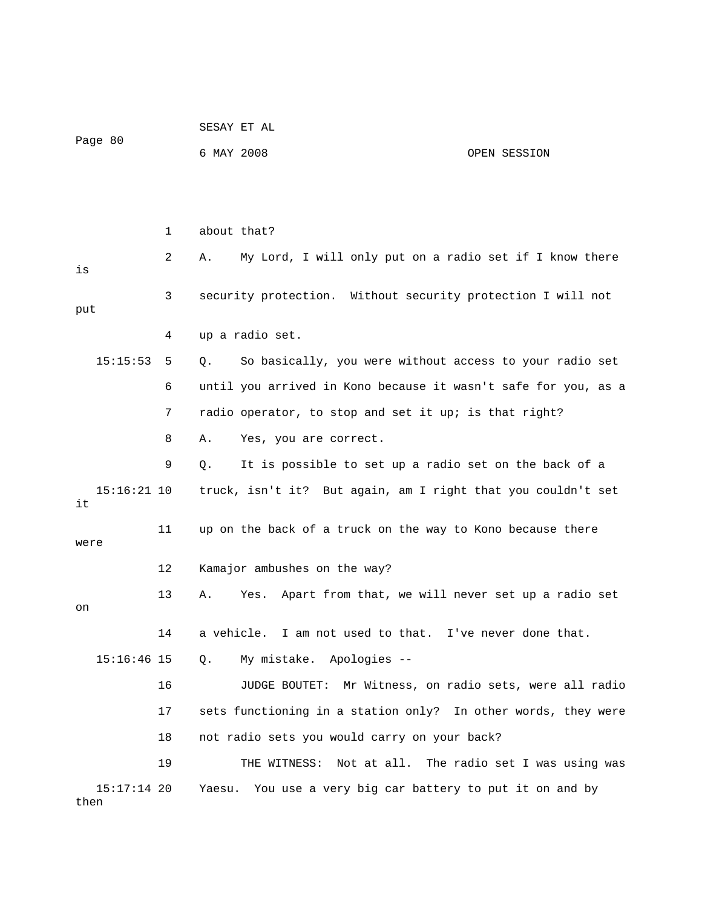| Page 80               |    |            | SESAY ET AL                                                    |                                           |
|-----------------------|----|------------|----------------------------------------------------------------|-------------------------------------------|
|                       |    | 6 MAY 2008 |                                                                | OPEN SESSION                              |
|                       |    |            |                                                                |                                           |
|                       |    |            |                                                                |                                           |
|                       | 1  |            | about that?                                                    |                                           |
| is                    | 2  | Α.         | My Lord, I will only put on a radio set if I know there        |                                           |
|                       | 3  |            | security protection. Without security protection I will not    |                                           |
| put                   |    |            |                                                                |                                           |
|                       | 4  |            | up a radio set.                                                |                                           |
| 15:15:53              | 5  | Q.         | So basically, you were without access to your radio set        |                                           |
|                       | 6  |            | until you arrived in Kono because it wasn't safe for you, as a |                                           |
|                       | 7  |            | radio operator, to stop and set it up; is that right?          |                                           |
|                       | 8  | Α.         | Yes, you are correct.                                          |                                           |
|                       | 9  | Q.         | It is possible to set up a radio set on the back of a          |                                           |
| $15:16:21$ 10<br>it   |    |            | truck, isn't it? But again, am I right that you couldn't set   |                                           |
| were                  | 11 |            | up on the back of a truck on the way to Kono because there     |                                           |
|                       | 12 |            | Kamajor ambushes on the way?                                   |                                           |
| on                    | 13 | Α.         | Apart from that, we will never set up a radio set<br>Yes.      |                                           |
|                       | 14 |            | a vehicle. I am not used to that.                              | I've never done that.                     |
| $15:16:46$ 15         |    | Q.         | My mistake. Apologies --                                       |                                           |
|                       | 16 |            | JUDGE BOUTET:                                                  | Mr Witness, on radio sets, were all radio |
|                       | 17 |            | sets functioning in a station only? In other words, they were  |                                           |
|                       | 18 |            | not radio sets you would carry on your back?                   |                                           |
|                       | 19 |            | THE WITNESS: Not at all. The radio set I was using was         |                                           |
| $15:17:14$ 20<br>then |    |            | Yaesu. You use a very big car battery to put it on and by      |                                           |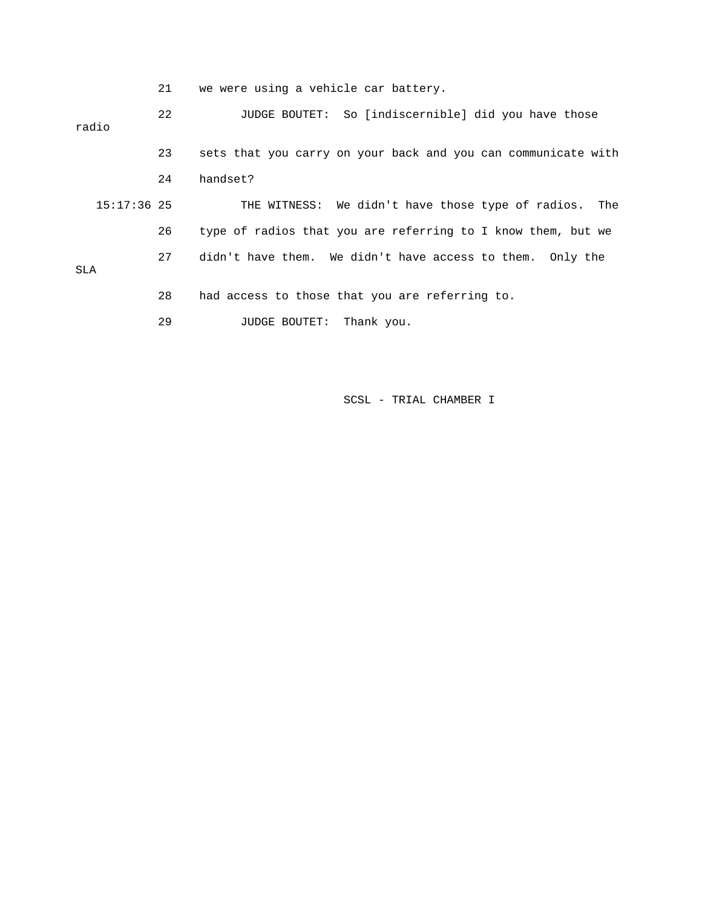21 we were using a vehicle car battery.

 22 JUDGE BOUTET: So [indiscernible] did you have those radio 23 sets that you carry on your back and you can communicate with 24 handset? 15:17:36 25 THE WITNESS: We didn't have those type of radios. The 26 type of radios that you are referring to I know them, but we 27 didn't have them. We didn't have access to them. Only the SLA 28 had access to those that you are referring to. 29 JUDGE BOUTET: Thank you.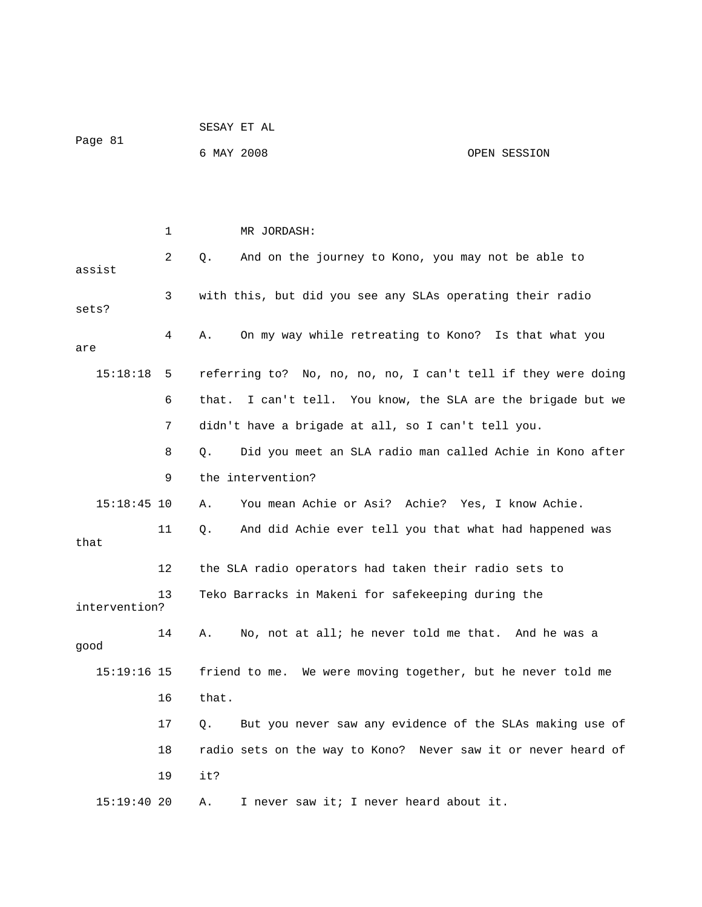|               |    |            | SESAY ET AL                                                   |              |
|---------------|----|------------|---------------------------------------------------------------|--------------|
| Page 81       |    | 6 MAY 2008 |                                                               | OPEN SESSION |
|               |    |            |                                                               |              |
|               |    |            |                                                               |              |
|               | 1  |            | MR JORDASH:                                                   |              |
| assist        | 2  | Q.         | And on the journey to Kono, you may not be able to            |              |
| sets?         | 3  |            | with this, but did you see any SLAs operating their radio     |              |
| are           | 4  | Α.         | On my way while retreating to Kono? Is that what you          |              |
| 15:18:18      | 5  |            | referring to? No, no, no, no, I can't tell if they were doing |              |
|               | 6  | that.      | I can't tell. You know, the SLA are the brigade but we        |              |
|               | 7  |            | didn't have a brigade at all, so I can't tell you.            |              |
|               | 8  | Q.         | Did you meet an SLA radio man called Achie in Kono after      |              |
|               | 9  |            | the intervention?                                             |              |
| $15:18:45$ 10 |    | Α.         | You mean Achie or Asi? Achie? Yes, I know Achie.              |              |
| that          | 11 | Q.         | And did Achie ever tell you that what had happened was        |              |
|               | 12 |            | the SLA radio operators had taken their radio sets to         |              |
| intervention? | 13 |            | Teko Barracks in Makeni for safekeeping during the            |              |
| good          | 14 |            | No, not at all; he never told me that. And he was a           |              |
| $15:19:16$ 15 |    |            | friend to me. We were moving together, but he never told me   |              |
|               | 16 | that.      |                                                               |              |
|               | 17 | О.         | But you never saw any evidence of the SLAs making use of      |              |
|               | 18 |            | radio sets on the way to Kono? Never saw it or never heard of |              |
|               | 19 | it?        |                                                               |              |
| 15:19:4020    |    | Α.         | I never saw it; I never heard about it.                       |              |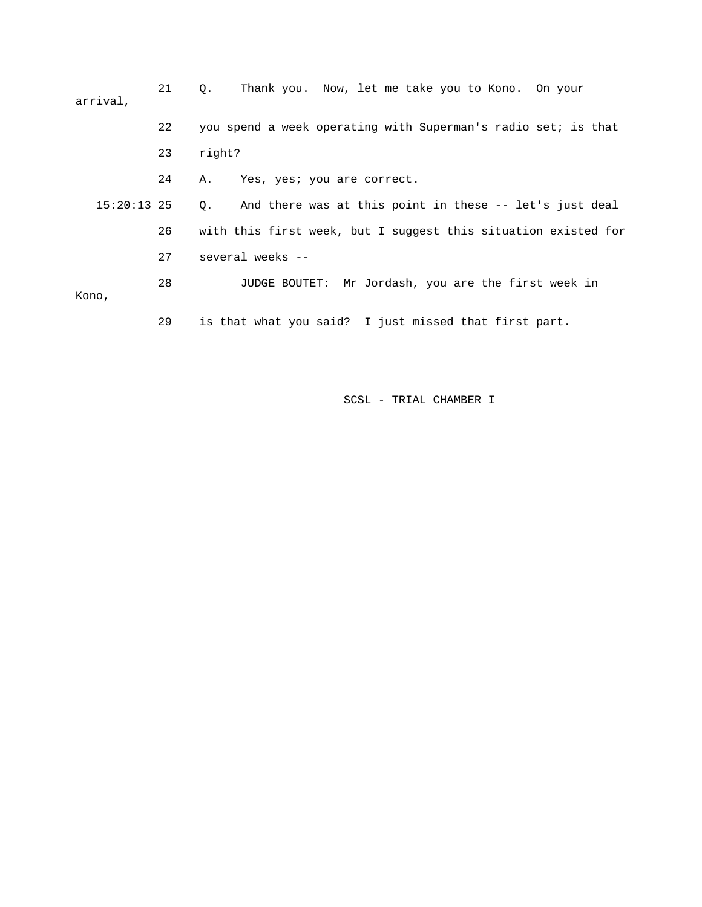21 Q. Thank you. Now, let me take you to Kono. On your arrival, 22 you spend a week operating with Superman's radio set; is that 23 right? 24 A. Yes, yes; you are correct. 15:20:13 25 Q. And there was at this point in these -- let's just deal 26 with this first week, but I suggest this situation existed for 27 several weeks -- 28 JUDGE BOUTET: Mr Jordash, you are the first week in Kono,

29 is that what you said? I just missed that first part.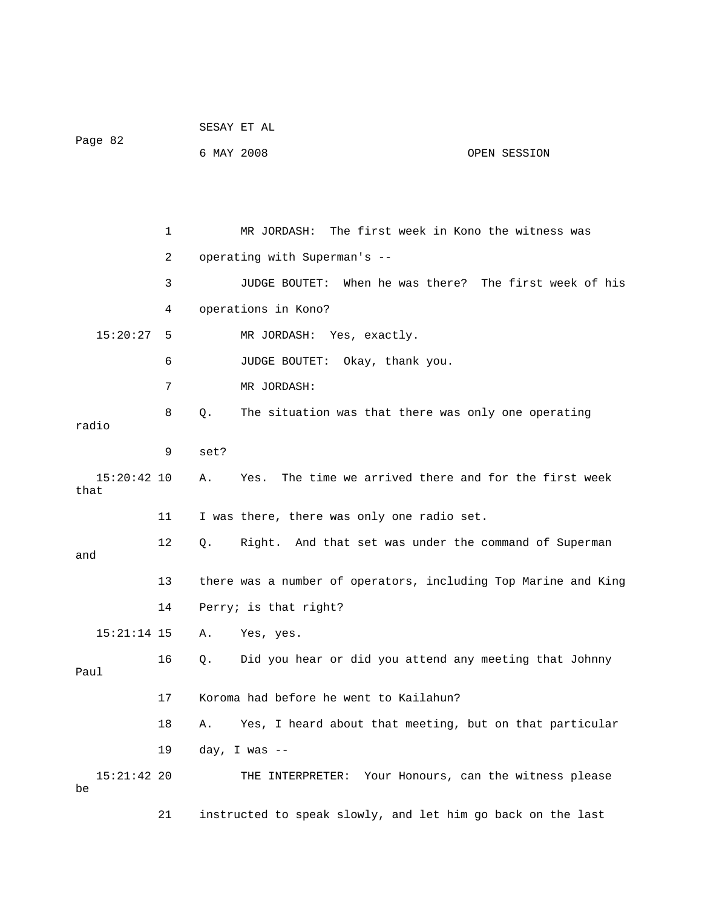|                       |    |            | SESAY ET AL                  |                                                     |                                                                |
|-----------------------|----|------------|------------------------------|-----------------------------------------------------|----------------------------------------------------------------|
| Page 82               |    | 6 MAY 2008 |                              |                                                     | OPEN SESSION                                                   |
|                       |    |            |                              |                                                     |                                                                |
|                       |    |            |                              |                                                     |                                                                |
|                       | 1  |            | MR JORDASH:                  | The first week in Kono the witness was              |                                                                |
|                       | 2  |            | operating with Superman's -- |                                                     |                                                                |
|                       | 3  |            | JUDGE BOUTET:                |                                                     | When he was there? The first week of his                       |
|                       | 4  |            | operations in Kono?          |                                                     |                                                                |
| 15:20:27              | -5 |            | MR JORDASH: Yes, exactly.    |                                                     |                                                                |
|                       | 6  |            |                              | JUDGE BOUTET: Okay, thank you.                      |                                                                |
|                       | 7  |            | MR JORDASH:                  |                                                     |                                                                |
| radio                 | 8  | Q.         |                              | The situation was that there was only one operating |                                                                |
|                       | 9  | set?       |                              |                                                     |                                                                |
| $15:20:42$ 10<br>that |    | Α.         | Yes.                         |                                                     | The time we arrived there and for the first week               |
|                       | 11 |            |                              | I was there, there was only one radio set.          |                                                                |
| and                   | 12 | Q.         |                              |                                                     | Right. And that set was under the command of Superman          |
|                       | 13 |            |                              |                                                     | there was a number of operators, including Top Marine and King |
|                       | 14 |            | Perry; is that right?        |                                                     |                                                                |
|                       |    |            | 15:21:14 15 A. Yes, yes.     |                                                     |                                                                |
| Paul                  | 16 | Q.         |                              |                                                     | Did you hear or did you attend any meeting that Johnny         |
|                       | 17 |            |                              | Koroma had before he went to Kailahun?              |                                                                |
|                       | 18 | Α.         |                              |                                                     | Yes, I heard about that meeting, but on that particular        |
|                       | 19 |            | day, I was $-$               |                                                     |                                                                |
| $15:21:42$ 20<br>be   |    |            |                              |                                                     | THE INTERPRETER: Your Honours, can the witness please          |
|                       | 21 |            |                              |                                                     | instructed to speak slowly, and let him go back on the last    |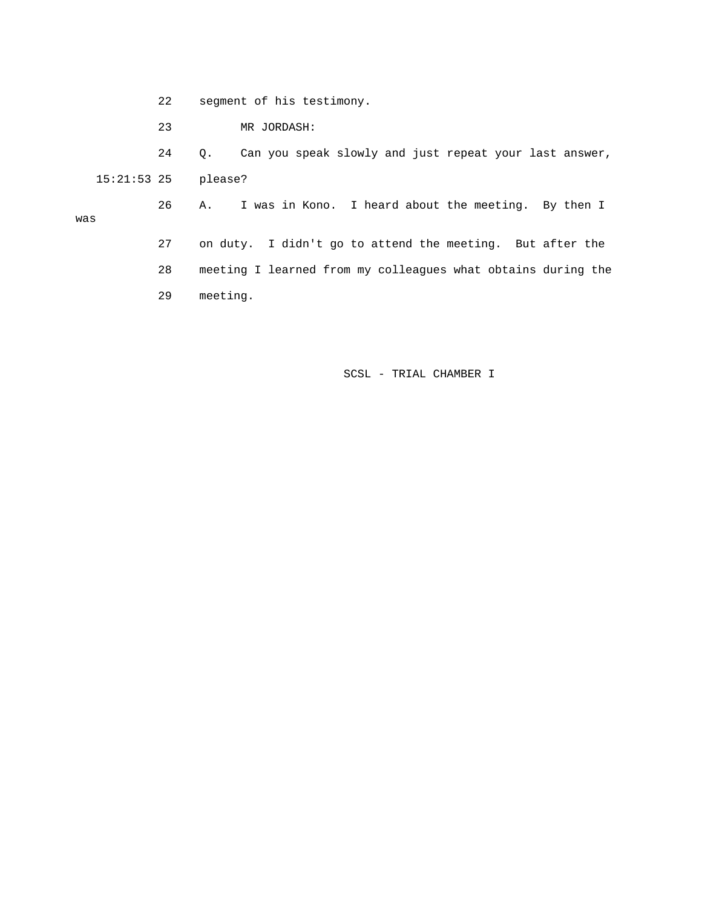- 22 segment of his testimony.
- 23 MR JORDASH:

 24 Q. Can you speak slowly and just repeat your last answer, 15:21:53 25 please? 26 A. I was in Kono. I heard about the meeting. By then I was 27 on duty. I didn't go to attend the meeting. But after the 28 meeting I learned from my colleagues what obtains during the 29 meeting.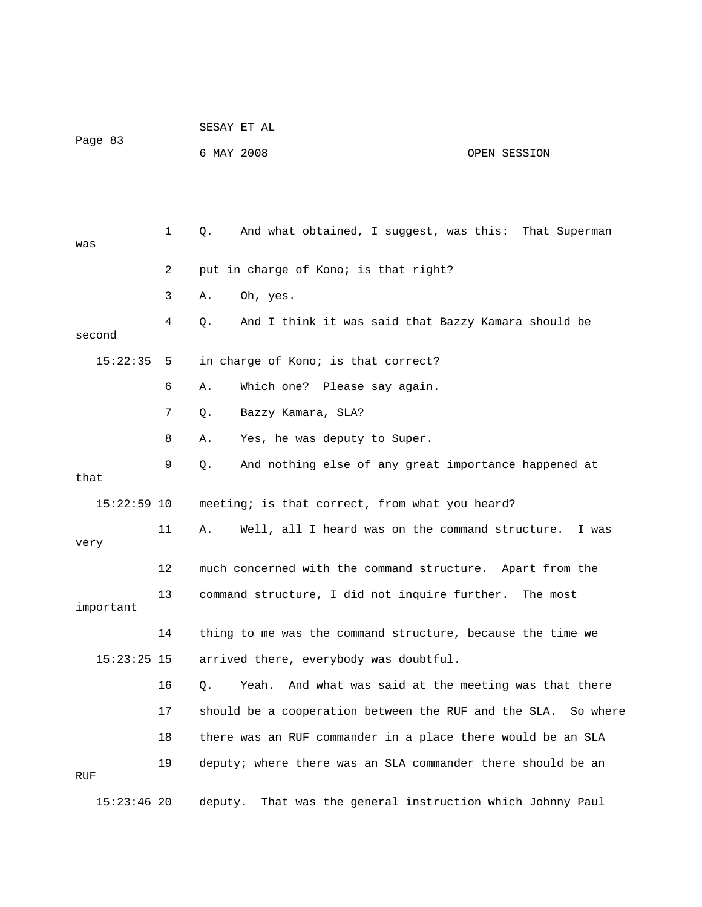| Page 83       |    | SESAY ET AL |                                                             |              |
|---------------|----|-------------|-------------------------------------------------------------|--------------|
|               |    | 6 MAY 2008  |                                                             | OPEN SESSION |
|               |    |             |                                                             |              |
|               |    |             |                                                             |              |
| was           | 1  | Q.          | And what obtained, I suggest, was this: That Superman       |              |
|               | 2  |             | put in charge of Kono; is that right?                       |              |
|               | 3  | Α.          | Oh, yes.                                                    |              |
| second        | 4  | Q.          | And I think it was said that Bazzy Kamara should be         |              |
| 15:22:35      | 5  |             | in charge of Kono; is that correct?                         |              |
|               | 6  | Α.          | Which one? Please say again.                                |              |
|               | 7  | Q.          | Bazzy Kamara, SLA?                                          |              |
|               | 8  | Α.          | Yes, he was deputy to Super.                                |              |
| that          | 9  | Q.          | And nothing else of any great importance happened at        |              |
| 15:22:59 10   |    |             | meeting; is that correct, from what you heard?              |              |
| very          | 11 | Α.          | Well, all I heard was on the command structure.             | I was        |
|               | 12 |             | much concerned with the command structure. Apart from the   |              |
| important     | 13 |             | command structure, I did not inquire further. The most      |              |
|               | 14 |             | thing to me was the command structure, because the time we  |              |
| $15:23:25$ 15 |    |             | arrived there, everybody was doubtful.                      |              |
|               | 16 | Q.          | And what was said at the meeting was that there<br>Yeah.    |              |
|               | 17 |             | should be a cooperation between the RUF and the SLA.        | So where     |
|               | 18 |             | there was an RUF commander in a place there would be an SLA |              |
| RUF           | 19 |             | deputy; where there was an SLA commander there should be an |              |
| $15:23:46$ 20 |    | deputy.     | That was the general instruction which Johnny Paul          |              |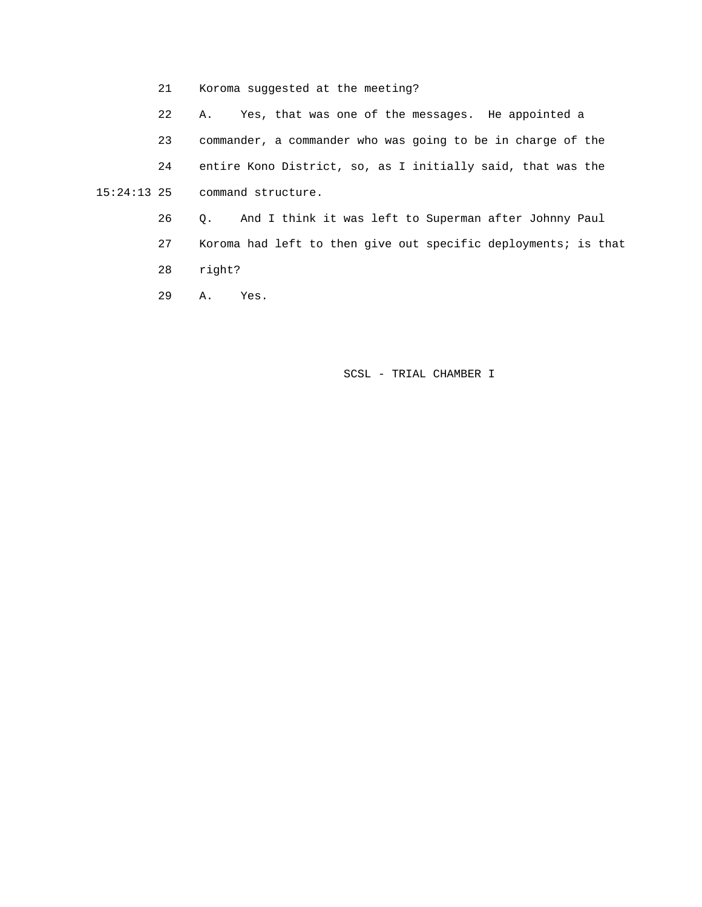21 Koroma suggested at the meeting?

22 A. Yes, that was one of the messages. He appointed a

23 commander, a commander who was going to be in charge of the

 24 entire Kono District, so, as I initially said, that was the 15:24:13 25 command structure.

> 26 Q. And I think it was left to Superman after Johnny Paul 27 Koroma had left to then give out specific deployments; is that 28 right?

29 A. Yes.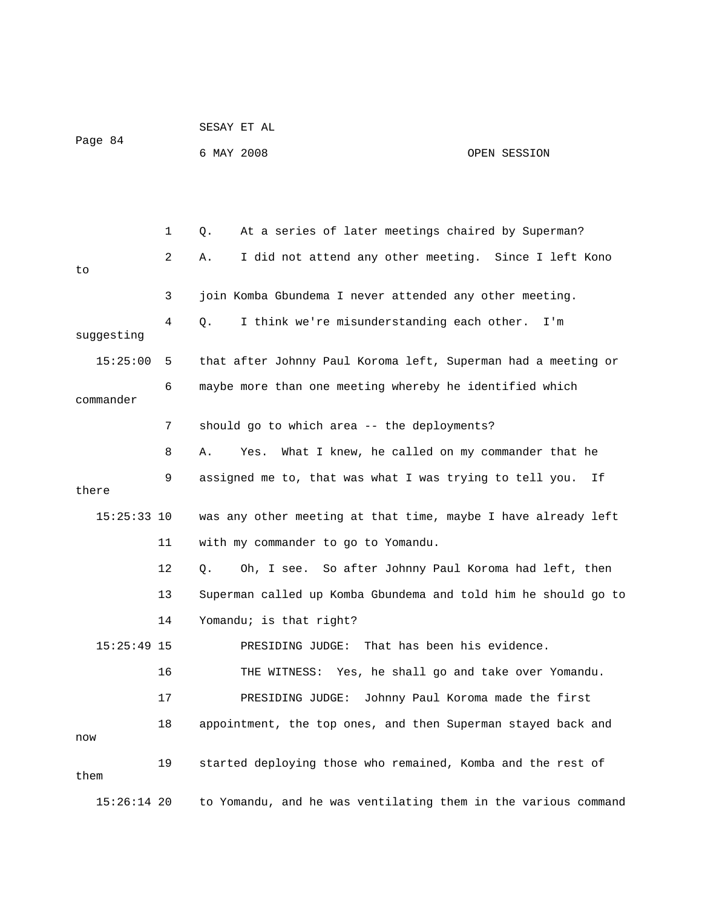|               |    | SESAY ET AL                                                    |                                   |
|---------------|----|----------------------------------------------------------------|-----------------------------------|
| Page 84       |    | 6 MAY 2008                                                     | OPEN SESSION                      |
|               |    |                                                                |                                   |
|               |    |                                                                |                                   |
|               | 1  | At a series of later meetings chaired by Superman?<br>Q.       |                                   |
| to            | 2  | I did not attend any other meeting. Since I left Kono<br>Α.    |                                   |
|               | 3  | join Komba Gbundema I never attended any other meeting.        |                                   |
| suggesting    | 4  | I think we're misunderstanding each other.<br>$Q$ .            | I'm                               |
| 15:25:00      | 5  | that after Johnny Paul Koroma left, Superman had a meeting or  |                                   |
|               |    |                                                                |                                   |
| commander     | 6  | maybe more than one meeting whereby he identified which        |                                   |
|               | 7  | should go to which area -- the deployments?                    |                                   |
|               | 8  | What I knew, he called on my commander that he<br>Α.<br>Yes.   |                                   |
| there         | 9  | assigned me to, that was what I was trying to tell you.        | Ιf                                |
| $15:25:33$ 10 |    | was any other meeting at that time, maybe I have already left  |                                   |
|               | 11 | with my commander to go to Yomandu.                            |                                   |
|               | 12 | Oh, I see. So after Johnny Paul Koroma had left, then<br>Q.    |                                   |
|               | 13 | Superman called up Komba Gbundema and told him he should go to |                                   |
|               | 14 | Yomandu; is that right?                                        |                                   |
| $15:25:49$ 15 |    | PRESIDING JUDGE: That has been his evidence.                   |                                   |
|               | 16 | THE WITNESS: Yes, he shall go and take over Yomandu.           |                                   |
|               | 17 | PRESIDING JUDGE:                                               | Johnny Paul Koroma made the first |
| now           | 18 | appointment, the top ones, and then Superman stayed back and   |                                   |
|               | 19 | started deploying those who remained, Komba and the rest of    |                                   |
| them          |    |                                                                |                                   |
| $15:26:14$ 20 |    | to Yomandu, and he was ventilating them in the various command |                                   |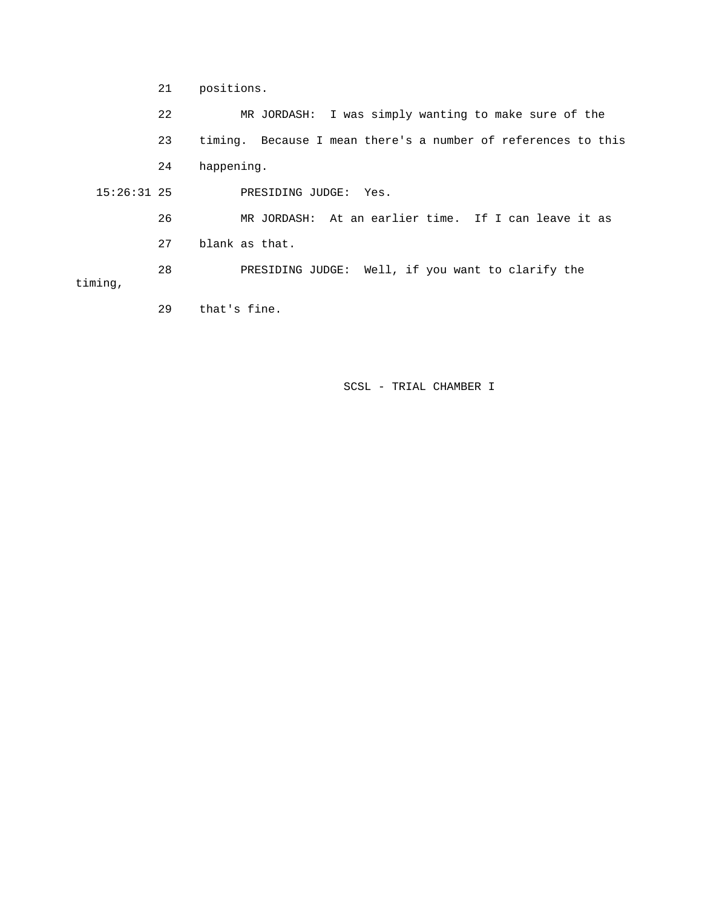21 positions. 22 MR JORDASH: I was simply wanting to make sure of the 23 timing. Because I mean there's a number of references to this 24 happening. 15:26:31 25 PRESIDING JUDGE: Yes. 26 MR JORDASH: At an earlier time. If I can leave it as 27 blank as that. 28 PRESIDING JUDGE: Well, if you want to clarify the timing, 29 that's fine.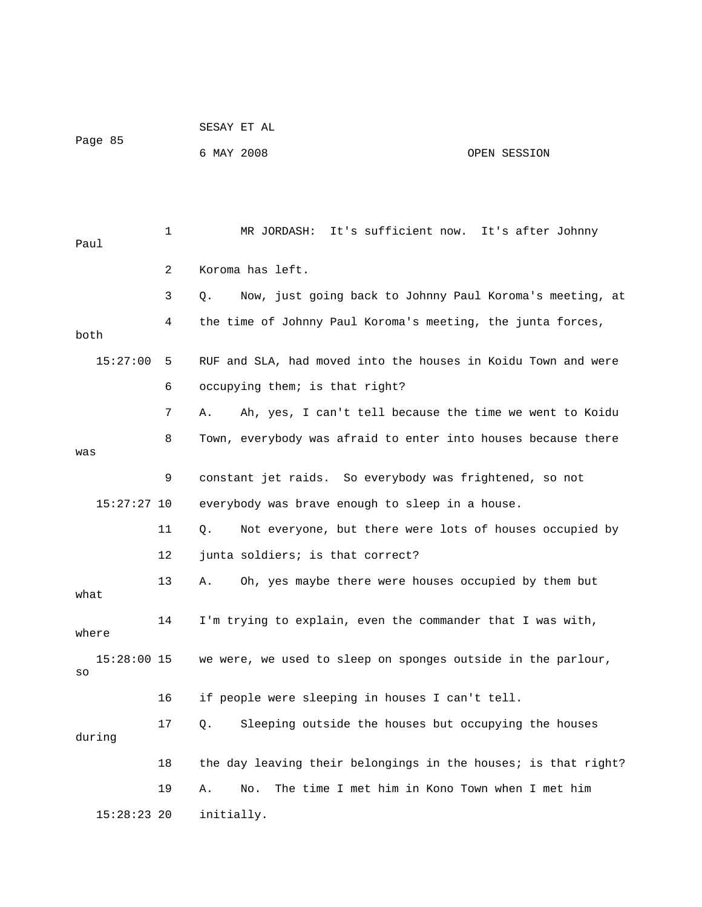|                     |    | SESAY ET AL                                                    |              |
|---------------------|----|----------------------------------------------------------------|--------------|
| Page 85             |    | 6 MAY 2008                                                     | OPEN SESSION |
|                     |    |                                                                |              |
|                     |    |                                                                |              |
| Paul                | 1  | It's sufficient now. It's after Johnny<br>MR JORDASH:          |              |
|                     | 2  | Koroma has left.                                               |              |
|                     | 3  | Now, just going back to Johnny Paul Koroma's meeting, at<br>Q. |              |
| both                | 4  | the time of Johnny Paul Koroma's meeting, the junta forces,    |              |
| 15:27:00            | 5  | RUF and SLA, had moved into the houses in Koidu Town and were  |              |
|                     | 6  | occupying them; is that right?                                 |              |
|                     | 7  | Ah, yes, I can't tell because the time we went to Koidu<br>Α.  |              |
| was                 | 8  | Town, everybody was afraid to enter into houses because there  |              |
|                     | 9  | constant jet raids. So everybody was frightened, so not        |              |
| $15:27:27$ 10       |    | everybody was brave enough to sleep in a house.                |              |
|                     | 11 | Not everyone, but there were lots of houses occupied by<br>Q.  |              |
|                     | 12 | junta soldiers; is that correct?                               |              |
| what                | 13 | Oh, yes maybe there were houses occupied by them but<br>Α.     |              |
| where               | 14 | I'm trying to explain, even the commander that I was with,     |              |
| $15:28:00$ 15<br>SO |    | we were, we used to sleep on sponges outside in the parlour,   |              |
|                     | 16 | if people were sleeping in houses I can't tell.                |              |
| during              | 17 | Sleeping outside the houses but occupying the houses<br>Q.     |              |
|                     | 18 | the day leaving their belongings in the houses; is that right? |              |
|                     | 19 | The time I met him in Kono Town when I met him<br>Α.<br>No.    |              |
| $15:28:23$ 20       |    | initially.                                                     |              |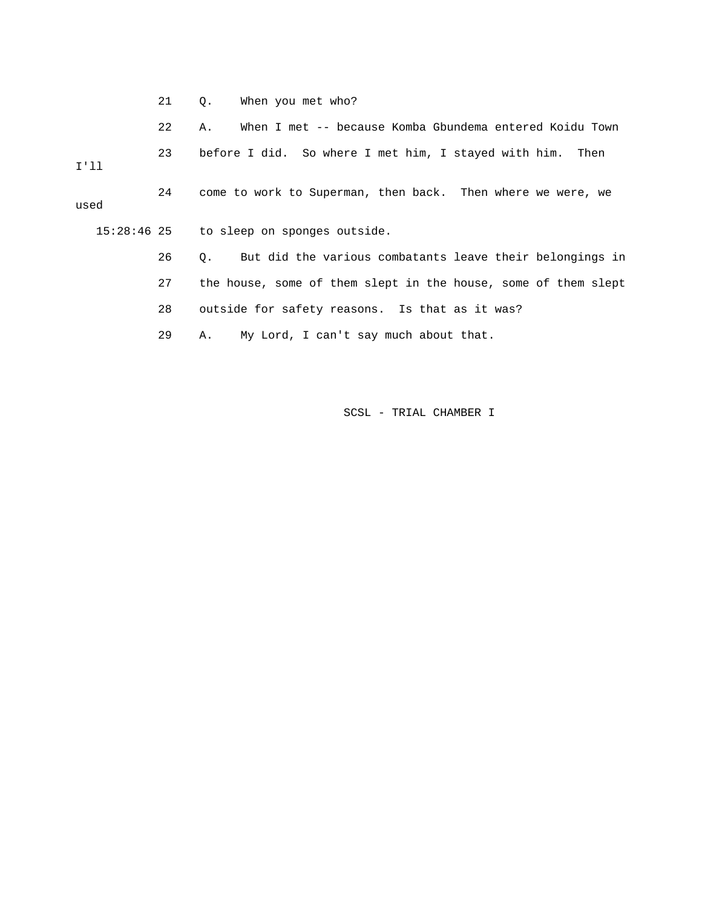21 Q. When you met who?

22 A. When I met -- because Komba Gbundema entered Koidu Town

 23 before I did. So where I met him, I stayed with him. Then I'll 24 come to work to Superman, then back. Then where we were, we used

15:28:46 25 to sleep on sponges outside.

26 Q. But did the various combatants leave their belongings in

27 the house, some of them slept in the house, some of them slept

28 outside for safety reasons. Is that as it was?

29 A. My Lord, I can't say much about that.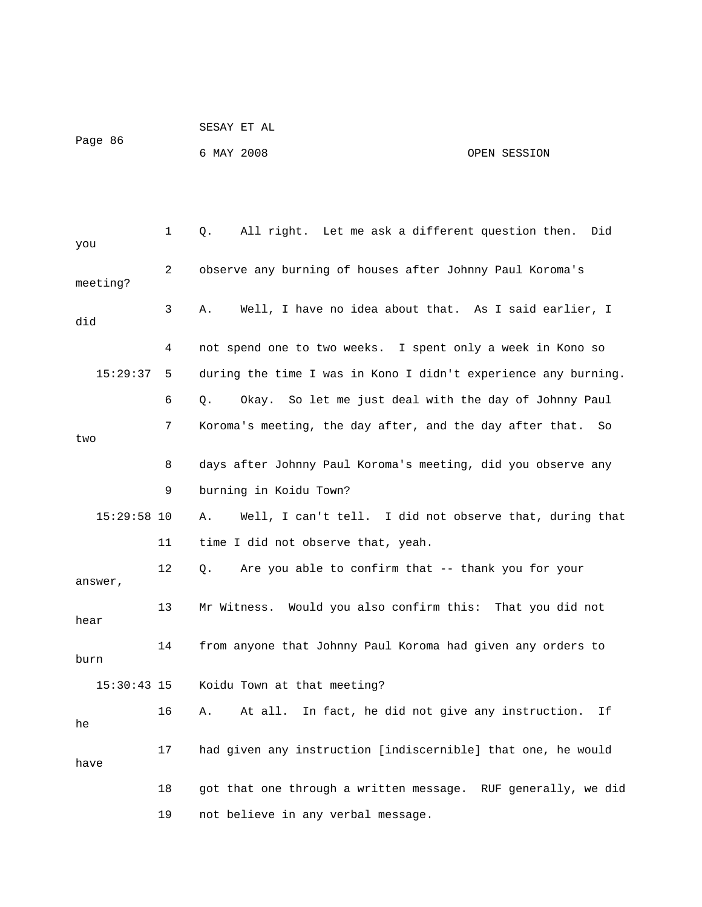| SESAY ET AL |              |
|-------------|--------------|
|             |              |
| 6 MAY 2008  | OPEN SESSION |
|             |              |
|             |              |

| you           | 1  | All right. Let me ask a different question then.<br>Did<br>Q.  |
|---------------|----|----------------------------------------------------------------|
| meeting?      | 2  | observe any burning of houses after Johnny Paul Koroma's       |
| did           | 3  | Well, I have no idea about that. As I said earlier, I<br>Α.    |
|               | 4  | not spend one to two weeks. I spent only a week in Kono so     |
| 15:29:37      | 5  | during the time I was in Kono I didn't experience any burning. |
|               | 6  | Okay. So let me just deal with the day of Johnny Paul<br>Q.    |
| two           | 7  | Koroma's meeting, the day after, and the day after that.<br>So |
|               | 8  | days after Johnny Paul Koroma's meeting, did you observe any   |
|               | 9  | burning in Koidu Town?                                         |
| $15:29:58$ 10 |    | Α.<br>Well, I can't tell. I did not observe that, during that  |
|               | 11 | time I did not observe that, yeah.                             |
| answer,       | 12 | Are you able to confirm that -- thank you for your<br>О.       |
| hear          | 13 | Mr Witness. Would you also confirm this: That you did not      |
| burn          | 14 | from anyone that Johnny Paul Koroma had given any orders to    |
| $15:30:43$ 15 |    | Koidu Town at that meeting?                                    |
| he            | 16 | At all. In fact, he did not give any instruction.<br>Α.<br>Ιf  |
| have          | 17 | had given any instruction [indiscernible] that one, he would   |
|               | 18 | got that one through a written message. RUF generally, we did  |
|               | 19 | not believe in any verbal message.                             |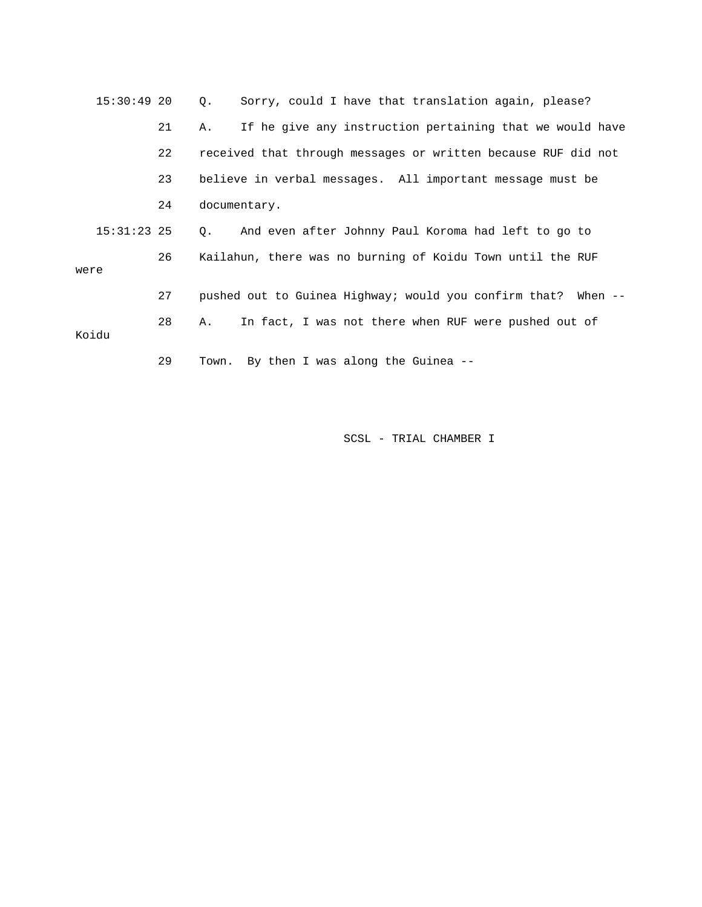| $15:30:49$ 20 |    | Sorry, could I have that translation again, please?<br>$\circ$ . |
|---------------|----|------------------------------------------------------------------|
|               | 21 | If he give any instruction pertaining that we would have<br>Α.   |
|               | 22 | received that through messages or written because RUF did not    |
|               | 23 | believe in verbal messages. All important message must be        |
|               | 24 | documentary.                                                     |
| $15:31:23$ 25 |    | Q. And even after Johnny Paul Koroma had left to go to           |
| were          | 26 | Kailahun, there was no burning of Koidu Town until the RUF       |
|               | 27 | pushed out to Guinea Highway; would you confirm that? When --    |
| Koidu         | 28 | In fact, I was not there when RUF were pushed out of<br>Α.       |
|               | 29 | Town. By then I was along the Guinea --                          |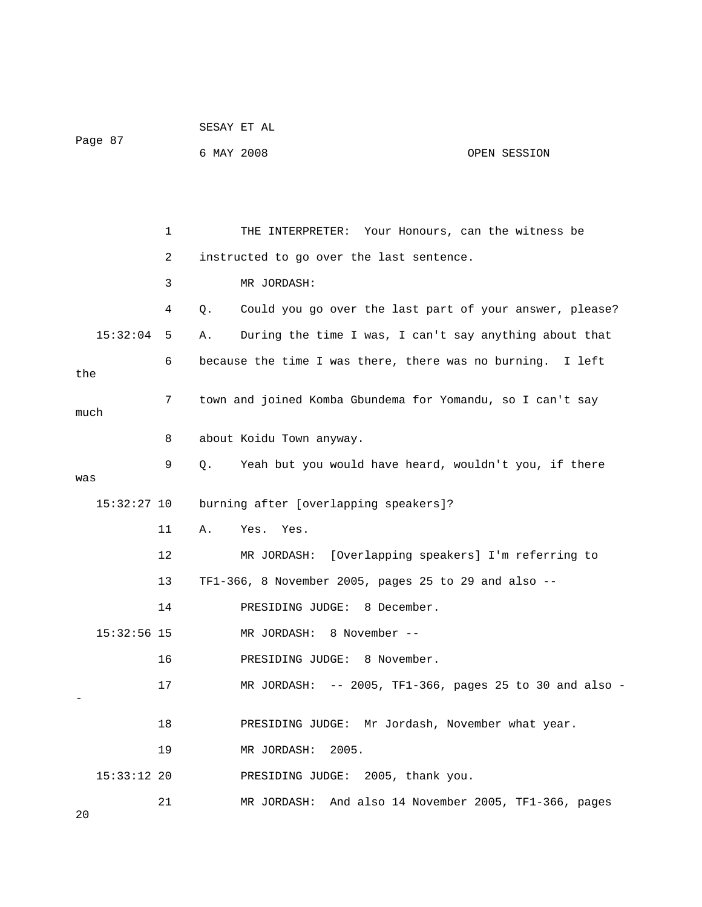|               |    | SESAY ET AL                                                   |  |
|---------------|----|---------------------------------------------------------------|--|
| Page 87       |    | 6 MAY 2008<br>OPEN SESSION                                    |  |
|               |    |                                                               |  |
|               |    |                                                               |  |
|               | 1  | THE INTERPRETER: Your Honours, can the witness be             |  |
|               | 2  | instructed to go over the last sentence.                      |  |
|               | 3  | MR JORDASH:                                                   |  |
|               | 4  | Could you go over the last part of your answer, please?<br>Q. |  |
| 15:32:04      | 5  | During the time I was, I can't say anything about that<br>Α.  |  |
| the           | 6  | because the time I was there, there was no burning. I left    |  |
|               | 7  | town and joined Komba Gbundema for Yomandu, so I can't say    |  |
| much          |    |                                                               |  |
|               | 8  | about Koidu Town anyway.                                      |  |
| was           | 9  | Q.<br>Yeah but you would have heard, wouldn't you, if there   |  |
| 15:32:27 10   |    | burning after [overlapping speakers]?                         |  |
|               | 11 | Yes.<br>Α.<br>Yes.                                            |  |
|               | 12 | [Overlapping speakers] I'm referring to<br>MR JORDASH:        |  |
|               | 13 | TF1-366, 8 November 2005, pages 25 to 29 and also --          |  |
|               | 14 | PRESIDING JUDGE: 8 December.                                  |  |
| $15:32:56$ 15 |    | MR JORDASH: 8 November --                                     |  |
|               | 16 | PRESIDING JUDGE: 8 November.                                  |  |
|               | 17 | MR JORDASH: -- 2005, TF1-366, pages 25 to 30 and also -       |  |
|               |    |                                                               |  |
|               | 18 | PRESIDING JUDGE: Mr Jordash, November what year.              |  |
|               | 19 | 2005.<br>MR JORDASH:                                          |  |
| $15:33:12$ 20 |    | PRESIDING JUDGE: 2005, thank you.                             |  |
| 20            | 21 | MR JORDASH: And also 14 November 2005, TF1-366, pages         |  |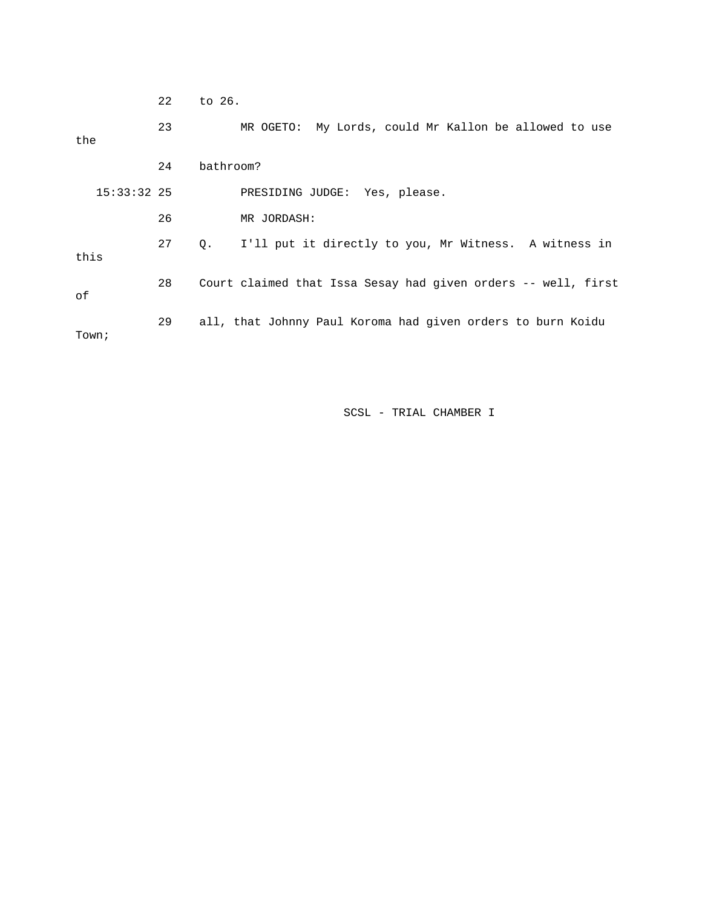22 to 26.

 23 MR OGETO: My Lords, could Mr Kallon be allowed to use the 24 bathroom? 15:33:32 25 PRESIDING JUDGE: Yes, please. 26 MR JORDASH: 27 Q. I'll put it directly to you, Mr Witness. A witness in this 28 Court claimed that Issa Sesay had given orders -- well, first of 29 all, that Johnny Paul Koroma had given orders to burn Koidu Town;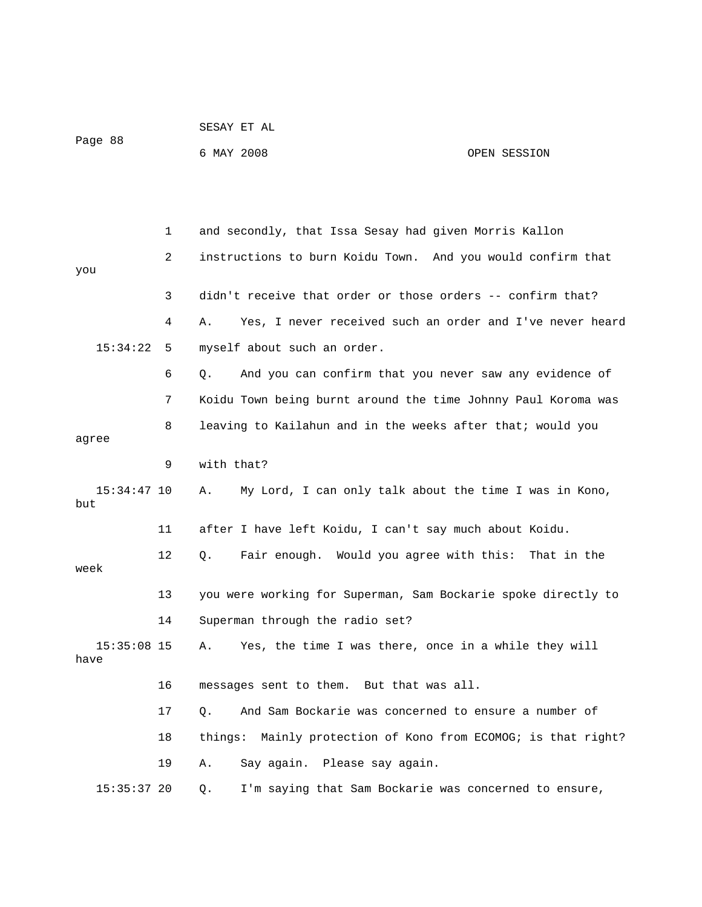|         |            | SESAY ET AL |              |  |
|---------|------------|-------------|--------------|--|
| Page 88 |            |             |              |  |
|         | 6 MAY 2008 |             | OPEN SESSION |  |

|                       | 1  | and secondly, that Issa Sesay had given Morris Kallon                    |
|-----------------------|----|--------------------------------------------------------------------------|
| you                   | 2  | instructions to burn Koidu Town. And you would confirm that              |
|                       |    |                                                                          |
|                       | 3  | didn't receive that order or those orders -- confirm that?               |
|                       | 4  | Yes, I never received such an order and I've never heard<br>Α.           |
| 15:34:22              | 5  | myself about such an order.                                              |
|                       | 6  | And you can confirm that you never saw any evidence of<br>Q <sub>z</sub> |
|                       | 7  | Koidu Town being burnt around the time Johnny Paul Koroma was            |
| agree                 | 8  | leaving to Kailahun and in the weeks after that; would you               |
|                       | 9  | with that?                                                               |
| $15:34:47$ 10<br>but  |    | My Lord, I can only talk about the time I was in Kono,<br>Α.             |
|                       | 11 | after I have left Koidu, I can't say much about Koidu.                   |
| week                  | 12 | Fair enough. Would you agree with this: That in the<br>Q.                |
|                       | 13 | you were working for Superman, Sam Bockarie spoke directly to            |
|                       | 14 | Superman through the radio set?                                          |
| $15:35:08$ 15<br>have |    | Yes, the time I was there, once in a while they will<br>Α.               |
|                       | 16 | messages sent to them. But that was all.                                 |
|                       | 17 | And Sam Bockarie was concerned to ensure a number of<br>Q.               |
|                       | 18 | things: Mainly protection of Kono from ECOMOG; is that right?            |
|                       | 19 | Say again. Please say again.<br>Α.                                       |
| $15:35:37$ 20         |    | I'm saying that Sam Bockarie was concerned to ensure,<br>Q.              |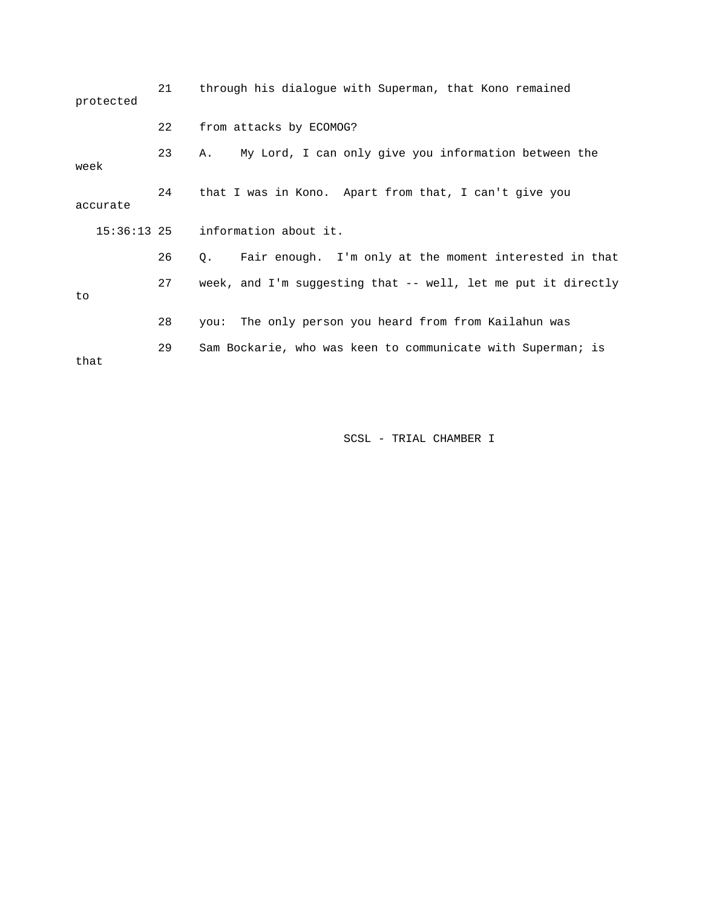|                  | protected | 21 | through his dialogue with Superman, that Kono remained              |
|------------------|-----------|----|---------------------------------------------------------------------|
|                  |           | 22 | from attacks by ECOMOG?                                             |
| week<br>accurate |           | 23 | My Lord, I can only give you information between the<br>Α.          |
|                  |           | 24 | that I was in Kono. Apart from that, I can't give you               |
|                  |           |    | $15:36:13$ 25 information about it.                                 |
|                  |           | 26 | Fair enough. I'm only at the moment interested in that<br>$\circ$ . |
| to               |           | 27 | week, and I'm suggesting that -- well, let me put it directly       |
|                  |           | 28 | The only person you heard from from Kailahun was<br>vou:            |
| that             |           | 29 | Sam Bockarie, who was keen to communicate with Superman; is         |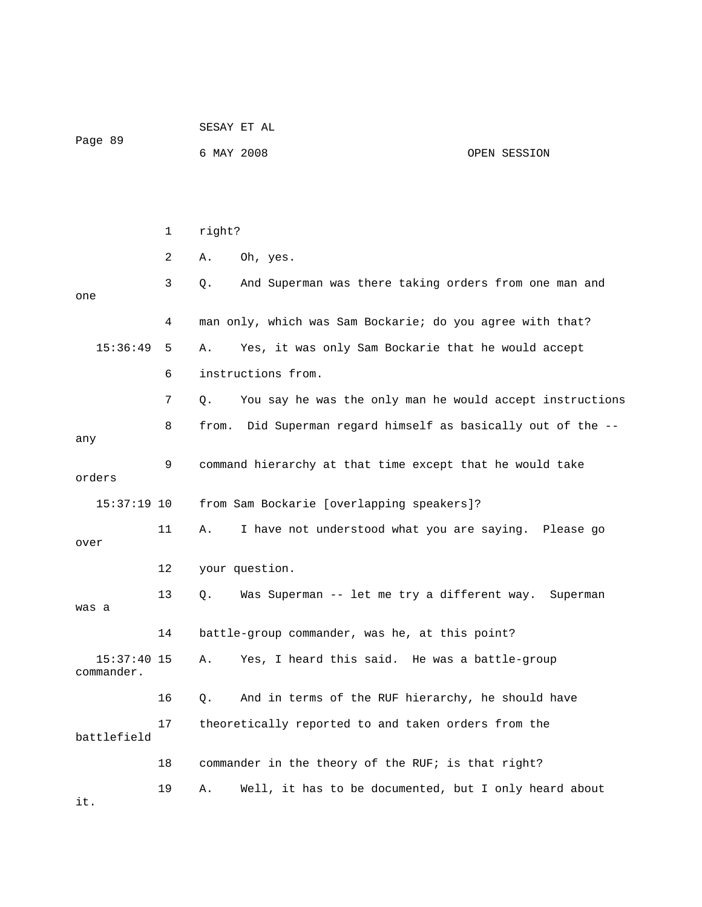| Page 89                     |    | SESAY ET AL |                                                           |              |  |
|-----------------------------|----|-------------|-----------------------------------------------------------|--------------|--|
|                             |    | 6 MAY 2008  |                                                           | OPEN SESSION |  |
|                             |    |             |                                                           |              |  |
|                             |    |             |                                                           |              |  |
|                             | 1  | right?      |                                                           |              |  |
|                             | 2  | Α.          | Oh, yes.                                                  |              |  |
| one                         | 3  | Q.          | And Superman was there taking orders from one man and     |              |  |
|                             | 4  |             | man only, which was Sam Bockarie; do you agree with that? |              |  |
| 15:36:49                    | 5  | Α.          | Yes, it was only Sam Bockarie that he would accept        |              |  |
|                             | 6  |             | instructions from.                                        |              |  |
|                             | 7  | О.          | You say he was the only man he would accept instructions  |              |  |
| any                         | 8  | from.       | Did Superman regard himself as basically out of the --    |              |  |
| orders                      | 9  |             | command hierarchy at that time except that he would take  |              |  |
| $15:37:19$ 10               |    |             | from Sam Bockarie [overlapping speakers]?                 |              |  |
| over                        | 11 | Α.          | I have not understood what you are saying. Please go      |              |  |
|                             | 12 |             | your question.                                            |              |  |
| was a                       | 13 | Q.          | Was Superman -- let me try a different way.               | Superman     |  |
|                             | 14 |             | battle-group commander, was he, at this point?            |              |  |
| $15:37:40$ 15<br>commander. |    | Α.          | Yes, I heard this said. He was a battle-group             |              |  |
|                             | 16 | Q.          | And in terms of the RUF hierarchy, he should have         |              |  |
| battlefield                 | 17 |             | theoretically reported to and taken orders from the       |              |  |
|                             | 18 |             | commander in the theory of the RUF; is that right?        |              |  |
| it.                         | 19 | Α.          | Well, it has to be documented, but I only heard about     |              |  |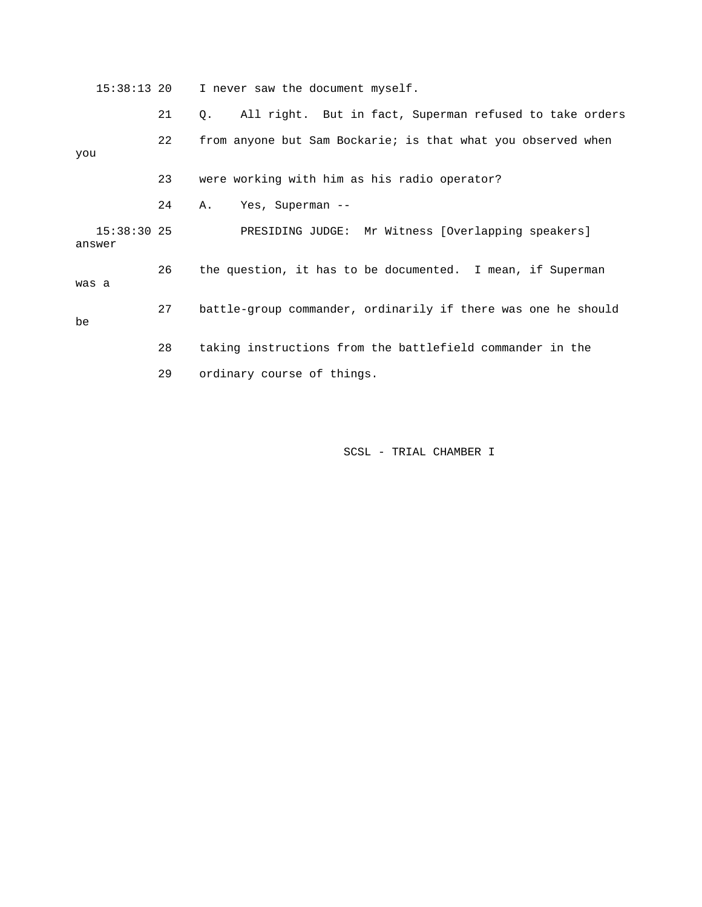15:38:13 20 I never saw the document myself.

 21 Q. All right. But in fact, Superman refused to take orders 22 from anyone but Sam Bockarie; is that what you observed when you 23 were working with him as his radio operator? 24 A. Yes, Superman -- 15:38:30 25 PRESIDING JUDGE: Mr Witness [Overlapping speakers] answer 26 the question, it has to be documented. I mean, if Superman was a 27 battle-group commander, ordinarily if there was one he should be 28 taking instructions from the battlefield commander in the 29 ordinary course of things.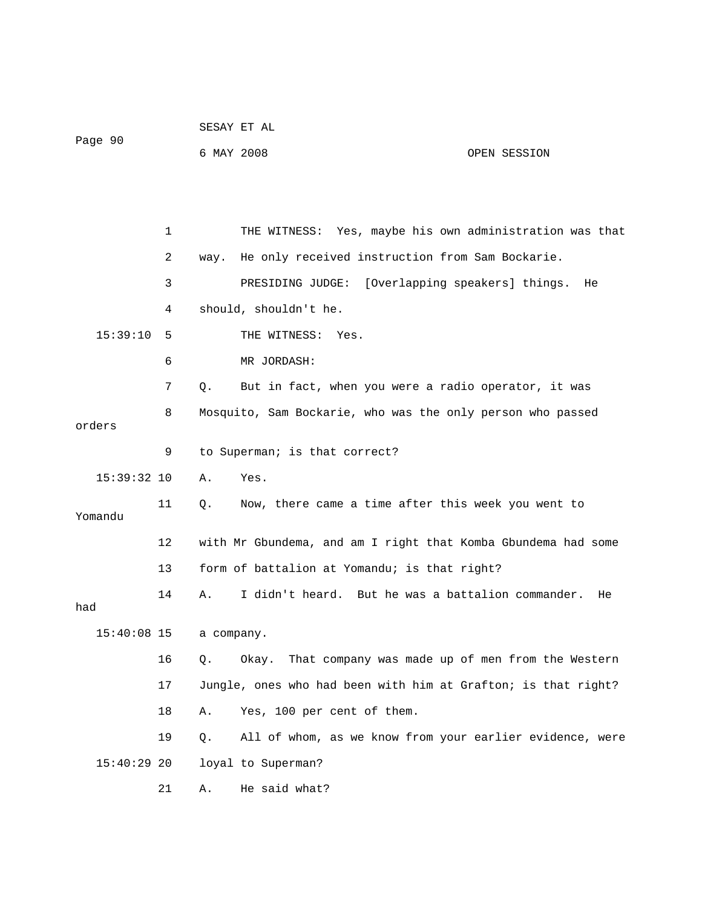|               |    | SESAY ET AL |                                                               |              |
|---------------|----|-------------|---------------------------------------------------------------|--------------|
| Page 90       |    | 6 MAY 2008  |                                                               | OPEN SESSION |
|               |    |             |                                                               |              |
|               |    |             |                                                               |              |
|               | 1  |             | THE WITNESS: Yes, maybe his own administration was that       |              |
|               | 2  | way.        | He only received instruction from Sam Bockarie.               |              |
|               | 3  |             | PRESIDING JUDGE: [Overlapping speakers] things.               | He           |
|               | 4  |             | should, shouldn't he.                                         |              |
| 15:39:10      | 5  |             | THE WITNESS:<br>Yes.                                          |              |
|               | 6  |             | MR JORDASH:                                                   |              |
|               | 7  | Q.          | But in fact, when you were a radio operator, it was           |              |
| orders        | 8  |             | Mosquito, Sam Bockarie, who was the only person who passed    |              |
|               | 9  |             | to Superman; is that correct?                                 |              |
| 15:39:32 10   |    | Α.          | Yes.                                                          |              |
| Yomandu       | 11 | Q.          | Now, there came a time after this week you went to            |              |
|               | 12 |             | with Mr Gbundema, and am I right that Komba Gbundema had some |              |
|               | 13 |             | form of battalion at Yomandu; is that right?                  |              |
| had           | 14 | Α.          | I didn't heard. But he was a battalion commander.             | He           |
| $15:40:08$ 15 |    | a company.  |                                                               |              |
|               | 16 | Q.          | Okay. That company was made up of men from the Western        |              |
|               | 17 |             | Jungle, ones who had been with him at Grafton; is that right? |              |
|               | 18 | Α.          | Yes, 100 per cent of them.                                    |              |
|               | 19 | Q.          | All of whom, as we know from your earlier evidence, were      |              |
| 15:40:29 20   |    |             | loyal to Superman?                                            |              |
|               | 21 | Α.          | He said what?                                                 |              |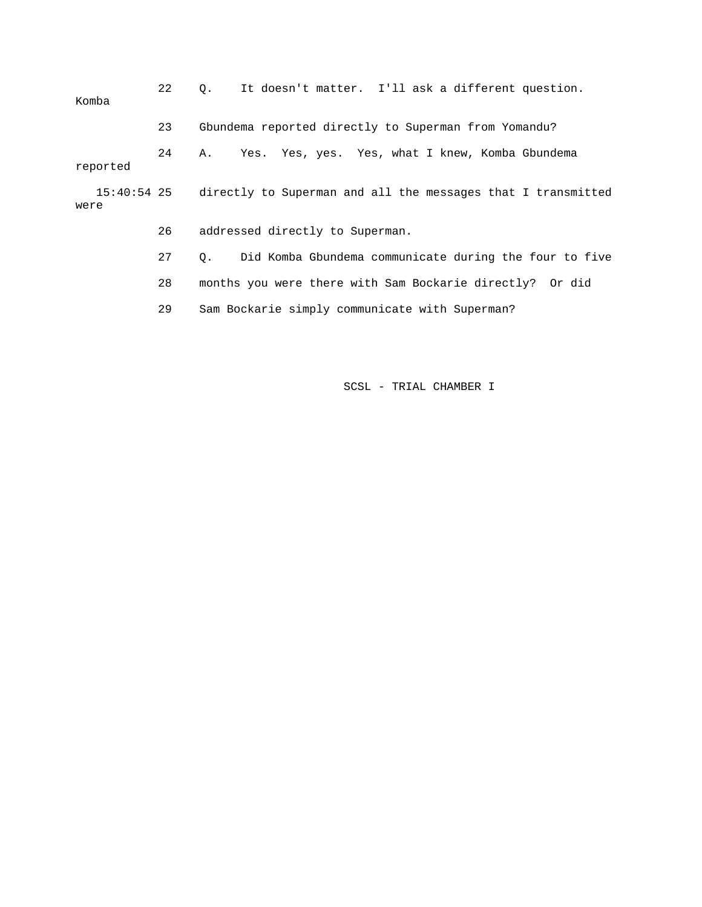| Komba    | 22 | It doesn't matter. I'll ask a different question.<br>$\circ$ .           |  |
|----------|----|--------------------------------------------------------------------------|--|
|          | 23 | Gbundema reported directly to Superman from Yomandu?                     |  |
| reported | 24 | Yes. Yes, yes. Yes, what I knew, Komba Gbundema<br>Α.                    |  |
| were     |    | 15:40:54 25 directly to Superman and all the messages that I transmitted |  |
|          | 26 | addressed directly to Superman.                                          |  |
|          | 27 | 0. Did Komba Gbundema communicate during the four to five                |  |
|          | 28 | months you were there with Sam Bockarie directly? Or did                 |  |
|          | 29 | Sam Bockarie simply communicate with Superman?                           |  |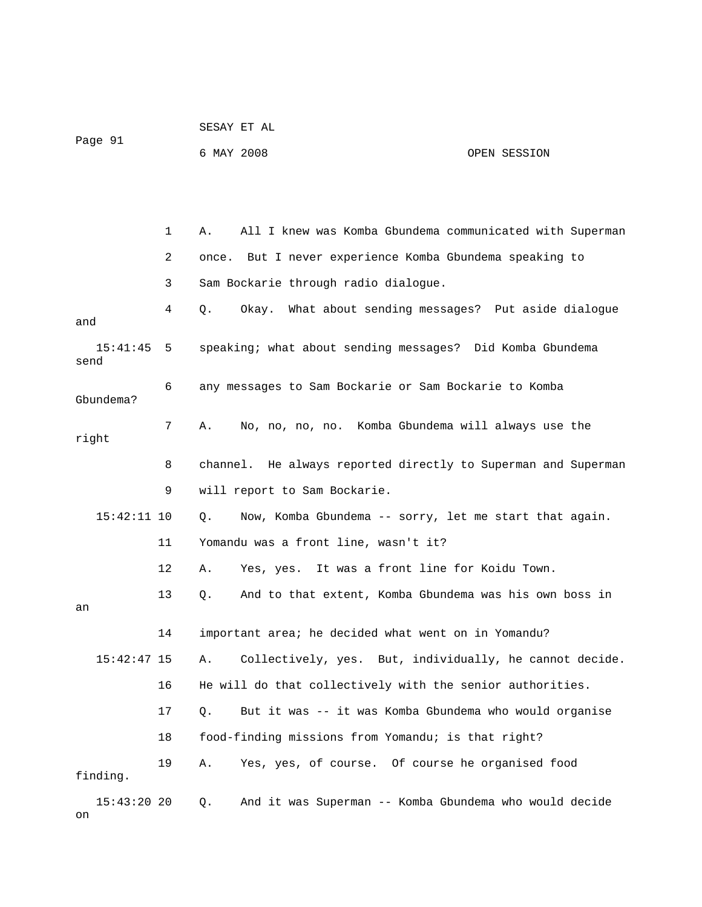|                      |              | SESAY ET AL                          |                                                               |
|----------------------|--------------|--------------------------------------|---------------------------------------------------------------|
| Page 91              |              | 6 MAY 2008                           | OPEN SESSION                                                  |
|                      |              |                                      |                                                               |
|                      | $\mathbf{1}$ | Α.                                   | All I knew was Komba Gbundema communicated with Superman      |
|                      | 2            | once.                                | But I never experience Komba Gbundema speaking to             |
|                      | 3            | Sam Bockarie through radio dialogue. |                                                               |
| and                  | 4            | Q.                                   | Okay. What about sending messages? Put aside dialogue         |
| $15:41:45$ 5<br>send |              |                                      | speaking; what about sending messages? Did Komba Gbundema     |
| Gbundema?            | 6            |                                      | any messages to Sam Bockarie or Sam Bockarie to Komba         |
| right                | 7            | Α.                                   | No, no, no, no. Komba Gbundema will always use the            |
|                      | 8            |                                      | channel. He always reported directly to Superman and Superman |
|                      | 9            | will report to Sam Bockarie.         |                                                               |
| $15:42:11$ 10        |              | Q.                                   | Now, Komba Gbundema -- sorry, let me start that again.        |
|                      | 11           | Yomandu was a front line, wasn't it? |                                                               |
|                      | 12           | Α.                                   | Yes, yes. It was a front line for Koidu Town.                 |
| an                   | 13           | Q.                                   | And to that extent, Komba Gbundema was his own boss in        |
|                      |              |                                      | important area; he decided what went on in Yomandu?           |
| $15:42:47$ 15        |              | Α.                                   | Collectively, yes. But, individually, he cannot decide.       |
|                      | 16           |                                      | He will do that collectively with the senior authorities.     |
|                      | 17           | Q.                                   | But it was -- it was Komba Gbundema who would organise        |
|                      | 18           |                                      | food-finding missions from Yomandu; is that right?            |
| finding.             | 19           | Α.                                   | Yes, yes, of course. Of course he organised food              |
| $15:43:20$ 20<br>on  |              | Q.                                   | And it was Superman -- Komba Gbundema who would decide        |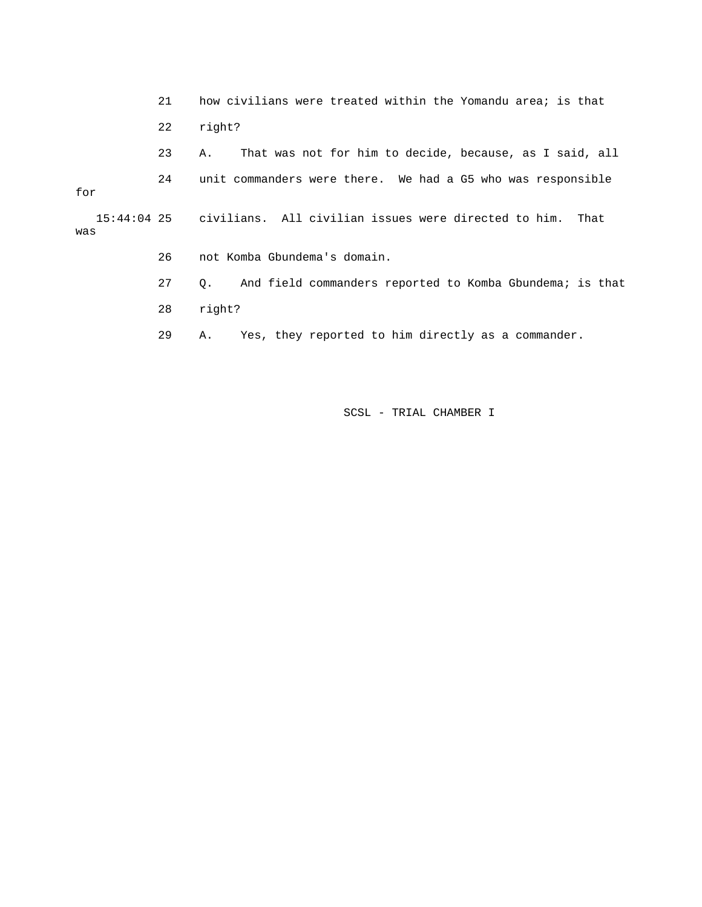21 how civilians were treated within the Yomandu area; is that 22 right? 23 A. That was not for him to decide, because, as I said, all 24 unit commanders were there. We had a G5 who was responsible for 15:44:04 25 civilians. All civilian issues were directed to him. That was 26 not Komba Gbundema's domain. 27 Q. And field commanders reported to Komba Gbundema; is that 28 right? 29 A. Yes, they reported to him directly as a commander.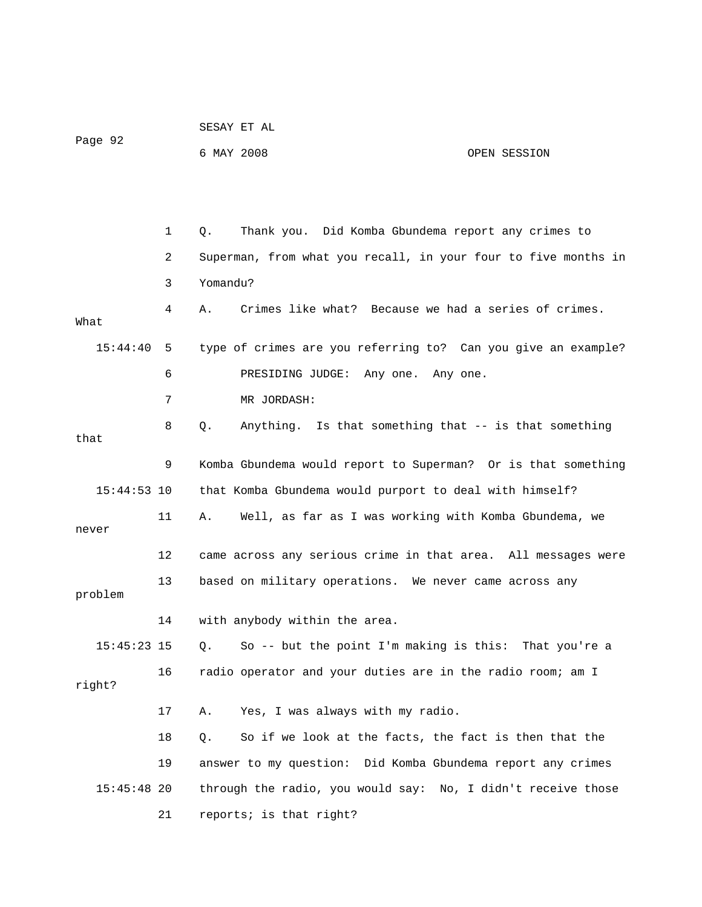| Page 92       |             | 6 MAY 2008 |                                                                | OPEN SESSION |
|---------------|-------------|------------|----------------------------------------------------------------|--------------|
|               |             |            |                                                                |              |
|               |             |            |                                                                |              |
|               | $\mathbf 1$ | Q.         | Thank you. Did Komba Gbundema report any crimes to             |              |
|               | 2           |            | Superman, from what you recall, in your four to five months in |              |
|               | 3           | Yomandu?   |                                                                |              |
| What          | 4           | Α.         | Crimes like what? Because we had a series of crimes.           |              |
| 15:44:40      | 5           |            | type of crimes are you referring to? Can you give an example?  |              |
|               | 6           |            | PRESIDING JUDGE: Any one. Any one.                             |              |
|               | 7           |            | MR JORDASH:                                                    |              |
| that          | 8           | Q.         | Anything. Is that something that -- is that something          |              |
|               | 9           |            | Komba Gbundema would report to Superman? Or is that something  |              |
| $15:44:53$ 10 |             |            | that Komba Gbundema would purport to deal with himself?        |              |
| never         | 11          | А.         | Well, as far as I was working with Komba Gbundema, we          |              |
|               | 12          |            | came across any serious crime in that area. All messages were  |              |
| problem       | 13          |            | based on military operations. We never came across any         |              |
|               | 14          |            | with anybody within the area.                                  |              |
| 15:45:23 15   |             |            | Q. So -- but the point I'm making is this: That you're a       |              |
| right?        | 16          |            | radio operator and your duties are in the radio room; am I     |              |
|               | 17          | Α.         | Yes, I was always with my radio.                               |              |
|               | 18          | Q.         | So if we look at the facts, the fact is then that the          |              |
|               | 19          |            | answer to my question: Did Komba Gbundema report any crimes    |              |
| $15:45:48$ 20 |             |            | through the radio, you would say: No, I didn't receive those   |              |
|               | 21          |            | reports; is that right?                                        |              |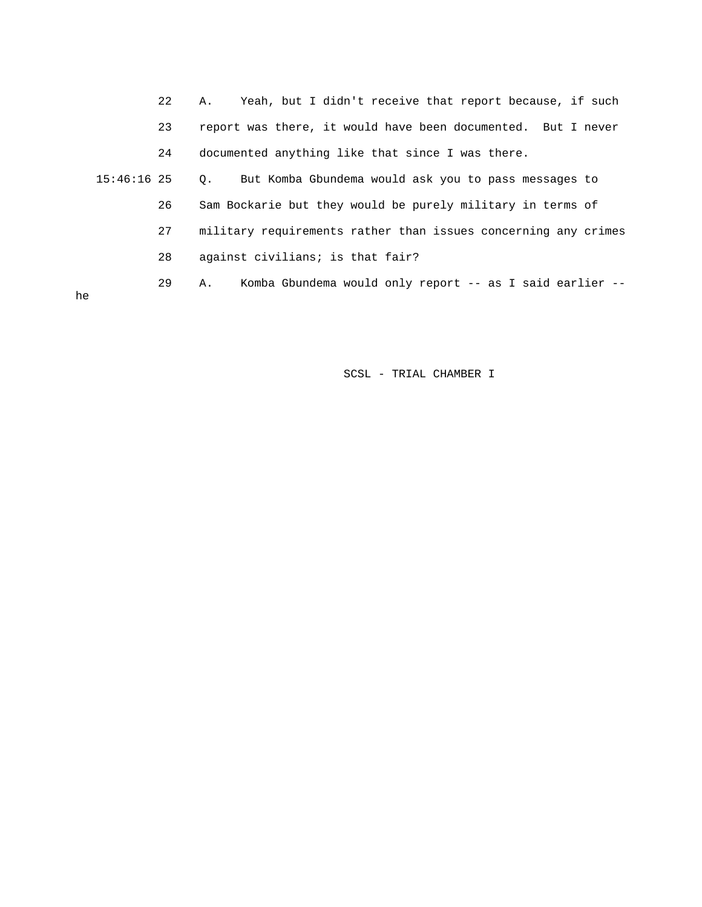|               | 22 | Yeah, but I didn't receive that report because, if such<br>Α.     |
|---------------|----|-------------------------------------------------------------------|
|               | 23 | report was there, it would have been documented. But I never      |
|               | 24 | documented anything like that since I was there.                  |
| $15:46:16$ 25 |    | But Komba Gbundema would ask you to pass messages to<br>$\circ$ . |
|               | 26 | Sam Bockarie but they would be purely military in terms of        |
|               | 27 | military requirements rather than issues concerning any crimes    |
|               | 28 | against civilians; is that fair?                                  |
|               | 29 | Komba Gbundema would only report -- as I said earlier --<br>Α.    |
| he            |    |                                                                   |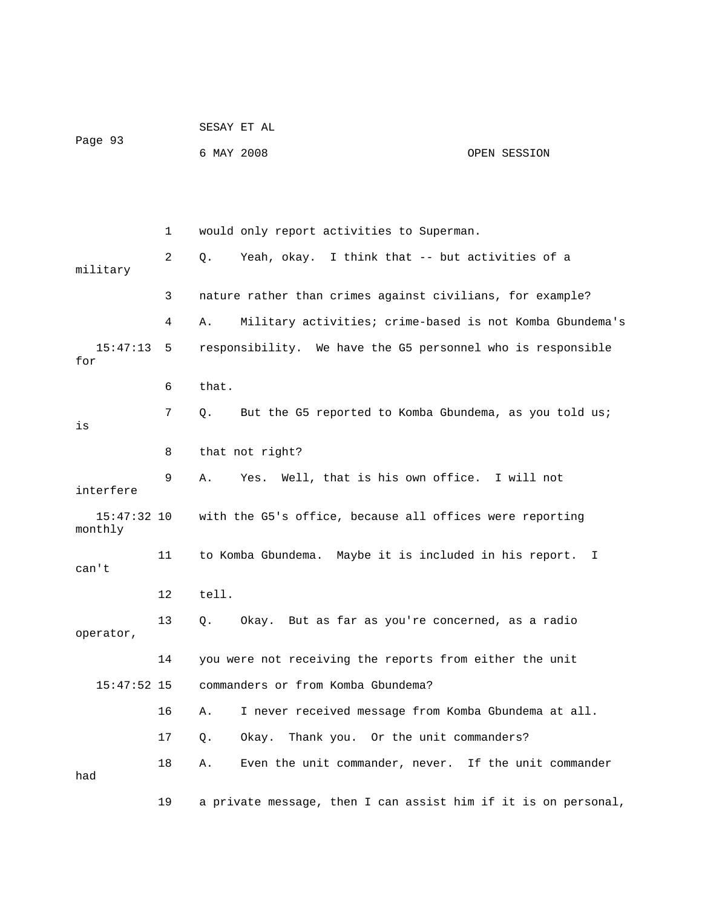|                          |    | SESAY ET AL                                                    |              |
|--------------------------|----|----------------------------------------------------------------|--------------|
| Page 93                  |    | 6 MAY 2008                                                     | OPEN SESSION |
|                          |    |                                                                |              |
|                          | 1  | would only report activities to Superman.                      |              |
| military                 | 2  | Yeah, okay. I think that -- but activities of a<br>Q.          |              |
|                          | 3  | nature rather than crimes against civilians, for example?      |              |
|                          | 4  | Military activities; crime-based is not Komba Gbundema's<br>Α. |              |
| 15:47:13<br>for          | 5  | responsibility. We have the G5 personnel who is responsible    |              |
|                          | 6  | that.                                                          |              |
| is                       | 7  | But the G5 reported to Komba Gbundema, as you told us;<br>Q.   |              |
|                          | 8  | that not right?                                                |              |
| interfere                | 9  | Yes. Well, that is his own office. I will not<br>Α.            |              |
| $15:47:32$ 10<br>monthly |    | with the G5's office, because all offices were reporting       |              |
| can't                    | 11 | to Komba Gbundema. Maybe it is included in his report. I       |              |
|                          | 12 | tell.                                                          |              |
| operator,                | 13 | Okay. But as far as you're concerned, as a radio<br>Q.         |              |
|                          | 14 | you were not receiving the reports from either the unit        |              |
| $15:47:52$ 15            |    | commanders or from Komba Gbundema?                             |              |
|                          | 16 | I never received message from Komba Gbundema at all.<br>Α.     |              |
|                          | 17 | Thank you. Or the unit commanders?<br>Okay.<br>Q.              |              |
| had                      | 18 | Even the unit commander, never. If the unit commander<br>Α.    |              |
|                          | 19 | a private message, then I can assist him if it is on personal, |              |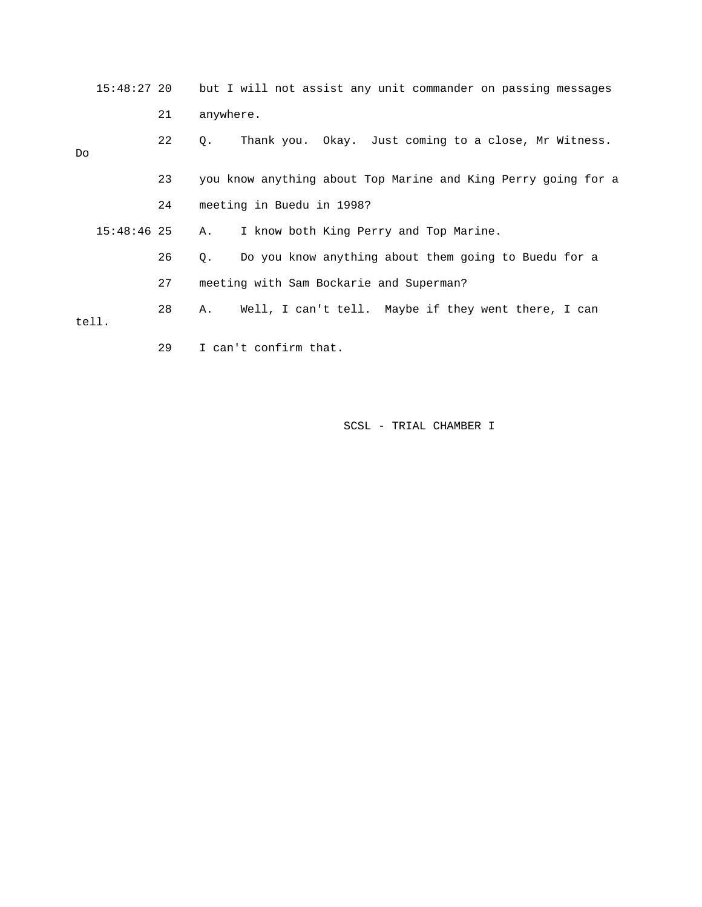15:48:27 20 but I will not assist any unit commander on passing messages 21 anywhere. 22 Q. Thank you. Okay. Just coming to a close, Mr Witness. Do 23 you know anything about Top Marine and King Perry going for a 24 meeting in Buedu in 1998? 15:48:46 25 A. I know both King Perry and Top Marine. 26 Q. Do you know anything about them going to Buedu for a 27 meeting with Sam Bockarie and Superman?

 28 A. Well, I can't tell. Maybe if they went there, I can tell.

29 I can't confirm that.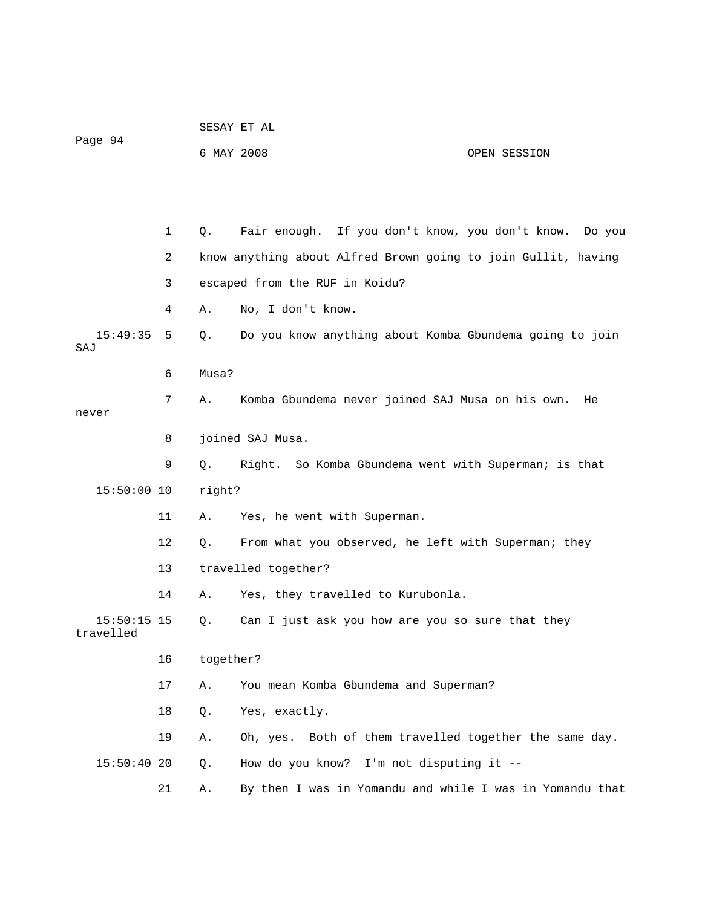| Page 94                    |    | 6 MAY 2008 |                                                               | OPEN SESSION |
|----------------------------|----|------------|---------------------------------------------------------------|--------------|
|                            |    |            |                                                               |              |
|                            | 1  | Q.         | Fair enough. If you don't know, you don't know. Do you        |              |
|                            | 2  |            | know anything about Alfred Brown going to join Gullit, having |              |
|                            | 3  |            | escaped from the RUF in Koidu?                                |              |
|                            | 4  | Α.         | No, I don't know.                                             |              |
| 15:49:35<br>SAJ            | 5  | О.         | Do you know anything about Komba Gbundema going to join       |              |
|                            | 6  | Musa?      |                                                               |              |
| never                      | 7  | Α.         | Komba Gbundema never joined SAJ Musa on his own.              | He           |
|                            | 8  |            | joined SAJ Musa.                                              |              |
|                            | 9  | Q.         | Right. So Komba Gbundema went with Superman; is that          |              |
| $15:50:00$ 10              |    | right?     |                                                               |              |
|                            | 11 | Α.         | Yes, he went with Superman.                                   |              |
|                            | 12 | Q.         | From what you observed, he left with Superman; they           |              |
|                            | 13 |            | travelled together?                                           |              |
|                            | 14 | Α.         | Yes, they travelled to Kurubonla.                             |              |
| $15:50:15$ 15<br>travelled |    | $Q$ .      | Can I just ask you how are you so sure that they              |              |
|                            | 16 | together?  |                                                               |              |
|                            | 17 | Α.         | You mean Komba Gbundema and Superman?                         |              |
|                            | 18 | Q.         | Yes, exactly.                                                 |              |
|                            | 19 | Α.         | Oh, yes. Both of them travelled together the same day.        |              |
| 15:50:4020                 |    | Q.         | How do you know? I'm not disputing it --                      |              |
|                            | 21 | Α.         | By then I was in Yomandu and while I was in Yomandu that      |              |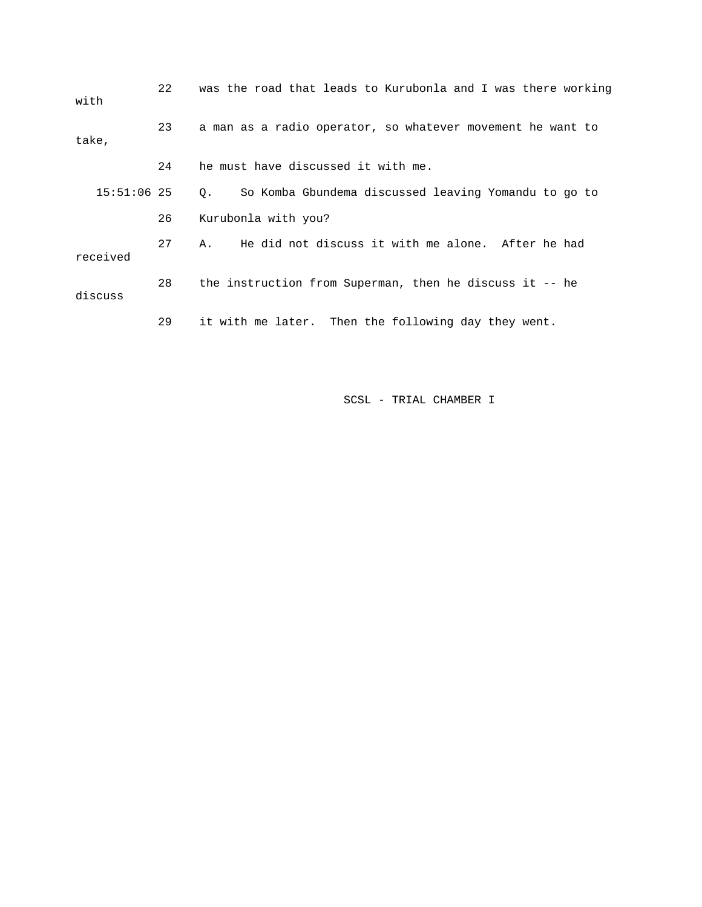| with          | 22                                                         | was the road that leads to Kurubonla and I was there working |
|---------------|------------------------------------------------------------|--------------------------------------------------------------|
| take,         | a man as a radio operator, so whatever movement he want to |                                                              |
|               | 24                                                         | he must have discussed it with me.                           |
| $15:51:06$ 25 |                                                            | So Komba Gbundema discussed leaving Yomandu to go to<br>0.   |
|               | 26                                                         | Kurubonla with you?                                          |
| received      | 27                                                         | He did not discuss it with me alone. After he had<br>Α.      |
| discuss       | 28                                                         | the instruction from Superman, then he discuss it -- he      |
|               | 29                                                         | it with me later. Then the following day they went.          |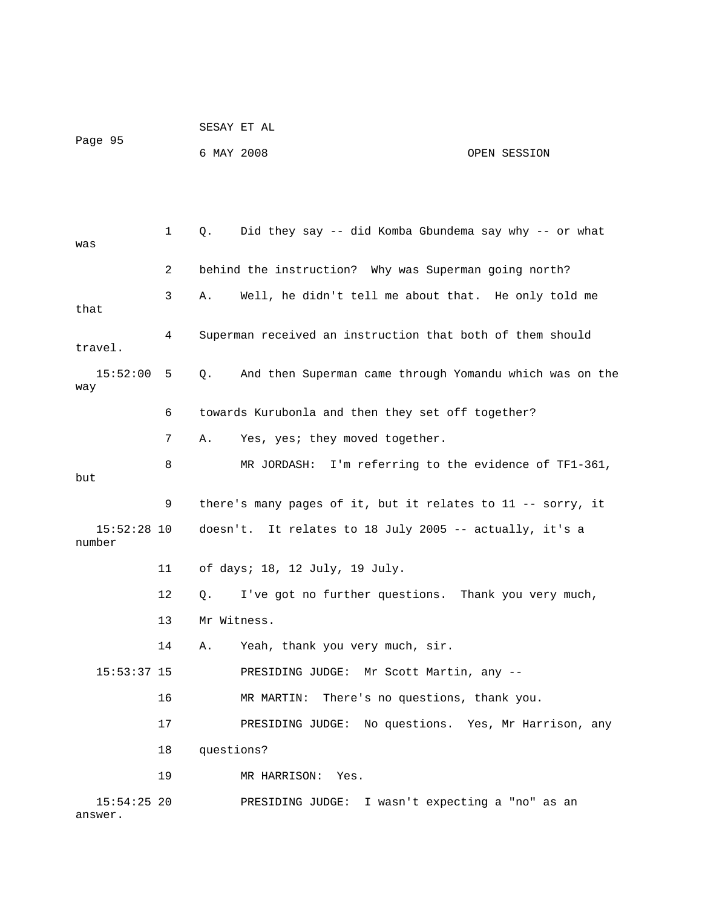|                          |    |             | SESAY ET AL                                                 |                                 |
|--------------------------|----|-------------|-------------------------------------------------------------|---------------------------------|
| Page 95                  |    | 6 MAY 2008  |                                                             | OPEN SESSION                    |
|                          |    |             |                                                             |                                 |
|                          |    |             |                                                             |                                 |
| was                      | 1  | Q.          | Did they say -- did Komba Gbundema say why -- or what       |                                 |
|                          | 2  |             | behind the instruction? Why was Superman going north?       |                                 |
| that                     | 3  | Α.          | Well, he didn't tell me about that. He only told me         |                                 |
| travel.                  | 4  |             | Superman received an instruction that both of them should   |                                 |
| $15:52:00$ 5<br>way      |    | Q.          | And then Superman came through Yomandu which was on the     |                                 |
|                          | 6  |             | towards Kurubonla and then they set off together?           |                                 |
|                          | 7  | Α.          | Yes, yes; they moved together.                              |                                 |
| but                      | 8  |             | MR JORDASH: I'm referring to the evidence of TF1-361,       |                                 |
|                          | 9  |             | there's many pages of it, but it relates to 11 -- sorry, it |                                 |
| $15:52:28$ 10<br>number  |    |             | doesn't. It relates to 18 July 2005 -- actually, it's a     |                                 |
|                          | 11 |             | of days; 18, 12 July, 19 July.                              |                                 |
|                          | 12 | Q.          | I've got no further questions. Thank you very much,         |                                 |
|                          | 13 | Mr Witness. |                                                             |                                 |
|                          | 14 | Α.          | Yeah, thank you very much, sir.                             |                                 |
| $15:53:37$ 15            |    |             | PRESIDING JUDGE: Mr Scott Martin, any --                    |                                 |
|                          | 16 |             | There's no questions, thank you.<br>MR MARTIN:              |                                 |
|                          | 17 |             | PRESIDING JUDGE: No questions. Yes, Mr Harrison, any        |                                 |
|                          | 18 | questions?  |                                                             |                                 |
|                          | 19 |             | MR HARRISON: Yes.                                           |                                 |
| $15:54:25$ 20<br>answer. |    |             | PRESIDING JUDGE:                                            | I wasn't expecting a "no" as an |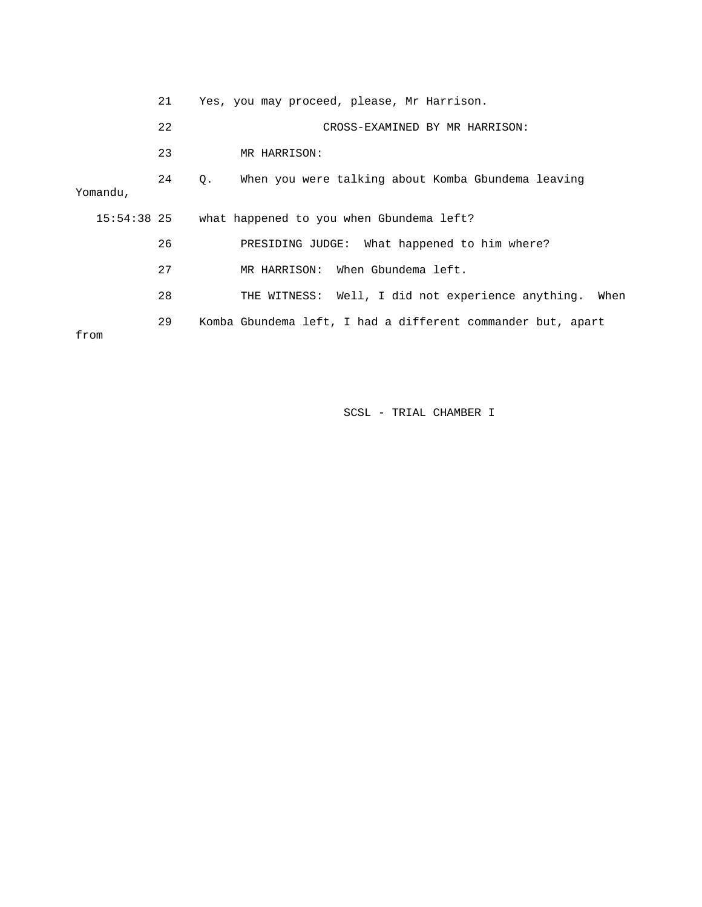|          | 21                                           | Yes, you may proceed, please, Mr Harrison.                           |
|----------|----------------------------------------------|----------------------------------------------------------------------|
|          | 22                                           | CROSS-EXAMINED BY MR HARRISON:                                       |
|          | 23                                           | MR HARRISON:                                                         |
| Yomandu, | 24                                           | When you were talking about Komba Gbundema leaving<br>Q <sub>z</sub> |
|          | 15:54:38 25                                  | what happened to you when Gbundema left?                             |
|          | PRESIDING JUDGE: What happened to him where? |                                                                      |
|          | 27                                           | MR HARRISON: When Gbundema left.                                     |
|          | 28                                           | THE WITNESS: Well, I did not experience anything.<br>When            |
| from     | 29                                           | Komba Gbundema left, I had a different commander but, apart          |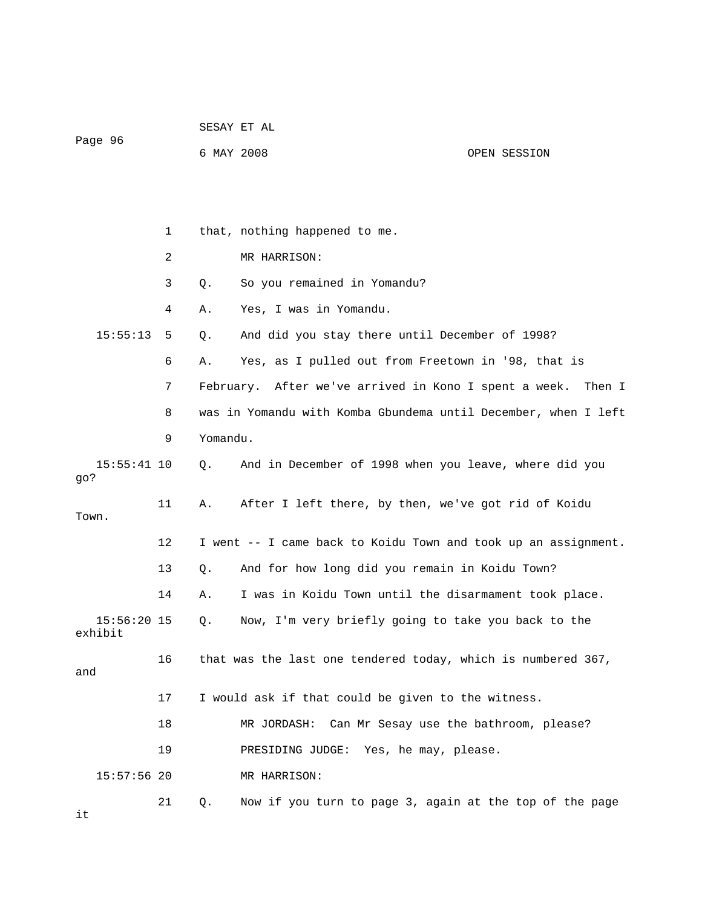| Page 96                  |    | 6 MAY 2008 |                                                                | OPEN SESSION |
|--------------------------|----|------------|----------------------------------------------------------------|--------------|
|                          |    |            |                                                                |              |
|                          | 1  |            | that, nothing happened to me.                                  |              |
|                          | 2  |            | MR HARRISON:                                                   |              |
|                          | 3  | $Q$ .      | So you remained in Yomandu?                                    |              |
|                          | 4  | Α.         | Yes, I was in Yomandu.                                         |              |
| 15:55:13                 | 5  | Q.         | And did you stay there until December of 1998?                 |              |
|                          | 6  | Α.         | Yes, as I pulled out from Freetown in '98, that is             |              |
|                          | 7  |            | February. After we've arrived in Kono I spent a week.          | Then I       |
|                          | 8  |            | was in Yomandu with Komba Gbundema until December, when I left |              |
|                          | 9  | Yomandu.   |                                                                |              |
| $15:55:41$ 10<br>go?     |    | $Q$ .      | And in December of 1998 when you leave, where did you          |              |
| Town.                    | 11 | Α.         | After I left there, by then, we've got rid of Koidu            |              |
|                          | 12 |            | I went -- I came back to Koidu Town and took up an assignment. |              |
|                          | 13 | Q.         | And for how long did you remain in Koidu Town?                 |              |
|                          | 14 | Α.         | I was in Koidu Town until the disarmament took place.          |              |
| $15:56:20$ 15<br>exhibit |    | Q.         | Now, I'm very briefly going to take you back to the            |              |
| and                      | 16 |            | that was the last one tendered today, which is numbered 367,   |              |
|                          | 17 |            | I would ask if that could be given to the witness.             |              |
|                          | 18 |            | Can Mr Sesay use the bathroom, please?<br>MR JORDASH:          |              |
|                          | 19 |            | Yes, he may, please.<br>PRESIDING JUDGE:                       |              |
| $15:57:56$ 20            |    |            | MR HARRISON:                                                   |              |
| it                       | 21 | Q.         | Now if you turn to page 3, again at the top of the page        |              |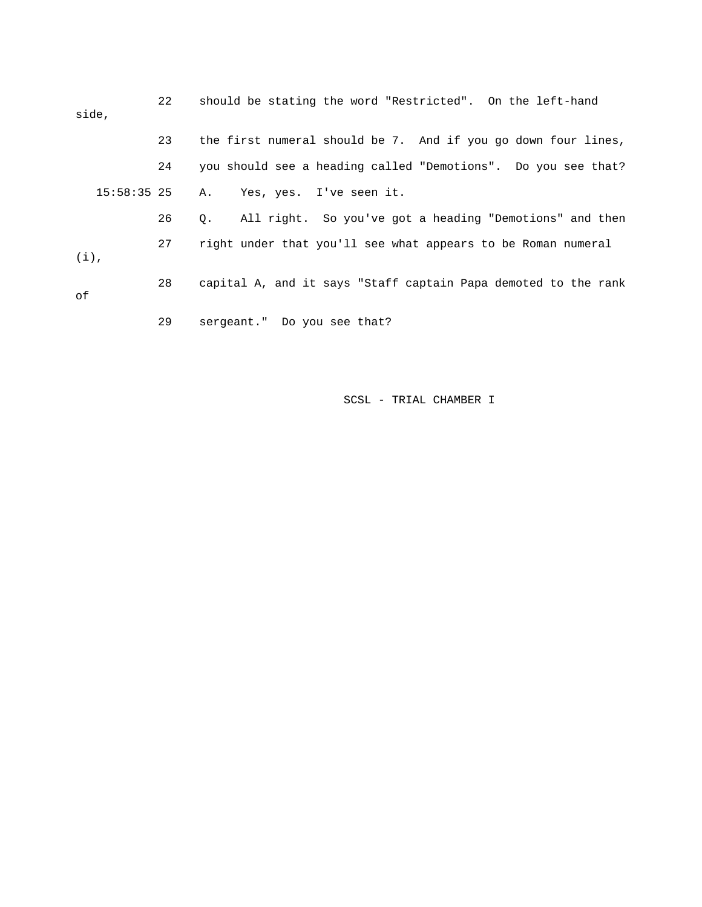| side,         | 22 | should be stating the word "Restricted". On the left-hand      |
|---------------|----|----------------------------------------------------------------|
|               | 23 | the first numeral should be 7. And if you go down four lines,  |
|               | 24 | you should see a heading called "Demotions". Do you see that?  |
| $15:58:35$ 25 |    | A. Yes, yes. I've seen it.                                     |
|               | 26 | Q. All right. So you've got a heading "Demotions" and then     |
| $(i)$ ,       | 27 | right under that you'll see what appears to be Roman numeral   |
| οf            | 28 | capital A, and it says "Staff captain Papa demoted to the rank |
|               | 29 | sergeant." Do you see that?                                    |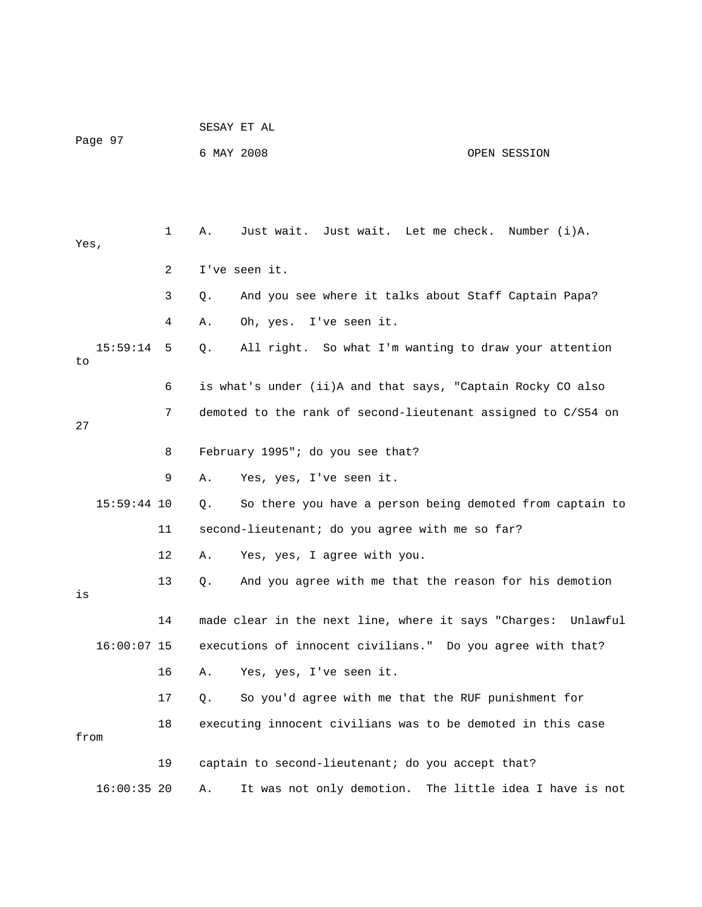|      |               |             | SESAY ET AL |                                                               |              |
|------|---------------|-------------|-------------|---------------------------------------------------------------|--------------|
|      | Page 97       |             | 6 MAY 2008  |                                                               | OPEN SESSION |
|      |               |             |             |                                                               |              |
| Yes, |               | $\mathbf 1$ | Α.          | Just wait. Just wait. Let me check. Number (i)A.              |              |
|      |               | 2           |             | I've seen it.                                                 |              |
|      |               | 3           | Q.          | And you see where it talks about Staff Captain Papa?          |              |
|      |               | 4           | Α.          | Oh, yes. I've seen it.                                        |              |
| to   | 15:59:14      | 5           | $Q$ .       | All right. So what I'm wanting to draw your attention         |              |
|      |               | 6           |             | is what's under (ii)A and that says, "Captain Rocky CO also   |              |
| 27   |               | 7           |             | demoted to the rank of second-lieutenant assigned to C/S54 on |              |
|      |               | 8           |             | February 1995"; do you see that?                              |              |
|      |               | 9           | Α.          | Yes, yes, I've seen it.                                       |              |
|      | $15:59:44$ 10 |             | Q.          | So there you have a person being demoted from captain to      |              |
|      |               | 11          |             | second-lieutenant; do you agree with me so far?               |              |
|      |               | 12          | Α.          | Yes, yes, I agree with you.                                   |              |
| is   |               | 13          | $Q$ .       | And you agree with me that the reason for his demotion        |              |
|      |               | 14          |             | made clear in the next line, where it says "Charges: Unlawful |              |
|      | $16:00:07$ 15 |             |             | executions of innocent civilians." Do you agree with that?    |              |
|      |               | 16          | Α.          | Yes, yes, I've seen it.                                       |              |
|      |               | 17          | $Q$ .       | So you'd agree with me that the RUF punishment for            |              |
| from |               | 18          |             | executing innocent civilians was to be demoted in this case   |              |
|      |               | 19          |             | captain to second-lieutenant; do you accept that?             |              |
|      | $16:00:35$ 20 |             | Α.          | It was not only demotion. The little idea I have is not       |              |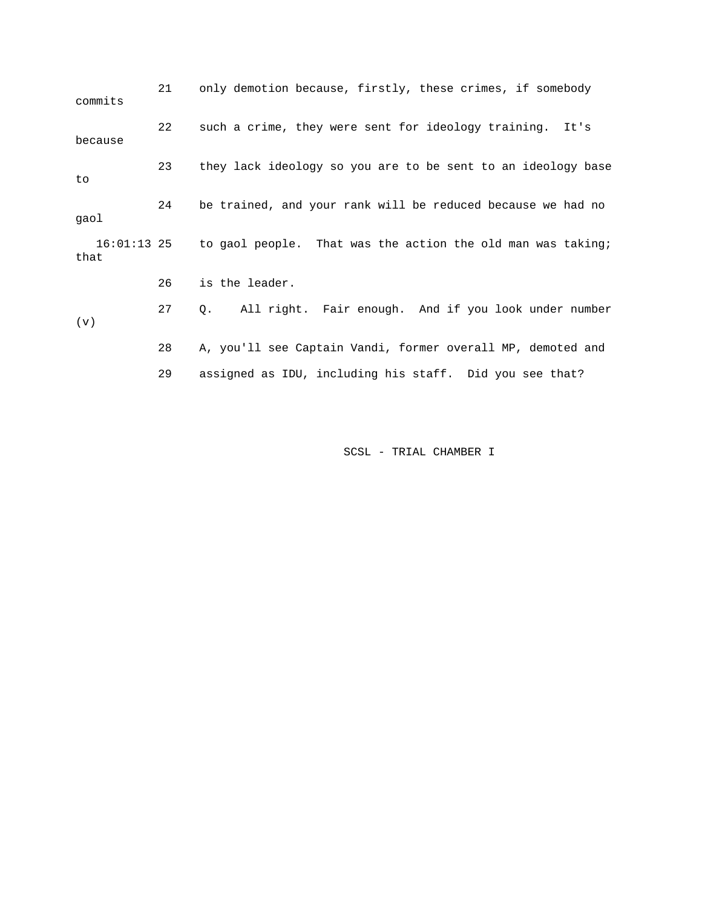21 only demotion because, firstly, these crimes, if somebody commits 22 such a crime, they were sent for ideology training. It's because 23 they lack ideology so you are to be sent to an ideology base to 24 be trained, and your rank will be reduced because we had no gaol 16:01:13 25 to gaol people. That was the action the old man was taking; that 26 is the leader. 27 Q. All right. Fair enough. And if you look under number (v) 28 A, you'll see Captain Vandi, former overall MP, demoted and 29 assigned as IDU, including his staff. Did you see that?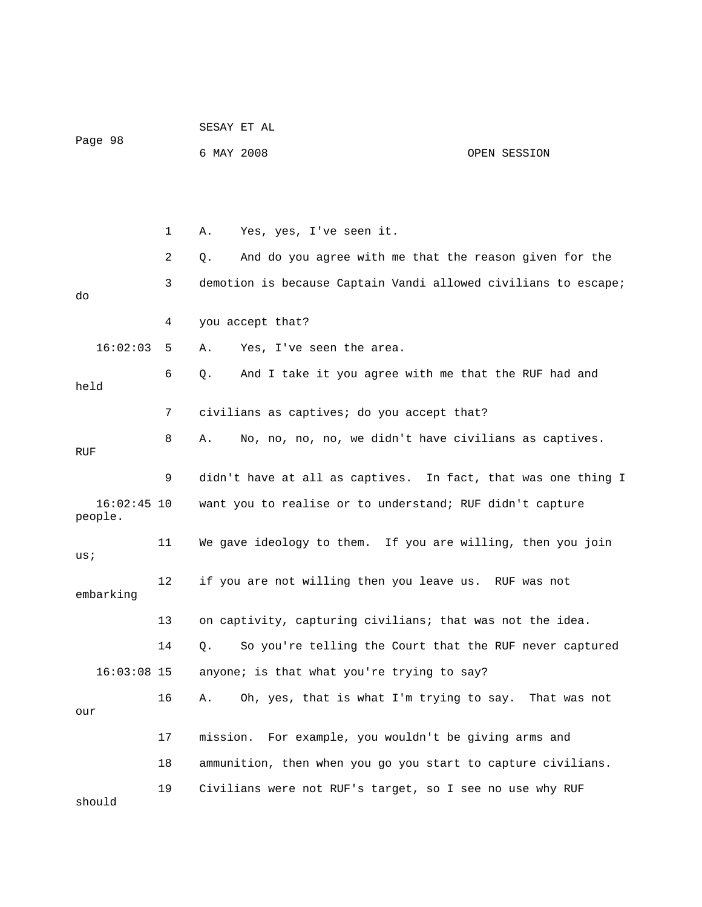|                          |    | SESAY ET AL      |                                                                |              |  |  |
|--------------------------|----|------------------|----------------------------------------------------------------|--------------|--|--|
| Page 98                  |    | 6 MAY 2008       |                                                                | OPEN SESSION |  |  |
|                          |    |                  |                                                                |              |  |  |
|                          |    |                  |                                                                |              |  |  |
|                          | 1  | Α.               | Yes, yes, I've seen it.                                        |              |  |  |
|                          | 2  | Q.               | And do you agree with me that the reason given for the         |              |  |  |
| do                       | 3  |                  | demotion is because Captain Vandi allowed civilians to escape; |              |  |  |
|                          | 4  | you accept that? |                                                                |              |  |  |
| 16:02:03                 | 5  | Α.               | Yes, I've seen the area.                                       |              |  |  |
| held                     | 6  | $Q$ .            | And I take it you agree with me that the RUF had and           |              |  |  |
|                          | 7  |                  | civilians as captives; do you accept that?                     |              |  |  |
| RUF                      | 8  | Α.               | No, no, no, no, we didn't have civilians as captives.          |              |  |  |
|                          | 9  |                  | didn't have at all as captives. In fact, that was one thing I  |              |  |  |
| $16:02:45$ 10<br>people. |    |                  | want you to realise or to understand; RUF didn't capture       |              |  |  |
| us;                      | 11 |                  | We gave ideology to them. If you are willing, then you join    |              |  |  |
| embarking                | 12 |                  | if you are not willing then you leave us. RUF was not          |              |  |  |
|                          | 13 |                  | on captivity, capturing civilians; that was not the idea.      |              |  |  |
|                          | 14 | Q.               | So you're telling the Court that the RUF never captured        |              |  |  |
| $16:03:08$ 15            |    |                  | anyone; is that what you're trying to say?                     |              |  |  |
| our                      | 16 | Α.               | Oh, yes, that is what I'm trying to say. That was not          |              |  |  |
|                          | 17 | mission.         | For example, you wouldn't be giving arms and                   |              |  |  |
|                          | 18 |                  | ammunition, then when you go you start to capture civilians.   |              |  |  |
| should                   | 19 |                  | Civilians were not RUF's target, so I see no use why RUF       |              |  |  |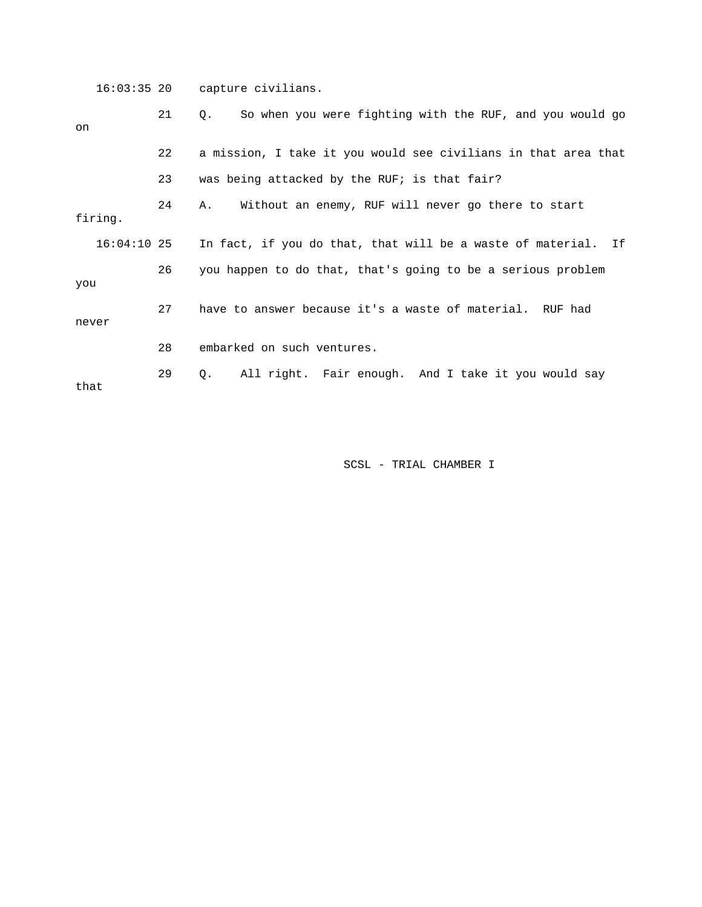16:03:35 20 capture civilians. 21 Q. So when you were fighting with the RUF, and you would go on 22 a mission, I take it you would see civilians in that area that 23 was being attacked by the RUF; is that fair? 24 A. Without an enemy, RUF will never go there to start firing. 16:04:10 25 In fact, if you do that, that will be a waste of material. If 26 you happen to do that, that's going to be a serious problem you 27 have to answer because it's a waste of material. RUF had never 28 embarked on such ventures. 29 Q. All right. Fair enough. And I take it you would say that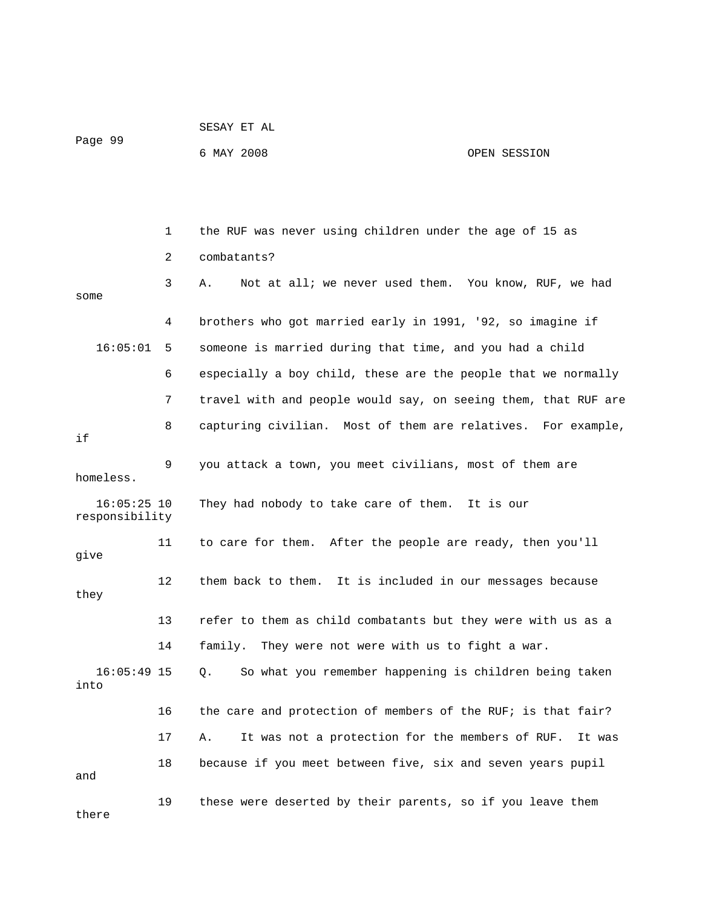|                                 |    | 6 MAY 2008                                                     | OPEN SESSION |
|---------------------------------|----|----------------------------------------------------------------|--------------|
|                                 |    |                                                                |              |
|                                 |    |                                                                |              |
|                                 | 1  | the RUF was never using children under the age of 15 as        |              |
|                                 | 2  | combatants?                                                    |              |
| some                            | 3  | Not at all; we never used them. You know, RUF, we had<br>Α.    |              |
|                                 | 4  | brothers who got married early in 1991, '92, so imagine if     |              |
| 16:05:01                        | 5  | someone is married during that time, and you had a child       |              |
|                                 | 6  | especially a boy child, these are the people that we normally  |              |
|                                 | 7  | travel with and people would say, on seeing them, that RUF are |              |
| if                              | 8  | capturing civilian. Most of them are relatives. For example,   |              |
| homeless.                       | 9  | you attack a town, you meet civilians, most of them are        |              |
| $16:05:25$ 10<br>responsibility |    | They had nobody to take care of them. It is our                |              |
| give                            | 11 | to care for them. After the people are ready, then you'll      |              |
| they                            | 12 | them back to them. It is included in our messages because      |              |
|                                 | 13 | refer to them as child combatants but they were with us as a   |              |
|                                 | 14 | family.<br>They were not were with us to fight a war.          |              |
| $16:05:49$ 15<br>into           |    | So what you remember happening is children being taken<br>Q.   |              |
|                                 | 16 | the care and protection of members of the RUF; is that fair?   |              |
|                                 | 17 | It was not a protection for the members of RUF.<br>Α.          | It was       |
| and                             | 18 | because if you meet between five, six and seven years pupil    |              |
| there                           | 19 | these were deserted by their parents, so if you leave them     |              |

Page 99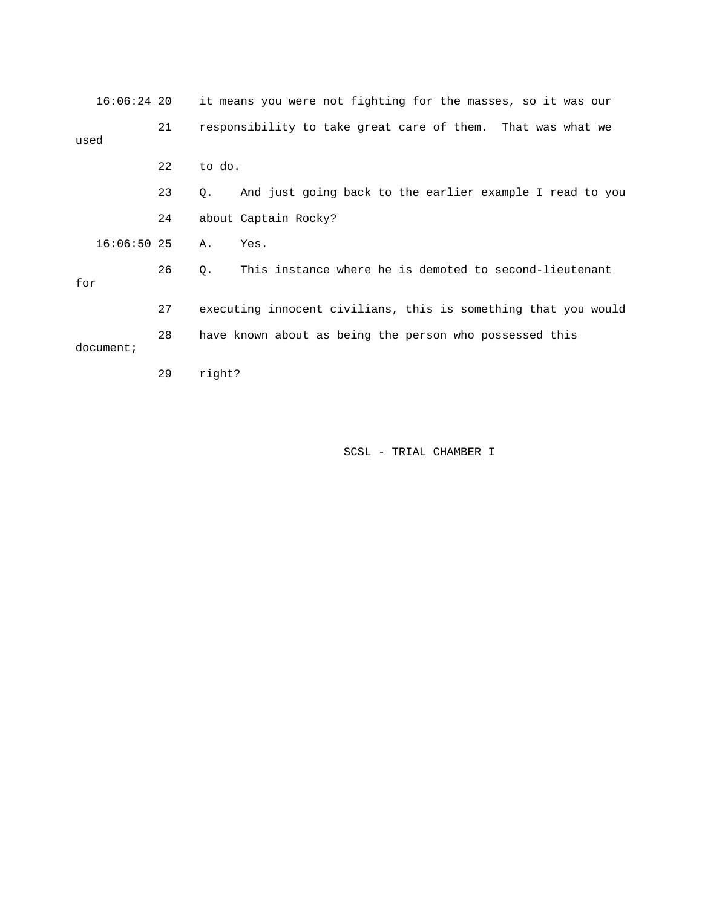|      | $16:06:24$ 20 |    |        | it means you were not fighting for the masses, so it was our   |  |  |
|------|---------------|----|--------|----------------------------------------------------------------|--|--|
| used |               | 21 |        | responsibility to take great care of them. That was what we    |  |  |
|      |               | 22 | to do. |                                                                |  |  |
|      |               | 23 | Q.     | And just going back to the earlier example I read to you       |  |  |
|      |               | 24 |        | about Captain Rocky?                                           |  |  |
|      | $16:06:50$ 25 |    | Α.     | Yes.                                                           |  |  |
| for  |               | 26 | Q.     | This instance where he is demoted to second-lieutenant         |  |  |
|      |               | 27 |        | executing innocent civilians, this is something that you would |  |  |
|      | document;     | 28 |        | have known about as being the person who possessed this        |  |  |
|      |               | 29 | right? |                                                                |  |  |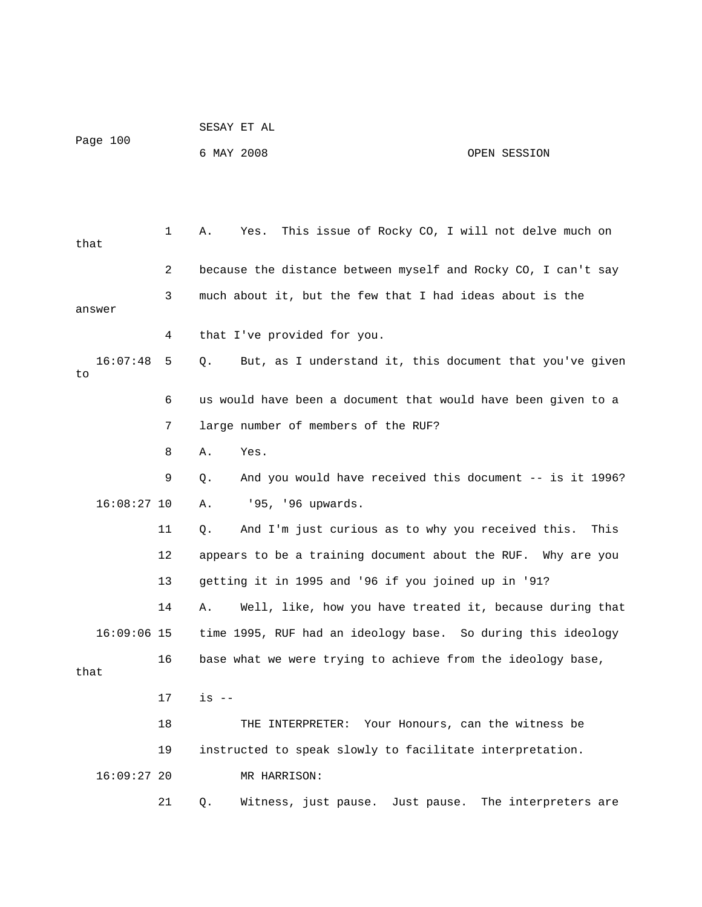| Page 100       |    | 6 MAY 2008<br>OPEN SESSION                                     |                      |
|----------------|----|----------------------------------------------------------------|----------------------|
|                |    |                                                                |                      |
| that           | 1  | This issue of Rocky CO, I will not delve much on<br>Α.<br>Yes. |                      |
|                | 2  | because the distance between myself and Rocky CO, I can't say  |                      |
| answer         | 3  | much about it, but the few that I had ideas about is the       |                      |
|                | 4  | that I've provided for you.                                    |                      |
| 16:07:48<br>to | 5  | But, as I understand it, this document that you've given<br>Q. |                      |
|                | 6  | us would have been a document that would have been given to a  |                      |
|                | 7  | large number of members of the RUF?                            |                      |
|                | 8  | Yes.<br>Α.                                                     |                      |
|                | 9  | And you would have received this document -- is it 1996?<br>Q. |                      |
| $16:08:27$ 10  |    | '95, '96 upwards.<br>Α.                                        |                      |
|                | 11 | And I'm just curious as to why you received this.<br>Q.        | This                 |
|                | 12 | appears to be a training document about the RUF. Why are you   |                      |
|                | 13 | getting it in 1995 and '96 if you joined up in '91?            |                      |
|                | 14 | Well, like, how you have treated it, because during that<br>Α. |                      |
| $16:09:06$ 15  |    | time 1995, RUF had an ideology base. So during this ideology   |                      |
| that           | 16 | base what we were trying to achieve from the ideology base,    |                      |
|                | 17 | $is$ $-$                                                       |                      |
|                | 18 | THE INTERPRETER: Your Honours, can the witness be              |                      |
|                | 19 | instructed to speak slowly to facilitate interpretation.       |                      |
| $16:09:27$ 20  |    | MR HARRISON:                                                   |                      |
|                | 21 | Witness, just pause.<br>Q.<br>Just pause.                      | The interpreters are |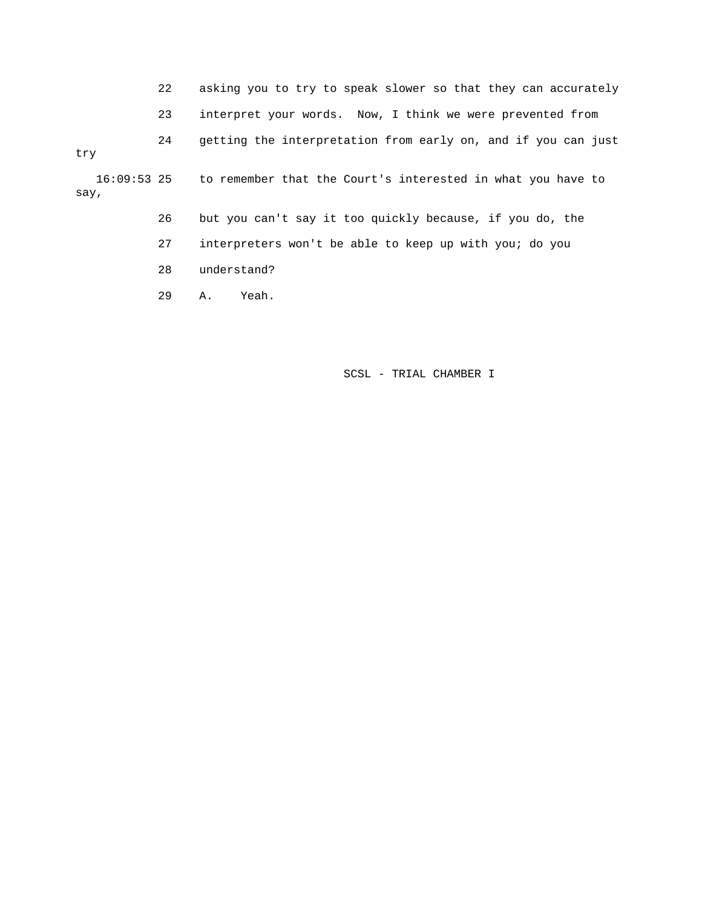- 22 asking you to try to speak slower so that they can accurately
- 23 interpret your words. Now, I think we were prevented from

24 getting the interpretation from early on, and if you can just

try

 16:09:53 25 to remember that the Court's interested in what you have to say,

- 26 but you can't say it too quickly because, if you do, the
- 27 interpreters won't be able to keep up with you; do you
- 28 understand?
- 29 A. Yeah.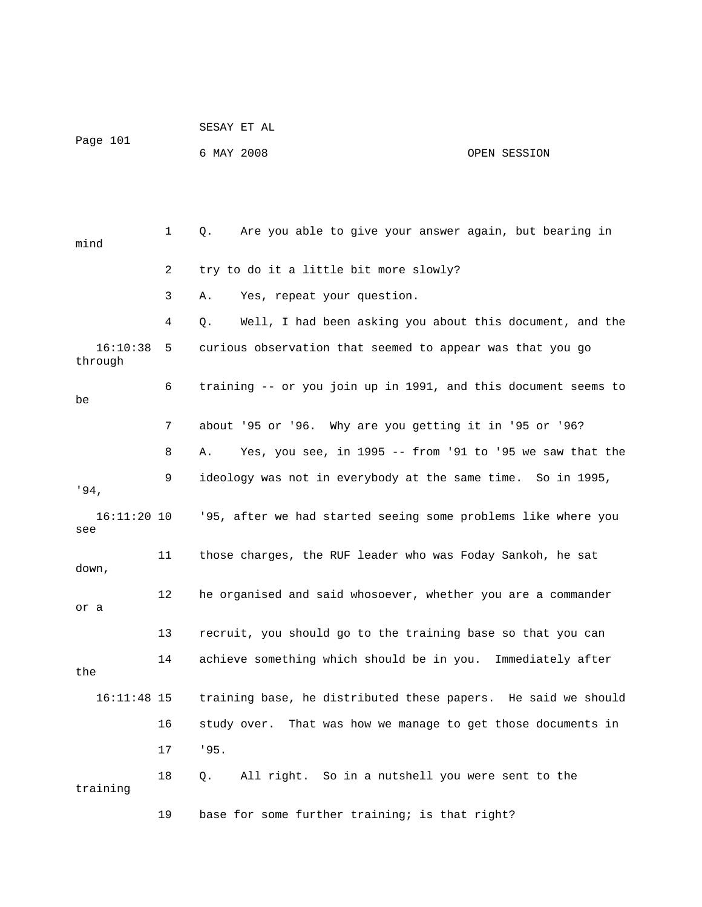|                     |    | SESAY ET AL |                                                                |              |  |
|---------------------|----|-------------|----------------------------------------------------------------|--------------|--|
| Page 101            |    | 6 MAY 2008  |                                                                | OPEN SESSION |  |
|                     |    |             |                                                                |              |  |
|                     |    |             |                                                                |              |  |
| mind                | 1  | Q.          | Are you able to give your answer again, but bearing in         |              |  |
|                     | 2  |             | try to do it a little bit more slowly?                         |              |  |
|                     | 3  | Α.          | Yes, repeat your question.                                     |              |  |
|                     | 4  | Q.          | Well, I had been asking you about this document, and the       |              |  |
| 16:10:38<br>through | 5  |             | curious observation that seemed to appear was that you go      |              |  |
| be                  | 6  |             | training -- or you join up in 1991, and this document seems to |              |  |
|                     | 7  |             | about '95 or '96. Why are you getting it in '95 or '96?        |              |  |
|                     | 8  | Α.          | Yes, you see, in 1995 -- from '91 to '95 we saw that the       |              |  |
| $.94$ ,             | 9  |             | ideology was not in everybody at the same time. So in 1995,    |              |  |
| 16:11:20 10<br>see  |    |             | '95, after we had started seeing some problems like where you  |              |  |
| down,               | 11 |             | those charges, the RUF leader who was Foday Sankoh, he sat     |              |  |
| or a                | 12 |             | he organised and said whosoever, whether you are a commander   |              |  |
|                     | 13 |             | recruit, you should go to the training base so that you can    |              |  |
| the                 | 14 |             | achieve something which should be in you. Immediately after    |              |  |
| $16:11:48$ 15       |    |             | training base, he distributed these papers. He said we should  |              |  |
|                     | 16 |             | study over. That was how we manage to get those documents in   |              |  |
|                     | 17 | '95.        |                                                                |              |  |
| training            | 18 | Q.          | All right. So in a nutshell you were sent to the               |              |  |
|                     | 19 |             | base for some further training; is that right?                 |              |  |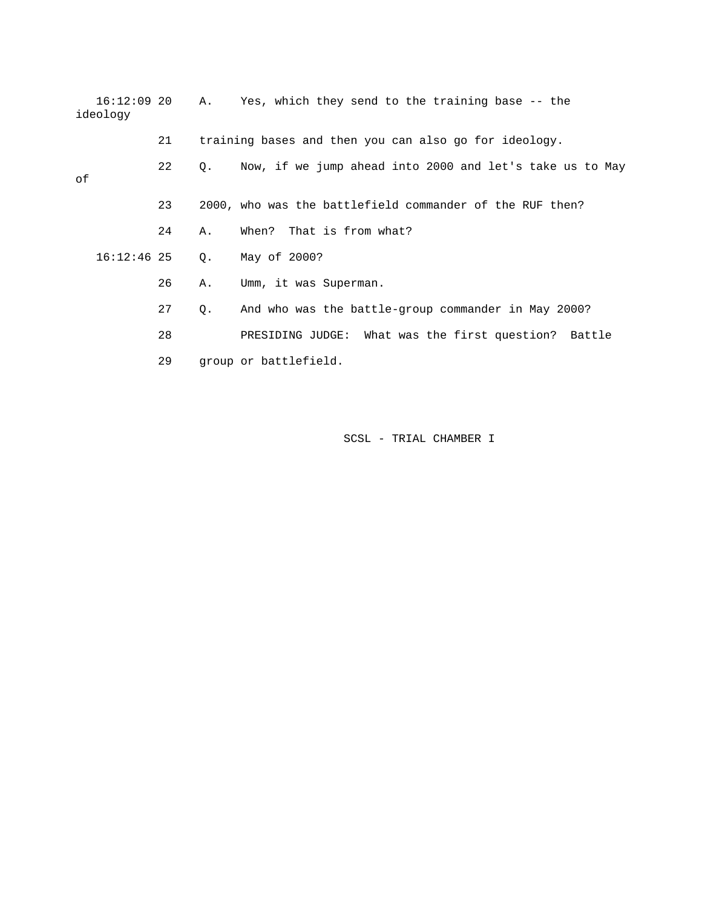| $16:12:09$ 20<br>ideology |    | A.,         | Yes, which they send to the training base -- the         |
|---------------------------|----|-------------|----------------------------------------------------------|
|                           | 21 |             | training bases and then you can also go for ideology.    |
| оf                        | 22 | $Q_{\star}$ | Now, if we jump ahead into 2000 and let's take us to May |
|                           | 23 |             | 2000, who was the battlefield commander of the RUF then? |
|                           | 24 | Α.          | When? That is from what?                                 |
| $16:12:46$ 25             |    | Q.          | May of 2000?                                             |
|                           | 26 | Α.          | Umm, it was Superman.                                    |
|                           | 27 | Q.          | And who was the battle-group commander in May 2000?      |
|                           | 28 |             | PRESIDING JUDGE: What was the first question? Battle     |
|                           | 29 |             | group or battlefield.                                    |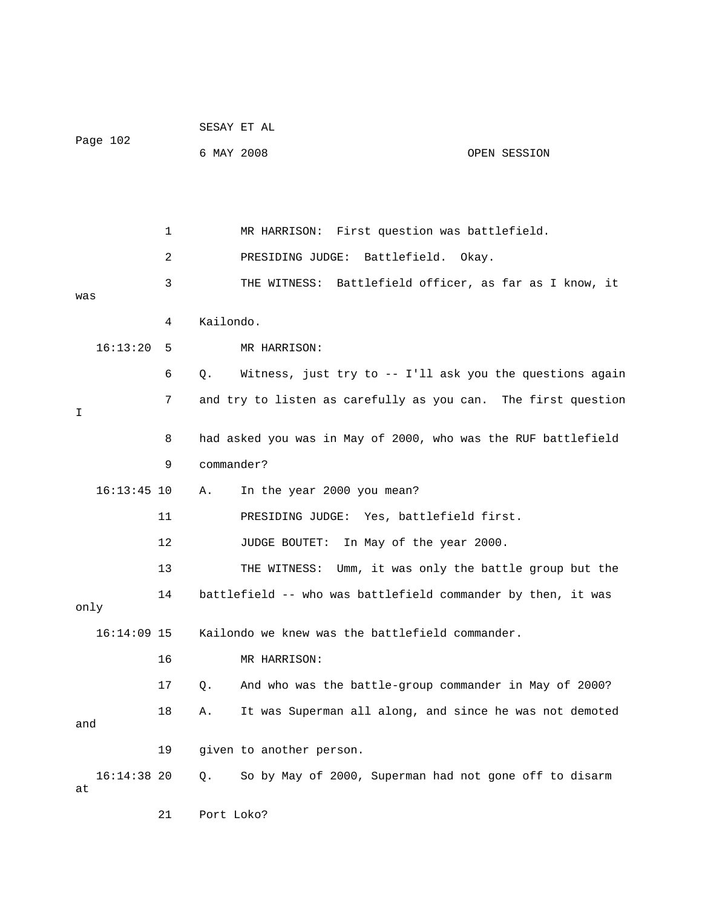|                     |    |            | SESAY ET AL                                                   |              |
|---------------------|----|------------|---------------------------------------------------------------|--------------|
| Page 102            |    | 6 MAY 2008 |                                                               | OPEN SESSION |
|                     |    |            |                                                               |              |
|                     |    |            |                                                               |              |
|                     | 1  |            | MR HARRISON: First question was battlefield.                  |              |
|                     | 2  |            | PRESIDING JUDGE: Battlefield.                                 | Okay.        |
|                     | 3  |            | THE WITNESS: Battlefield officer, as far as I know, it        |              |
| was                 |    |            |                                                               |              |
|                     | 4  | Kailondo.  |                                                               |              |
| 16:13:20            | 5  |            | MR HARRISON:                                                  |              |
|                     | 6  | Q.         | Witness, just try to -- I'll ask you the questions again      |              |
| I                   | 7  |            | and try to listen as carefully as you can. The first question |              |
|                     | 8  |            | had asked you was in May of 2000, who was the RUF battlefield |              |
|                     | 9  | commander? |                                                               |              |
| $16:13:45$ 10       |    | Α.         | In the year 2000 you mean?                                    |              |
|                     | 11 |            | PRESIDING JUDGE: Yes, battlefield first.                      |              |
|                     | 12 |            | JUDGE BOUTET:<br>In May of the year 2000.                     |              |
|                     | 13 |            | THE WITNESS: Umm, it was only the battle group but the        |              |
| only                | 14 |            | battlefield -- who was battlefield commander by then, it was  |              |
| $16:14:09$ 15       |    |            | Kailondo we knew was the battlefield commander.               |              |
|                     | 16 |            | MR HARRISON:                                                  |              |
|                     | 17 | Q.         | And who was the battle-group commander in May of 2000?        |              |
| and                 | 18 | Α.         | It was Superman all along, and since he was not demoted       |              |
|                     | 19 |            | given to another person.                                      |              |
| $16:14:38$ 20<br>at |    | $Q$ .      | So by May of 2000, Superman had not gone off to disarm        |              |

21 Port Loko?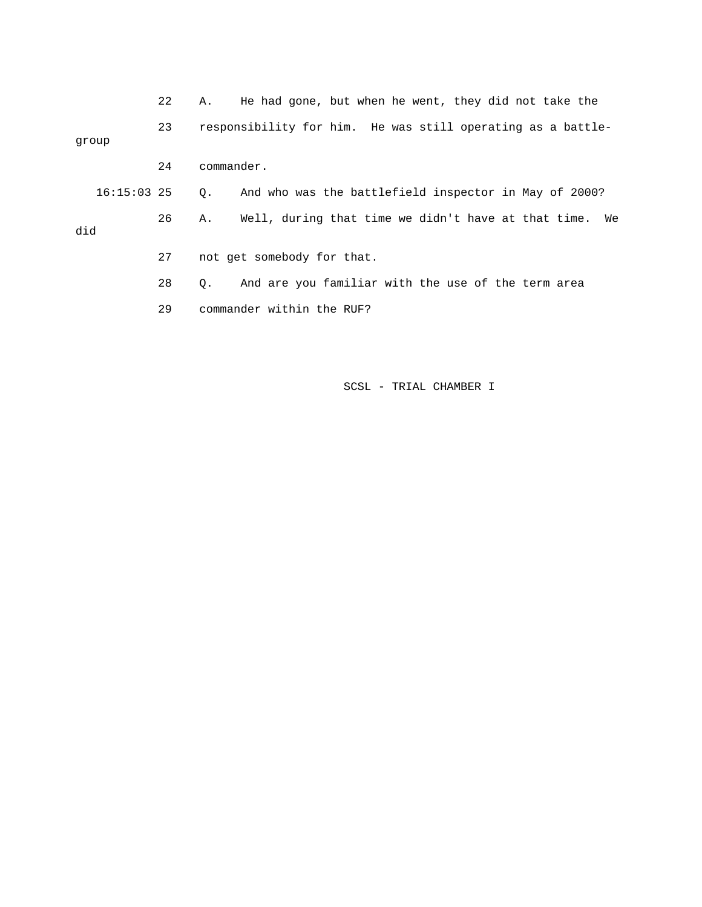|               | 22 | He had gone, but when he went, they did not take the<br>А.      |
|---------------|----|-----------------------------------------------------------------|
| group         | 23 | responsibility for him. He was still operating as a battle-     |
|               | 24 | commander.                                                      |
| $16:15:03$ 25 |    | And who was the battlefield inspector in May of 2000?<br>О.     |
| did           | 26 | Well, during that time we didn't have at that time.<br>Α.<br>We |
|               | 27 | not get somebody for that.                                      |
|               | 28 | And are you familiar with the use of the term area<br>0.        |
|               | 29 | commander within the RUF?                                       |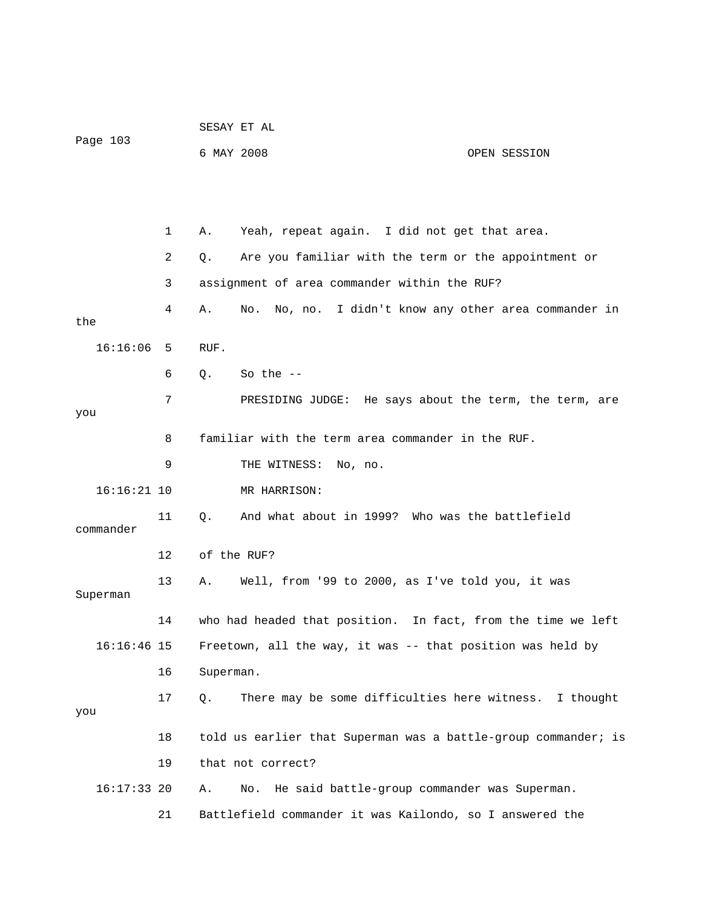|               |    |             | SESAY ET AL                                                    |              |
|---------------|----|-------------|----------------------------------------------------------------|--------------|
| Page 103      |    | 6 MAY 2008  |                                                                | OPEN SESSION |
|               |    |             |                                                                |              |
|               |    |             |                                                                |              |
|               | 1  | Α.          | Yeah, repeat again. I did not get that area.                   |              |
|               | 2  | Q.          | Are you familiar with the term or the appointment or           |              |
|               | 3  |             | assignment of area commander within the RUF?                   |              |
| the           | 4  | Α.          | No, no. I didn't know any other area commander in<br>No.       |              |
| 16:16:06      | 5  | RUF.        |                                                                |              |
|               | 6  | Q.          | So the $-$                                                     |              |
|               | 7  |             | PRESIDING JUDGE: He says about the term, the term, are         |              |
| you           |    |             |                                                                |              |
|               | 8  |             | familiar with the term area commander in the RUF.              |              |
|               | 9  |             | THE WITNESS:<br>No, no.                                        |              |
| $16:16:21$ 10 |    |             | MR HARRISON:                                                   |              |
| commander     | 11 | $Q_{\star}$ | And what about in 1999? Who was the battlefield                |              |
|               | 12 |             | of the RUF?                                                    |              |
| Superman      | 13 | Α.          | Well, from '99 to 2000, as I've told you, it was               |              |
|               | 14 |             | who had headed that position. In fact, from the time we left   |              |
| $16:16:46$ 15 |    |             | Freetown, all the way, it was -- that position was held by     |              |
|               | 16 | Superman.   |                                                                |              |
| you           | 17 | Q.          | There may be some difficulties here witness. I thought         |              |
|               | 18 |             | told us earlier that Superman was a battle-group commander; is |              |
|               | 19 |             | that not correct?                                              |              |
| $16:17:33$ 20 |    | Α.          | He said battle-group commander was Superman.<br>No.            |              |
|               | 21 |             | Battlefield commander it was Kailondo, so I answered the       |              |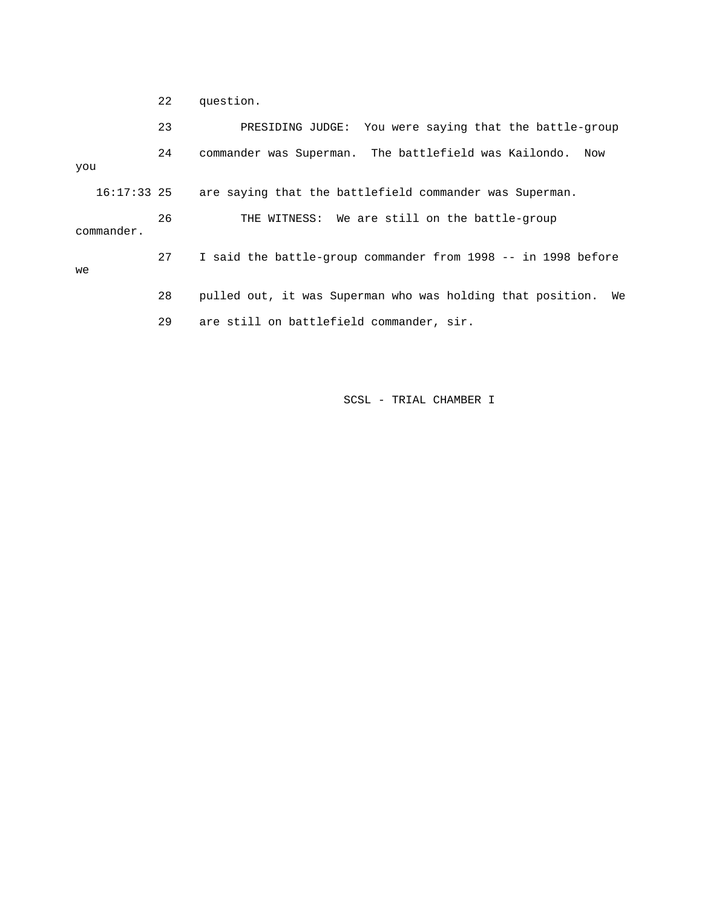22 question.

 23 PRESIDING JUDGE: You were saying that the battle-group 24 commander was Superman. The battlefield was Kailondo. Now you 16:17:33 25 are saying that the battlefield commander was Superman. 26 THE WITNESS: We are still on the battle-group commander. 27 I said the battle-group commander from 1998 -- in 1998 before we 28 pulled out, it was Superman who was holding that position. We 29 are still on battlefield commander, sir.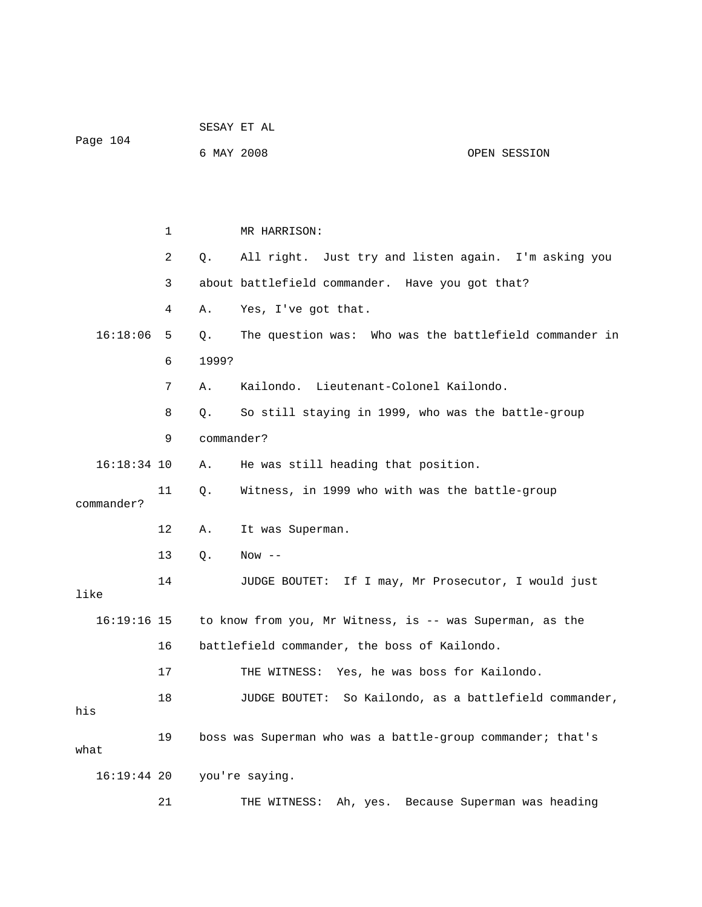|               |    |            | SESAY ET AL                                                |                                       |
|---------------|----|------------|------------------------------------------------------------|---------------------------------------|
| Page 104      |    | 6 MAY 2008 |                                                            | OPEN SESSION                          |
|               |    |            |                                                            |                                       |
|               |    |            |                                                            |                                       |
|               | 1  |            | MR HARRISON:                                               |                                       |
|               | 2  | Q.         | All right. Just try and listen again. I'm asking you       |                                       |
|               | 3  |            | about battlefield commander. Have you got that?            |                                       |
|               | 4  | Α.         | Yes, I've got that.                                        |                                       |
| 16:18:06      | 5  | Q.         | The question was: Who was the battlefield commander in     |                                       |
|               | 6  | 1999?      |                                                            |                                       |
|               | 7  | Α.         | Kailondo. Lieutenant-Colonel Kailondo.                     |                                       |
|               | 8  | Q.         | So still staying in 1999, who was the battle-group         |                                       |
|               | 9  | commander? |                                                            |                                       |
| $16:18:34$ 10 |    | Α.         | He was still heading that position.                        |                                       |
| commander?    | 11 | Q.         | Witness, in 1999 who with was the battle-group             |                                       |
|               | 12 | Α.         | It was Superman.                                           |                                       |
|               | 13 | Q.         | Now $--$                                                   |                                       |
| like          | 14 |            | JUDGE BOUTET: If I may, Mr Prosecutor, I would just        |                                       |
| $16:19:16$ 15 |    |            | to know from you, Mr Witness, is -- was Superman, as the   |                                       |
|               | 16 |            | battlefield commander, the boss of Kailondo.               |                                       |
|               | 17 |            | Yes, he was boss for Kailondo.<br>THE WITNESS:             |                                       |
| his           | 18 |            | JUDGE BOUTET: So Kailondo, as a battlefield commander,     |                                       |
| what          | 19 |            | boss was Superman who was a battle-group commander; that's |                                       |
| $16:19:44$ 20 |    |            | you're saying.                                             |                                       |
|               | 21 |            | THE WITNESS:                                               | Ah, yes. Because Superman was heading |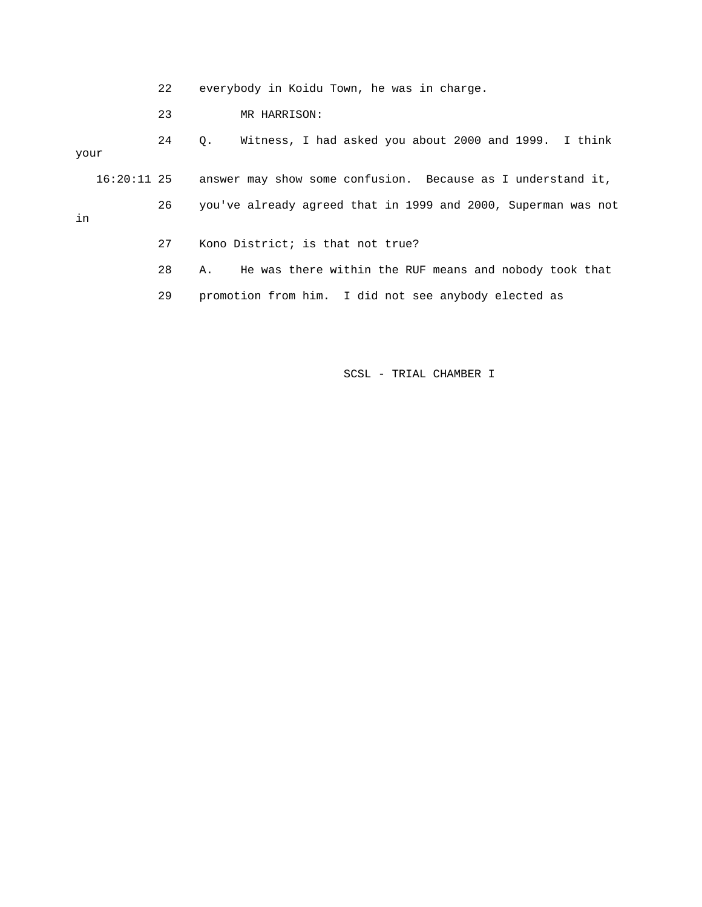22 everybody in Koidu Town, he was in charge.

23 MR HARRISON:

 24 Q. Witness, I had asked you about 2000 and 1999. I think your

- 16:20:11 25 answer may show some confusion. Because as I understand it, 26 you've already agreed that in 1999 and 2000, Superman was not in
	- 27 Kono District; is that not true?
	- 28 A. He was there within the RUF means and nobody took that
	- 29 promotion from him. I did not see anybody elected as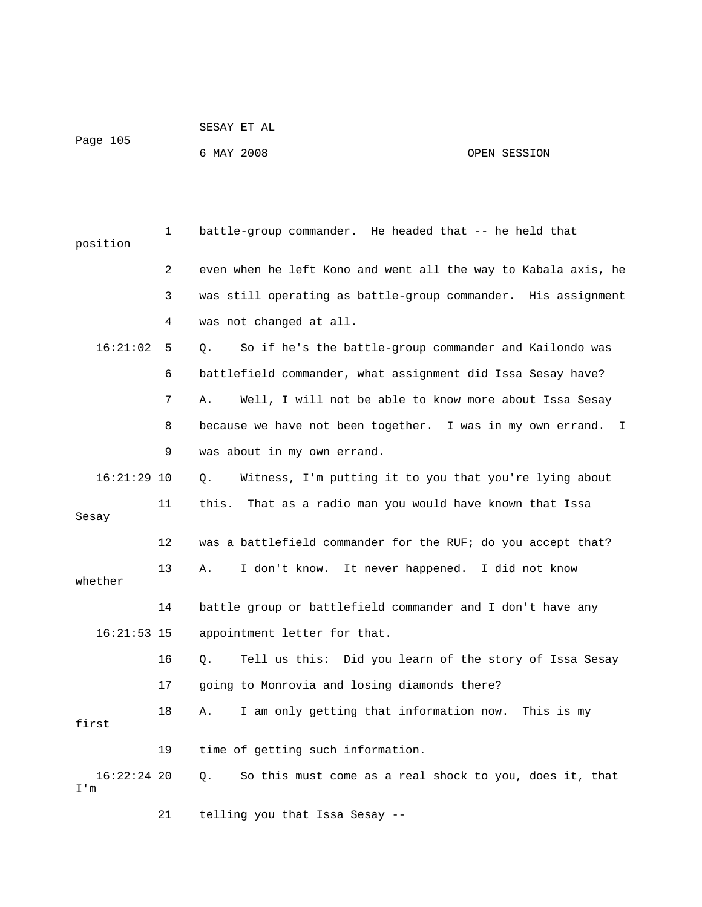|          | SESAY ET AL |              |
|----------|-------------|--------------|
| Page 105 |             |              |
|          | 6 MAY 2008  | OPEN SESSION |

| position             | 1              | battle-group commander. He headed that -- he held that         |
|----------------------|----------------|----------------------------------------------------------------|
|                      | $\overline{2}$ | even when he left Kono and went all the way to Kabala axis, he |
|                      | 3              | was still operating as battle-group commander. His assignment  |
|                      | 4              | was not changed at all.                                        |
| 16:21:02             | 5              | So if he's the battle-group commander and Kailondo was<br>О.   |
|                      | 6              | battlefield commander, what assignment did Issa Sesay have?    |
|                      | 7              | Well, I will not be able to know more about Issa Sesay<br>Α.   |
|                      | 8              | because we have not been together. I was in my own errand. I   |
|                      | 9              | was about in my own errand.                                    |
| $16:21:29$ 10        |                | Witness, I'm putting it to you that you're lying about<br>О.   |
| Sesay                | 11             | this.<br>That as a radio man you would have known that Issa    |
|                      | $12 \,$        | was a battlefield commander for the RUF; do you accept that?   |
| whether              | 13             | I don't know. It never happened. I did not know<br>Α.          |
|                      | 14             | battle group or battlefield commander and I don't have any     |
| $16:21:53$ 15        |                | appointment letter for that.                                   |
|                      | 16             | Tell us this: Did you learn of the story of Issa Sesay<br>Q.   |
|                      | 17             | going to Monrovia and losing diamonds there?                   |
| first                | 18             | I am only getting that information now.<br>This is my<br>Α.    |
|                      | 19             | time of getting such information.                              |
| $16:22:24$ 20<br>I'm |                | О.<br>So this must come as a real shock to you, does it, that  |

21 telling you that Issa Sesay --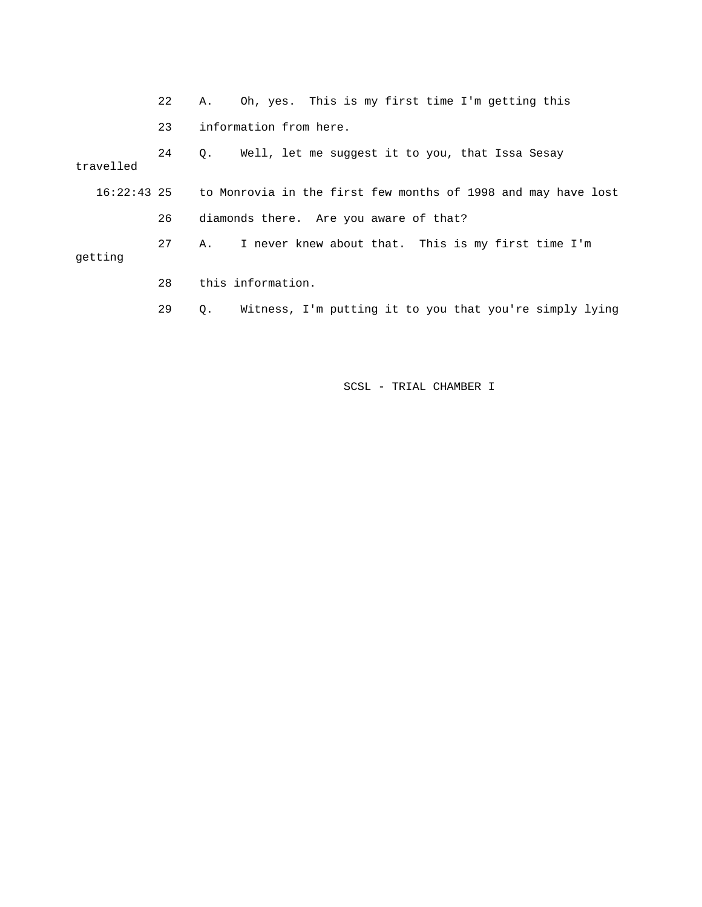|           | 22 | Oh, yes. This is my first time I'm getting this<br>Α.                     |
|-----------|----|---------------------------------------------------------------------------|
|           | 23 | information from here.                                                    |
| travelled | 24 | Well, let me suggest it to you, that Issa Sesay<br>$\circ$ .              |
|           |    | 16:22:43 25 to Monrovia in the first few months of 1998 and may have lost |
|           | 26 | diamonds there. Are you aware of that?                                    |
| getting   | 27 | I never knew about that. This is my first time I'm<br>Α.                  |
|           | 28 | this information.                                                         |
|           | 29 | Witness, I'm putting it to you that you're simply lying<br>О.             |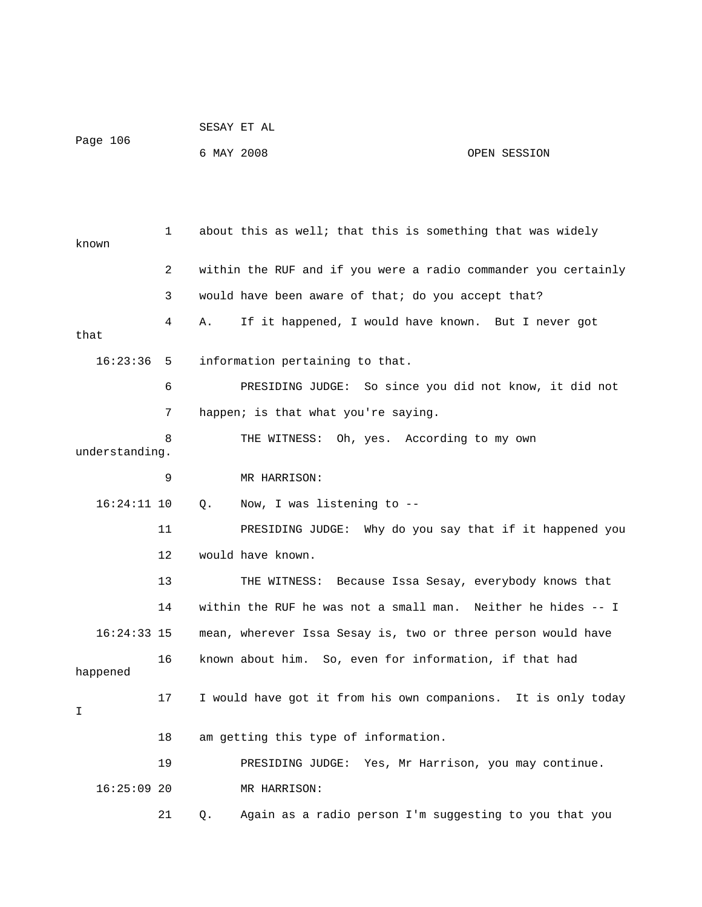| Page 106 | SESAY ET AL |              |
|----------|-------------|--------------|
|          | 6 MAY 2008  | OPEN SESSION |

| known          | 1  | about this as well; that this is something that was widely     |
|----------------|----|----------------------------------------------------------------|
|                | 2  | within the RUF and if you were a radio commander you certainly |
|                | 3  | would have been aware of that; do you accept that?             |
| that           | 4  | If it happened, I would have known. But I never got<br>Α.      |
| 16:23:36       | 5  | information pertaining to that.                                |
|                | 6  | PRESIDING JUDGE: So since you did not know, it did not         |
|                | 7  | happen; is that what you're saying.                            |
| understanding. | 8  | THE WITNESS: Oh, yes. According to my own                      |
|                | 9  | MR HARRISON:                                                   |
| $16:24:11$ 10  |    | Now, I was listening to --<br>Q.                               |
|                | 11 | PRESIDING JUDGE: Why do you say that if it happened you        |
|                | 12 | would have known.                                              |
|                | 13 | THE WITNESS: Because Issa Sesay, everybody knows that          |
|                | 14 | within the RUF he was not a small man. Neither he hides -- I   |
| $16:24:33$ 15  |    | mean, wherever Issa Sesay is, two or three person would have   |
| happened       | 16 | known about him. So, even for information, if that had         |
| I              | 17 | I would have got it from his own companions. It is only today  |
|                | 18 | am getting this type of information.                           |
|                | 19 | PRESIDING JUDGE: Yes, Mr Harrison, you may continue.           |
| $16:25:09$ 20  |    | MR HARRISON:                                                   |
|                | 21 | Again as a radio person I'm suggesting to you that you<br>Q.   |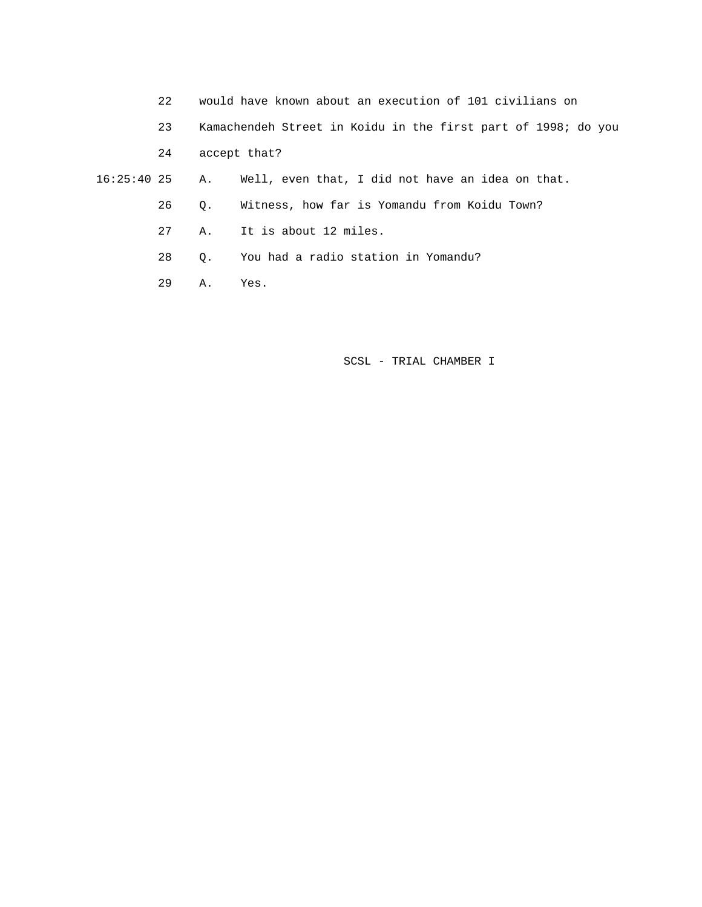- 22 would have known about an execution of 101 civilians on
- 23 Kamachendeh Street in Koidu in the first part of 1998; do you

24 accept that?

 16:25:40 25 A. Well, even that, I did not have an idea on that. 26 Q. Witness, how far is Yomandu from Koidu Town?

- 27 A. It is about 12 miles.
- 28 Q. You had a radio station in Yomandu?
- 29 A. Yes.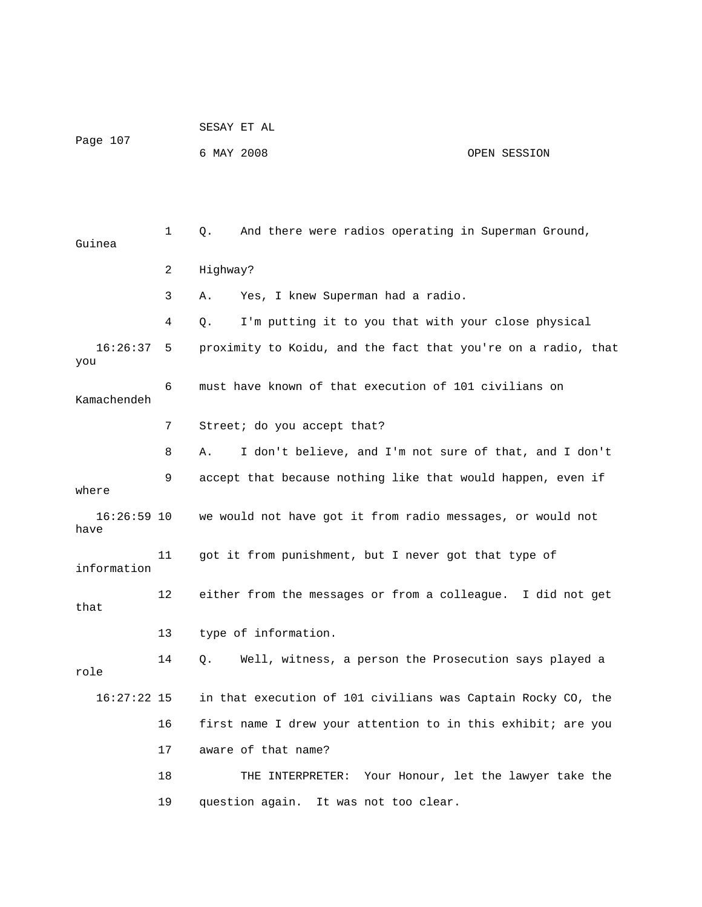| Page 107 | SESAY ET AL |              |
|----------|-------------|--------------|
|          | 6 MAY 2008  | OPEN SESSION |

| Guinea              | $\mathbf 1$ | And there were radios operating in Superman Ground,<br>Q.     |
|---------------------|-------------|---------------------------------------------------------------|
|                     | 2           | Highway?                                                      |
|                     | 3           | Yes, I knew Superman had a radio.<br>Α.                       |
|                     | 4           | I'm putting it to you that with your close physical<br>О.     |
| 16:26:37<br>you     | -5          | proximity to Koidu, and the fact that you're on a radio, that |
| Kamachendeh         | 6           | must have known of that execution of 101 civilians on         |
|                     | 7           | Street; do you accept that?                                   |
|                     | 8           | I don't believe, and I'm not sure of that, and I don't<br>Α.  |
| where               | 9           | accept that because nothing like that would happen, even if   |
| 16:26:59 10<br>have |             | we would not have got it from radio messages, or would not    |
| information         | 11          | got it from punishment, but I never got that type of          |
| that                | 12          | either from the messages or from a colleague. I did not get   |
|                     | 13          | type of information.                                          |
| role                | 14          | Well, witness, a person the Prosecution says played a<br>Q.   |
| $16:27:22$ 15       |             | in that execution of 101 civilians was Captain Rocky CO, the  |
|                     | 16          | first name I drew your attention to in this exhibit; are you  |
|                     | 17          | aware of that name?                                           |
|                     | 18          | Your Honour, let the lawyer take the<br>THE INTERPRETER:      |
|                     | 19          | question again. It was not too clear.                         |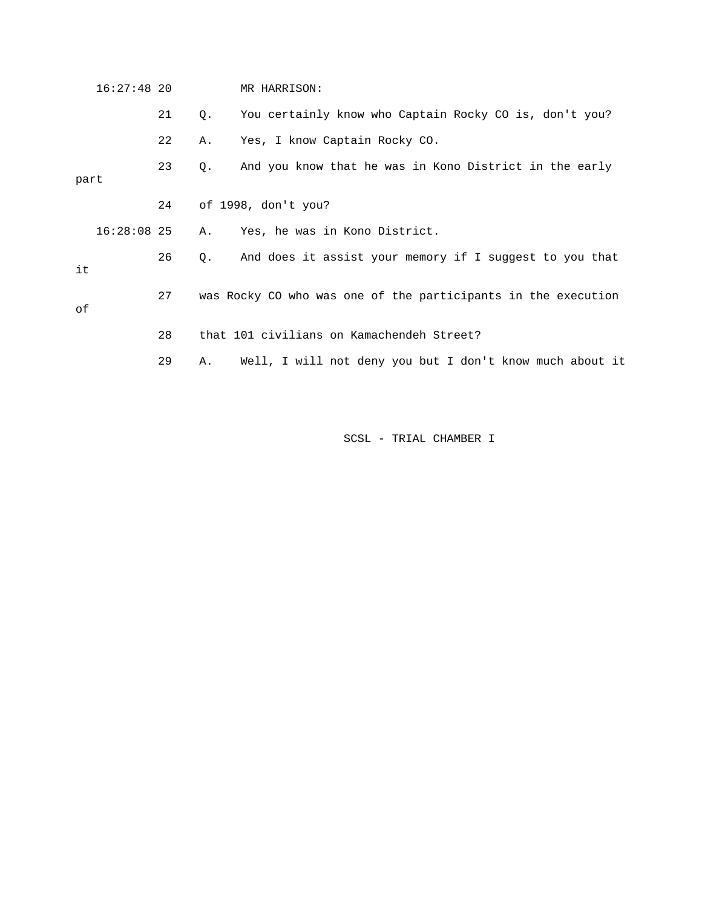|      | $16:27:48$ 20 |    |    | MR HARRISON:                                                  |
|------|---------------|----|----|---------------------------------------------------------------|
|      |               | 21 | Q. | You certainly know who Captain Rocky CO is, don't you?        |
|      |               | 22 | Α. | Yes, I know Captain Rocky CO.                                 |
| part |               | 23 | Q. | And you know that he was in Kono District in the early        |
|      |               | 24 |    | of 1998, don't you?                                           |
|      | $16:28:08$ 25 |    | Α. | Yes, he was in Kono District.                                 |
| it   |               | 26 | Q. | And does it assist your memory if I suggest to you that       |
| оf   |               | 27 |    | was Rocky CO who was one of the participants in the execution |
|      |               | 28 |    | that 101 civilians on Kamachendeh Street?                     |
|      |               | 29 | Α. | Well, I will not deny you but I don't know much about it      |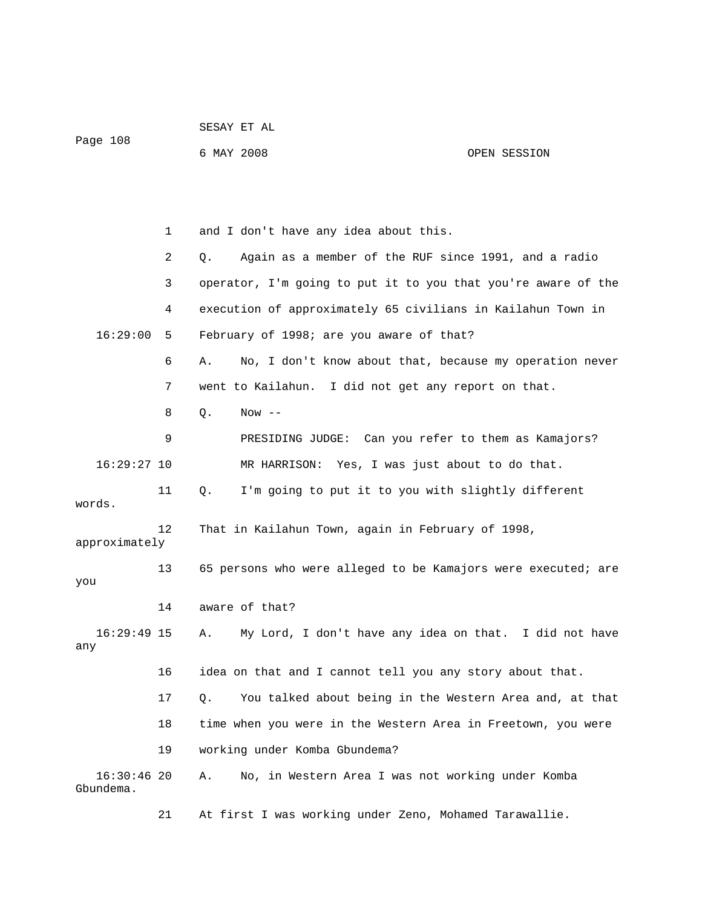| Page 108                   |    | 6 MAY 2008                                                    | OPEN SESSION |
|----------------------------|----|---------------------------------------------------------------|--------------|
|                            |    |                                                               |              |
|                            | 1  | and I don't have any idea about this.                         |              |
|                            | 2  | Again as a member of the RUF since 1991, and a radio<br>Q.    |              |
|                            | 3  | operator, I'm going to put it to you that you're aware of the |              |
|                            | 4  | execution of approximately 65 civilians in Kailahun Town in   |              |
| 16:29:00                   | 5  | February of 1998; are you aware of that?                      |              |
|                            | 6  | No, I don't know about that, because my operation never<br>Α. |              |
|                            | 7  | went to Kailahun. I did not get any report on that.           |              |
|                            | 8  | Q.<br>$Now --$                                                |              |
|                            | 9  | PRESIDING JUDGE: Can you refer to them as Kamajors?           |              |
| $16:29:27$ 10              |    | MR HARRISON: Yes, I was just about to do that.                |              |
| words.                     | 11 | I'm going to put it to you with slightly different<br>Q.      |              |
| approximately              | 12 | That in Kailahun Town, again in February of 1998,             |              |
| you                        | 13 | 65 persons who were alleged to be Kamajors were executed; are |              |
|                            | 14 | aware of that?                                                |              |
| $16:29:49$ 15<br>any       |    | My Lord, I don't have any idea on that. I did not have<br>Α.  |              |
|                            | 16 | idea on that and I cannot tell you any story about that.      |              |
|                            | 17 | You talked about being in the Western Area and, at that<br>Q. |              |
|                            | 18 | time when you were in the Western Area in Freetown, you were  |              |
|                            | 19 | working under Komba Gbundema?                                 |              |
| $16:30:46$ 20<br>Gbundema. |    | No, in Western Area I was not working under Komba<br>Α.       |              |
|                            | 21 | At first I was working under Zeno, Mohamed Tarawallie.        |              |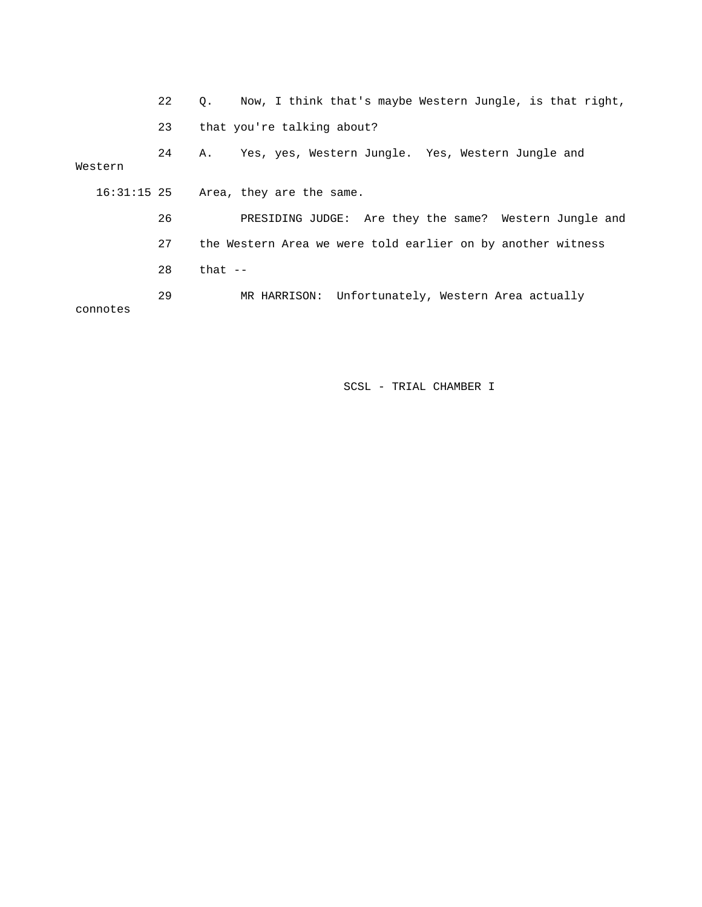|          | 22 | Now, I think that's maybe Western Jungle, is that right,<br>$\circ$ . |
|----------|----|-----------------------------------------------------------------------|
|          | 23 | that you're talking about?                                            |
| Western  | 24 | Yes, yes, Western Jungle. Yes, Western Jungle and<br>А.               |
|          |    | $16:31:15$ 25 Area, they are the same.                                |
|          | 26 | PRESIDING JUDGE: Are they the same? Western Jungle and                |
|          | 27 | the Western Area we were told earlier on by another witness           |
|          | 28 | that $-$                                                              |
| connotes | 29 | MR HARRISON: Unfortunately, Western Area actually                     |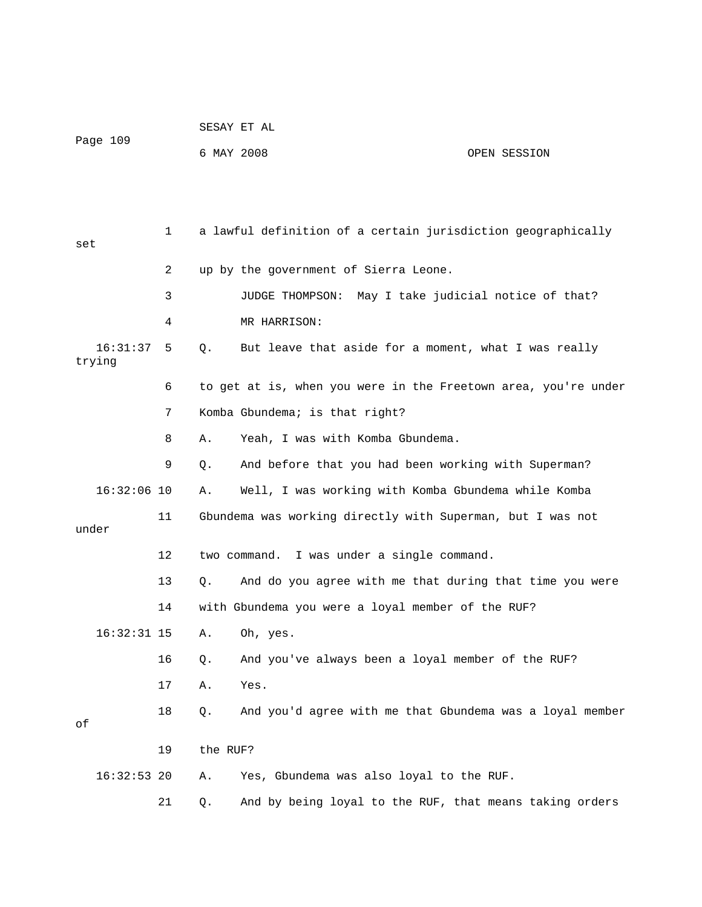|                    |    |            | SESAY ET AL                                                    |              |
|--------------------|----|------------|----------------------------------------------------------------|--------------|
| Page 109           |    | 6 MAY 2008 |                                                                | OPEN SESSION |
|                    |    |            |                                                                |              |
|                    |    |            |                                                                |              |
| set                | 1  |            | a lawful definition of a certain jurisdiction geographically   |              |
|                    | 2  |            | up by the government of Sierra Leone.                          |              |
|                    | 3  |            | JUDGE THOMPSON: May I take judicial notice of that?            |              |
|                    | 4  |            | MR HARRISON:                                                   |              |
| 16:31:37<br>trying | 5  | Q.         | But leave that aside for a moment, what I was really           |              |
|                    | 6  |            | to get at is, when you were in the Freetown area, you're under |              |
|                    | 7  |            | Komba Gbundema; is that right?                                 |              |
|                    | 8  | Α.         | Yeah, I was with Komba Gbundema.                               |              |
|                    | 9  | Q.         | And before that you had been working with Superman?            |              |
| $16:32:06$ 10      |    | Α.         | Well, I was working with Komba Gbundema while Komba            |              |
|                    | 11 |            | Gbundema was working directly with Superman, but I was not     |              |
| under              |    |            |                                                                |              |
|                    | 12 |            | two command. I was under a single command.                     |              |
|                    | 13 | Q.         | And do you agree with me that during that time you were        |              |
|                    | 14 |            | with Gbundema you were a loyal member of the RUF?              |              |
| $16:32:31$ 15      |    |            | A. Oh, yes.                                                    |              |
|                    | 16 | Q.         | And you've always been a loyal member of the RUF?              |              |
|                    | 17 | Α.         | Yes.                                                           |              |
| оf                 | 18 | Q.         | And you'd agree with me that Gbundema was a loyal member       |              |
|                    | 19 | the RUF?   |                                                                |              |
| $16:32:53$ 20      |    | Α.         | Yes, Gbundema was also loyal to the RUF.                       |              |
|                    | 21 | Q.         | And by being loyal to the RUF, that means taking orders        |              |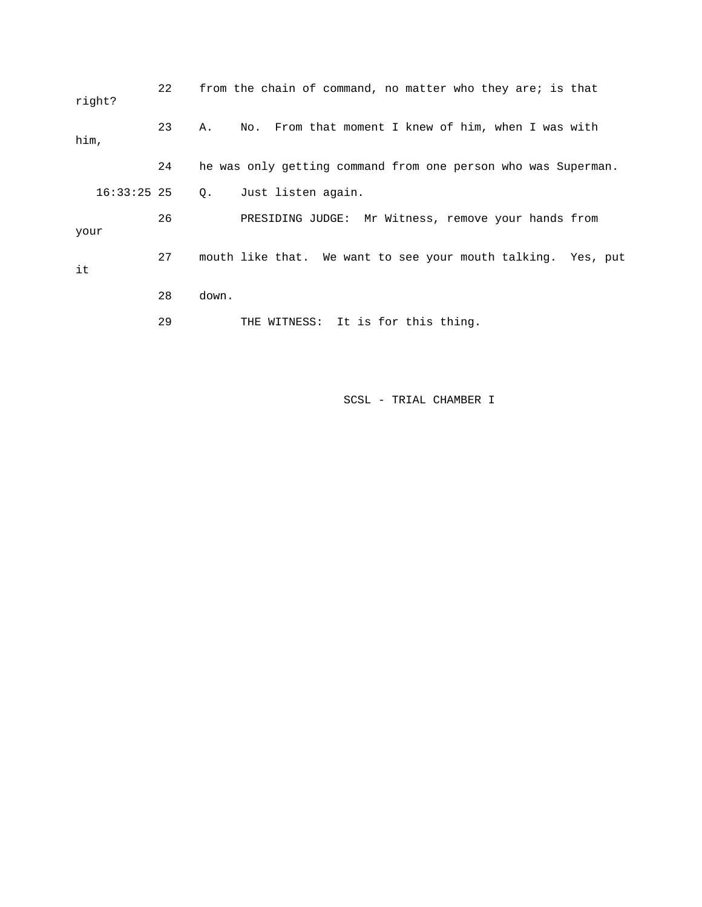| right?        | 22 |       | from the chain of command, no matter who they are; is that    |  |  |  |  |
|---------------|----|-------|---------------------------------------------------------------|--|--|--|--|
| him,          | 23 | Α.    | No. From that moment I knew of him, when I was with           |  |  |  |  |
|               | 24 |       | he was only getting command from one person who was Superman. |  |  |  |  |
| $16:33:25$ 25 |    | Q.    | Just listen again.                                            |  |  |  |  |
| your          | 26 |       | PRESIDING JUDGE: Mr Witness, remove your hands from           |  |  |  |  |
| it            | 27 |       | mouth like that. We want to see your mouth talking. Yes, put  |  |  |  |  |
|               | 28 | down. |                                                               |  |  |  |  |
|               | 29 |       | THE WITNESS: It is for this thing.                            |  |  |  |  |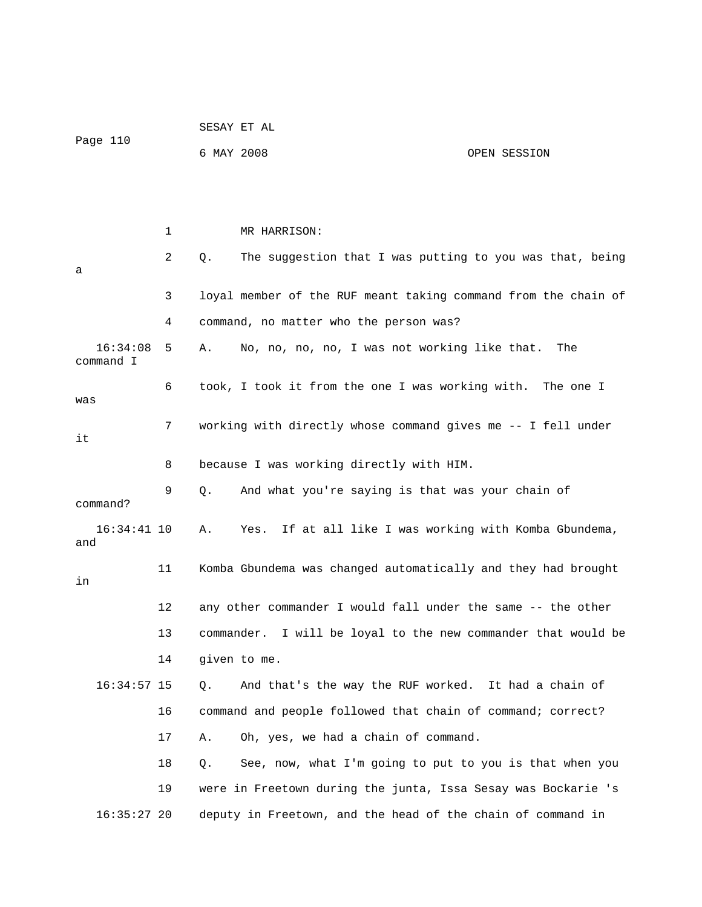| Page 110              |    | SESAY ET AL                                                    |
|-----------------------|----|----------------------------------------------------------------|
|                       |    | 6 MAY 2008<br>OPEN SESSION                                     |
|                       |    |                                                                |
|                       |    |                                                                |
|                       | 1  | MR HARRISON:                                                   |
| а                     | 2  | The suggestion that I was putting to you was that, being<br>Q. |
|                       | 3  | loyal member of the RUF meant taking command from the chain of |
|                       | 4  | command, no matter who the person was?                         |
| 16:34:08<br>command I | 5  | No, no, no, no, I was not working like that.<br>Α.<br>The      |
| was                   | 6  | took, I took it from the one I was working with. The one I     |
| it                    | 7  | working with directly whose command gives me -- I fell under   |
|                       | 8  | because I was working directly with HIM.                       |
| command?              | 9  | And what you're saying is that was your chain of<br>Q.         |
| $16:34:41$ 10<br>and  |    | Yes. If at all like I was working with Komba Gbundema,<br>Α.   |
| in                    | 11 | Komba Gbundema was changed automatically and they had brought  |
|                       | 12 | any other commander I would fall under the same -- the other   |
|                       | 13 | commander. I will be loyal to the new commander that would be  |
|                       | 14 | given to me.                                                   |
| $16:34:57$ 15         |    | And that's the way the RUF worked. It had a chain of<br>Q.     |
|                       | 16 | command and people followed that chain of command; correct?    |
|                       | 17 | Oh, yes, we had a chain of command.<br>Α.                      |
|                       | 18 | See, now, what I'm going to put to you is that when you<br>Q.  |
|                       | 19 | were in Freetown during the junta, Issa Sesay was Bockarie 's  |
| $16:35:27$ 20         |    | deputy in Freetown, and the head of the chain of command in    |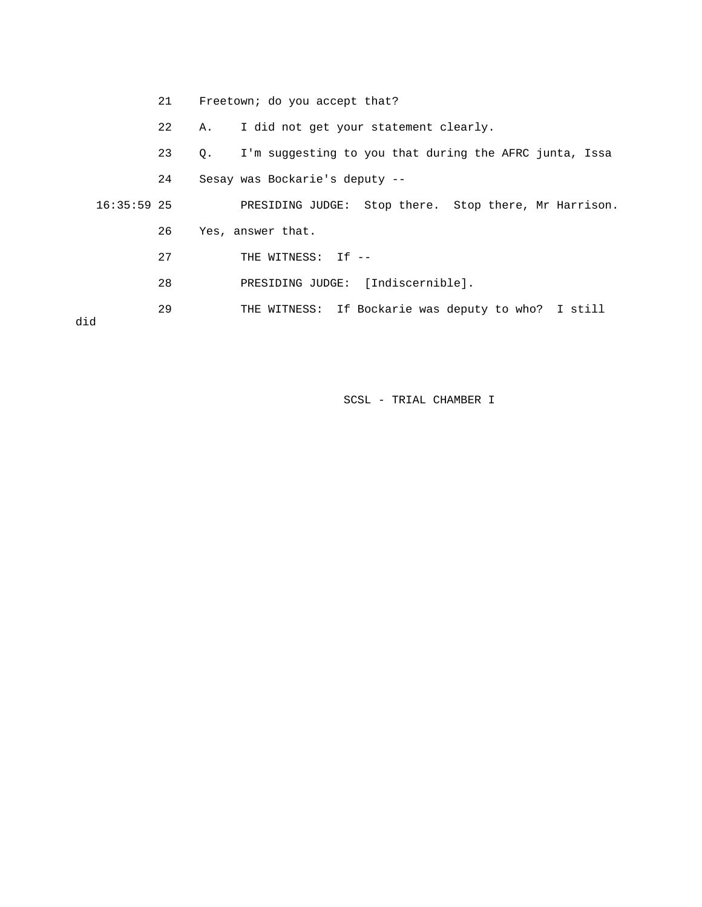21 Freetown; do you accept that?

22 A. I did not get your statement clearly.

23 Q. I'm suggesting to you that during the AFRC junta, Issa

24 Sesay was Bockarie's deputy --

 16:35:59 25 PRESIDING JUDGE: Stop there. Stop there, Mr Harrison. 26 Yes, answer that. 27 THE WITNESS: If --

- 28 PRESIDING JUDGE: [Indiscernible].
- 29 THE WITNESS: If Bockarie was deputy to who? I still

did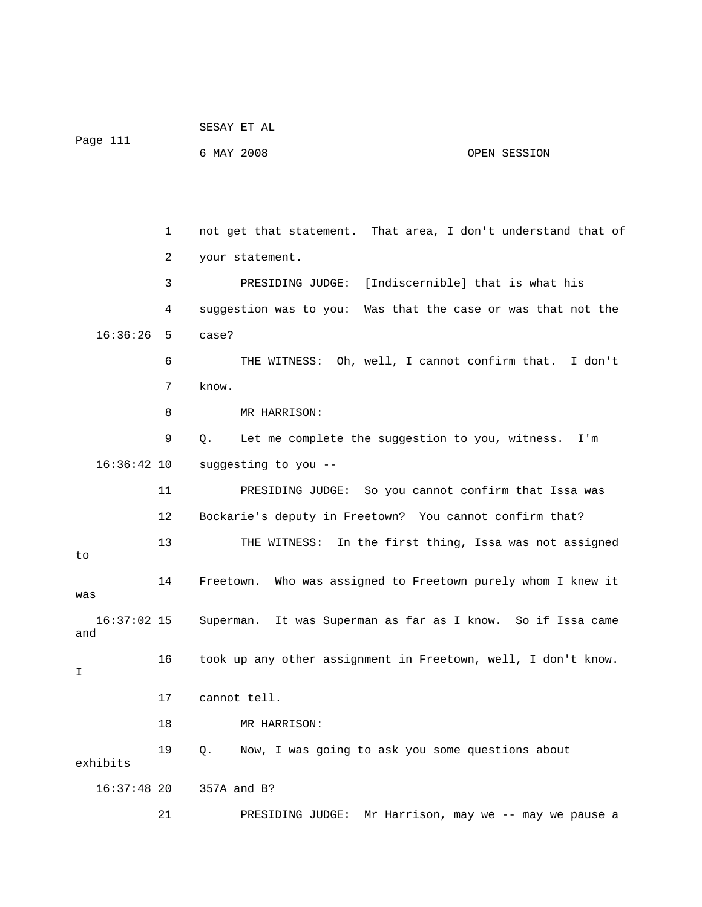| Page 111             |    | SESAY ET AL                                                           |
|----------------------|----|-----------------------------------------------------------------------|
|                      |    | 6 MAY 2008<br>OPEN SESSION                                            |
|                      |    |                                                                       |
|                      |    |                                                                       |
|                      | 1  | not get that statement. That area, I don't understand that of         |
|                      | 2  | your statement.                                                       |
|                      | 3  | PRESIDING JUDGE: [Indiscernible] that is what his                     |
|                      | 4  | suggestion was to you: Was that the case or was that not the          |
| 16:36:26             | 5  | case?                                                                 |
|                      | 6  | THE WITNESS: Oh, well, I cannot confirm that. I don't                 |
|                      | 7  | know.                                                                 |
|                      | 8  | MR HARRISON:                                                          |
|                      | 9  | Let me complete the suggestion to you, witness.<br>$Q_{\star}$<br>I'm |
| $16:36:42$ 10        |    | suggesting to you --                                                  |
|                      | 11 | PRESIDING JUDGE: So you cannot confirm that Issa was                  |
|                      | 12 | Bockarie's deputy in Freetown? You cannot confirm that?               |
| to                   | 13 | THE WITNESS: In the first thing, Issa was not assigned                |
| was                  | 14 | Freetown. Who was assigned to Freetown purely whom I knew it          |
| $16:37:02$ 15<br>and |    | Superman. It was Superman as far as I know. So if Issa came           |
| I                    | 16 | took up any other assignment in Freetown, well, I don't know.         |
|                      | 17 | cannot tell.                                                          |
|                      | 18 | MR HARRISON:                                                          |
| exhibits             | 19 | Now, I was going to ask you some questions about<br>Q.                |
| $16:37:48$ 20        |    | 357A and B?                                                           |
|                      | 21 | PRESIDING JUDGE: Mr Harrison, may we -- may we pause a                |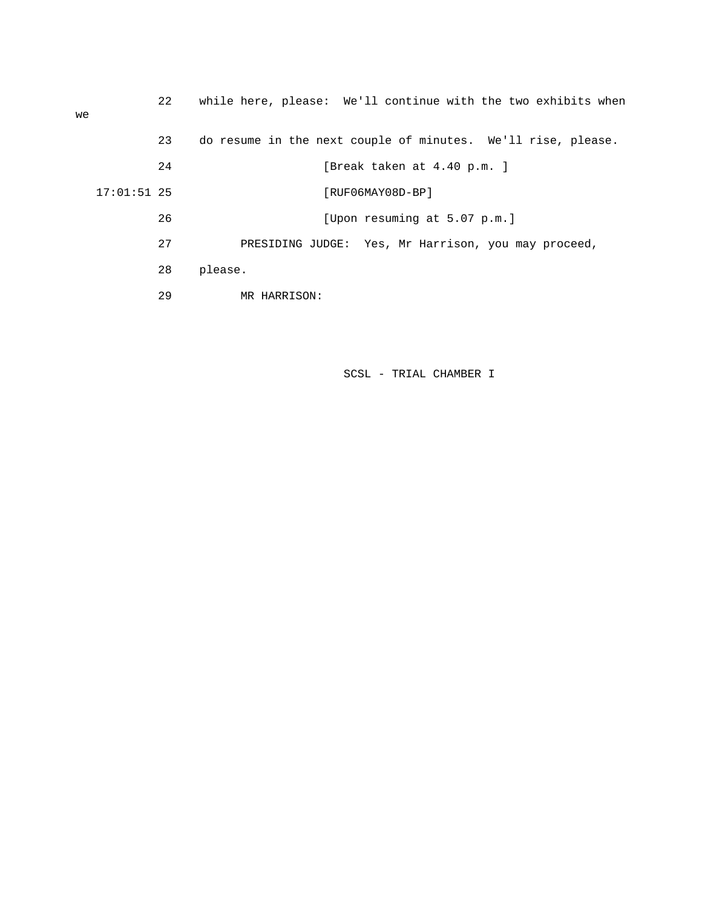| we |               | 22 | while here, please: We'll continue with the two exhibits when |
|----|---------------|----|---------------------------------------------------------------|
|    |               | 23 | do resume in the next couple of minutes. We'll rise, please.  |
|    |               | 24 | [Break taken at 4.40 p.m. ]                                   |
|    | $17:01:51$ 25 |    | [RUF06MAY08D-BP]                                              |
|    |               | 26 | [Upon resuming at 5.07 p.m.]                                  |
|    |               | 27 | PRESIDING JUDGE: Yes, Mr Harrison, you may proceed,           |
|    |               | 28 | please.                                                       |
|    |               | 29 | MR HARRISON:                                                  |
|    |               |    |                                                               |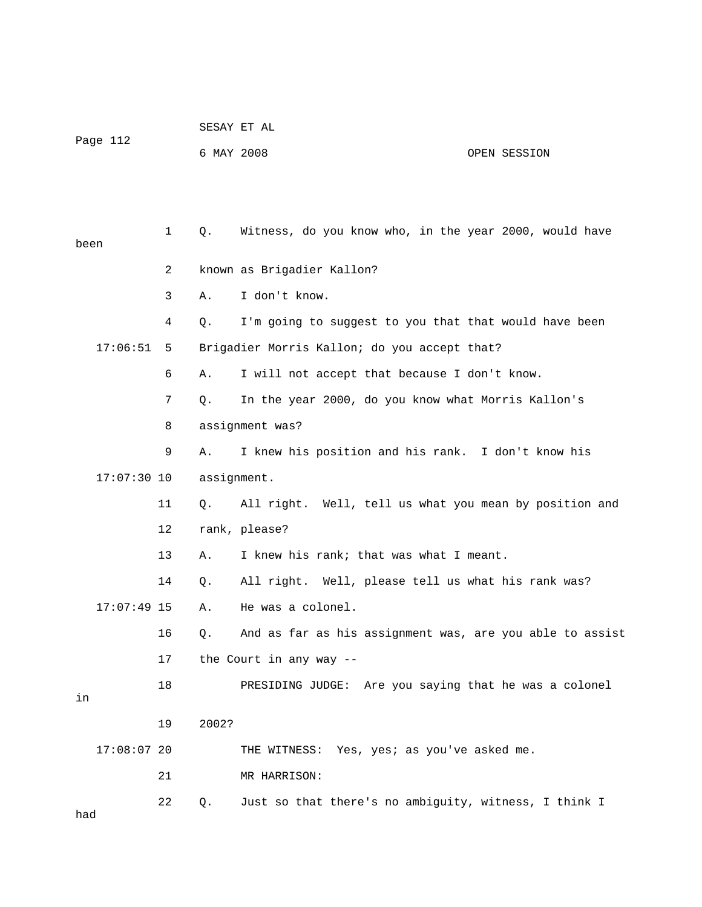| Page 112 |               |              |            | SESAY ET AL                                              |              |  |  |  |  |
|----------|---------------|--------------|------------|----------------------------------------------------------|--------------|--|--|--|--|
|          |               |              | 6 MAY 2008 |                                                          | OPEN SESSION |  |  |  |  |
|          |               |              |            |                                                          |              |  |  |  |  |
|          |               |              |            |                                                          |              |  |  |  |  |
| been     |               | $\mathbf{1}$ | Q.         | Witness, do you know who, in the year 2000, would have   |              |  |  |  |  |
|          |               | 2            |            | known as Brigadier Kallon?                               |              |  |  |  |  |
|          |               | 3            | Α.         | I don't know.                                            |              |  |  |  |  |
|          |               | 4            | Q.         | I'm going to suggest to you that that would have been    |              |  |  |  |  |
|          | 17:06:51      | 5            |            | Brigadier Morris Kallon; do you accept that?             |              |  |  |  |  |
|          |               | 6            | Α.         | I will not accept that because I don't know.             |              |  |  |  |  |
|          |               | 7            | Q.         | In the year 2000, do you know what Morris Kallon's       |              |  |  |  |  |
|          |               | 8            |            | assignment was?                                          |              |  |  |  |  |
|          |               | 9            | Α.         | I knew his position and his rank. I don't know his       |              |  |  |  |  |
|          | $17:07:30$ 10 |              |            | assignment.                                              |              |  |  |  |  |
|          |               | 11           | Q.         | All right. Well, tell us what you mean by position and   |              |  |  |  |  |
|          |               | 12           |            | rank, please?                                            |              |  |  |  |  |
|          |               | 13           | Α.         | I knew his rank; that was what I meant.                  |              |  |  |  |  |
|          |               | 14           | Q.         | All right. Well, please tell us what his rank was?       |              |  |  |  |  |
|          | $17:07:49$ 15 |              | Α.         | He was a colonel.                                        |              |  |  |  |  |
|          |               | 16           | Q.         | And as far as his assignment was, are you able to assist |              |  |  |  |  |
|          |               | 17           |            | the Court in any way --                                  |              |  |  |  |  |
|          |               | 18           |            | PRESIDING JUDGE: Are you saying that he was a colonel    |              |  |  |  |  |
| in       |               |              |            |                                                          |              |  |  |  |  |
|          |               | 19           | 2002?      |                                                          |              |  |  |  |  |
|          | $17:08:07$ 20 |              |            | THE WITNESS: Yes, yes; as you've asked me.               |              |  |  |  |  |
|          |               | 21           |            | MR HARRISON:                                             |              |  |  |  |  |
| had      |               | 22           | Q.         | Just so that there's no ambiguity, witness, I think I    |              |  |  |  |  |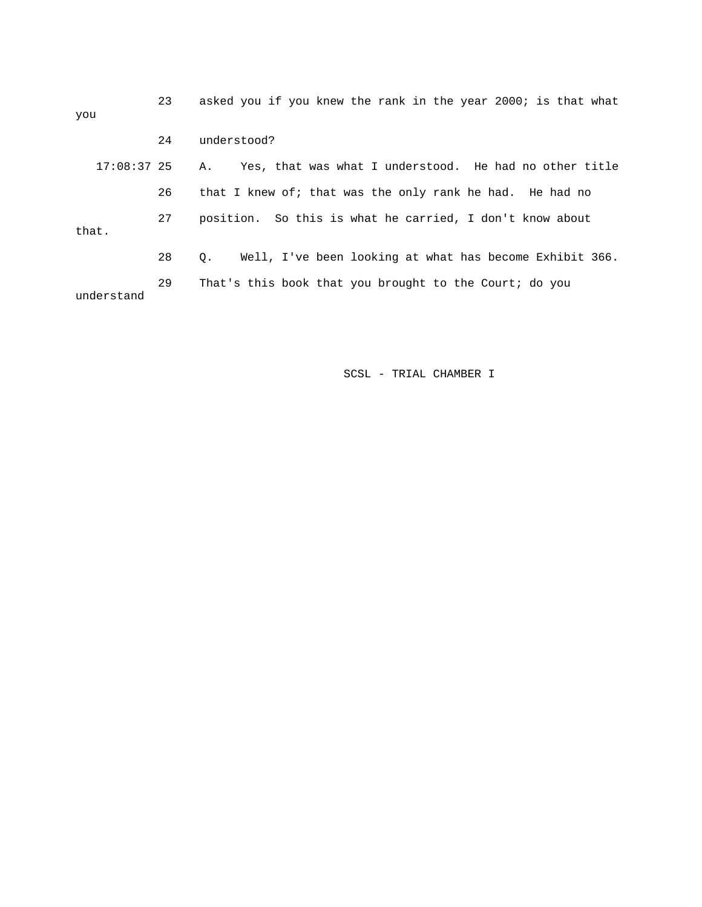| you           | 23 | asked you if you knew the rank in the year 2000; is that what |
|---------------|----|---------------------------------------------------------------|
|               | 24 | understood?                                                   |
| $17:08:37$ 25 |    | Yes, that was what I understood. He had no other title<br>Α.  |
|               | 26 | that I knew of; that was the only rank he had. He had no      |
| that.         | 27 | position. So this is what he carried, I don't know about      |
|               | 28 | Well, I've been looking at what has become Exhibit 366.<br>О. |
| understand    | 29 | That's this book that you brought to the Court; do you        |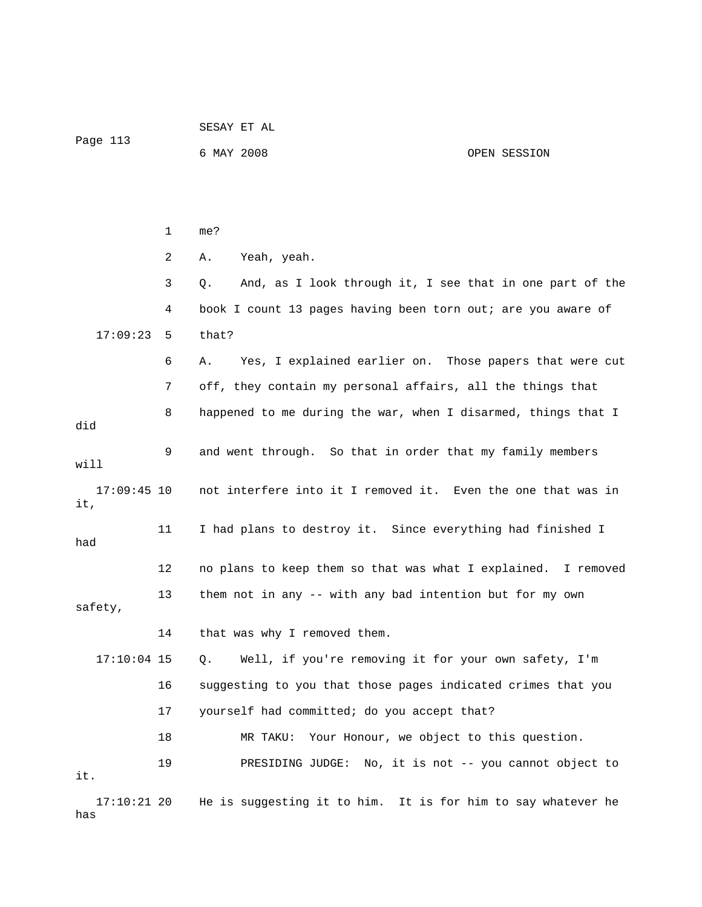|                      |    | SESAY ET AL                                                    |              |  |  |  |  |
|----------------------|----|----------------------------------------------------------------|--------------|--|--|--|--|
| Page 113             |    | 6 MAY 2008                                                     | OPEN SESSION |  |  |  |  |
|                      |    |                                                                |              |  |  |  |  |
|                      |    |                                                                |              |  |  |  |  |
|                      | 1  | me?                                                            |              |  |  |  |  |
|                      | 2  | Yeah, yeah.<br>Α.                                              |              |  |  |  |  |
|                      | 3  | And, as I look through it, I see that in one part of the<br>Q. |              |  |  |  |  |
|                      | 4  | book I count 13 pages having been torn out; are you aware of   |              |  |  |  |  |
| 17:09:23             | 5  | that?                                                          |              |  |  |  |  |
|                      | 6  | Yes, I explained earlier on. Those papers that were cut<br>Α.  |              |  |  |  |  |
|                      | 7  | off, they contain my personal affairs, all the things that     |              |  |  |  |  |
| did                  | 8  | happened to me during the war, when I disarmed, things that I  |              |  |  |  |  |
| will                 | 9  | and went through. So that in order that my family members      |              |  |  |  |  |
| $17:09:45$ 10<br>it, |    | not interfere into it I removed it. Even the one that was in   |              |  |  |  |  |
| had                  | 11 | I had plans to destroy it. Since everything had finished I     |              |  |  |  |  |
|                      | 12 | no plans to keep them so that was what I explained.            | I removed    |  |  |  |  |
| safety,              | 13 | them not in any -- with any bad intention but for my own       |              |  |  |  |  |
|                      | 14 | that was why I removed them.                                   |              |  |  |  |  |
| $17:10:04$ 15        |    | Well, if you're removing it for your own safety, I'm<br>Q.     |              |  |  |  |  |
|                      | 16 | suggesting to you that those pages indicated crimes that you   |              |  |  |  |  |
|                      | 17 | yourself had committed; do you accept that?                    |              |  |  |  |  |
|                      | 18 | Your Honour, we object to this question.<br>MR TAKU:           |              |  |  |  |  |
| it.                  | 19 | PRESIDING JUDGE: No, it is not -- you cannot object to         |              |  |  |  |  |
| $17:10:21$ 20<br>has |    | He is suggesting it to him. It is for him to say whatever he   |              |  |  |  |  |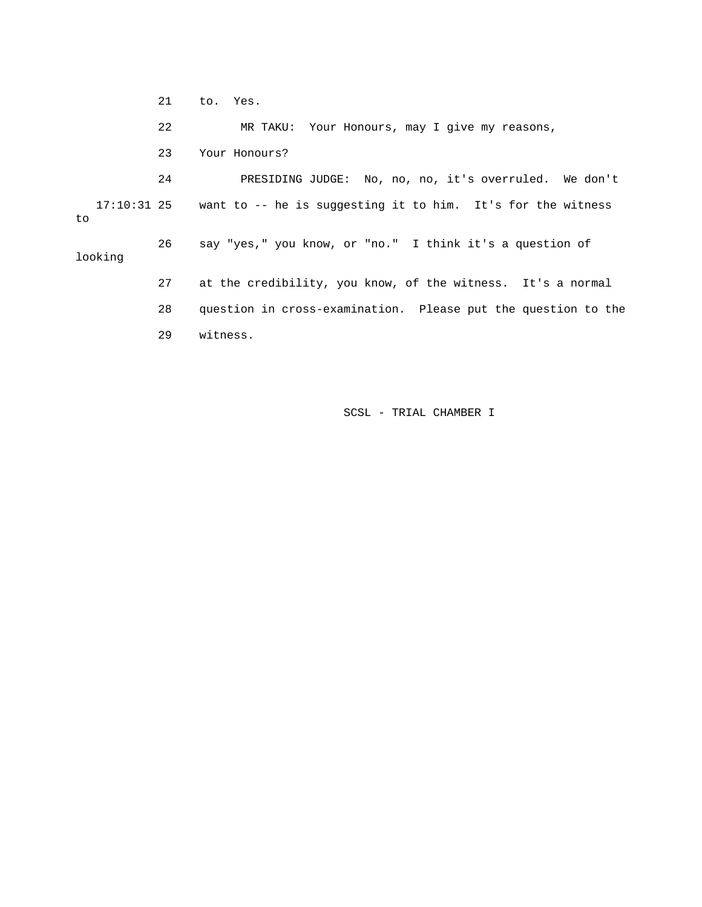21 to. Yes. 22 MR TAKU: Your Honours, may I give my reasons, 23 Your Honours? 24 PRESIDING JUDGE: No, no, no, it's overruled. We don't 17:10:31 25 want to -- he is suggesting it to him. It's for the witness to 26 say "yes," you know, or "no." I think it's a question of looking 27 at the credibility, you know, of the witness. It's a normal 28 question in cross-examination. Please put the question to the 29 witness.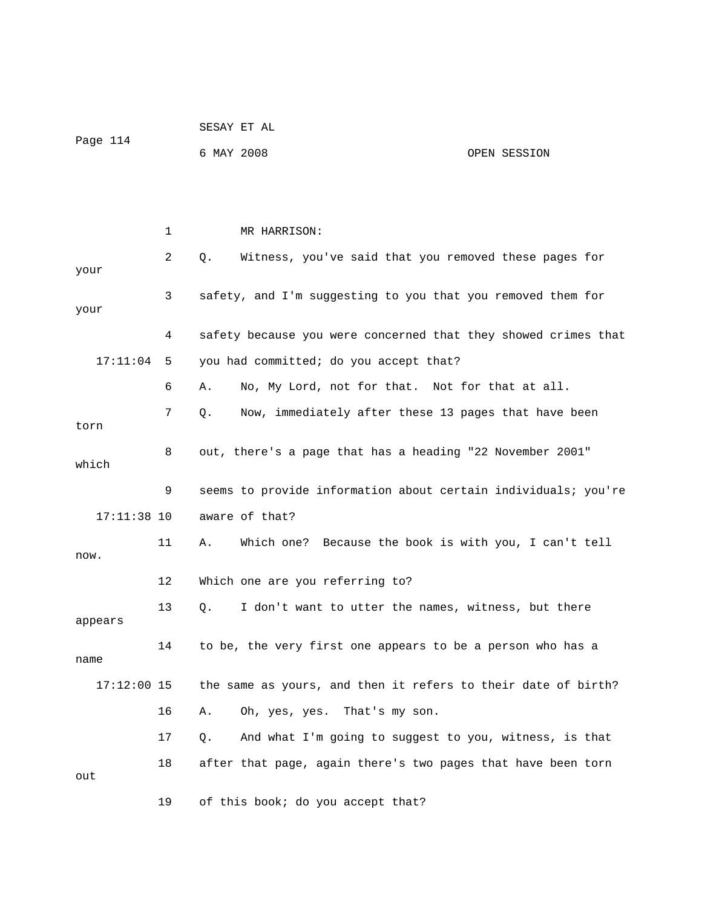|               |    |    | SESAY ET AL                                                    |              |  |
|---------------|----|----|----------------------------------------------------------------|--------------|--|
| Page 114      |    |    | 6 MAY 2008                                                     | OPEN SESSION |  |
|               |    |    |                                                                |              |  |
|               |    |    |                                                                |              |  |
|               | 1  |    | MR HARRISON:                                                   |              |  |
| your          | 2  | Q. | Witness, you've said that you removed these pages for          |              |  |
| your          | 3  |    | safety, and I'm suggesting to you that you removed them for    |              |  |
|               | 4  |    | safety because you were concerned that they showed crimes that |              |  |
| 17:11:04      | 5  |    | you had committed; do you accept that?                         |              |  |
|               | 6  | Α. | No, My Lord, not for that. Not for that at all.                |              |  |
| torn          | 7  | Q. | Now, immediately after these 13 pages that have been           |              |  |
| which         | 8  |    | out, there's a page that has a heading "22 November 2001"      |              |  |
|               | 9  |    | seems to provide information about certain individuals; you're |              |  |
| $17:11:38$ 10 |    |    | aware of that?                                                 |              |  |
| now.          | 11 | Α. | Which one? Because the book is with you, I can't tell          |              |  |
|               | 12 |    | Which one are you referring to?                                |              |  |
| appears       | 13 | Q. | I don't want to utter the names, witness, but there            |              |  |
| name          | 14 |    | to be, the very first one appears to be a person who has a     |              |  |
| $17:12:00$ 15 |    |    | the same as yours, and then it refers to their date of birth?  |              |  |
|               | 16 | Α. | Oh, yes, yes. That's my son.                                   |              |  |
|               | 17 | Q. | And what I'm going to suggest to you, witness, is that         |              |  |
| out           | 18 |    | after that page, again there's two pages that have been torn   |              |  |
|               | 19 |    | of this book; do you accept that?                              |              |  |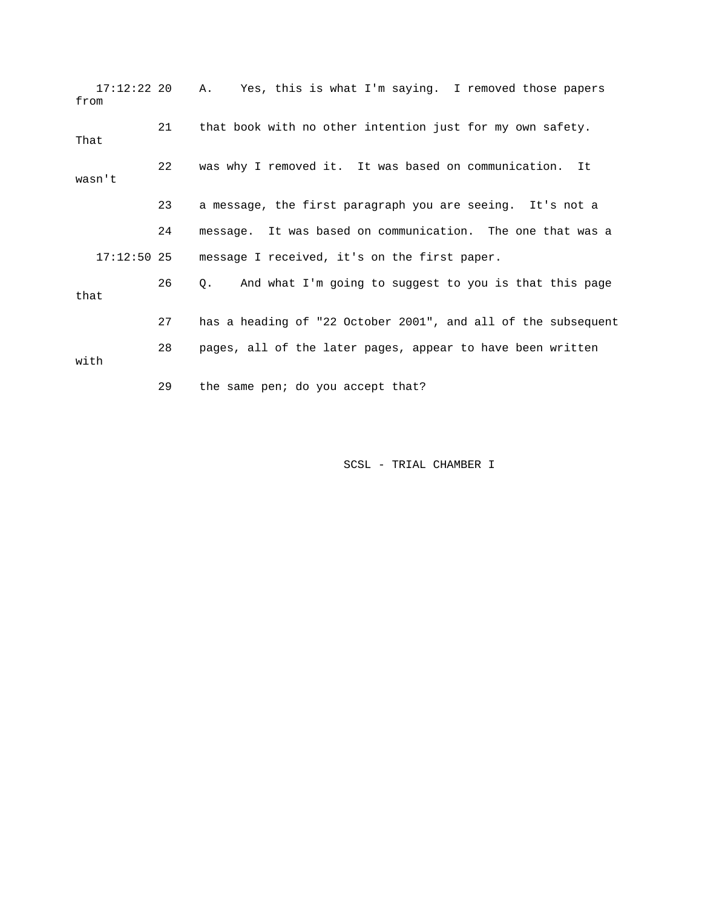| $17:12:22$ 20<br>from |    | A. Yes, this is what I'm saying. I removed those papers       |
|-----------------------|----|---------------------------------------------------------------|
| That                  | 21 | that book with no other intention just for my own safety.     |
| wasn't                | 22 | was why I removed it. It was based on communication.<br>It    |
|                       | 23 | a message, the first paragraph you are seeing. It's not a     |
|                       | 24 | message. It was based on communication. The one that was a    |
| $17:12:50$ 25         |    | message I received, it's on the first paper.                  |
| that                  | 26 | Q. And what I'm going to suggest to you is that this page     |
|                       | 27 | has a heading of "22 October 2001", and all of the subsequent |
| with                  | 28 | pages, all of the later pages, appear to have been written    |
|                       | 29 | the same pen; do you accept that?                             |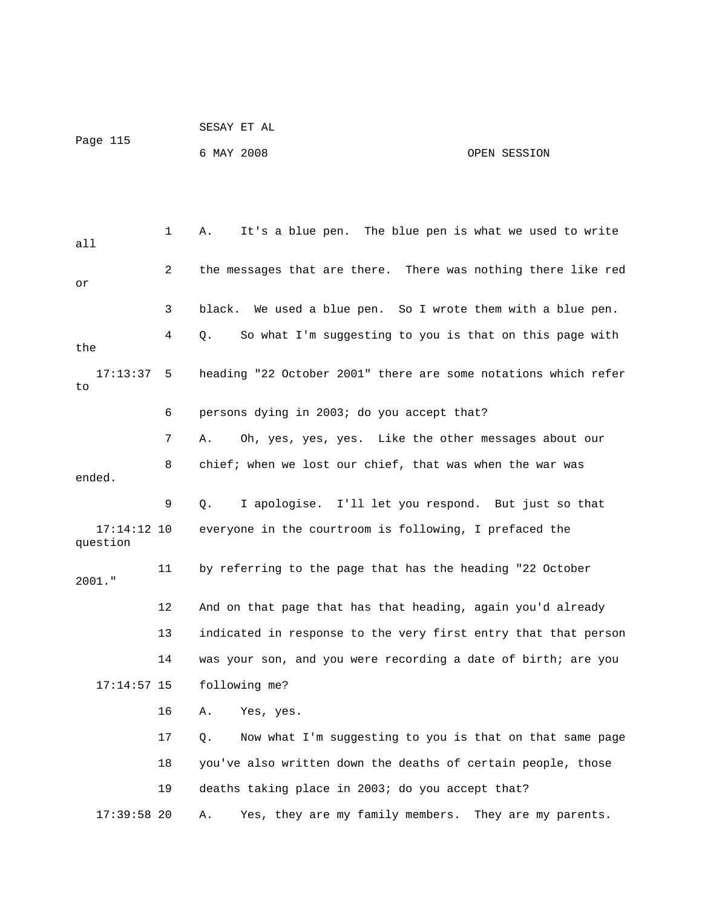|                           |    | SESAY ET AL                                                    |
|---------------------------|----|----------------------------------------------------------------|
| Page 115                  |    | 6 MAY 2008<br>OPEN SESSION                                     |
|                           |    |                                                                |
|                           |    |                                                                |
| all                       | 1  | It's a blue pen. The blue pen is what we used to write<br>Α.   |
| or                        | 2  | the messages that are there. There was nothing there like red  |
|                           | 3  | black. We used a blue pen. So I wrote them with a blue pen.    |
| the                       | 4  | So what I'm suggesting to you is that on this page with<br>Q.  |
| 17:13:37<br>to            | 5  | heading "22 October 2001" there are some notations which refer |
|                           | 6  | persons dying in 2003; do you accept that?                     |
|                           | 7  | Oh, yes, yes, yes. Like the other messages about our<br>Α.     |
| ended.                    | 8  | chief; when we lost our chief, that was when the war was       |
|                           | 9  | I apologise. I'll let you respond. But just so that<br>Q.      |
| $17:14:12$ 10<br>question |    | everyone in the courtroom is following, I prefaced the         |
| $2001.$ "                 | 11 | by referring to the page that has the heading "22 October      |
|                           | 12 | And on that page that has that heading, again you'd already    |
|                           | 13 | indicated in response to the very first entry that that person |
|                           | 14 | was your son, and you were recording a date of birth; are you  |
| $17:14:57$ 15             |    | following me?                                                  |
|                           | 16 | Yes, yes.<br>Α.                                                |
|                           | 17 | Now what I'm suggesting to you is that on that same page<br>Q. |
|                           | 18 | you've also written down the deaths of certain people, those   |
|                           | 19 | deaths taking place in 2003; do you accept that?               |
| $17:39:58$ 20             |    | Yes, they are my family members.<br>They are my parents.<br>Α. |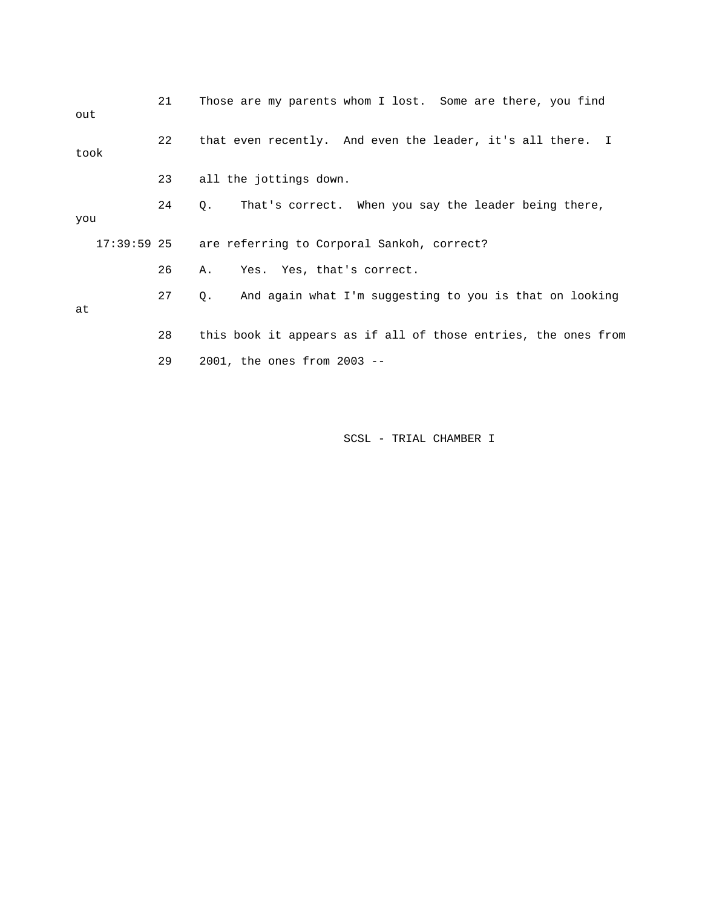| out  | 21 | Those are my parents whom I lost. Some are there, you find          |
|------|----|---------------------------------------------------------------------|
| took | 22 | that even recently. And even the leader, it's all there. I          |
|      | 23 | all the jottings down.                                              |
| you  | 24 | That's correct. When you say the leader being there,<br>$Q_{\star}$ |
|      |    | 17:39:59 25 are referring to Corporal Sankoh, correct?              |
|      | 26 | A. Yes. Yes, that's correct.                                        |
| at   | 27 | And again what I'm suggesting to you is that on looking<br>Q.       |
|      | 28 | this book it appears as if all of those entries, the ones from      |
|      | 29 | $2001$ , the ones from $2003$ --                                    |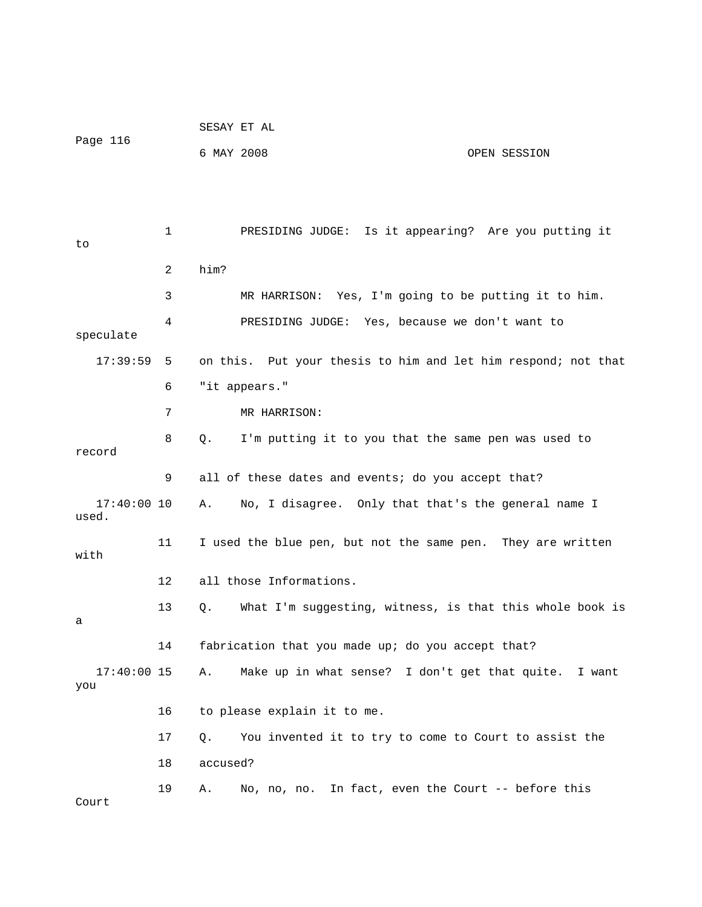| Page 116               |                                                                   | SESAY ET AL                                                    |  |  |
|------------------------|-------------------------------------------------------------------|----------------------------------------------------------------|--|--|
|                        |                                                                   | 6 MAY 2008<br>OPEN SESSION                                     |  |  |
|                        |                                                                   |                                                                |  |  |
|                        |                                                                   |                                                                |  |  |
| to                     | 1                                                                 | PRESIDING JUDGE: Is it appearing? Are you putting it           |  |  |
|                        | 2                                                                 | him?                                                           |  |  |
|                        | 3                                                                 | MR HARRISON: Yes, I'm going to be putting it to him.           |  |  |
| speculate              | 4                                                                 | PRESIDING JUDGE: Yes, because we don't want to                 |  |  |
| $17:39:59$ 5           |                                                                   | on this. Put your thesis to him and let him respond; not that  |  |  |
|                        | 6                                                                 | "it appears."                                                  |  |  |
|                        | 7                                                                 | MR HARRISON:                                                   |  |  |
| record                 | 8                                                                 | I'm putting it to you that the same pen was used to<br>Q.      |  |  |
|                        | 9                                                                 | all of these dates and events; do you accept that?             |  |  |
| $17:40:00$ 10<br>used. |                                                                   | No, I disagree. Only that that's the general name I<br>Α.      |  |  |
| with                   | 11<br>I used the blue pen, but not the same pen. They are written |                                                                |  |  |
|                        | 12                                                                | all those Informations.                                        |  |  |
| а                      | 13                                                                | What I'm suggesting, witness, is that this whole book is<br>Q. |  |  |
|                        | 14                                                                | fabrication that you made up; do you accept that?              |  |  |
| $17:40:00$ 15<br>you   |                                                                   | Make up in what sense? I don't get that quite.<br>Α.<br>I want |  |  |
|                        | 16                                                                | to please explain it to me.                                    |  |  |
|                        | 17                                                                | You invented it to try to come to Court to assist the<br>О.    |  |  |
|                        | 18                                                                | accused?                                                       |  |  |
| Court                  | 19                                                                | No, no, no. In fact, even the Court -- before this<br>Α.       |  |  |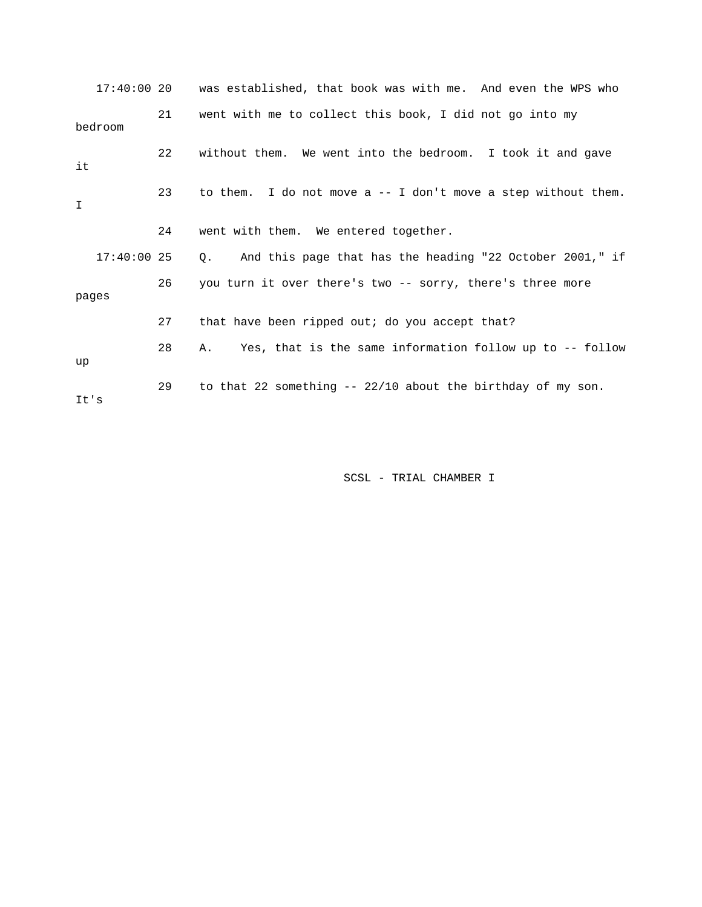|         | $17:40:00$ 20 |    | was established, that book was with me. And even the WPS who   |
|---------|---------------|----|----------------------------------------------------------------|
| bedroom |               | 21 | went with me to collect this book, I did not go into my        |
| it      |               | 22 | without them. We went into the bedroom. I took it and gave     |
| I       |               | 23 | to them. I do not move $a -1$ don't move a step without them.  |
|         |               | 24 | went with them. We entered together.                           |
|         | $17:40:00$ 25 |    | Q. And this page that has the heading "22 October 2001," if    |
| pages   |               | 26 | you turn it over there's two -- sorry, there's three more      |
|         |               | 27 | that have been ripped out; do you accept that?                 |
| up      |               | 28 | Yes, that is the same information follow up to -- follow<br>Α. |
| It's    |               | 29 | to that 22 something $-22/10$ about the birthday of my son.    |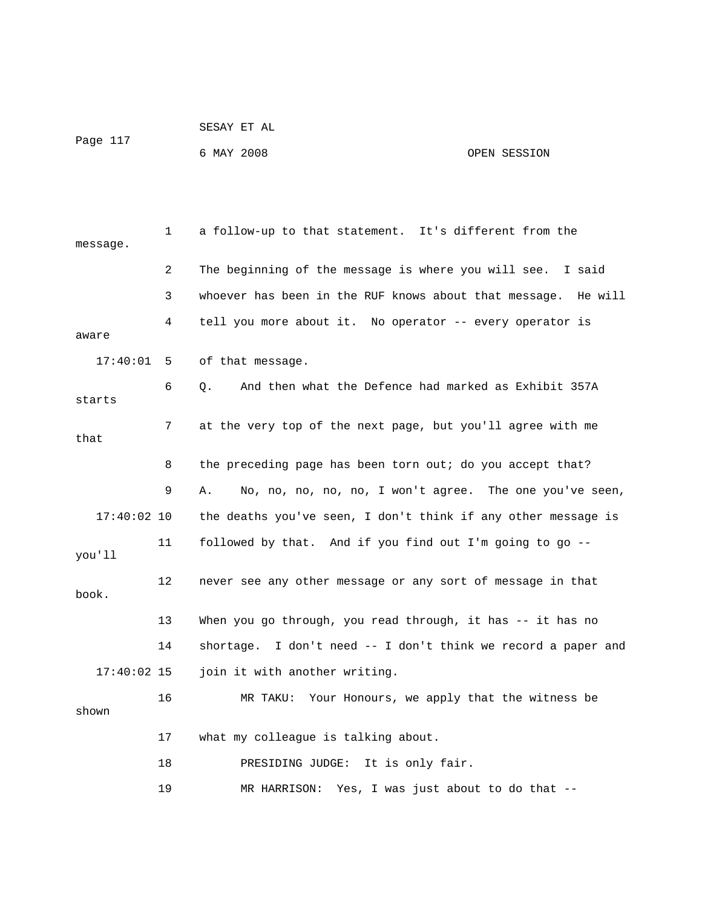|          | SESAY ET AL |              |
|----------|-------------|--------------|
| Page 117 | 6 MAY 2008  | OPEN SESSION |

 1 a follow-up to that statement. It's different from the message. 2 The beginning of the message is where you will see. I said 3 whoever has been in the RUF knows about that message. He will 4 tell you more about it. No operator -- every operator is aware 17:40:01 5 of that message. 6 Q. And then what the Defence had marked as Exhibit 357A starts 7 at the very top of the next page, but you'll agree with me that 8 the preceding page has been torn out; do you accept that? 9 A. No, no, no, no, no, I won't agree. The one you've seen, 17:40:02 10 the deaths you've seen, I don't think if any other message is 11 followed by that. And if you find out I'm going to go - you'll 12 never see any other message or any sort of message in that book. 13 When you go through, you read through, it has -- it has no 14 shortage. I don't need -- I don't think we record a paper and 17:40:02 15 join it with another writing. 16 MR TAKU: Your Honours, we apply that the witness be shown 17 what my colleague is talking about. 18 PRESIDING JUDGE: It is only fair. 19 MR HARRISON: Yes, I was just about to do that --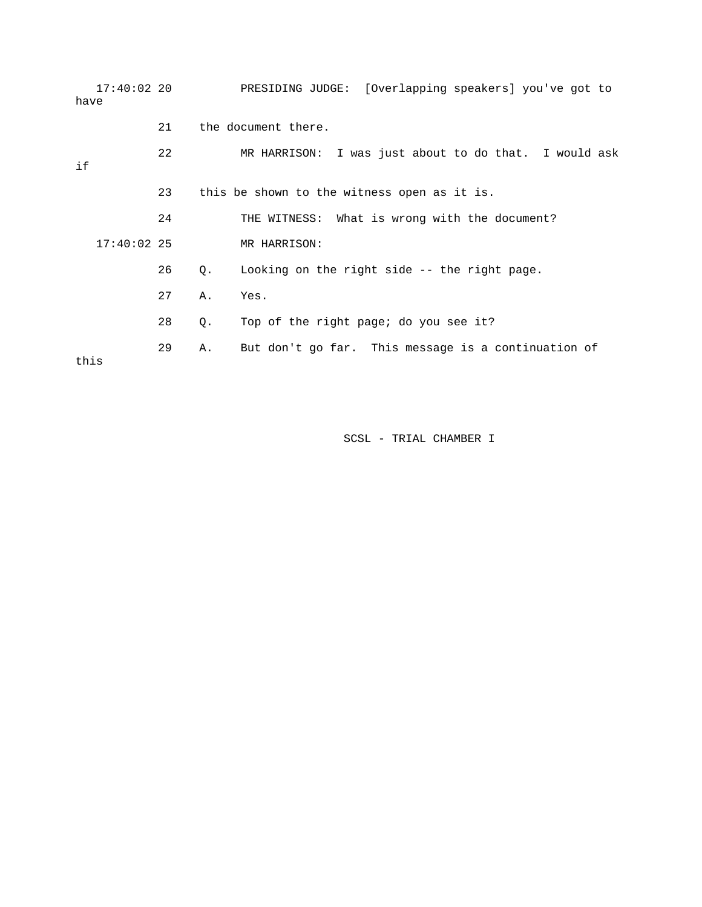| have | 17:40:02 20   |    |    | PRESIDING JUDGE: [Overlapping speakers] you've got to |
|------|---------------|----|----|-------------------------------------------------------|
|      |               | 21 |    | the document there.                                   |
| if   |               | 22 |    | MR HARRISON: I was just about to do that. I would ask |
|      |               | 23 |    | this be shown to the witness open as it is.           |
|      |               | 24 |    | THE WITNESS: What is wrong with the document?         |
|      | $17:40:02$ 25 |    |    | MR HARRISON:                                          |
|      |               | 26 | Q. | Looking on the right side -- the right page.          |
|      |               | 27 | Α. | Yes.                                                  |
|      |               | 28 | Q. | Top of the right page; do you see it?                 |
| this |               | 29 | Α. | But don't go far. This message is a continuation of   |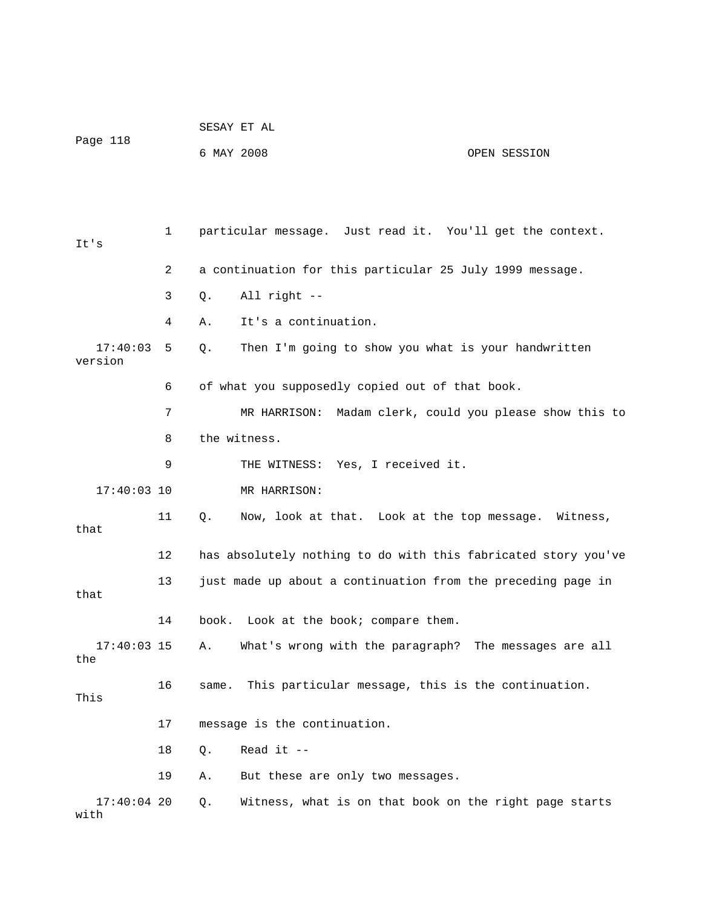|                       |    |                                                 | SESAY ET AL                                                    |              |  |  |
|-----------------------|----|-------------------------------------------------|----------------------------------------------------------------|--------------|--|--|
| Page 118              |    | 6 MAY 2008                                      |                                                                | OPEN SESSION |  |  |
|                       |    |                                                 |                                                                |              |  |  |
|                       |    |                                                 |                                                                |              |  |  |
| It's                  | 1  |                                                 | particular message. Just read it. You'll get the context.      |              |  |  |
|                       | 2  |                                                 | a continuation for this particular 25 July 1999 message.       |              |  |  |
|                       | 3  | Q.                                              | All right --                                                   |              |  |  |
|                       | 4  | Α.                                              | It's a continuation.                                           |              |  |  |
| 17:40:03<br>version   | 5  | Q.                                              | Then I'm going to show you what is your handwritten            |              |  |  |
|                       | 6  | of what you supposedly copied out of that book. |                                                                |              |  |  |
|                       | 7  |                                                 | MR HARRISON: Madam clerk, could you please show this to        |              |  |  |
|                       | 8  |                                                 | the witness.                                                   |              |  |  |
|                       | 9  |                                                 | THE WITNESS: Yes, I received it.                               |              |  |  |
| $17:40:03$ 10         |    |                                                 | MR HARRISON:                                                   |              |  |  |
| that                  | 11 | Q.                                              | Now, look at that. Look at the top message. Witness,           |              |  |  |
|                       | 12 |                                                 | has absolutely nothing to do with this fabricated story you've |              |  |  |
| that                  | 13 |                                                 | just made up about a continuation from the preceding page in   |              |  |  |
|                       | 14 |                                                 | book. Look at the book; compare them.                          |              |  |  |
| $17:40:03$ 15<br>the  |    | Α.                                              | What's wrong with the paragraph? The messages are all          |              |  |  |
| This                  | 16 | same.                                           | This particular message, this is the continuation.             |              |  |  |
|                       | 17 |                                                 | message is the continuation.                                   |              |  |  |
|                       | 18 | Q.                                              | Read it $-$                                                    |              |  |  |
|                       | 19 | Α.                                              | But these are only two messages.                               |              |  |  |
| $17:40:04$ 20<br>with |    | Q.                                              | Witness, what is on that book on the right page starts         |              |  |  |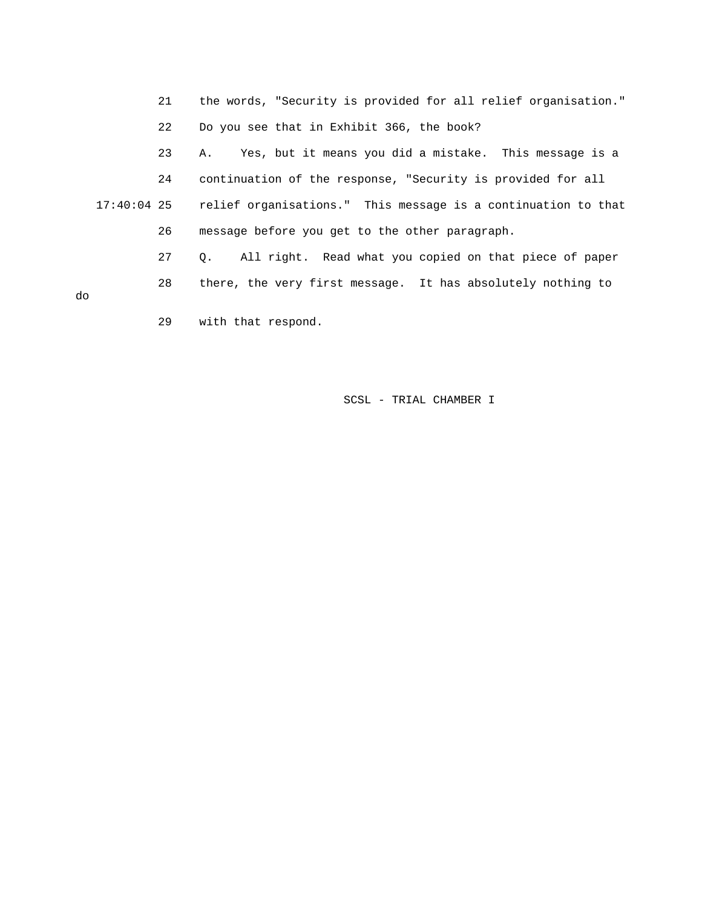- 21 the words, "Security is provided for all relief organisation."
- 22 Do you see that in Exhibit 366, the book?

23 A. Yes, but it means you did a mistake. This message is a

 24 continuation of the response, "Security is provided for all 17:40:04 25 relief organisations." This message is a continuation to that 26 message before you get to the other paragraph.

 27 Q. All right. Read what you copied on that piece of paper 28 there, the very first message. It has absolutely nothing to

do

29 with that respond.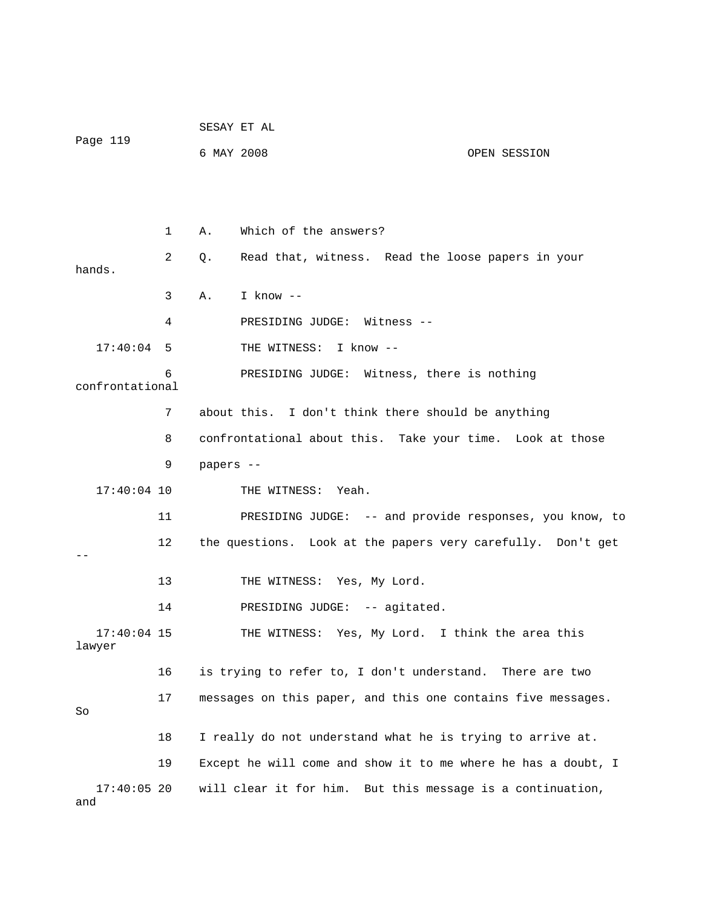|                         |    |            | SESAY ET AL                                                   |              |
|-------------------------|----|------------|---------------------------------------------------------------|--------------|
| Page 119                |    | 6 MAY 2008 |                                                               | OPEN SESSION |
|                         |    |            |                                                               |              |
|                         | 1  | Α.         | Which of the answers?                                         |              |
| hands.                  | 2  | Q.         | Read that, witness. Read the loose papers in your             |              |
|                         | 3  | Α.         | I know $--$                                                   |              |
|                         | 4  |            | PRESIDING JUDGE: Witness --                                   |              |
| $17:40:04$ 5            |    |            | THE WITNESS: I know --                                        |              |
| confrontational         | 6  |            | PRESIDING JUDGE: Witness, there is nothing                    |              |
|                         | 7  |            | about this. I don't think there should be anything            |              |
|                         | 8  |            | confrontational about this. Take your time. Look at those     |              |
|                         | 9  | papers --  |                                                               |              |
| $17:40:04$ 10           |    |            | THE WITNESS: Yeah.                                            |              |
|                         | 11 |            | PRESIDING JUDGE: -- and provide responses, you know, to       |              |
|                         | 12 |            | the questions. Look at the papers very carefully. Don't get   |              |
|                         | 13 |            | THE WITNESS: Yes, My Lord.                                    |              |
|                         | 14 |            | PRESIDING JUDGE: -- agitated.                                 |              |
| $17:40:04$ 15<br>lawyer |    |            | THE WITNESS: Yes, My Lord. I think the area this              |              |
|                         | 16 |            | is trying to refer to, I don't understand. There are two      |              |
| So                      | 17 |            | messages on this paper, and this one contains five messages.  |              |
|                         | 18 |            | I really do not understand what he is trying to arrive at.    |              |
|                         | 19 |            | Except he will come and show it to me where he has a doubt, I |              |
| $17:40:05$ 20<br>and    |    |            | will clear it for him. But this message is a continuation,    |              |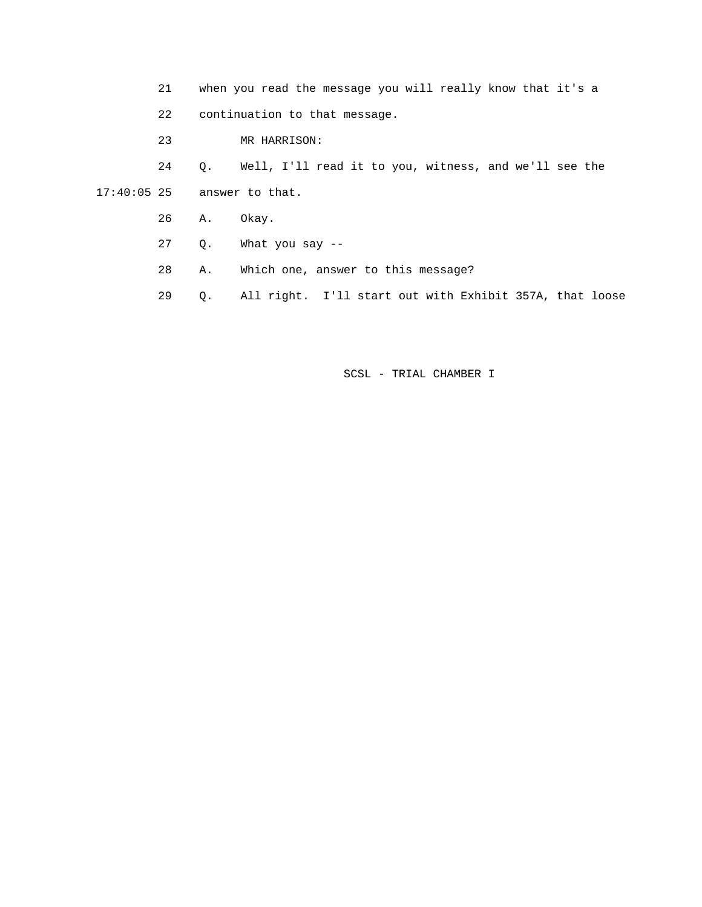21 when you read the message you will really know that it's a

22 continuation to that message.

23 MR HARRISON:

 24 Q. Well, I'll read it to you, witness, and we'll see the 17:40:05 25 answer to that.

- 26 A. Okay.
- 27 Q. What you say --
- 28 A. Which one, answer to this message?
- 29 Q. All right. I'll start out with Exhibit 357A, that loose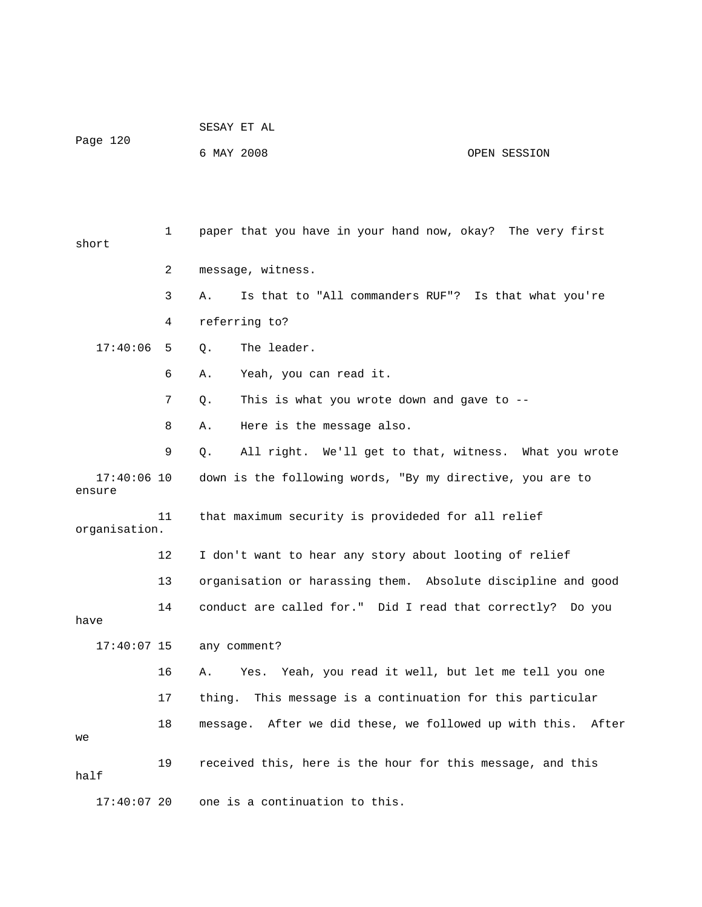|          | SESAY ET AL |              |
|----------|-------------|--------------|
| Page 120 |             |              |
|          | 6 MAY 2008  | OPEN SESSION |

 1 paper that you have in your hand now, okay? The very first short 2 message, witness. 3 A. Is that to "All commanders RUF"? Is that what you're 4 referring to? 17:40:06 5 0. The leader. 6 A. Yeah, you can read it. 7 Q. This is what you wrote down and gave to -- 8 A. Here is the message also. 9 Q. All right. We'll get to that, witness. What you wrote 17:40:06 10 down is the following words, "By my directive, you are to ensure 11 that maximum security is provideded for all relief organisation. 12 I don't want to hear any story about looting of relief 13 organisation or harassing them. Absolute discipline and good 14 conduct are called for." Did I read that correctly? Do you have 17:40:07 15 any comment? 16 A. Yes. Yeah, you read it well, but let me tell you one 17 thing. This message is a continuation for this particular 18 message. After we did these, we followed up with this. After we 19 received this, here is the hour for this message, and this half 17:40:07 20 one is a continuation to this.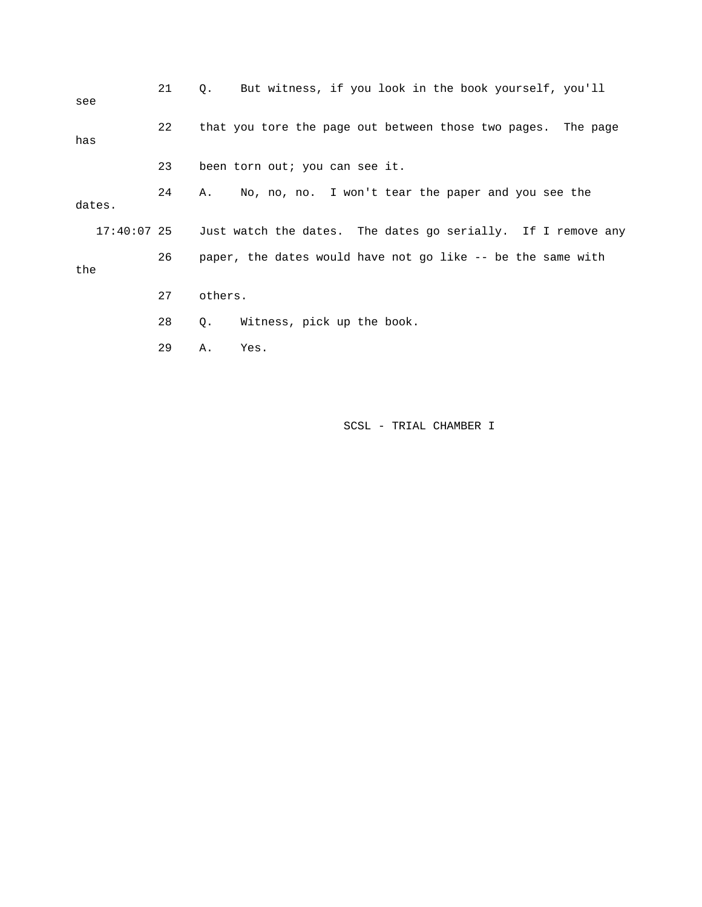| see    | 21 | But witness, if you look in the book yourself, you'll<br>О.              |  |  |  |  |
|--------|----|--------------------------------------------------------------------------|--|--|--|--|
| has    | 22 | that you tore the page out between those two pages. The page             |  |  |  |  |
|        | 23 | been torn out; you can see it.                                           |  |  |  |  |
| dates. | 24 | No, no, no. I won't tear the paper and you see the<br>A.                 |  |  |  |  |
|        |    | 17:40:07 25 Just watch the dates. The dates go serially. If I remove any |  |  |  |  |
| the    | 26 | paper, the dates would have not go like -- be the same with              |  |  |  |  |
|        | 27 | others.                                                                  |  |  |  |  |
|        | 28 | Witness, pick up the book.<br>Q.                                         |  |  |  |  |
|        | 29 | Yes.<br>Α.                                                               |  |  |  |  |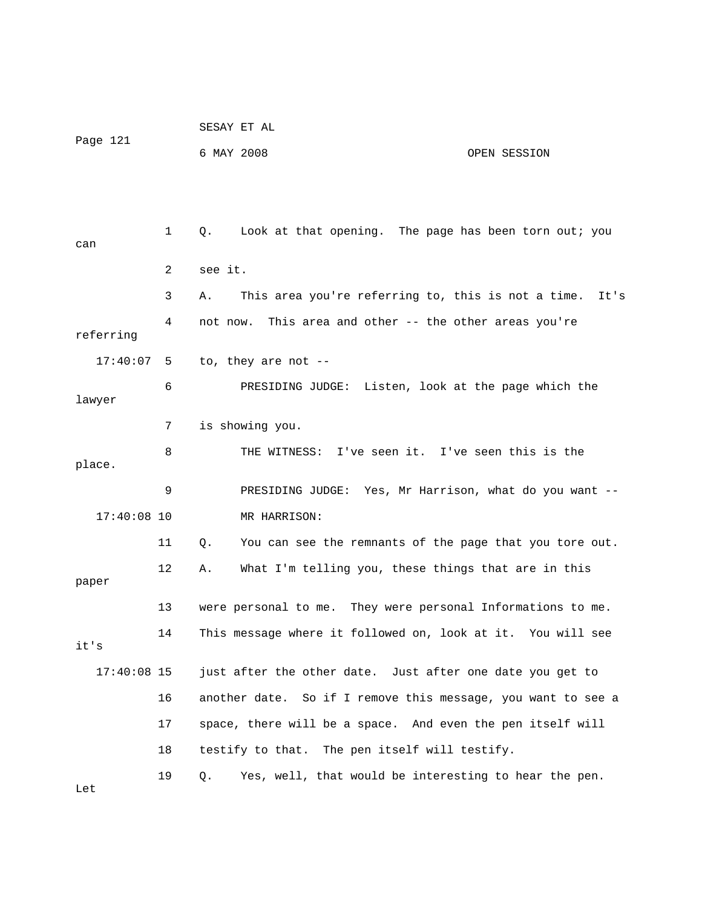| Page 121      |              | SESAY ET AL                                                      |
|---------------|--------------|------------------------------------------------------------------|
|               |              | 6 MAY 2008<br>OPEN SESSION                                       |
|               |              |                                                                  |
|               |              |                                                                  |
| can           | $\mathbf{1}$ | Look at that opening. The page has been torn out; you<br>Q.      |
|               | 2            | see it.                                                          |
|               | 3            | This area you're referring to, this is not a time.<br>It's<br>Α. |
| referring     | 4            | This area and other -- the other areas you're<br>not now.        |
| 17:40:07      | - 5          | to, they are not --                                              |
| lawyer        | 6            | PRESIDING JUDGE: Listen, look at the page which the              |
|               | 7            | is showing you.                                                  |
| place.        | 8            | THE WITNESS: I've seen it. I've seen this is the                 |
|               | 9            | PRESIDING JUDGE: Yes, Mr Harrison, what do you want --           |
| $17:40:08$ 10 |              | MR HARRISON:                                                     |
|               | 11           | You can see the remnants of the page that you tore out.<br>Q.    |
| paper         | 12           | What I'm telling you, these things that are in this<br>Α.        |
|               | 13           | were personal to me. They were personal Informations to me.      |
| it's          | 14           | This message where it followed on, look at it. You will see      |
| $17:40:08$ 15 |              | just after the other date. Just after one date you get to        |
|               | 16           | another date. So if I remove this message, you want to see a     |
|               | 17           | space, there will be a space. And even the pen itself will       |
|               | 18           | testify to that. The pen itself will testify.                    |
| Let           | 19           | Yes, well, that would be interesting to hear the pen.<br>Q.      |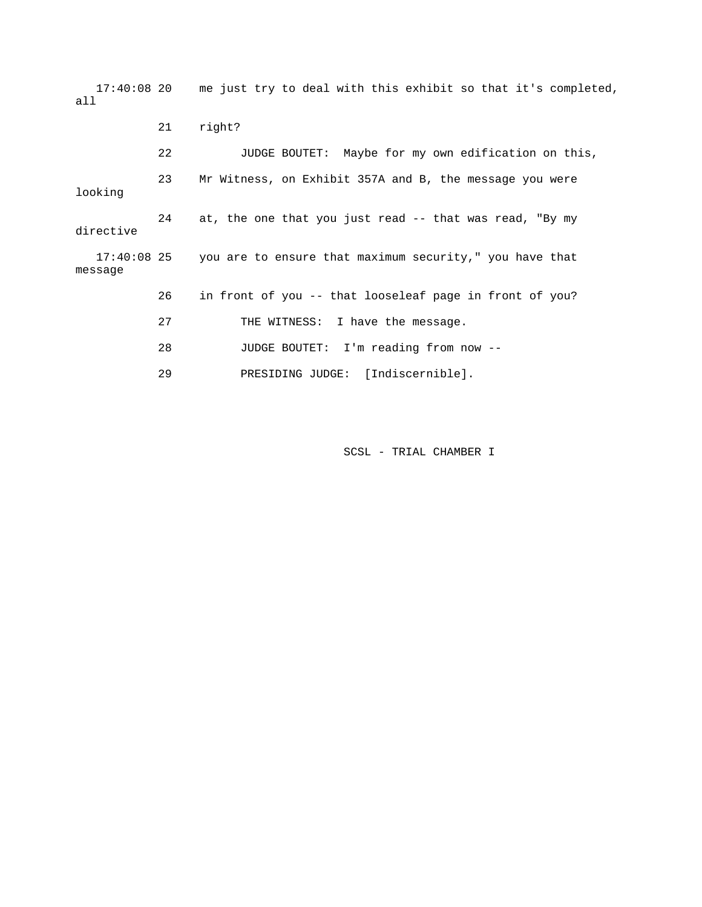17:40:08 20 me just try to deal with this exhibit so that it's completed, all 21 right? 22 JUDGE BOUTET: Maybe for my own edification on this, 23 Mr Witness, on Exhibit 357A and B, the message you were looking 24 at, the one that you just read -- that was read, "By my directive 17:40:08 25 you are to ensure that maximum security," you have that message 26 in front of you -- that looseleaf page in front of you? 27 THE WITNESS: I have the message. 28 JUDGE BOUTET: I'm reading from now -- 29 PRESIDING JUDGE: [Indiscernible].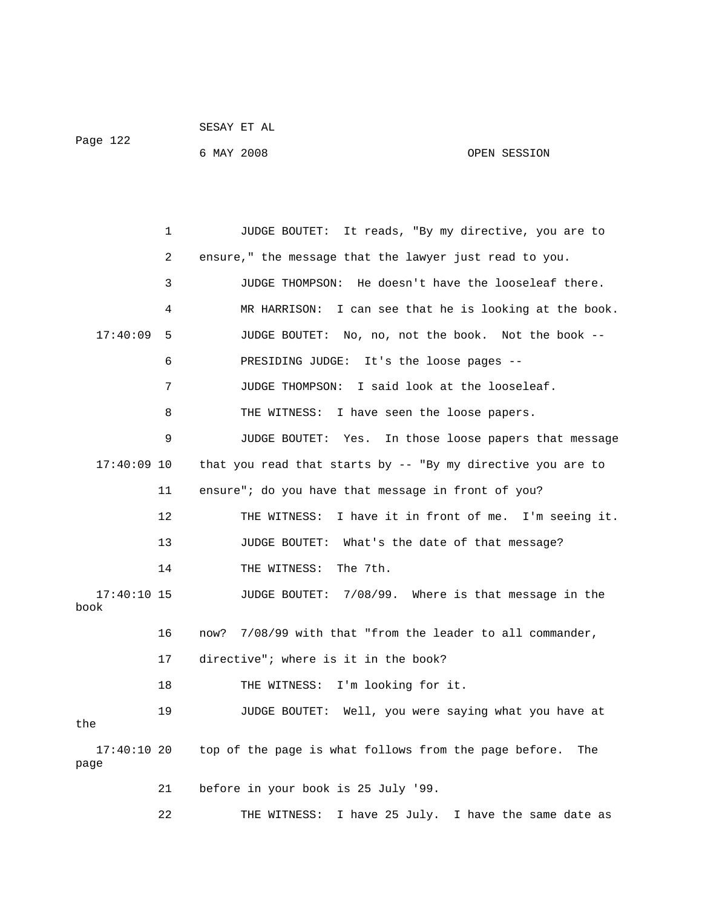|          | DLDAI LI AU |  |
|----------|-------------|--|
| Page 122 |             |  |

SESAY ET AL

 1 JUDGE BOUTET: It reads, "By my directive, you are to 2 ensure," the message that the lawyer just read to you. 3 JUDGE THOMPSON: He doesn't have the looseleaf there. 4 MR HARRISON: I can see that he is looking at the book. 17:40:09 5 JUDGE BOUTET: No, no, not the book. Not the book -- 6 PRESIDING JUDGE: It's the loose pages -- 7 JUDGE THOMPSON: I said look at the looseleaf. 8 THE WITNESS: I have seen the loose papers. 9 JUDGE BOUTET: Yes. In those loose papers that message 17:40:09 10 that you read that starts by -- "By my directive you are to 11 ensure"; do you have that message in front of you? 12 THE WITNESS: I have it in front of me. I'm seeing it. 13 JUDGE BOUTET: What's the date of that message? 14 THE WITNESS: The 7th. 17:40:10 15 JUDGE BOUTET: 7/08/99. Where is that message in the book 16 now? 7/08/99 with that "from the leader to all commander, 17 directive"; where is it in the book? 18 THE WITNESS: I'm looking for it. 19 JUDGE BOUTET: Well, you were saying what you have at the 17:40:10 20 top of the page is what follows from the page before. The

6 MAY 2008 OPEN SESSION

page

21 before in your book is 25 July '99.

22 THE WITNESS: I have 25 July. I have the same date as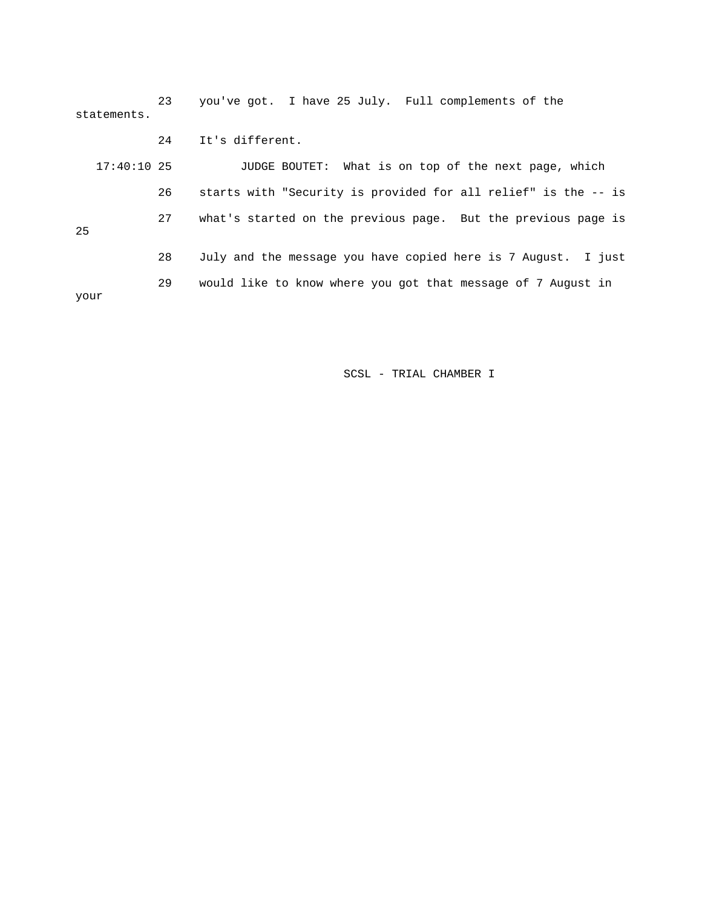23 you've got. I have 25 July. Full complements of the statements.

 24 It's different. 17:40:10 25 JUDGE BOUTET: What is on top of the next page, which 26 starts with "Security is provided for all relief" is the -- is 27 what's started on the previous page. But the previous page is 25 28 July and the message you have copied here is 7 August. I just 29 would like to know where you got that message of 7 August in your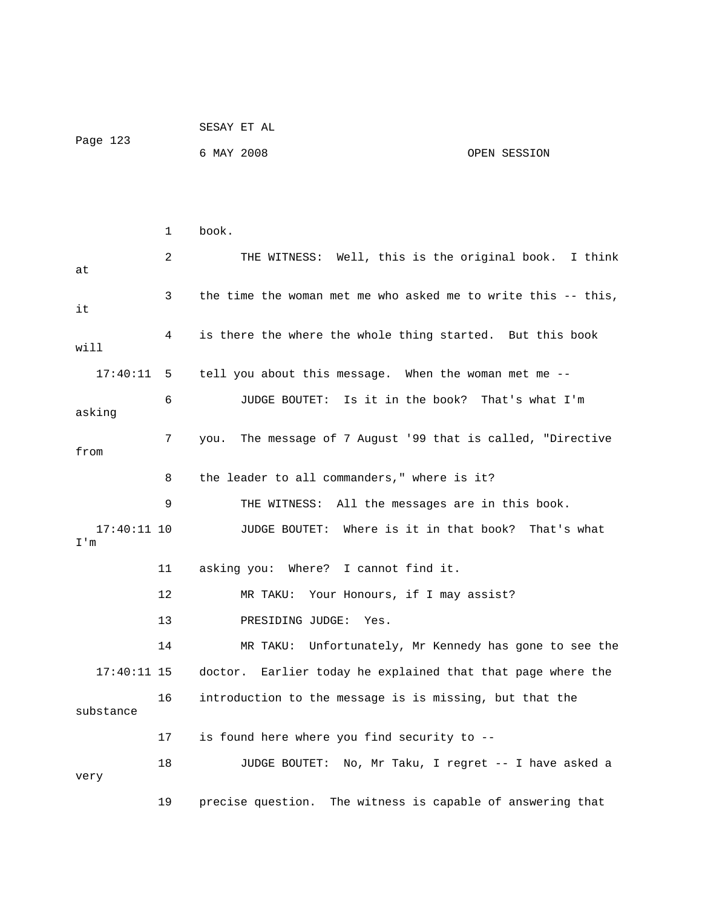| Page 123 |  |              |            | SESAY ET AL                                           |  |              |  |
|----------|--|--------------|------------|-------------------------------------------------------|--|--------------|--|
|          |  |              | 6 MAY 2008 |                                                       |  | OPEN SESSION |  |
|          |  |              |            |                                                       |  |              |  |
|          |  |              |            |                                                       |  |              |  |
|          |  | $\mathbf{1}$ | book.      |                                                       |  |              |  |
|          |  |              |            |                                                       |  |              |  |
|          |  | 2            |            | THE WITNESS: Well, this is the original book. I think |  |              |  |
| at       |  |              |            |                                                       |  |              |  |

 3 the time the woman met me who asked me to write this -- this, it 4 is there the where the whole thing started. But this book will 17:40:11 5 tell you about this message. When the woman met me -- 6 JUDGE BOUTET: Is it in the book? That's what I'm asking 7 you. The message of 7 August '99 that is called, "Directive from 8 the leader to all commanders," where is it? 9 THE WITNESS: All the messages are in this book. 17:40:11 10 JUDGE BOUTET: Where is it in that book? That's what I'm 11 asking you: Where? I cannot find it. 12 MR TAKU: Your Honours, if I may assist? 13 PRESIDING JUDGE: Yes. 14 MR TAKU: Unfortunately, Mr Kennedy has gone to see the 17:40:11 15 doctor. Earlier today he explained that that page where the 16 introduction to the message is is missing, but that the substance 17 is found here where you find security to -- 18 JUDGE BOUTET: No, Mr Taku, I regret -- I have asked a very

19 precise question. The witness is capable of answering that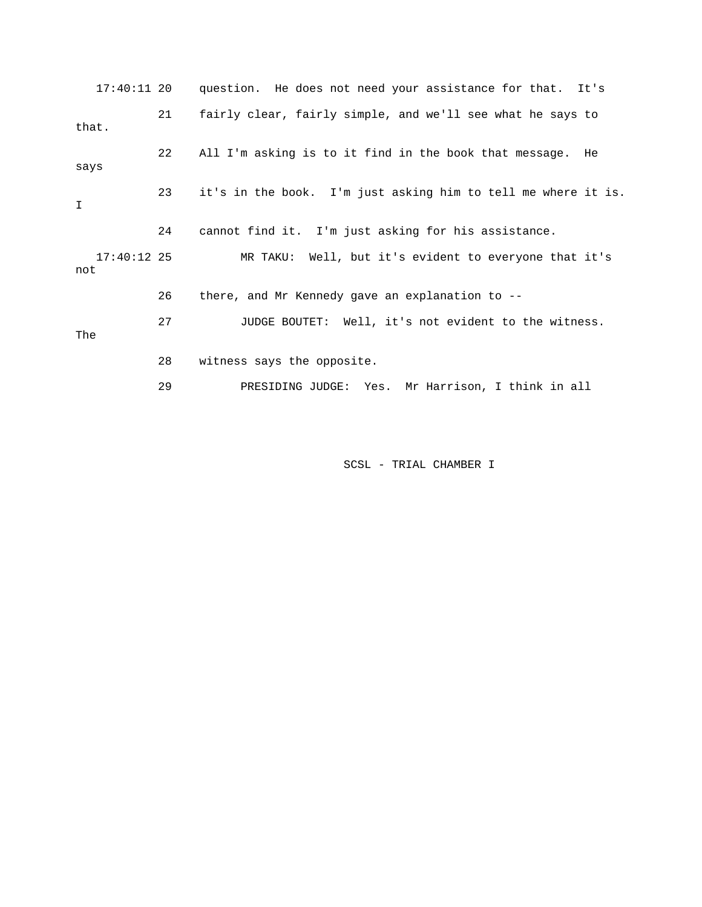17:40:11 20 question. He does not need your assistance for that. It's 21 fairly clear, fairly simple, and we'll see what he says to that. 22 All I'm asking is to it find in the book that message. He says 23 it's in the book. I'm just asking him to tell me where it is. I 24 cannot find it. I'm just asking for his assistance. 17:40:12 25 MR TAKU: Well, but it's evident to everyone that it's not 26 there, and Mr Kennedy gave an explanation to -- 27 JUDGE BOUTET: Well, it's not evident to the witness. The 28 witness says the opposite. 29 PRESIDING JUDGE: Yes. Mr Harrison, I think in all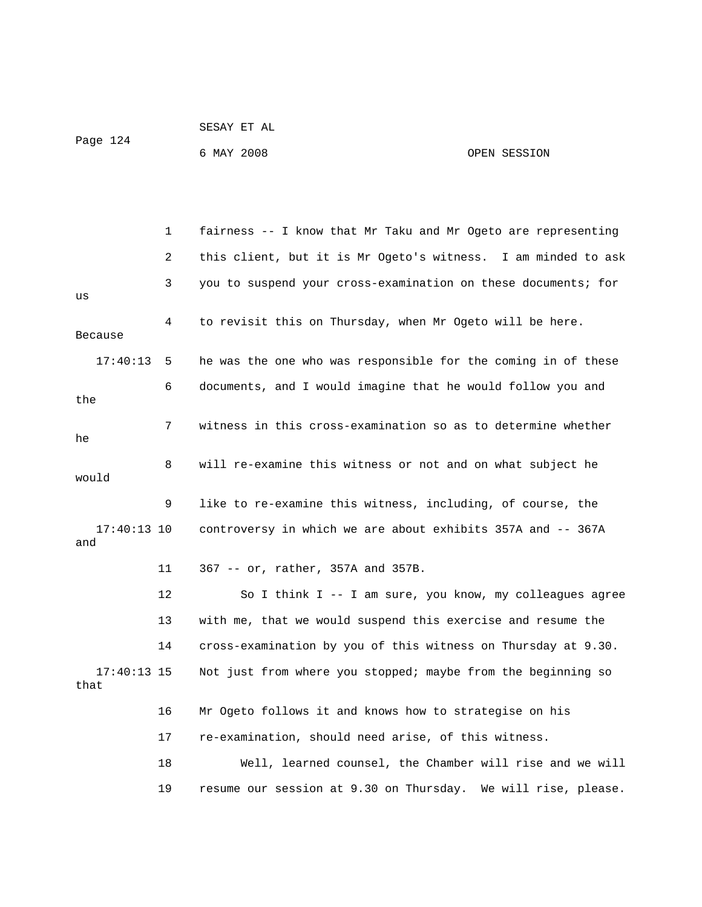|          | SESAY ET AL |              |
|----------|-------------|--------------|
| Page 124 |             |              |
|          | 6 MAY 2008  | OPEN SESSION |

|                       | 1  | fairness -- I know that Mr Taku and Mr Ogeto are representing |
|-----------------------|----|---------------------------------------------------------------|
|                       | 2  | this client, but it is Mr Ogeto's witness. I am minded to ask |
| us                    | 3  | you to suspend your cross-examination on these documents; for |
| Because               | 4  | to revisit this on Thursday, when Mr Ogeto will be here.      |
| 17:40:13              | 5  | he was the one who was responsible for the coming in of these |
| the                   | 6  | documents, and I would imagine that he would follow you and   |
| he                    | 7  | witness in this cross-examination so as to determine whether  |
| would                 | 8  | will re-examine this witness or not and on what subject he    |
|                       | 9  | like to re-examine this witness, including, of course, the    |
| $17:40:13$ 10<br>and  |    | controversy in which we are about exhibits 357A and -- 367A   |
|                       | 11 | 367 -- or, rather, 357A and 357B.                             |
|                       | 12 | So I think I -- I am sure, you know, my colleagues agree      |
|                       | 13 | with me, that we would suspend this exercise and resume the   |
|                       | 14 | cross-examination by you of this witness on Thursday at 9.30. |
| $17:40:13$ 15<br>that |    | Not just from where you stopped; maybe from the beginning so  |
|                       | 16 | Mr Ogeto follows it and knows how to strategise on his        |
|                       | 17 | re-examination, should need arise, of this witness.           |
|                       | 18 | Well, learned counsel, the Chamber will rise and we will      |
|                       | 19 | resume our session at 9.30 on Thursday. We will rise, please. |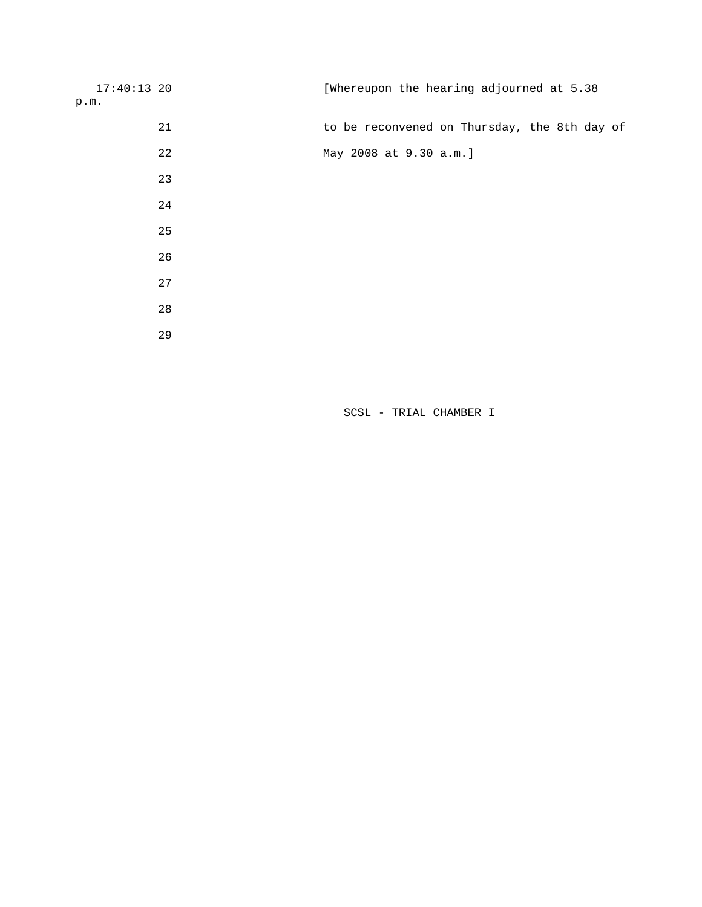| $17:40:13$ 20 |    | [Whereupon the hearing adjourned at 5.38     |
|---------------|----|----------------------------------------------|
| p.m.          |    |                                              |
|               | 21 | to be reconvened on Thursday, the 8th day of |
|               | 22 | May 2008 at 9.30 a.m.]                       |
|               | 23 |                                              |
|               | 24 |                                              |
|               | 25 |                                              |
|               | 26 |                                              |
|               | 27 |                                              |
|               | 28 |                                              |
|               | 29 |                                              |